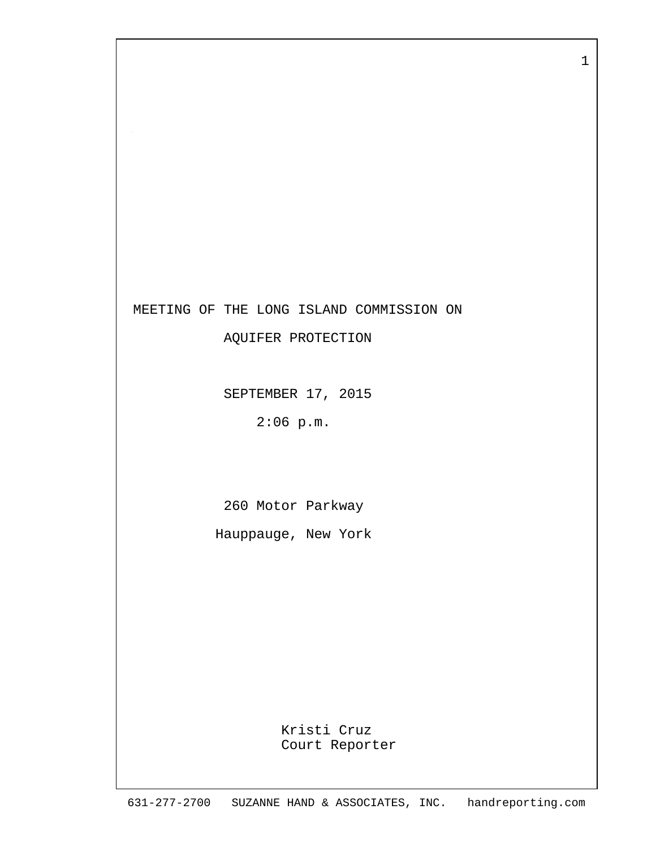

AQUIFER PROTECTION

SEPTEMBER 17, 2015

2:06 p.m.

260 Motor Parkway

Hauppauge, New York

 Kristi Cruz Court Reporter 1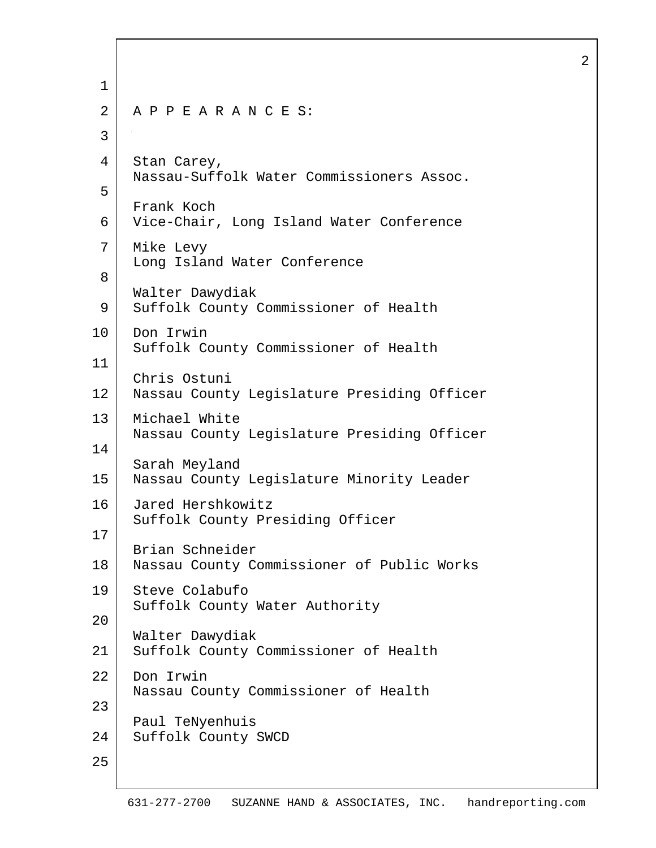1 2 A P P E A R A N C E S: 3 4 Stan Carey, Nassau-Suffolk Water Commissioners Assoc. 5 Frank Koch 6 Vice-Chair, Long Island Water Conference 7 Mike Levy Long Island Water Conference 8 Walter Dawydiak 9 Suffolk County Commissioner of Health 10 Don Irwin Suffolk County Commissioner of Health 11 Chris Ostuni 12 Nassau County Legislature Presiding Officer 13 Michael White Nassau County Legislature Presiding Officer 14 Sarah Meyland 15 Nassau County Legislature Minority Leader 16 Jared Hershkowitz Suffolk County Presiding Officer 17 Brian Schneider 18 Nassau County Commissioner of Public Works 19 Steve Colabufo Suffolk County Water Authority 20 Walter Dawydiak 21 Suffolk County Commissioner of Health 22 Don Irwin Nassau County Commissioner of Health 23 Paul TeNyenhuis 24 Suffolk County SWCD 25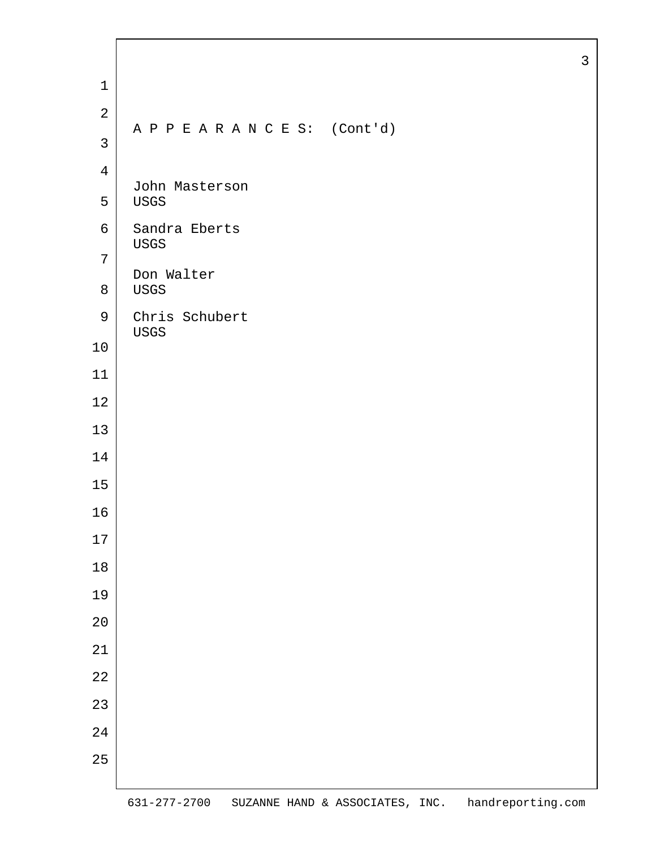| $\mathbf 1$    |                             |  |
|----------------|-----------------------------|--|
| $\mathbf{2}$   |                             |  |
| $\mathfrak{Z}$ | APPEARANCES: (Cont'd)       |  |
| 4              |                             |  |
| 5              | John Masterson<br>USGS      |  |
| 6              | Sandra Eberts               |  |
| 7              | USGS                        |  |
| $8\,$          | Don Walter<br>$_{\rm USGS}$ |  |
| $\mathsf 9$    | Chris Schubert<br>USGS      |  |
| $10$           |                             |  |
| 11             |                             |  |
| $12$           |                             |  |
| 13             |                             |  |
| 14             |                             |  |
| 15             |                             |  |
| 16             |                             |  |
| $17$           |                             |  |
| $18\,$         |                             |  |
| 19             |                             |  |
| 20             |                             |  |
| 21             |                             |  |
| $2\sqrt{2}$    |                             |  |
| 23             |                             |  |
| 24             |                             |  |
| 25             |                             |  |
|                |                             |  |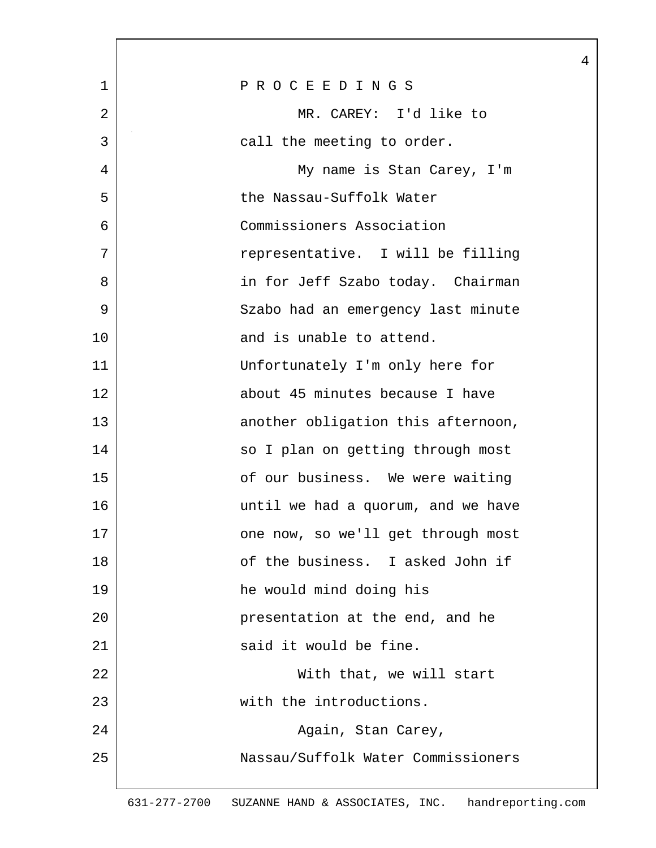| 1  | PROCEEDINGS                        |
|----|------------------------------------|
| 2  | MR. CAREY: I'd like to             |
| 3  | call the meeting to order.         |
| 4  | My name is Stan Carey, I'm         |
| 5  | the Nassau-Suffolk Water           |
| 6  | Commissioners Association          |
| 7  | representative. I will be filling  |
| 8  | in for Jeff Szabo today. Chairman  |
| 9  | Szabo had an emergency last minute |
| 10 | and is unable to attend.           |
| 11 | Unfortunately I'm only here for    |
| 12 | about 45 minutes because I have    |
| 13 | another obligation this afternoon, |
| 14 | so I plan on getting through most  |
| 15 | of our business. We were waiting   |
| 16 | until we had a quorum, and we have |
| 17 | one now, so we'll get through most |
| 18 | of the business. I asked John if   |
| 19 | he would mind doing his            |
| 20 | presentation at the end, and he    |
| 21 | said it would be fine.             |
| 22 | With that, we will start           |
| 23 | with the introductions.            |
| 24 | Again, Stan Carey,                 |
| 25 | Nassau/Suffolk Water Commissioners |
|    |                                    |

 $\overline{\phantom{a}}$ 

4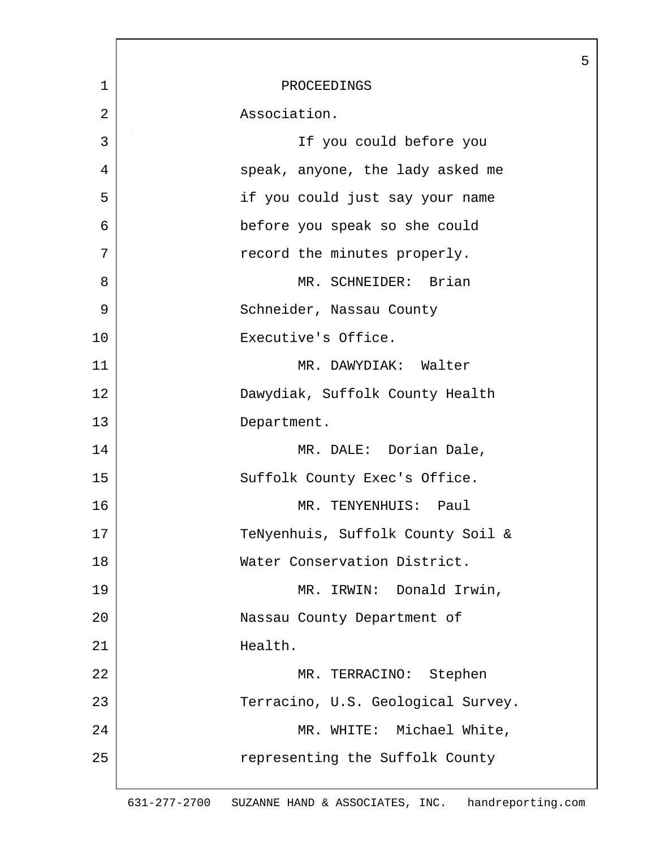|                | 5                                  |
|----------------|------------------------------------|
| $\mathbf 1$    | PROCEEDINGS                        |
| $\overline{2}$ | Association.                       |
| 3              | If you could before you            |
| 4              | speak, anyone, the lady asked me   |
| 5              | if you could just say your name    |
| 6              | before you speak so she could      |
| 7              | record the minutes properly.       |
| 8              | MR. SCHNEIDER: Brian               |
| 9              | Schneider, Nassau County           |
| 10             | Executive's Office.                |
| 11             | MR. DAWYDIAK: Walter               |
| 12             | Dawydiak, Suffolk County Health    |
| 13             | Department.                        |
| 14             | MR. DALE: Dorian Dale,             |
| 15             | Suffolk County Exec's Office.      |
| 16             | MR. TENYENHUIS: Paul               |
| 17             | TeNyenhuis, Suffolk County Soil &  |
| 18             | Water Conservation District.       |
| 19             | MR. IRWIN: Donald Irwin,           |
| 20             | Nassau County Department of        |
| 21             | Health.                            |
| 22             | MR. TERRACINO: Stephen             |
| 23             | Terracino, U.S. Geological Survey. |
| 24             | MR. WHITE: Michael White,          |
| 25             | representing the Suffolk County    |
|                |                                    |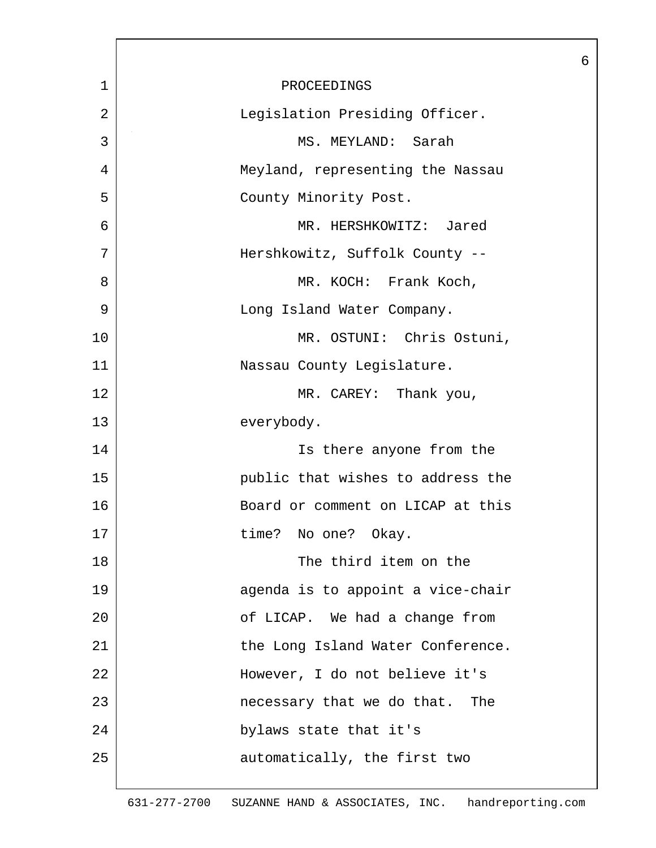|                |                                   | 6 |
|----------------|-----------------------------------|---|
| $\mathbf 1$    | PROCEEDINGS                       |   |
| $\overline{2}$ | Legislation Presiding Officer.    |   |
| 3              | MS. MEYLAND: Sarah                |   |
| 4              | Meyland, representing the Nassau  |   |
| 5              | County Minority Post.             |   |
| 6              | MR. HERSHKOWITZ: Jared            |   |
| 7              | Hershkowitz, Suffolk County --    |   |
| 8              | MR. KOCH: Frank Koch,             |   |
| 9              | Long Island Water Company.        |   |
| 10             | MR. OSTUNI: Chris Ostuni,         |   |
| 11             | Nassau County Legislature.        |   |
| 12             | MR. CAREY: Thank you,             |   |
| 13             | everybody.                        |   |
| 14             | Is there anyone from the          |   |
| 15             | public that wishes to address the |   |
| 16             | Board or comment on LICAP at this |   |
| 17             | time? No one? Okay.               |   |
| 18             | The third item on the             |   |
| 19             | agenda is to appoint a vice-chair |   |
| 20             | of LICAP. We had a change from    |   |
| 21             | the Long Island Water Conference. |   |
| 22             | However, I do not believe it's    |   |
| 23             | necessary that we do that.<br>The |   |
| 24             | bylaws state that it's            |   |
| 25             | automatically, the first two      |   |
|                |                                   |   |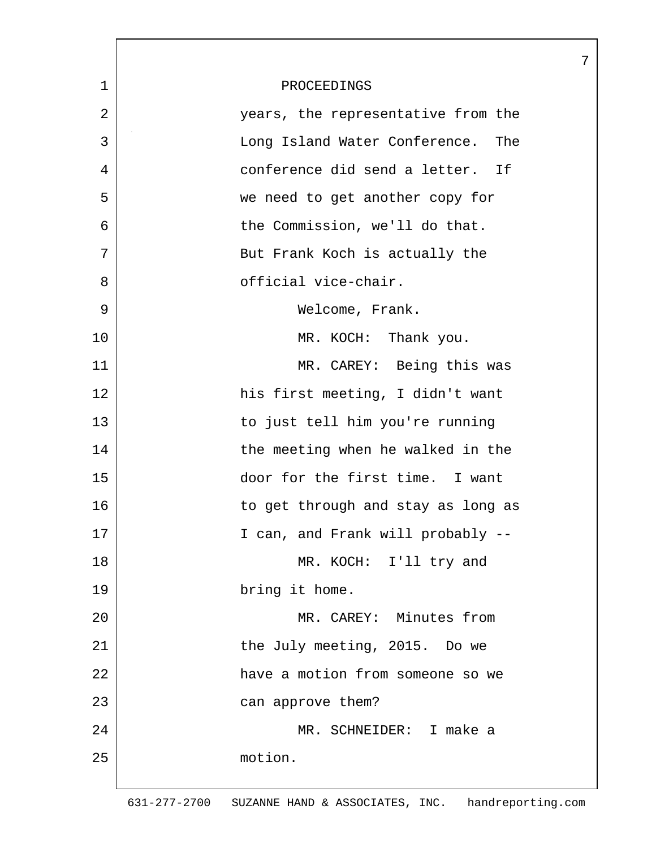|             |                                      | 7 |
|-------------|--------------------------------------|---|
| $\mathbf 1$ | PROCEEDINGS                          |   |
| 2           | years, the representative from the   |   |
| 3           | Long Island Water Conference.<br>The |   |
| 4           | conference did send a letter.<br>If  |   |
| 5           | we need to get another copy for      |   |
| 6           | the Commission, we'll do that.       |   |
| 7           | But Frank Koch is actually the       |   |
| 8           | official vice-chair.                 |   |
| 9           | Welcome, Frank.                      |   |
| 10          | MR. KOCH: Thank you.                 |   |
| 11          | MR. CAREY: Being this was            |   |
| 12          | his first meeting, I didn't want     |   |
| 13          | to just tell him you're running      |   |
| 14          | the meeting when he walked in the    |   |
| 15          | door for the first time. I want      |   |
| 16          | to get through and stay as long as   |   |
| 17          | I can, and Frank will probably --    |   |
| 18          | MR. KOCH: I'll try and               |   |
| 19          | bring it home.                       |   |
| 20          | MR. CAREY: Minutes from              |   |
| 21          | the July meeting, 2015. Do we        |   |
| 22          | have a motion from someone so we     |   |
| 23          | can approve them?                    |   |
| 24          | MR. SCHNEIDER: I make a              |   |
| 25          | motion.                              |   |
|             |                                      |   |

 $\lceil$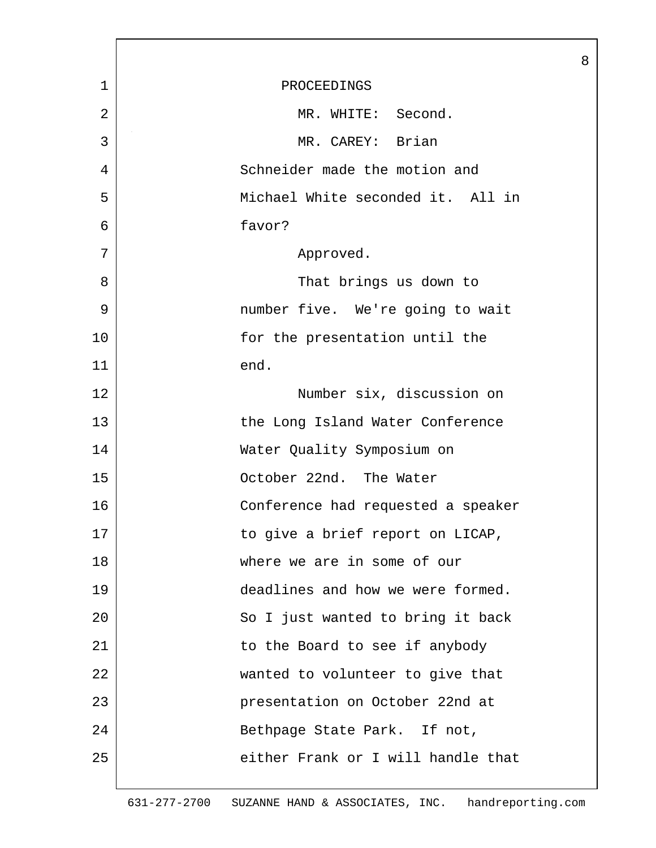|                |                                    | 8 |
|----------------|------------------------------------|---|
| $\mathbf{1}$   | PROCEEDINGS                        |   |
| $\overline{2}$ | MR. WHITE: Second.                 |   |
| 3              | MR. CAREY: Brian                   |   |
| 4              | Schneider made the motion and      |   |
| 5              | Michael White seconded it. All in  |   |
| 6              | favor?                             |   |
| 7              | Approved.                          |   |
| 8              | That brings us down to             |   |
| 9              | number five. We're going to wait   |   |
| 10             | for the presentation until the     |   |
| 11             | end.                               |   |
| 12             | Number six, discussion on          |   |
| 13             | the Long Island Water Conference   |   |
| 14             | Water Quality Symposium on         |   |
| 15             | October 22nd. The Water            |   |
| 16             | Conference had requested a speaker |   |
| 17             | to give a brief report on LICAP,   |   |
| 18             | where we are in some of our        |   |
| 19             | deadlines and how we were formed.  |   |
| 20             | So I just wanted to bring it back  |   |
| 21             | to the Board to see if anybody     |   |
| 22             | wanted to volunteer to give that   |   |
| 23             | presentation on October 22nd at    |   |
| 24             | Bethpage State Park. If not,       |   |
| 25             | either Frank or I will handle that |   |
|                |                                    |   |

L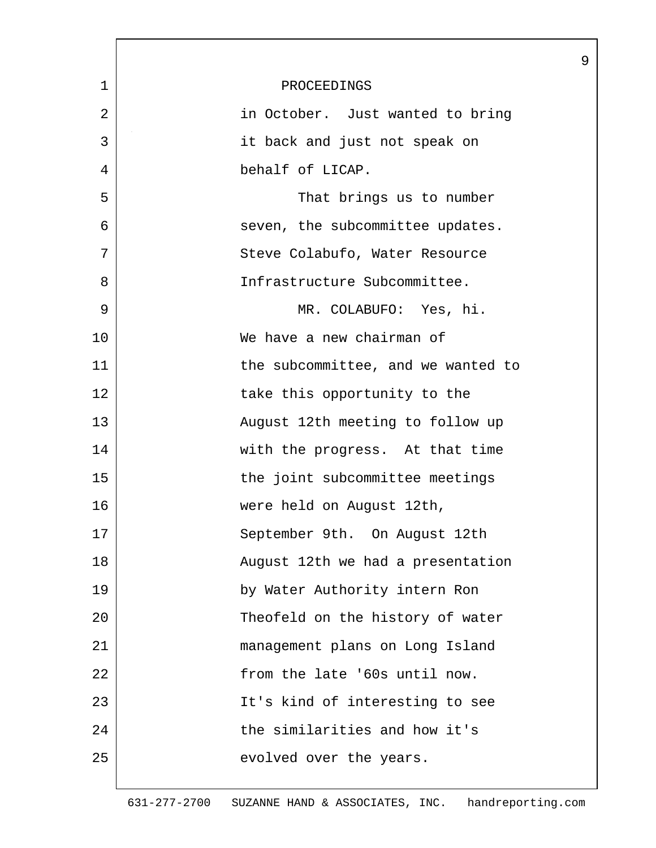|             |                                    | 9 |
|-------------|------------------------------------|---|
| $\mathbf 1$ | PROCEEDINGS                        |   |
| 2           | in October. Just wanted to bring   |   |
| 3           | it back and just not speak on      |   |
| 4           | behalf of LICAP.                   |   |
| 5           | That brings us to number           |   |
| 6           | seven, the subcommittee updates.   |   |
| 7           | Steve Colabufo, Water Resource     |   |
| 8           | Infrastructure Subcommittee.       |   |
| 9           | MR. COLABUFO: Yes, hi.             |   |
| 10          | We have a new chairman of          |   |
| 11          | the subcommittee, and we wanted to |   |
| 12          | take this opportunity to the       |   |
| 13          | August 12th meeting to follow up   |   |
| 14          | with the progress. At that time    |   |
| 15          | the joint subcommittee meetings    |   |
| 16          | were held on August 12th,          |   |
| 17          | September 9th. On August 12th      |   |
| 18          | August 12th we had a presentation  |   |
| 19          | by Water Authority intern Ron      |   |
| 20          | Theofeld on the history of water   |   |
| 21          | management plans on Long Island    |   |
| 22          | from the late '60s until now.      |   |
| 23          | It's kind of interesting to see    |   |
| 24          | the similarities and how it's      |   |
| 25          | evolved over the years.            |   |
|             |                                    |   |

 $\overline{\phantom{a}}$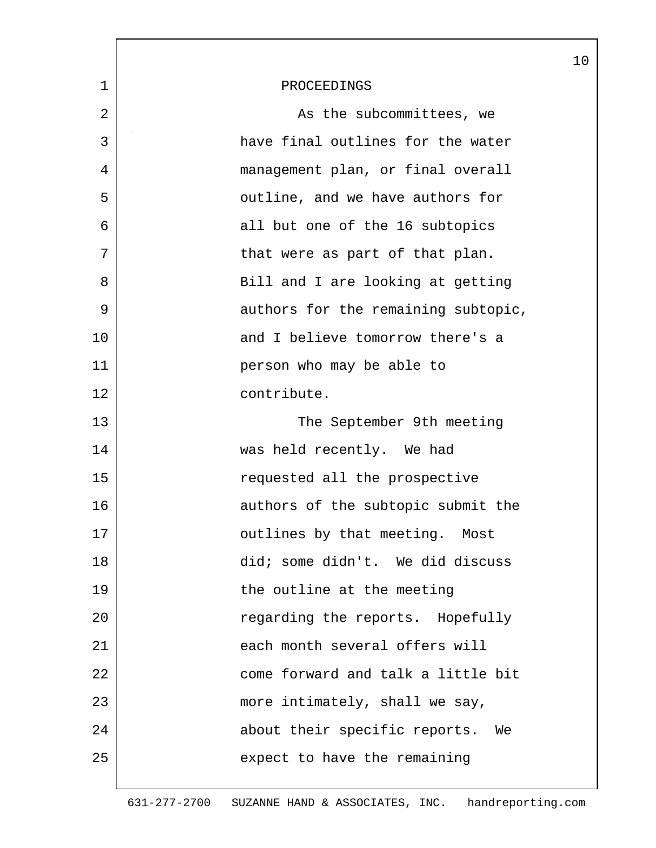|             |                                     | 10 |
|-------------|-------------------------------------|----|
| $\mathbf 1$ | PROCEEDINGS                         |    |
| 2           | As the subcommittees, we            |    |
| 3           | have final outlines for the water   |    |
| 4           | management plan, or final overall   |    |
| 5           | outline, and we have authors for    |    |
| 6           | all but one of the 16 subtopics     |    |
| 7           | that were as part of that plan.     |    |
| 8           | Bill and I are looking at getting   |    |
| 9           | authors for the remaining subtopic, |    |
| 10          | and I believe tomorrow there's a    |    |
| 11          | person who may be able to           |    |
| 12          | contribute.                         |    |
| 13          | The September 9th meeting           |    |
| 14          | was held recently. We had           |    |
| 15          | requested all the prospective       |    |
| 16          | authors of the subtopic submit the  |    |
| 17          | outlines by that meeting. Most      |    |
| 18          | did; some didn't. We did discuss    |    |
| 19          | the outline at the meeting          |    |
| 20          | regarding the reports. Hopefully    |    |
| 21          | each month several offers will      |    |
| 22          | come forward and talk a little bit  |    |
| 23          | more intimately, shall we say,      |    |
| 24          | about their specific reports.<br>We |    |
| 25          | expect to have the remaining        |    |
|             |                                     |    |

ı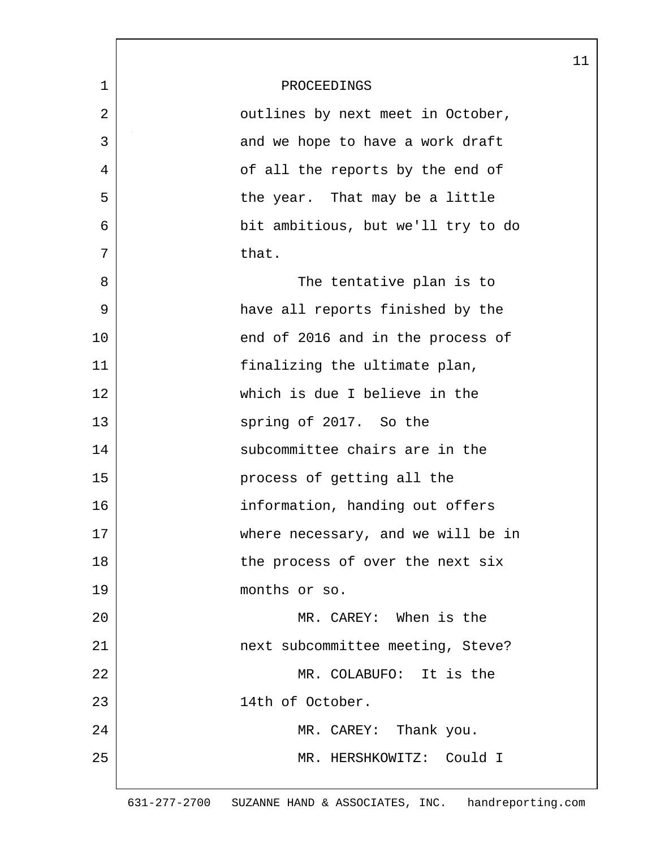|              |                                    | 11 |
|--------------|------------------------------------|----|
| $\mathbf{1}$ | PROCEEDINGS                        |    |
| 2            | outlines by next meet in October,  |    |
| 3            | and we hope to have a work draft   |    |
| 4            | of all the reports by the end of   |    |
| 5            | the year. That may be a little     |    |
| 6            | bit ambitious, but we'll try to do |    |
| 7            | that.                              |    |
| 8            | The tentative plan is to           |    |
| 9            | have all reports finished by the   |    |
| 10           | end of 2016 and in the process of  |    |
| 11           | finalizing the ultimate plan,      |    |
| 12           | which is due I believe in the      |    |
| 13           | spring of 2017. So the             |    |
| 14           | subcommittee chairs are in the     |    |
| 15           | process of getting all the         |    |
| 16           | information, handing out offers    |    |
| 17           | where necessary, and we will be in |    |
| 18           | the process of over the next six   |    |
| 19           | months or so.                      |    |
| 20           | MR. CAREY: When is the             |    |
| 21           | next subcommittee meeting, Steve?  |    |
| 22           | MR. COLABUFO: It is the            |    |
| 23           | 14th of October.                   |    |
| 24           | MR. CAREY: Thank you.              |    |
| 25           | MR. HERSHKOWITZ: Could I           |    |
|              |                                    |    |

 $\lceil$ 

631-277-2700 SUZANNE HAND & ASSOCIATES, INC. handreporting.com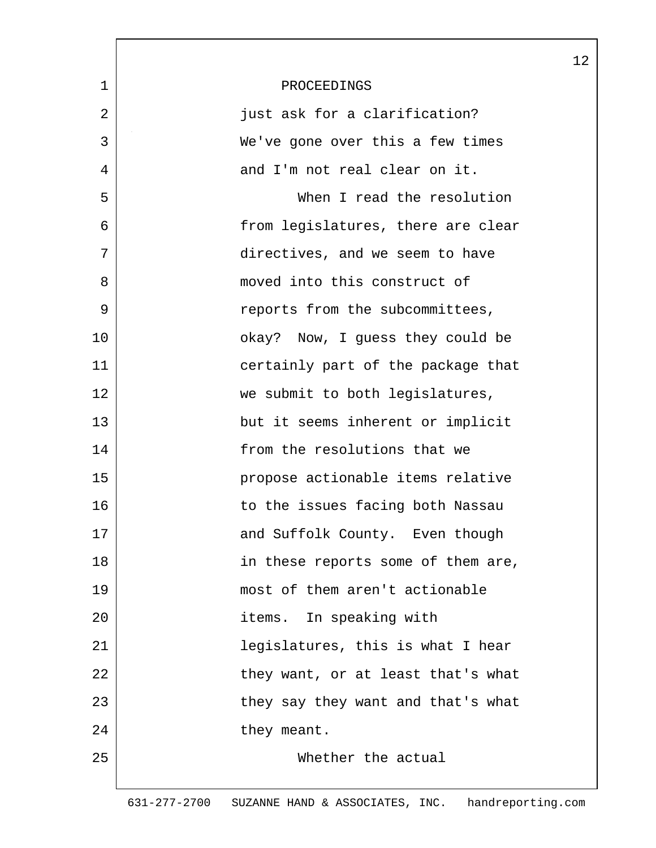|             |                                    | 12 |
|-------------|------------------------------------|----|
| $\mathbf 1$ | PROCEEDINGS                        |    |
| 2           | just ask for a clarification?      |    |
| 3           | We've gone over this a few times   |    |
| 4           | and I'm not real clear on it.      |    |
| 5           | When I read the resolution         |    |
| 6           | from legislatures, there are clear |    |
| 7           | directives, and we seem to have    |    |
| 8           | moved into this construct of       |    |
| 9           | reports from the subcommittees,    |    |
| 10          | okay? Now, I guess they could be   |    |
| 11          | certainly part of the package that |    |
| 12          | we submit to both legislatures,    |    |
| 13          | but it seems inherent or implicit  |    |
| 14          | from the resolutions that we       |    |
| 15          | propose actionable items relative  |    |
| 16          | to the issues facing both Nassau   |    |
| 17          | and Suffolk County. Even though    |    |
| 18          | in these reports some of them are, |    |
| 19          | most of them aren't actionable     |    |
| 20          | items. In speaking with            |    |
| 21          | legislatures, this is what I hear  |    |
| 22          | they want, or at least that's what |    |
| 23          | they say they want and that's what |    |
| 24          | they meant.                        |    |
| 25          | Whether the actual                 |    |
|             |                                    |    |

 $\mathsf{l}$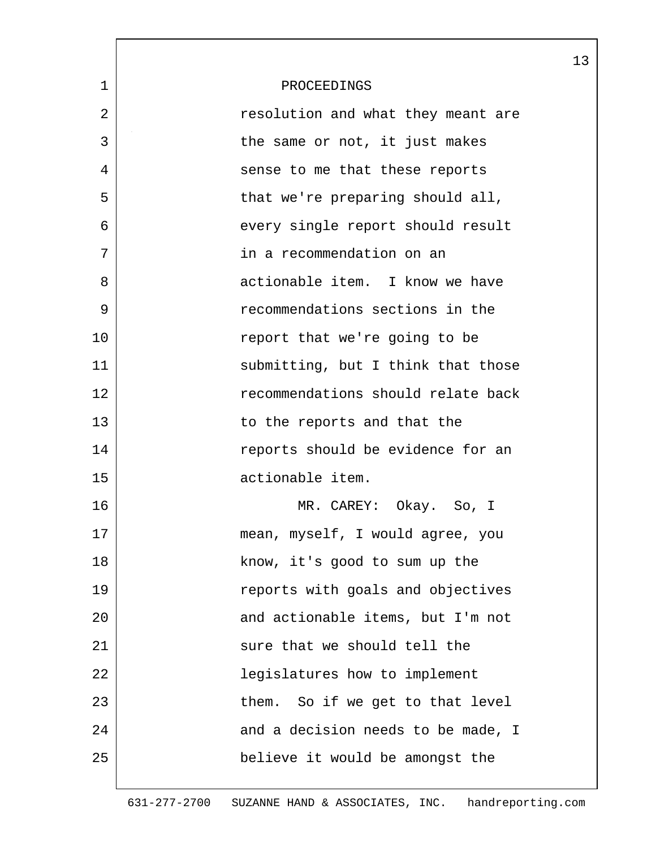|              |                                    | 13 |
|--------------|------------------------------------|----|
| $\mathbf{1}$ | PROCEEDINGS                        |    |
| 2            | resolution and what they meant are |    |
| 3            | the same or not, it just makes     |    |
| 4            | sense to me that these reports     |    |
| 5            | that we're preparing should all,   |    |
| 6            | every single report should result  |    |
| 7            | in a recommendation on an          |    |
| 8            | actionable item. I know we have    |    |
| 9            | recommendations sections in the    |    |
| 10           | report that we're going to be      |    |
| 11           | submitting, but I think that those |    |
| 12           | recommendations should relate back |    |
| 13           | to the reports and that the        |    |
| 14           | reports should be evidence for an  |    |
| 15           | actionable item.                   |    |
| 16           | MR. CAREY: Okay. So, I             |    |
| 17           | mean, myself, I would agree, you   |    |
| 18           | know, it's good to sum up the      |    |
| 19           | reports with goals and objectives  |    |
| 20           | and actionable items, but I'm not  |    |
| 21           | sure that we should tell the       |    |
| 22           | legislatures how to implement      |    |
| 23           | them. So if we get to that level   |    |
| 24           | and a decision needs to be made, I |    |
| 25           | believe it would be amongst the    |    |
|              |                                    |    |

L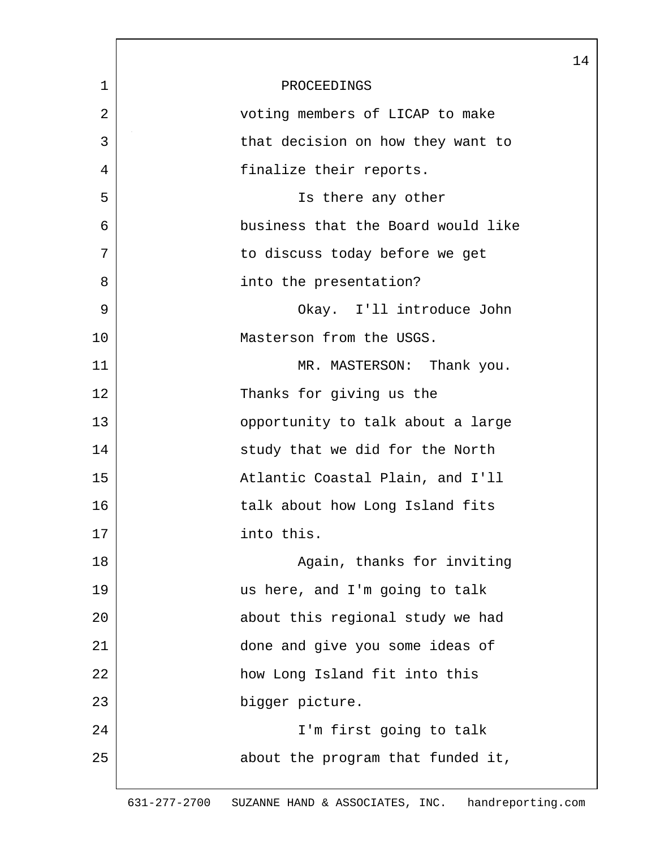|             |                                    | 14 |
|-------------|------------------------------------|----|
| $\mathbf 1$ | PROCEEDINGS                        |    |
| 2           | voting members of LICAP to make    |    |
| 3           | that decision on how they want to  |    |
| 4           | finalize their reports.            |    |
| 5           | Is there any other                 |    |
| 6           | business that the Board would like |    |
| 7           | to discuss today before we get     |    |
| 8           | into the presentation?             |    |
| 9           | Okay. I'll introduce John          |    |
| 10          | Masterson from the USGS.           |    |
| 11          | MR. MASTERSON: Thank you.          |    |
| 12          | Thanks for giving us the           |    |
| 13          | opportunity to talk about a large  |    |
| 14          | study that we did for the North    |    |
| 15          | Atlantic Coastal Plain, and I'll   |    |
| 16          | talk about how Long Island fits    |    |
| 17          | into this.                         |    |
| 18          | Again, thanks for inviting         |    |
| 19          | us here, and I'm going to talk     |    |
| 20          | about this regional study we had   |    |
| 21          | done and give you some ideas of    |    |
| 22          | how Long Island fit into this      |    |
| 23          | bigger picture.                    |    |
| 24          | I'm first going to talk            |    |
| 25          | about the program that funded it,  |    |
|             |                                    |    |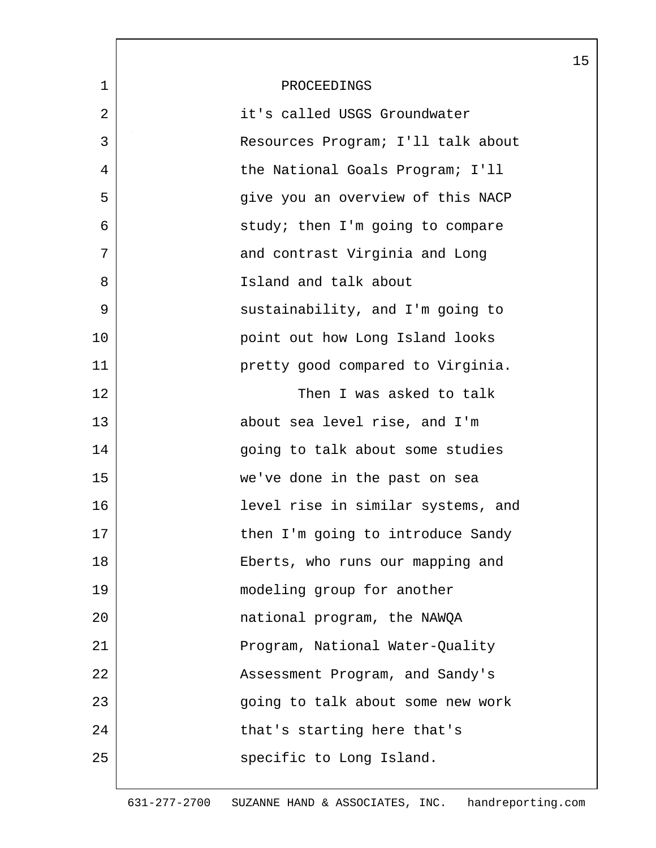|             |                                    | 15 |
|-------------|------------------------------------|----|
| $\mathbf 1$ | PROCEEDINGS                        |    |
| 2           | it's called USGS Groundwater       |    |
| 3           | Resources Program; I'll talk about |    |
| 4           | the National Goals Program; I'll   |    |
| 5           | give you an overview of this NACP  |    |
| 6           | study; then I'm going to compare   |    |
| 7           | and contrast Virginia and Long     |    |
| 8           | Island and talk about              |    |
| 9           | sustainability, and I'm going to   |    |
| 10          | point out how Long Island looks    |    |
| 11          | pretty good compared to Virginia.  |    |
| 12          | Then I was asked to talk           |    |
| 13          | about sea level rise, and I'm      |    |
| 14          | going to talk about some studies   |    |
| 15          | we've done in the past on sea      |    |
| 16          | level rise in similar systems, and |    |
| 17          | then I'm going to introduce Sandy  |    |
| 18          | Eberts, who runs our mapping and   |    |
| 19          | modeling group for another         |    |
| 20          | national program, the NAWQA        |    |
| 21          | Program, National Water-Quality    |    |
| 22          | Assessment Program, and Sandy's    |    |
| 23          | going to talk about some new work  |    |
| 24          | that's starting here that's        |    |
| 25          | specific to Long Island.           |    |
|             |                                    |    |

ı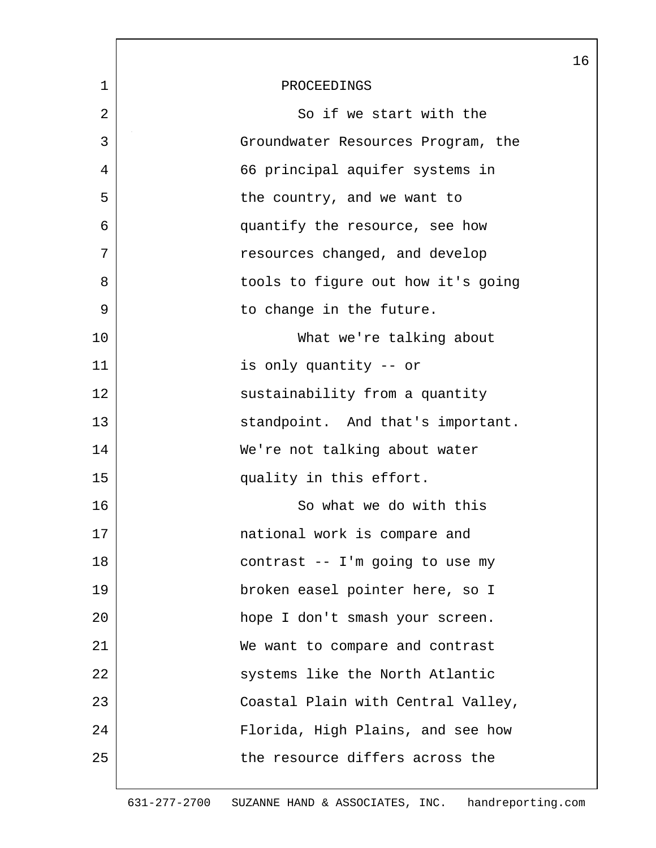|             |                                    | 16 |
|-------------|------------------------------------|----|
| $\mathbf 1$ | PROCEEDINGS                        |    |
| 2           | So if we start with the            |    |
| 3           | Groundwater Resources Program, the |    |
| 4           | 66 principal aquifer systems in    |    |
| 5           | the country, and we want to        |    |
| 6           | quantify the resource, see how     |    |
| 7           | resources changed, and develop     |    |
| 8           | tools to figure out how it's going |    |
| 9           | to change in the future.           |    |
| 10          | What we're talking about           |    |
| 11          | is only quantity -- or             |    |
| 12          | sustainability from a quantity     |    |
| 13          | standpoint. And that's important.  |    |
| 14          | We're not talking about water      |    |
| 15          | quality in this effort.            |    |
| 16          | So what we do with this            |    |
| 17          | national work is compare and       |    |
| 18          | contrast -- I'm going to use my    |    |
| 19          | broken easel pointer here, so I    |    |
| 20          | hope I don't smash your screen.    |    |
| 21          | We want to compare and contrast    |    |
| 22          | systems like the North Atlantic    |    |
| 23          | Coastal Plain with Central Valley, |    |
| 24          | Florida, High Plains, and see how  |    |
| 25          | the resource differs across the    |    |
|             |                                    |    |

 $\overline{\phantom{a}}$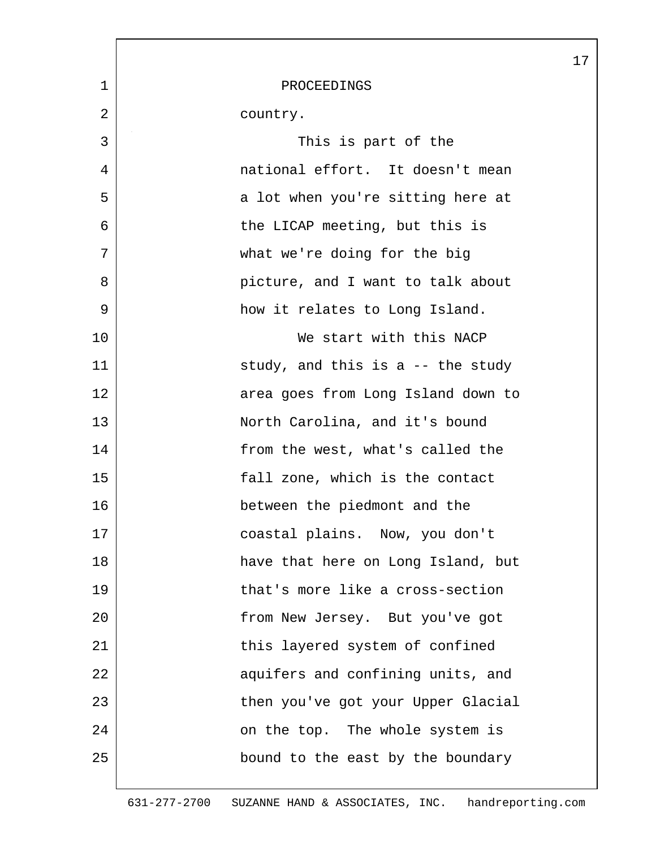|    |                                    | 17 |
|----|------------------------------------|----|
| 1  | PROCEEDINGS                        |    |
| 2  | country.                           |    |
| 3  | This is part of the                |    |
| 4  | national effort. It doesn't mean   |    |
| 5  | a lot when you're sitting here at  |    |
| 6  | the LICAP meeting, but this is     |    |
| 7  | what we're doing for the big       |    |
| 8  | picture, and I want to talk about  |    |
| 9  | how it relates to Long Island.     |    |
| 10 | We start with this NACP            |    |
| 11 | study, and this is a $-$ the study |    |
| 12 | area goes from Long Island down to |    |
| 13 | North Carolina, and it's bound     |    |
| 14 | from the west, what's called the   |    |
| 15 | fall zone, which is the contact    |    |
| 16 | between the piedmont and the       |    |
| 17 | coastal plains. Now, you don't     |    |
| 18 | have that here on Long Island, but |    |
| 19 | that's more like a cross-section   |    |
| 20 | from New Jersey. But you've got    |    |
| 21 | this layered system of confined    |    |
| 22 | aquifers and confining units, and  |    |
| 23 | then you've got your Upper Glacial |    |
| 24 | on the top. The whole system is    |    |
| 25 | bound to the east by the boundary  |    |
|    |                                    |    |

L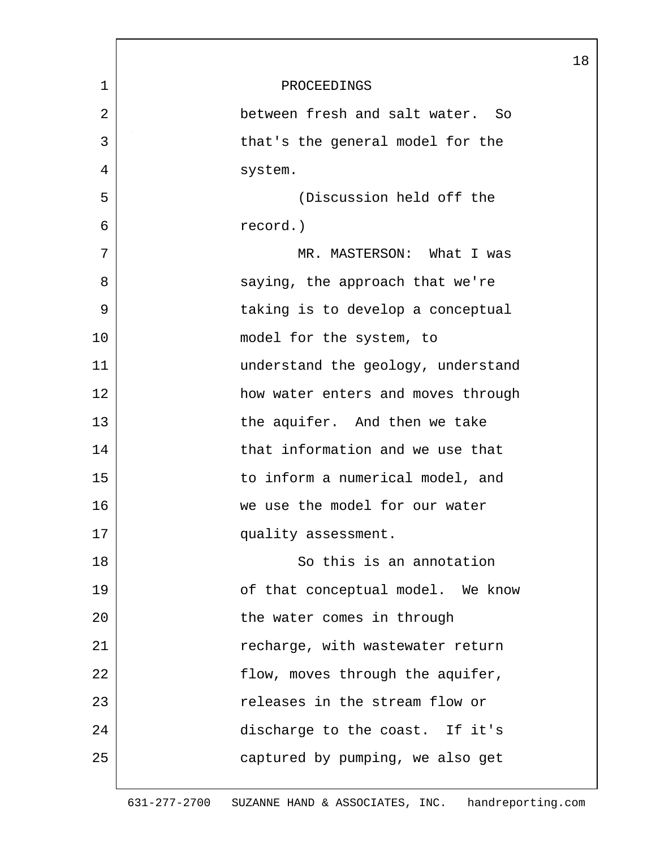|    |                                    | 18 |
|----|------------------------------------|----|
| 1  | PROCEEDINGS                        |    |
| 2  | between fresh and salt water. So   |    |
| 3  | that's the general model for the   |    |
| 4  | system.                            |    |
| 5  | (Discussion held off the           |    |
| 6  | record.)                           |    |
| 7  | MR. MASTERSON: What I was          |    |
| 8  | saying, the approach that we're    |    |
| 9  | taking is to develop a conceptual  |    |
| 10 | model for the system, to           |    |
| 11 | understand the geology, understand |    |
| 12 | how water enters and moves through |    |
| 13 | the aquifer. And then we take      |    |
| 14 | that information and we use that   |    |
| 15 | to inform a numerical model, and   |    |
| 16 | we use the model for our water     |    |
| 17 | quality assessment.                |    |
| 18 | So this is an annotation           |    |
| 19 | of that conceptual model. We know  |    |
| 20 | the water comes in through         |    |
| 21 | recharge, with wastewater return   |    |
| 22 | flow, moves through the aquifer,   |    |
| 23 | releases in the stream flow or     |    |
| 24 | discharge to the coast. If it's    |    |
| 25 | captured by pumping, we also get   |    |
|    |                                    |    |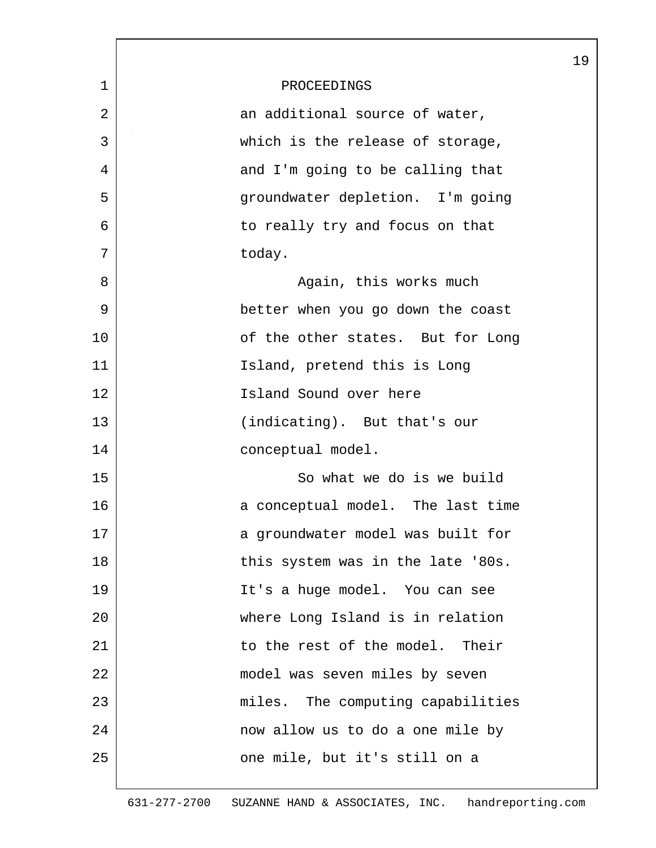|             |                                   | 19 |
|-------------|-----------------------------------|----|
| $\mathbf 1$ | PROCEEDINGS                       |    |
| 2           | an additional source of water,    |    |
| 3           | which is the release of storage,  |    |
| 4           | and I'm going to be calling that  |    |
| 5           | groundwater depletion. I'm going  |    |
| 6           | to really try and focus on that   |    |
| 7           | today.                            |    |
| 8           | Again, this works much            |    |
| 9           | better when you go down the coast |    |
| 10          | of the other states. But for Long |    |
| 11          | Island, pretend this is Long      |    |
| 12          | Island Sound over here            |    |
| 13          | (indicating). But that's our      |    |
| 14          | conceptual model.                 |    |
| 15          | So what we do is we build         |    |
| 16          | a conceptual model. The last time |    |
| 17          | a groundwater model was built for |    |
| 18          | this system was in the late '80s. |    |
| 19          | It's a huge model. You can see    |    |
| 20          | where Long Island is in relation  |    |
| 21          | to the rest of the model. Their   |    |
| 22          | model was seven miles by seven    |    |
| 23          | miles. The computing capabilities |    |
| 24          | now allow us to do a one mile by  |    |
| 25          | one mile, but it's still on a     |    |
|             |                                   |    |

L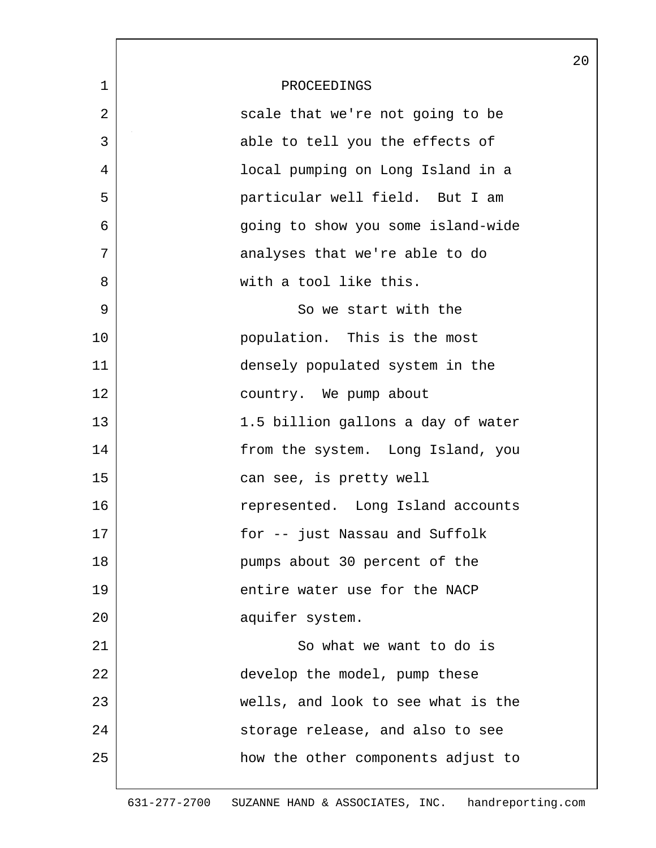|             |                                    | 20 |
|-------------|------------------------------------|----|
| $\mathbf 1$ | PROCEEDINGS                        |    |
| 2           | scale that we're not going to be   |    |
| 3           | able to tell you the effects of    |    |
| 4           | local pumping on Long Island in a  |    |
| 5           | particular well field. But I am    |    |
| 6           | going to show you some island-wide |    |
| 7           | analyses that we're able to do     |    |
| 8           | with a tool like this.             |    |
| 9           | So we start with the               |    |
| 10          | population. This is the most       |    |
| 11          | densely populated system in the    |    |
| 12          | country. We pump about             |    |
| 13          | 1.5 billion gallons a day of water |    |
| 14          | from the system. Long Island, you  |    |
| 15          | can see, is pretty well            |    |
| 16          | represented. Long Island accounts  |    |
| 17          | for -- just Nassau and Suffolk     |    |
| 18          | pumps about 30 percent of the      |    |
| 19          | entire water use for the NACP      |    |
| 20          | aquifer system.                    |    |
| 21          | So what we want to do is           |    |
| 22          | develop the model, pump these      |    |
| 23          | wells, and look to see what is the |    |
| 24          | storage release, and also to see   |    |
| 25          | how the other components adjust to |    |
|             |                                    |    |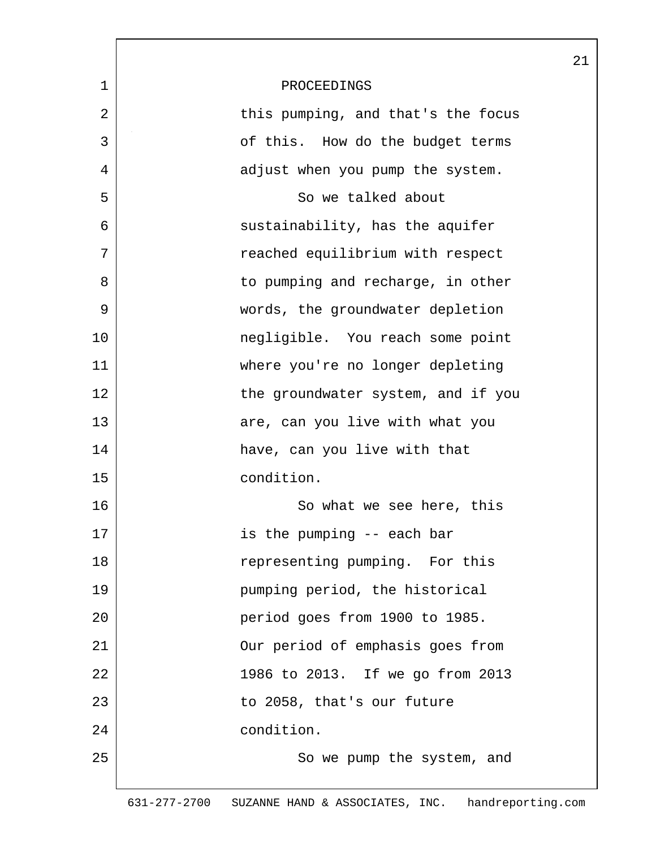|             |                                    | 21 |
|-------------|------------------------------------|----|
| $\mathbf 1$ | PROCEEDINGS                        |    |
| 2           | this pumping, and that's the focus |    |
| 3           | of this. How do the budget terms   |    |
| 4           | adjust when you pump the system.   |    |
| 5           | So we talked about                 |    |
| 6           | sustainability, has the aquifer    |    |
| 7           | reached equilibrium with respect   |    |
| 8           | to pumping and recharge, in other  |    |
| 9           | words, the groundwater depletion   |    |
| 10          | negligible. You reach some point   |    |
| 11          | where you're no longer depleting   |    |
| 12          | the groundwater system, and if you |    |
| 13          | are, can you live with what you    |    |
| 14          | have, can you live with that       |    |
| 15          | condition.                         |    |
| 16          | So what we see here, this          |    |
| 17          | is the pumping -- each bar         |    |
| 18          | representing pumping. For this     |    |
| 19          | pumping period, the historical     |    |
| 20          | period goes from 1900 to 1985.     |    |
| 21          | Our period of emphasis goes from   |    |
| 22          | 1986 to 2013. If we go from 2013   |    |
| 23          | to 2058, that's our future         |    |
| 24          | condition.                         |    |
| 25          | So we pump the system, and         |    |
|             |                                    |    |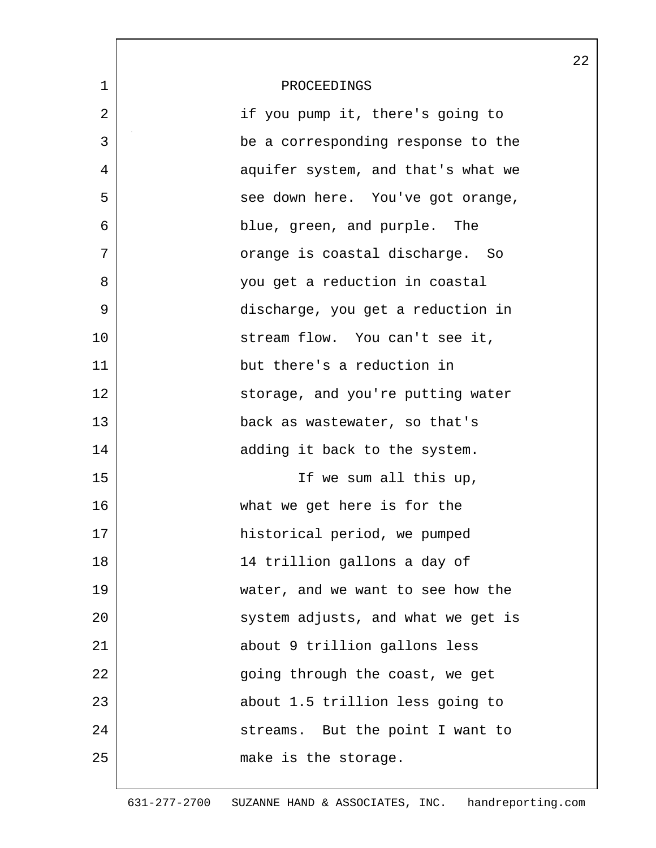|             |                                    | 22 |
|-------------|------------------------------------|----|
| $\mathbf 1$ | PROCEEDINGS                        |    |
| 2           | if you pump it, there's going to   |    |
| 3           | be a corresponding response to the |    |
| 4           | aquifer system, and that's what we |    |
| 5           | see down here. You've got orange,  |    |
| 6           | blue, green, and purple. The       |    |
| 7           | orange is coastal discharge. So    |    |
| 8           | you get a reduction in coastal     |    |
| 9           | discharge, you get a reduction in  |    |
| 10          | stream flow. You can't see it,     |    |
| 11          | but there's a reduction in         |    |
| 12          | storage, and you're putting water  |    |
| 13          | back as wastewater, so that's      |    |
| 14          | adding it back to the system.      |    |
| 15          | If we sum all this up,             |    |
| 16          | what we get here is for the        |    |
| 17          | historical period, we pumped       |    |
| 18          | 14 trillion gallons a day of       |    |
| 19          | water, and we want to see how the  |    |
| 20          | system adjusts, and what we get is |    |
| 21          | about 9 trillion gallons less      |    |
| 22          | going through the coast, we get    |    |
| 23          | about 1.5 trillion less going to   |    |
| 24          | streams. But the point I want to   |    |
| 25          | make is the storage.               |    |
|             |                                    |    |

 $\mathbf l$ 

ı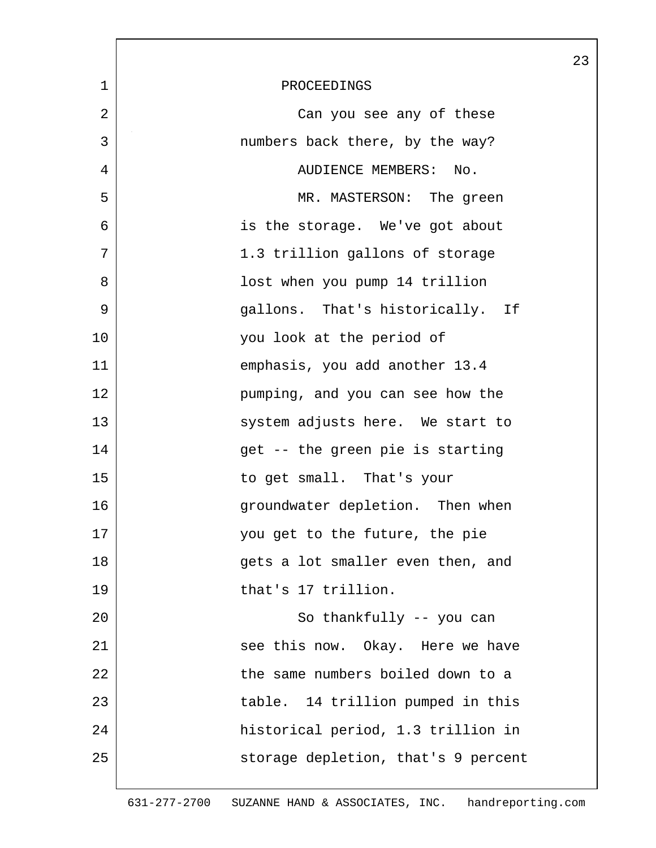| 1  | PROCEEDINGS                         |
|----|-------------------------------------|
| 2  | Can you see any of these            |
| 3  | numbers back there, by the way?     |
| 4  | AUDIENCE MEMBERS:<br>No.            |
| 5  | MR. MASTERSON: The green            |
| 6  | is the storage. We've got about     |
| 7  | 1.3 trillion gallons of storage     |
| 8  | lost when you pump 14 trillion      |
| 9  | gallons. That's historically. If    |
| 10 | you look at the period of           |
| 11 | emphasis, you add another 13.4      |
| 12 | pumping, and you can see how the    |
| 13 | system adjusts here. We start to    |
| 14 | get -- the green pie is starting    |
| 15 | to get small. That's your           |
| 16 | groundwater depletion. Then when    |
| 17 | you get to the future, the pie      |
| 18 | gets a lot smaller even then, and   |
| 19 | that's 17 trillion.                 |
| 20 | So thankfully -- you can            |
| 21 | see this now. Okay. Here we have    |
| 22 | the same numbers boiled down to a   |
| 23 | table. 14 trillion pumped in this   |
| 24 | historical period, 1.3 trillion in  |
| 25 | storage depletion, that's 9 percent |

 $\mathsf{l}$ 

23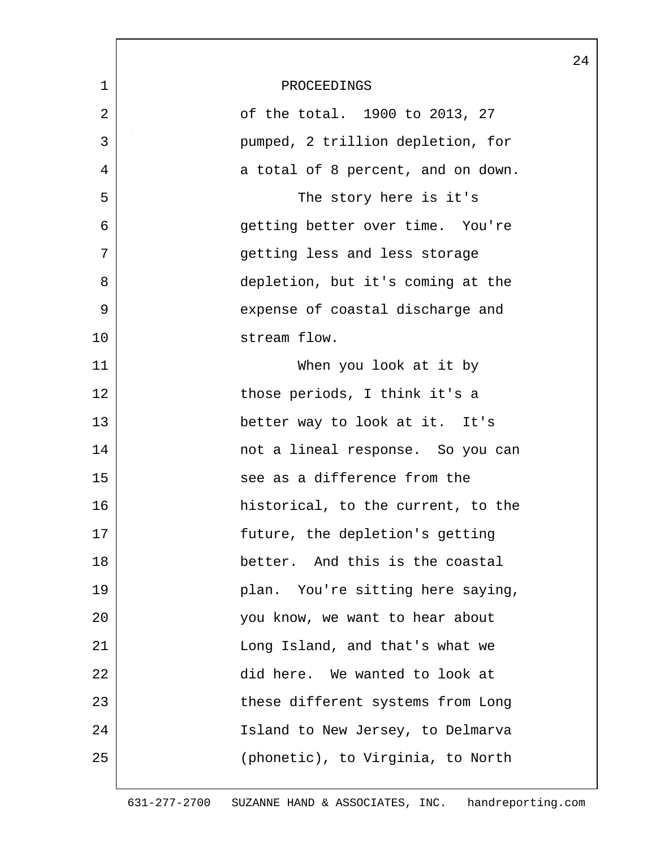|              |                                    | 24 |
|--------------|------------------------------------|----|
| $\mathbf{1}$ | PROCEEDINGS                        |    |
| 2            | of the total. 1900 to 2013, 27     |    |
| 3            | pumped, 2 trillion depletion, for  |    |
| 4            | a total of 8 percent, and on down. |    |
| 5            | The story here is it's             |    |
| 6            | getting better over time. You're   |    |
| 7            | getting less and less storage      |    |
| 8            | depletion, but it's coming at the  |    |
| 9            | expense of coastal discharge and   |    |
| 10           | stream flow.                       |    |
| 11           | When you look at it by             |    |
| 12           | those periods, I think it's a      |    |
| 13           | better way to look at it. It's     |    |
| 14           | not a lineal response. So you can  |    |
| 15           | see as a difference from the       |    |
| 16           | historical, to the current, to the |    |
| 17           | future, the depletion's getting    |    |
| 18           | better. And this is the coastal    |    |
| 19           | plan. You're sitting here saying,  |    |
| 20           | you know, we want to hear about    |    |
| 21           | Long Island, and that's what we    |    |
| 22           | did here. We wanted to look at     |    |
| 23           | these different systems from Long  |    |
| 24           | Island to New Jersey, to Delmarva  |    |
| 25           | (phonetic), to Virginia, to North  |    |
|              |                                    |    |

L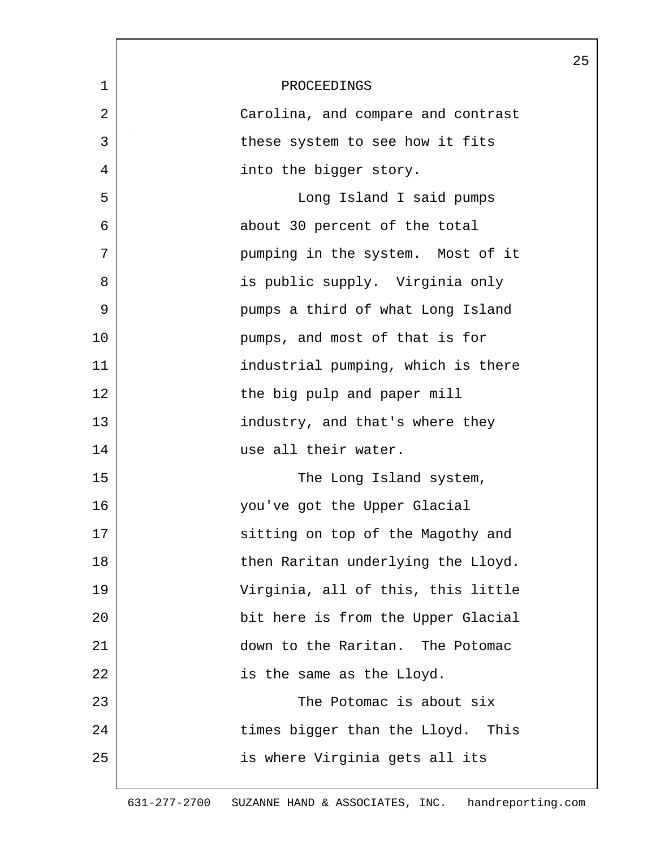|             |                                    | 25 |
|-------------|------------------------------------|----|
| $\mathbf 1$ | PROCEEDINGS                        |    |
| 2           | Carolina, and compare and contrast |    |
| 3           | these system to see how it fits    |    |
| 4           | into the bigger story.             |    |
| 5           | Long Island I said pumps           |    |
| 6           | about 30 percent of the total      |    |
| 7           | pumping in the system. Most of it  |    |
| 8           | is public supply. Virginia only    |    |
| 9           | pumps a third of what Long Island  |    |
| 10          | pumps, and most of that is for     |    |
| 11          | industrial pumping, which is there |    |
| 12          | the big pulp and paper mill        |    |
| 13          | industry, and that's where they    |    |
| 14          | use all their water.               |    |
| 15          | The Long Island system,            |    |
| 16          | you've got the Upper Glacial       |    |
| 17          | sitting on top of the Magothy and  |    |
| 18          | then Raritan underlying the Lloyd. |    |
| 19          | Virginia, all of this, this little |    |
| 20          | bit here is from the Upper Glacial |    |
| 21          | down to the Raritan. The Potomac   |    |
| 22          | is the same as the Lloyd.          |    |
| 23          | The Potomac is about six           |    |
| 24          | times bigger than the Lloyd. This  |    |
| 25          | is where Virginia gets all its     |    |
|             |                                    |    |

 $\lceil$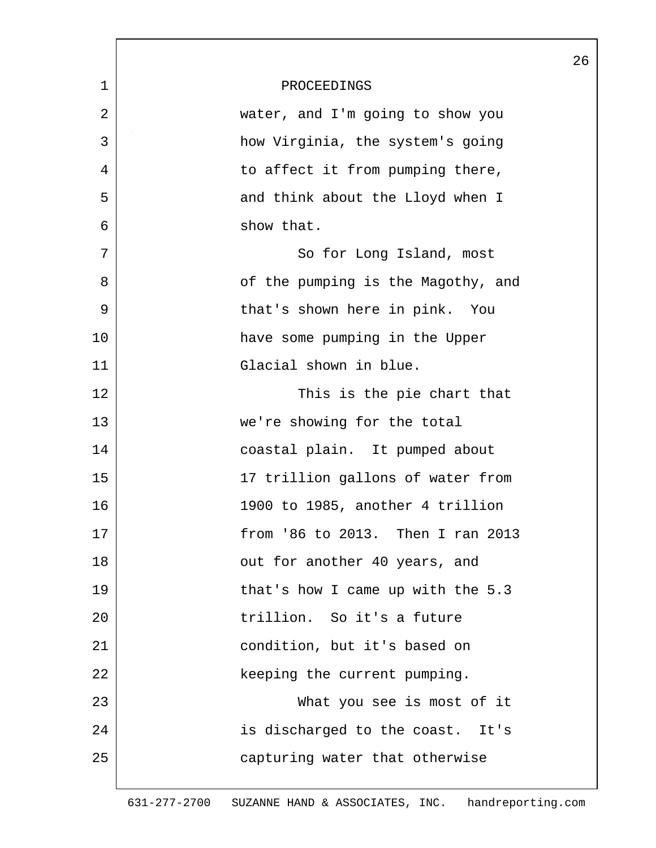|             |                                    | 26 |
|-------------|------------------------------------|----|
| $\mathbf 1$ | PROCEEDINGS                        |    |
| 2           | water, and I'm going to show you   |    |
| 3           | how Virginia, the system's going   |    |
| 4           | to affect it from pumping there,   |    |
| 5           | and think about the Lloyd when I   |    |
| 6           | show that.                         |    |
| 7           | So for Long Island, most           |    |
| 8           | of the pumping is the Magothy, and |    |
| 9           | that's shown here in pink. You     |    |
| 10          | have some pumping in the Upper     |    |
| 11          | Glacial shown in blue.             |    |
| 12          | This is the pie chart that         |    |
| 13          | we're showing for the total        |    |
| 14          | coastal plain. It pumped about     |    |
| 15          | 17 trillion gallons of water from  |    |
| 16          | 1900 to 1985, another 4 trillion   |    |
| 17          | from '86 to 2013. Then I ran 2013  |    |
| 18          | out for another 40 years, and      |    |
| 19          | that's how I came up with the 5.3  |    |
| 20          | trillion. So it's a future         |    |
| 21          | condition, but it's based on       |    |
| 22          | keeping the current pumping.       |    |
| 23          | What you see is most of it         |    |
| 24          | is discharged to the coast. It's   |    |
| 25          | capturing water that otherwise     |    |
|             |                                    |    |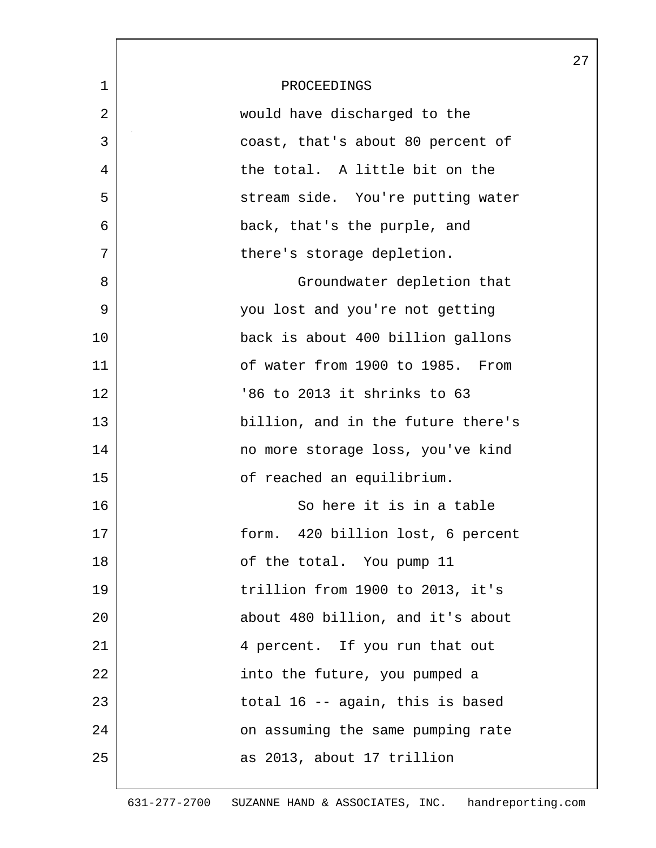|             |                                    | 27 |
|-------------|------------------------------------|----|
| $\mathbf 1$ | PROCEEDINGS                        |    |
| 2           | would have discharged to the       |    |
| 3           | coast, that's about 80 percent of  |    |
| 4           | the total. A little bit on the     |    |
| 5           | stream side. You're putting water  |    |
| 6           | back, that's the purple, and       |    |
| 7           | there's storage depletion.         |    |
| 8           | Groundwater depletion that         |    |
| 9           | you lost and you're not getting    |    |
| 10          | back is about 400 billion gallons  |    |
| 11          | of water from 1900 to 1985. From   |    |
| 12          | '86 to 2013 it shrinks to 63       |    |
| 13          | billion, and in the future there's |    |
| 14          | no more storage loss, you've kind  |    |
| 15          | of reached an equilibrium.         |    |
| 16          | So here it is in a table           |    |
| 17          | form. 420 billion lost, 6 percent  |    |
| 18          | of the total. You pump 11          |    |
| 19          | trillion from 1900 to 2013, it's   |    |
| 20          | about 480 billion, and it's about  |    |
| 21          | 4 percent. If you run that out     |    |
| 22          | into the future, you pumped a      |    |
| 23          | total 16 -- again, this is based   |    |
| 24          | on assuming the same pumping rate  |    |
| 25          | as 2013, about 17 trillion         |    |
|             |                                    |    |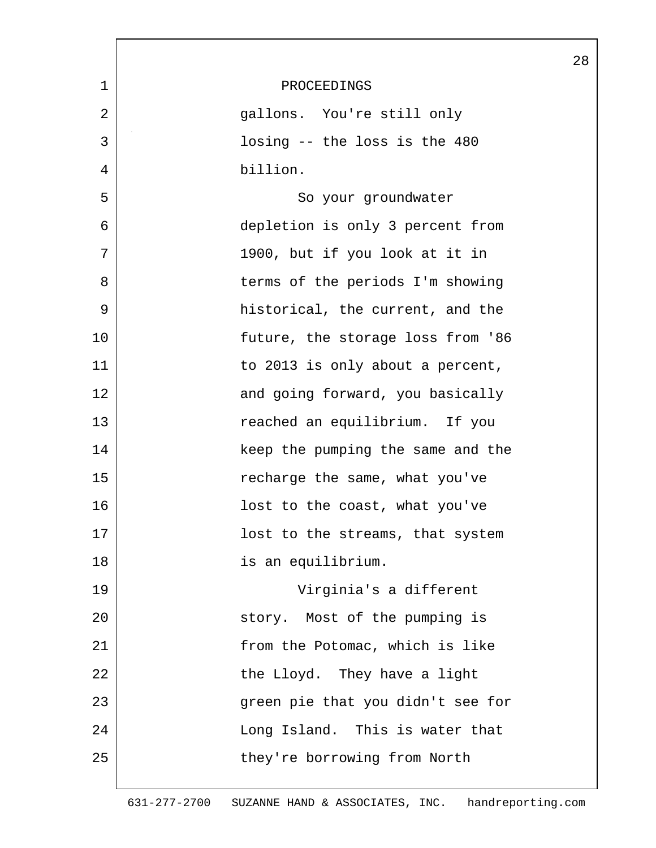|                |                                   | 28 |
|----------------|-----------------------------------|----|
| $\mathbf 1$    | PROCEEDINGS                       |    |
| $\overline{2}$ | gallons. You're still only        |    |
| 3              | losing -- the loss is the 480     |    |
| 4              | billion.                          |    |
| 5              | So your groundwater               |    |
| 6              | depletion is only 3 percent from  |    |
| 7              | 1900, but if you look at it in    |    |
| 8              | terms of the periods I'm showing  |    |
| 9              | historical, the current, and the  |    |
| 10             | future, the storage loss from '86 |    |
| 11             | to 2013 is only about a percent,  |    |
| 12             | and going forward, you basically  |    |
| 13             | reached an equilibrium. If you    |    |
| 14             | keep the pumping the same and the |    |
| 15             | recharge the same, what you've    |    |
| 16             | lost to the coast, what you've    |    |
| 17             | lost to the streams, that system  |    |
| 18             | is an equilibrium.                |    |
| 19             | Virginia's a different            |    |
| 20             | story. Most of the pumping is     |    |
| 21             | from the Potomac, which is like   |    |
| 22             | the Lloyd. They have a light      |    |
| 23             | green pie that you didn't see for |    |
| 24             | Long Island. This is water that   |    |
| 25             | they're borrowing from North      |    |
|                |                                   |    |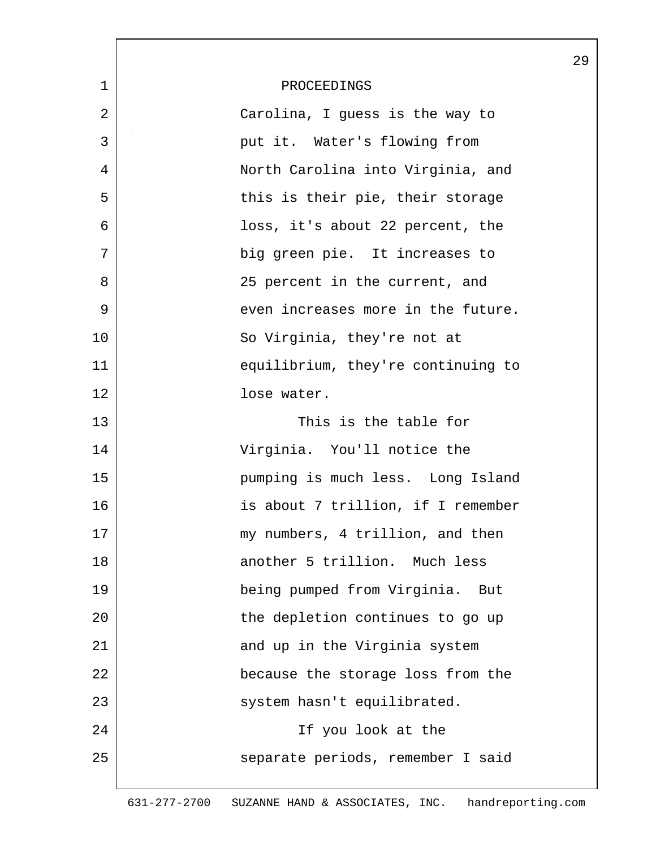|             |                                    | 29 |
|-------------|------------------------------------|----|
| $\mathbf 1$ | PROCEEDINGS                        |    |
| 2           | Carolina, I guess is the way to    |    |
| 3           | put it. Water's flowing from       |    |
| 4           | North Carolina into Virginia, and  |    |
| 5           | this is their pie, their storage   |    |
| 6           | loss, it's about 22 percent, the   |    |
| 7           | big green pie. It increases to     |    |
| 8           | 25 percent in the current, and     |    |
| 9           | even increases more in the future. |    |
| 10          | So Virginia, they're not at        |    |
| 11          | equilibrium, they're continuing to |    |
| 12          | lose water.                        |    |
| 13          | This is the table for              |    |
| 14          | Virginia. You'll notice the        |    |
| 15          | pumping is much less. Long Island  |    |
| 16          | is about 7 trillion, if I remember |    |
| 17          | my numbers, 4 trillion, and then   |    |
| 18          | another 5 trillion. Much less      |    |
| 19          | being pumped from Virginia.<br>But |    |
| 20          | the depletion continues to go up   |    |
| 21          | and up in the Virginia system      |    |
| 22          | because the storage loss from the  |    |
| 23          | system hasn't equilibrated.        |    |
| 24          | If you look at the                 |    |
| 25          | separate periods, remember I said  |    |
|             |                                    |    |

631-277-2700 SUZANNE HAND & ASSOCIATES, INC. handreporting.com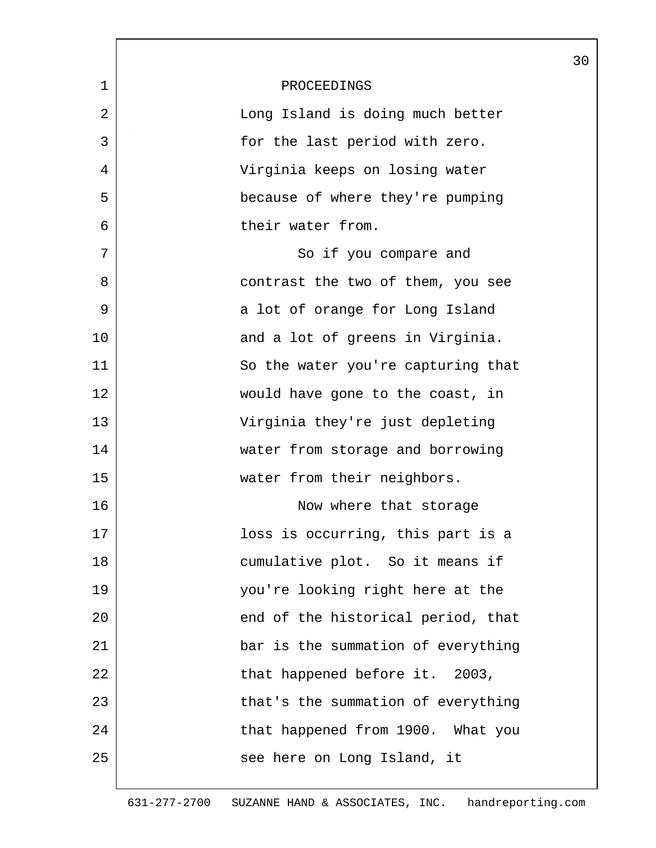|              |                                    | 30 |
|--------------|------------------------------------|----|
| $\mathbf{1}$ | PROCEEDINGS                        |    |
| 2            | Long Island is doing much better   |    |
| 3            | for the last period with zero.     |    |
| 4            | Virginia keeps on losing water     |    |
| 5            | because of where they're pumping   |    |
| 6            | their water from.                  |    |
| 7            | So if you compare and              |    |
| 8            | contrast the two of them, you see  |    |
| 9            | a lot of orange for Long Island    |    |
| 10           | and a lot of greens in Virginia.   |    |
| 11           | So the water you're capturing that |    |
| 12           | would have gone to the coast, in   |    |
| 13           | Virginia they're just depleting    |    |
| 14           | water from storage and borrowing   |    |
| 15           | water from their neighbors.        |    |
| 16           | Now where that storage             |    |
| 17           | loss is occurring, this part is a  |    |
| 18           | cumulative plot. So it means if    |    |
| 19           | you're looking right here at the   |    |
| 20           | end of the historical period, that |    |
| 21           | bar is the summation of everything |    |
| 22           | that happened before it. 2003,     |    |
| 23           | that's the summation of everything |    |
| 24           | that happened from 1900. What you  |    |
| 25           | see here on Long Island, it        |    |
|              |                                    |    |

 $\mathsf{l}$ 

 $\overline{\phantom{a}}$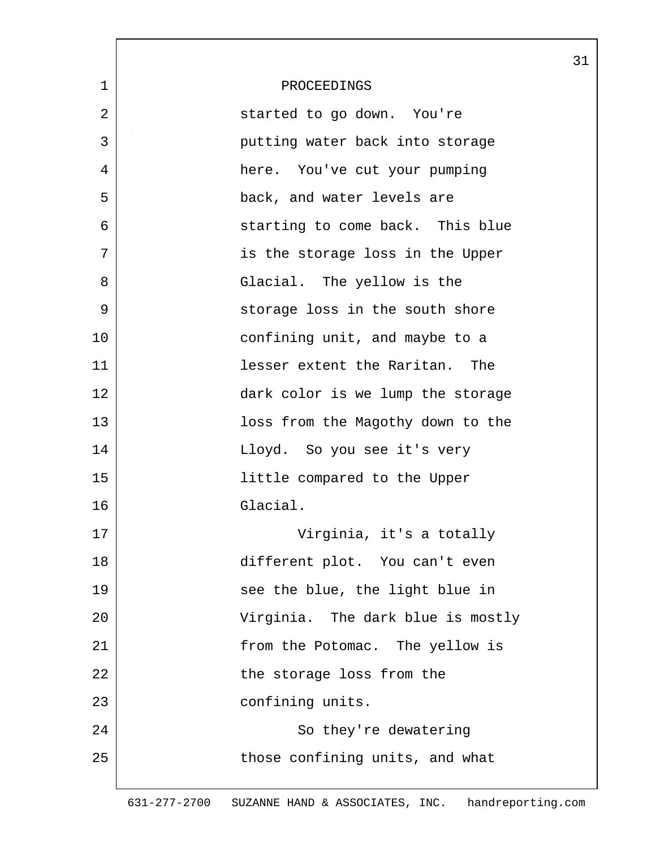|              |                                   | 31 |
|--------------|-----------------------------------|----|
| $\mathbf{1}$ | PROCEEDINGS                       |    |
| 2            | started to go down. You're        |    |
| 3            | putting water back into storage   |    |
| 4            | here. You've cut your pumping     |    |
| 5            | back, and water levels are        |    |
| 6            | starting to come back. This blue  |    |
| 7            | is the storage loss in the Upper  |    |
| 8            | Glacial. The yellow is the        |    |
| 9            | storage loss in the south shore   |    |
| 10           | confining unit, and maybe to a    |    |
| 11           | lesser extent the Raritan. The    |    |
| 12           | dark color is we lump the storage |    |
| 13           | loss from the Magothy down to the |    |
| 14           | Lloyd. So you see it's very       |    |
| 15           | little compared to the Upper      |    |
| 16           | Glacial.                          |    |
| 17           | Virginia, it's a totally          |    |
| 18           | different plot. You can't even    |    |
| 19           | see the blue, the light blue in   |    |
| 20           | Virginia. The dark blue is mostly |    |
| 21           | from the Potomac. The yellow is   |    |
| 22           | the storage loss from the         |    |
| 23           | confining units.                  |    |
| 24           | So they're dewatering             |    |
| 25           | those confining units, and what   |    |
|              |                                   |    |

 $\lceil$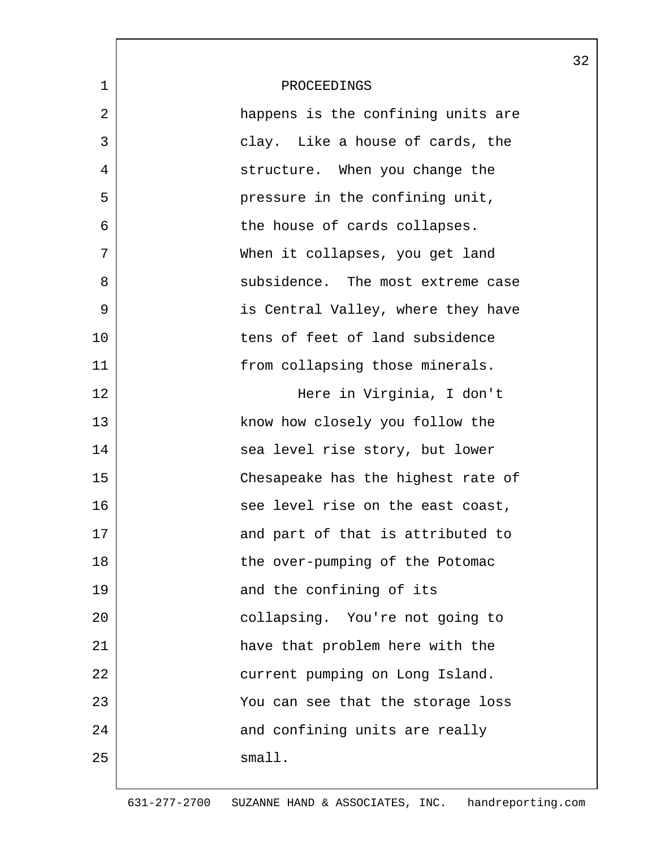|             |                                    | 32 |
|-------------|------------------------------------|----|
| $\mathbf 1$ | PROCEEDINGS                        |    |
| 2           | happens is the confining units are |    |
| 3           | clay. Like a house of cards, the   |    |
| 4           | structure. When you change the     |    |
| 5           | pressure in the confining unit,    |    |
| 6           | the house of cards collapses.      |    |
| 7           | When it collapses, you get land    |    |
| 8           | subsidence. The most extreme case  |    |
| 9           | is Central Valley, where they have |    |
| 10          | tens of feet of land subsidence    |    |
| 11          | from collapsing those minerals.    |    |
| 12          | Here in Virginia, I don't          |    |
| 13          | know how closely you follow the    |    |
| 14          | sea level rise story, but lower    |    |
| 15          | Chesapeake has the highest rate of |    |
| 16          | see level rise on the east coast,  |    |
| 17          | and part of that is attributed to  |    |
| 18          | the over-pumping of the Potomac    |    |
| 19          | and the confining of its           |    |
| 20          | collapsing. You're not going to    |    |
| 21          | have that problem here with the    |    |
| 22          | current pumping on Long Island.    |    |
| 23          | You can see that the storage loss  |    |
| 24          | and confining units are really     |    |
| 25          | small.                             |    |
|             |                                    |    |

 $\overline{\phantom{a}}$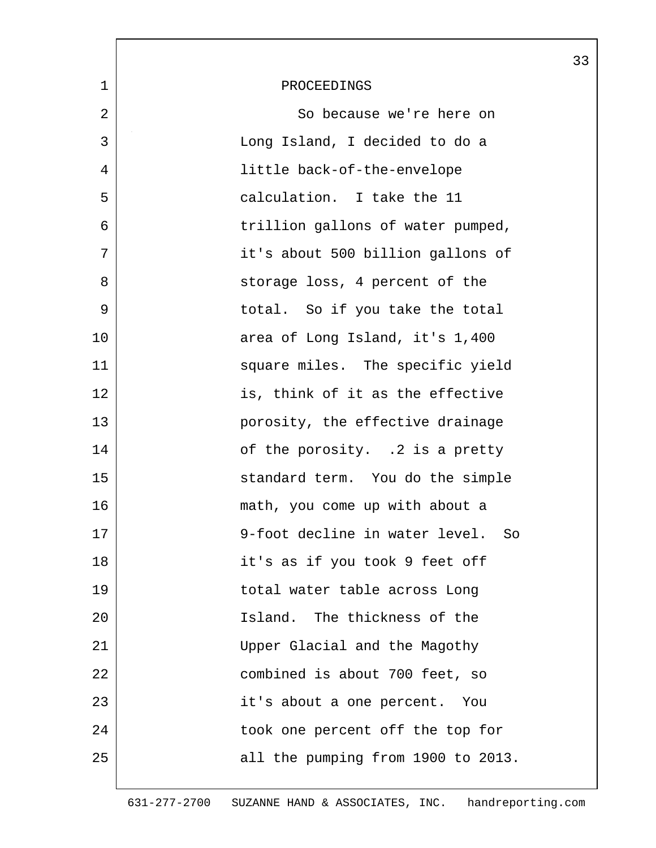|             |                                    | 33 |
|-------------|------------------------------------|----|
| $\mathbf 1$ | PROCEEDINGS                        |    |
| 2           | So because we're here on           |    |
| 3           | Long Island, I decided to do a     |    |
| 4           | little back-of-the-envelope        |    |
| 5           | calculation. I take the 11         |    |
| 6           | trillion gallons of water pumped,  |    |
| 7           | it's about 500 billion gallons of  |    |
| 8           | storage loss, 4 percent of the     |    |
| 9           | total. So if you take the total    |    |
| 10          | area of Long Island, it's 1,400    |    |
| 11          | square miles. The specific yield   |    |
| 12          | is, think of it as the effective   |    |
| 13          | porosity, the effective drainage   |    |
| 14          | of the porosity. .2 is a pretty    |    |
| 15          | standard term. You do the simple   |    |
| 16          | math, you come up with about a     |    |
| 17          | 9-foot decline in water level.     |    |
| 18          | it's as if you took 9 feet off     |    |
| 19          | total water table across Long      |    |
| 20          | Island. The thickness of the       |    |
| 21          | Upper Glacial and the Magothy      |    |
| 22          | combined is about 700 feet, so     |    |
| 23          | it's about a one percent. You      |    |
| 24          | took one percent off the top for   |    |
| 25          | all the pumping from 1900 to 2013. |    |
|             |                                    |    |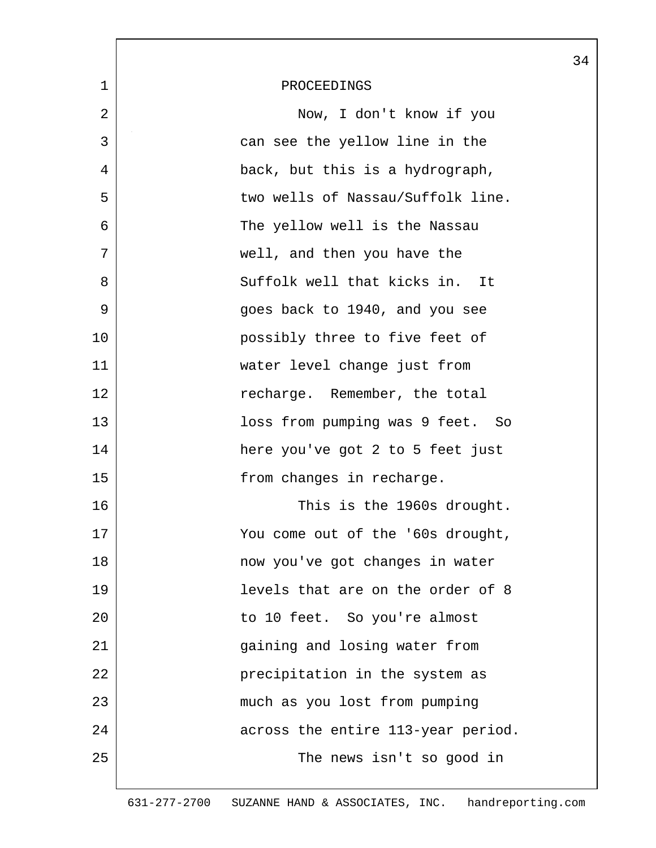|             |                                    | 34 |
|-------------|------------------------------------|----|
| $\mathbf 1$ | PROCEEDINGS                        |    |
| 2           | Now, I don't know if you           |    |
| 3           | can see the yellow line in the     |    |
| 4           | back, but this is a hydrograph,    |    |
| 5           | two wells of Nassau/Suffolk line.  |    |
| 6           | The yellow well is the Nassau      |    |
| 7           | well, and then you have the        |    |
| 8           | Suffolk well that kicks in.<br>It  |    |
| 9           | goes back to 1940, and you see     |    |
| 10          | possibly three to five feet of     |    |
| 11          | water level change just from       |    |
| 12          | recharge. Remember, the total      |    |
| 13          | loss from pumping was 9 feet. So   |    |
| 14          | here you've got 2 to 5 feet just   |    |
| 15          | from changes in recharge.          |    |
| 16          | This is the 1960s drought.         |    |
| 17          | You come out of the '60s drought,  |    |
| 18          | now you've got changes in water    |    |
| 19          | levels that are on the order of 8  |    |
| 20          | to 10 feet. So you're almost       |    |
| 21          | gaining and losing water from      |    |
| 22          | precipitation in the system as     |    |
| 23          | much as you lost from pumping      |    |
| 24          | across the entire 113-year period. |    |
| 25          | The news isn't so good in          |    |
|             |                                    |    |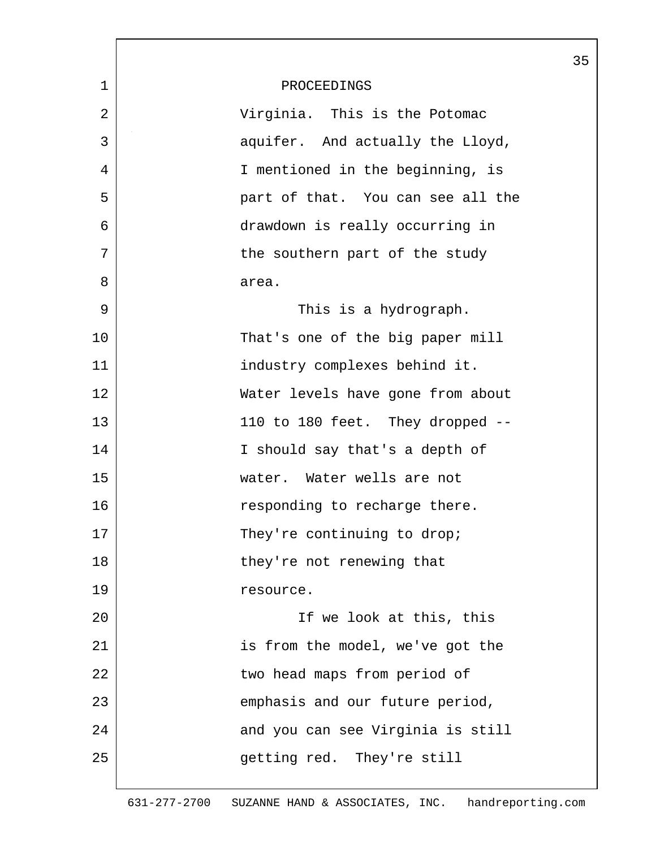|                | 35                                |
|----------------|-----------------------------------|
| $\mathbf{1}$   | PROCEEDINGS                       |
| $\overline{2}$ | Virginia. This is the Potomac     |
| 3              | aquifer. And actually the Lloyd,  |
| 4              | I mentioned in the beginning, is  |
| 5              | part of that. You can see all the |
| 6              | drawdown is really occurring in   |
| 7              | the southern part of the study    |
| 8              | area.                             |
| 9              | This is a hydrograph.             |
| 10             | That's one of the big paper mill  |
| 11             | industry complexes behind it.     |
| 12             | Water levels have gone from about |
| 13             | 110 to 180 feet. They dropped --  |
| 14             | I should say that's a depth of    |
| 15             | water. Water wells are not        |
| 16             | responding to recharge there.     |
| 17             | They're continuing to drop;       |
| 18             | they're not renewing that         |
| 19             | resource.                         |
| 20             | If we look at this, this          |
| 21             | is from the model, we've got the  |
| 22             | two head maps from period of      |
| 23             | emphasis and our future period,   |
| 24             | and you can see Virginia is still |
| 25             | getting red. They're still        |
|                |                                   |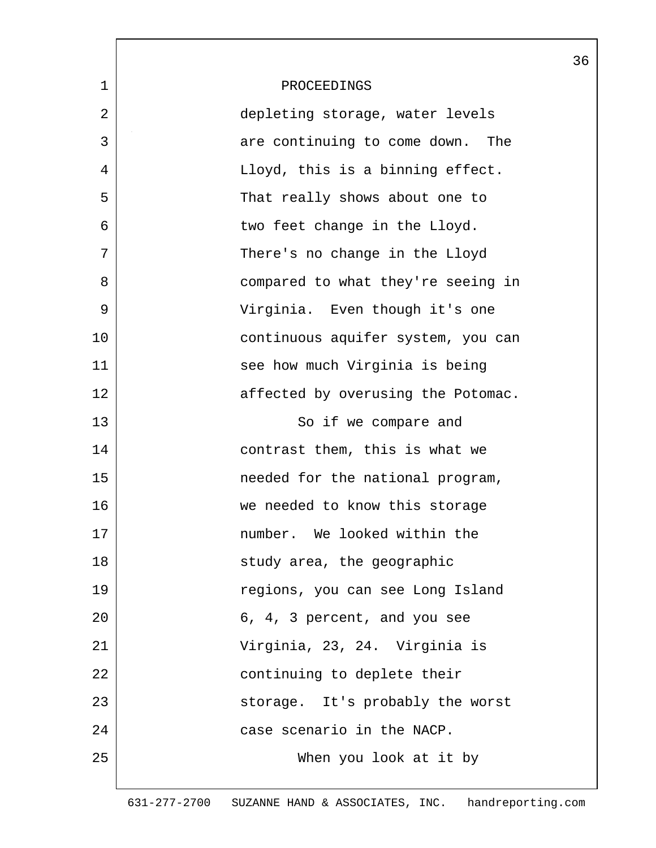|             |                                    | 36 |
|-------------|------------------------------------|----|
| $\mathbf 1$ | PROCEEDINGS                        |    |
| 2           | depleting storage, water levels    |    |
| 3           | are continuing to come down. The   |    |
| 4           | Lloyd, this is a binning effect.   |    |
| 5           | That really shows about one to     |    |
| 6           | two feet change in the Lloyd.      |    |
| 7           | There's no change in the Lloyd     |    |
| 8           | compared to what they're seeing in |    |
| 9           | Virginia. Even though it's one     |    |
| 10          | continuous aquifer system, you can |    |
| 11          | see how much Virginia is being     |    |
| 12          | affected by overusing the Potomac. |    |
| 13          | So if we compare and               |    |
| 14          | contrast them, this is what we     |    |
| 15          | needed for the national program,   |    |
| 16          | we needed to know this storage     |    |
| 17          | number. We looked within the       |    |
| 18          | study area, the geographic         |    |
| 19          | regions, you can see Long Island   |    |
| 20          | 6, 4, 3 percent, and you see       |    |
| 21          | Virginia, 23, 24. Virginia is      |    |
| 22          | continuing to deplete their        |    |
| 23          | storage. It's probably the worst   |    |
| 24          | case scenario in the NACP.         |    |
| 25          | When you look at it by             |    |
|             |                                    |    |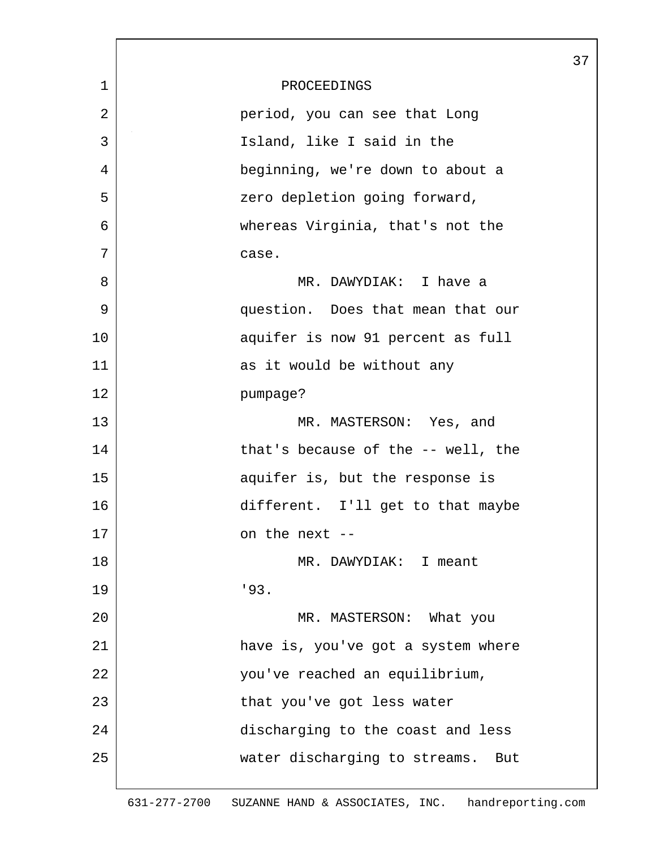| $\mathbf 1$ | PROCEEDINGS                          |
|-------------|--------------------------------------|
| 2           | period, you can see that Long        |
| 3           | Island, like I said in the           |
| 4           | beginning, we're down to about a     |
| 5           | zero depletion going forward,        |
| 6           | whereas Virginia, that's not the     |
| 7           | case.                                |
| 8           | MR. DAWYDIAK: I have a               |
| 9           | question. Does that mean that our    |
| 10          | aquifer is now 91 percent as full    |
| 11          | as it would be without any           |
| 12          | pumpage?                             |
| 13          | MR. MASTERSON: Yes, and              |
| 14          | that's because of the -- well, the   |
| 15          | aquifer is, but the response is      |
| 16          | different. I'll get to that maybe    |
| 17          | on the next --                       |
| 18          | MR. DAWYDIAK: I meant                |
| 19          | 193.                                 |
| 20          | MR. MASTERSON: What you              |
| 21          | have is, you've got a system where   |
| 22          | you've reached an equilibrium,       |
| 23          | that you've got less water           |
| 24          | discharging to the coast and less    |
| 25          | water discharging to streams.<br>But |
|             |                                      |

37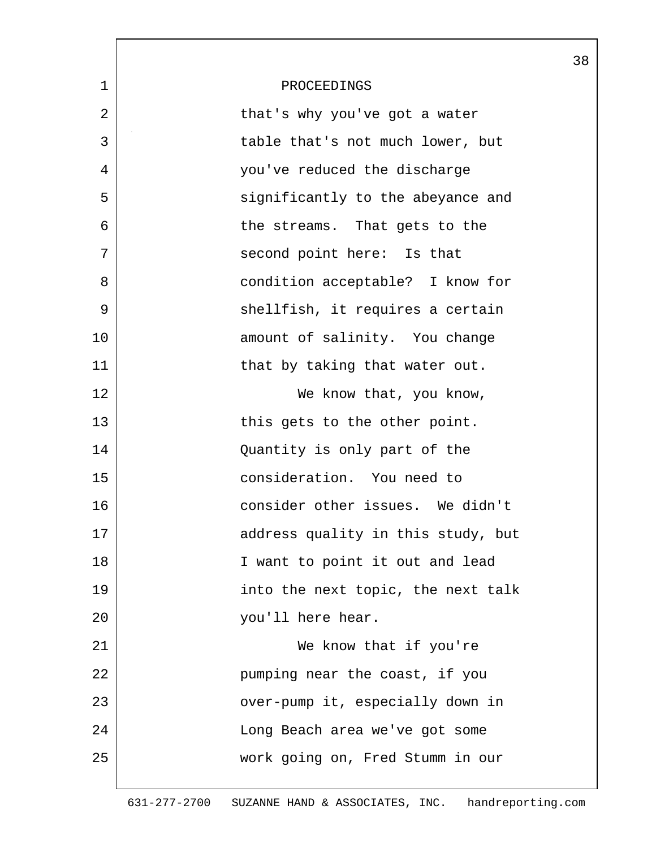|    |                                    | 38 |
|----|------------------------------------|----|
| 1  | PROCEEDINGS                        |    |
| 2  | that's why you've got a water      |    |
| 3  | table that's not much lower, but   |    |
| 4  | you've reduced the discharge       |    |
| 5  | significantly to the abeyance and  |    |
| 6  | the streams. That gets to the      |    |
| 7  | second point here: Is that         |    |
| 8  | condition acceptable? I know for   |    |
| 9  | shellfish, it requires a certain   |    |
| 10 | amount of salinity. You change     |    |
| 11 | that by taking that water out.     |    |
| 12 | We know that, you know,            |    |
| 13 | this gets to the other point.      |    |
| 14 | Quantity is only part of the       |    |
| 15 | consideration. You need to         |    |
| 16 | consider other issues. We didn't   |    |
| 17 | address quality in this study, but |    |
| 18 | I want to point it out and lead    |    |
| 19 | into the next topic, the next talk |    |
| 20 | you'll here hear.                  |    |
| 21 | We know that if you're             |    |
| 22 | pumping near the coast, if you     |    |
| 23 | over-pump it, especially down in   |    |
| 24 | Long Beach area we've got some     |    |
| 25 | work going on, Fred Stumm in our   |    |
|    |                                    |    |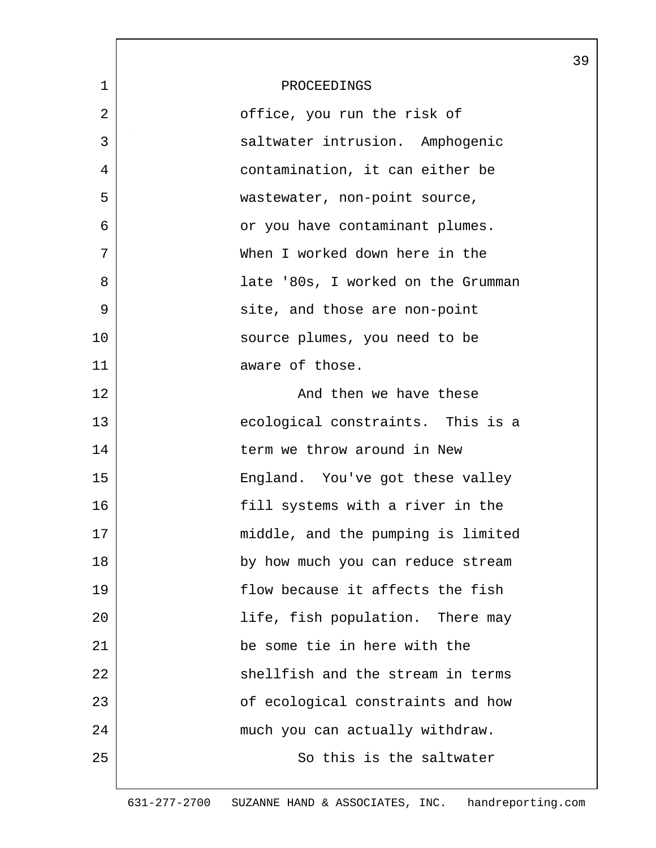|             |                                    | 39 |
|-------------|------------------------------------|----|
| $\mathbf 1$ | PROCEEDINGS                        |    |
| 2           | office, you run the risk of        |    |
| 3           | saltwater intrusion. Amphogenic    |    |
| 4           | contamination, it can either be    |    |
| 5           | wastewater, non-point source,      |    |
| 6           | or you have contaminant plumes.    |    |
| 7           | When I worked down here in the     |    |
| 8           | late '80s, I worked on the Grumman |    |
| 9           | site, and those are non-point      |    |
| 10          | source plumes, you need to be      |    |
| 11          | aware of those.                    |    |
| 12          | And then we have these             |    |
| 13          | ecological constraints. This is a  |    |
| 14          | term we throw around in New        |    |
| 15          | England. You've got these valley   |    |
| 16          | fill systems with a river in the   |    |
| 17          | middle, and the pumping is limited |    |
| 18          | by how much you can reduce stream  |    |
| 19          | flow because it affects the fish   |    |
| 20          | life, fish population. There may   |    |
| 21          | be some tie in here with the       |    |
| 22          | shellfish and the stream in terms  |    |
| 23          | of ecological constraints and how  |    |
| 24          | much you can actually withdraw.    |    |
| 25          | So this is the saltwater           |    |
|             |                                    |    |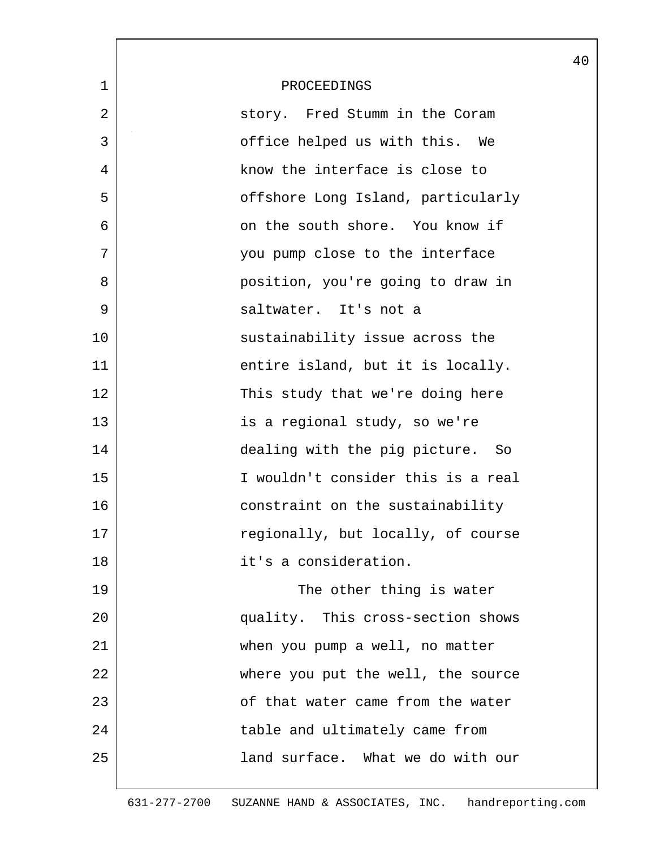|             |                                    | 40 |
|-------------|------------------------------------|----|
| $\mathbf 1$ | PROCEEDINGS                        |    |
| 2           | story. Fred Stumm in the Coram     |    |
| 3           | office helped us with this. We     |    |
| 4           | know the interface is close to     |    |
| 5           | offshore Long Island, particularly |    |
| 6           | on the south shore. You know if    |    |
| 7           | you pump close to the interface    |    |
| 8           | position, you're going to draw in  |    |
| 9           | saltwater. It's not a              |    |
| 10          | sustainability issue across the    |    |
| 11          | entire island, but it is locally.  |    |
| 12          | This study that we're doing here   |    |
| 13          | is a regional study, so we're      |    |
| 14          | dealing with the pig picture. So   |    |
| 15          | I wouldn't consider this is a real |    |
| 16          | constraint on the sustainability   |    |
| 17          | regionally, but locally, of course |    |
| 18          | it's a consideration.              |    |
| 19          | The other thing is water           |    |
| 20          | quality. This cross-section shows  |    |
| 21          | when you pump a well, no matter    |    |
| 22          | where you put the well, the source |    |
| 23          | of that water came from the water  |    |
| 24          | table and ultimately came from     |    |
| 25          | land surface. What we do with our  |    |
|             |                                    |    |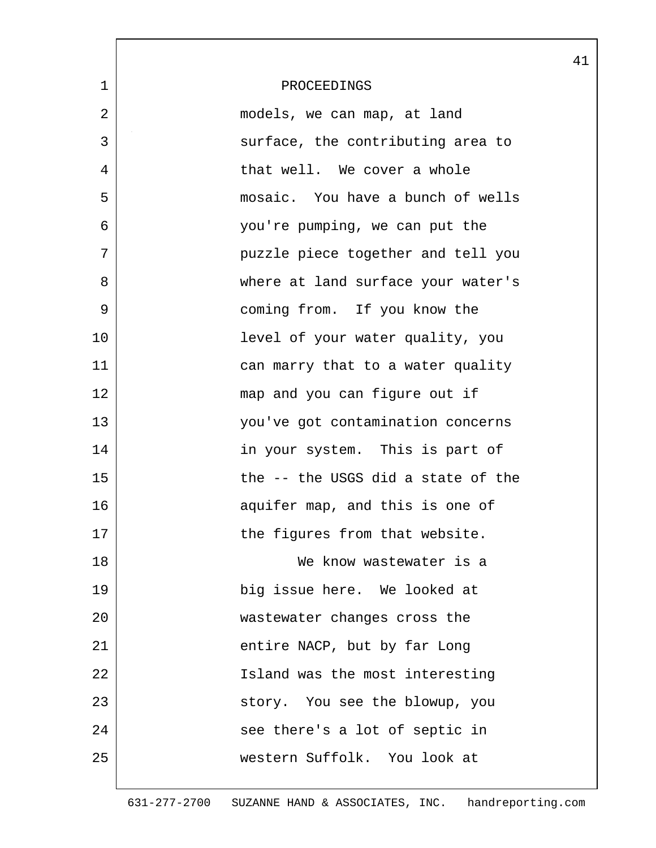|             |                                    | 41 |
|-------------|------------------------------------|----|
| $\mathbf 1$ | PROCEEDINGS                        |    |
| 2           | models, we can map, at land        |    |
| 3           | surface, the contributing area to  |    |
| 4           | that well. We cover a whole        |    |
| 5           | mosaic. You have a bunch of wells  |    |
| 6           | you're pumping, we can put the     |    |
| 7           | puzzle piece together and tell you |    |
| 8           | where at land surface your water's |    |
| 9           | coming from. If you know the       |    |
| 10          | level of your water quality, you   |    |
| 11          | can marry that to a water quality  |    |
| 12          | map and you can figure out if      |    |
| 13          | you've got contamination concerns  |    |
| 14          | in your system. This is part of    |    |
| 15          | the -- the USGS did a state of the |    |
| 16          | aquifer map, and this is one of    |    |
| 17          | the figures from that website.     |    |
| 18          | We know wastewater is a            |    |
| 19          | big issue here. We looked at       |    |
| 20          | wastewater changes cross the       |    |
| 21          | entire NACP, but by far Long       |    |
| 22          | Island was the most interesting    |    |
| 23          | story. You see the blowup, you     |    |
| 24          | see there's a lot of septic in     |    |
| 25          | western Suffolk. You look at       |    |
|             |                                    |    |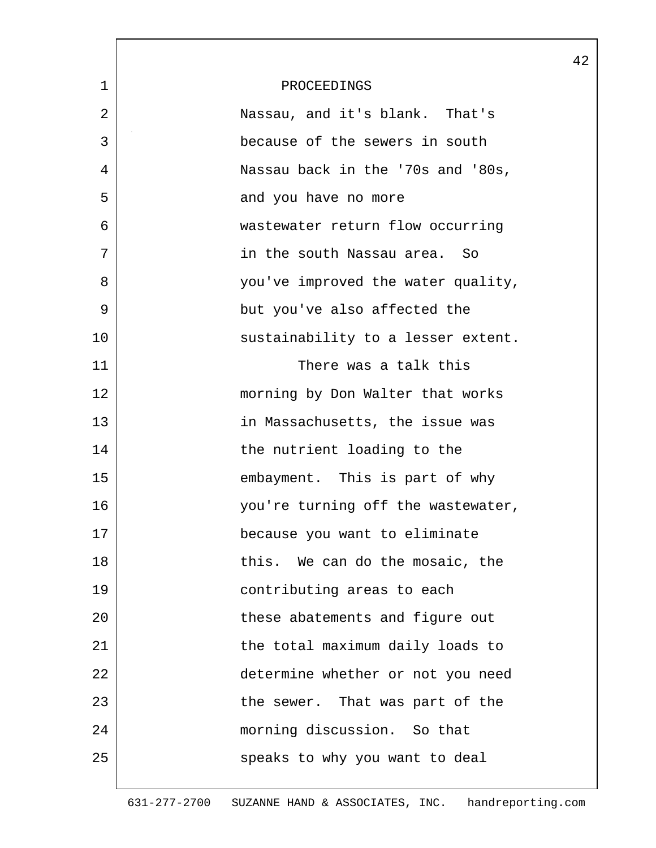|              |                                    | 42 |
|--------------|------------------------------------|----|
| $\mathbf{1}$ | PROCEEDINGS                        |    |
| 2            | Nassau, and it's blank. That's     |    |
| 3            | because of the sewers in south     |    |
| 4            | Nassau back in the '70s and '80s,  |    |
| 5            | and you have no more               |    |
| 6            | wastewater return flow occurring   |    |
| 7            | in the south Nassau area. So       |    |
| 8            | you've improved the water quality, |    |
| 9            | but you've also affected the       |    |
| 10           | sustainability to a lesser extent. |    |
| 11           | There was a talk this              |    |
| 12           | morning by Don Walter that works   |    |
| 13           | in Massachusetts, the issue was    |    |
| 14           | the nutrient loading to the        |    |
| 15           | embayment. This is part of why     |    |
| 16           | you're turning off the wastewater, |    |
| 17           | because you want to eliminate      |    |
| 18           | this. We can do the mosaic, the    |    |
| 19           | contributing areas to each         |    |
| 20           | these abatements and figure out    |    |
| 21           | the total maximum daily loads to   |    |
| 22           | determine whether or not you need  |    |
| 23           | the sewer. That was part of the    |    |
| 24           | morning discussion. So that        |    |
| 25           | speaks to why you want to deal     |    |
|              |                                    |    |

L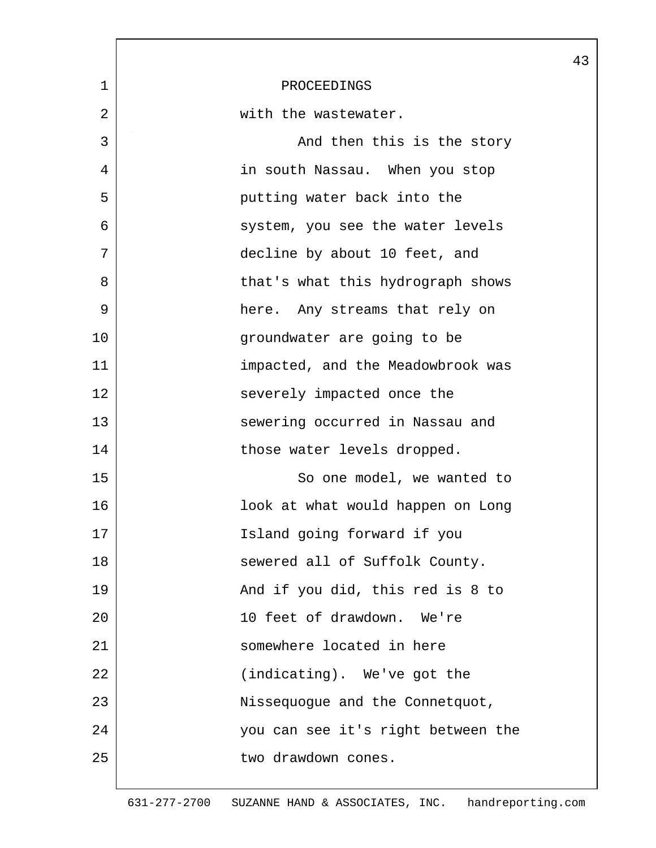|    |                                    | 43 |
|----|------------------------------------|----|
| 1  | PROCEEDINGS                        |    |
| 2  | with the wastewater.               |    |
| 3  | And then this is the story         |    |
| 4  | in south Nassau. When you stop     |    |
| 5  | putting water back into the        |    |
| 6  | system, you see the water levels   |    |
| 7  | decline by about 10 feet, and      |    |
| 8  | that's what this hydrograph shows  |    |
| 9  | here. Any streams that rely on     |    |
| 10 | groundwater are going to be        |    |
| 11 | impacted, and the Meadowbrook was  |    |
| 12 | severely impacted once the         |    |
| 13 | sewering occurred in Nassau and    |    |
| 14 | those water levels dropped.        |    |
| 15 | So one model, we wanted to         |    |
| 16 | look at what would happen on Long  |    |
| 17 | Island going forward if you        |    |
| 18 | sewered all of Suffolk County.     |    |
| 19 | And if you did, this red is 8 to   |    |
| 20 | 10 feet of drawdown. We're         |    |
| 21 | somewhere located in here          |    |
| 22 | (indicating). We've got the        |    |
| 23 | Nissequogue and the Connetquot,    |    |
| 24 | you can see it's right between the |    |
| 25 | two drawdown cones.                |    |
|    |                                    |    |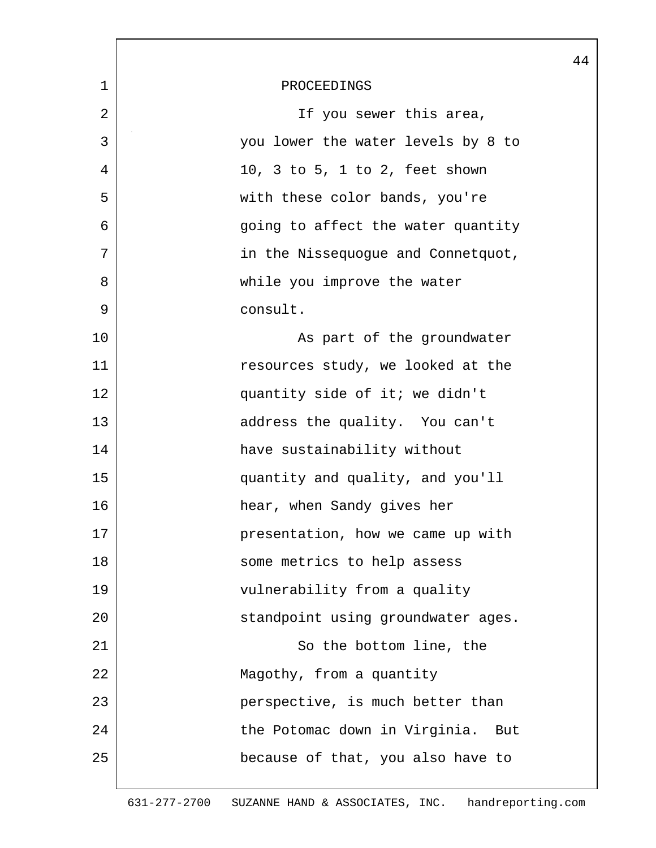|             | 44                                 |
|-------------|------------------------------------|
| $\mathbf 1$ | PROCEEDINGS                        |
| 2           | If you sewer this area,            |
| 3           | you lower the water levels by 8 to |
| 4           | 10, 3 to 5, 1 to 2, feet shown     |
| 5           | with these color bands, you're     |
| 6           | going to affect the water quantity |
| 7           | in the Nissequogue and Connetquot, |
| 8           | while you improve the water        |
| 9           | consult.                           |
| 10          | As part of the groundwater         |
| 11          | resources study, we looked at the  |
| 12          | quantity side of it; we didn't     |
| 13          | address the quality. You can't     |
| 14          | have sustainability without        |
| 15          | quantity and quality, and you'll   |
| 16          | hear, when Sandy gives her         |
| 17          | presentation, how we came up with  |
| 18          | some metrics to help assess        |
| 19          | vulnerability from a quality       |
| 20          | standpoint using groundwater ages. |
| 21          | So the bottom line, the            |
| 22          | Magothy, from a quantity           |
| 23          | perspective, is much better than   |
| 24          | the Potomac down in Virginia. But  |
| 25          | because of that, you also have to  |
|             |                                    |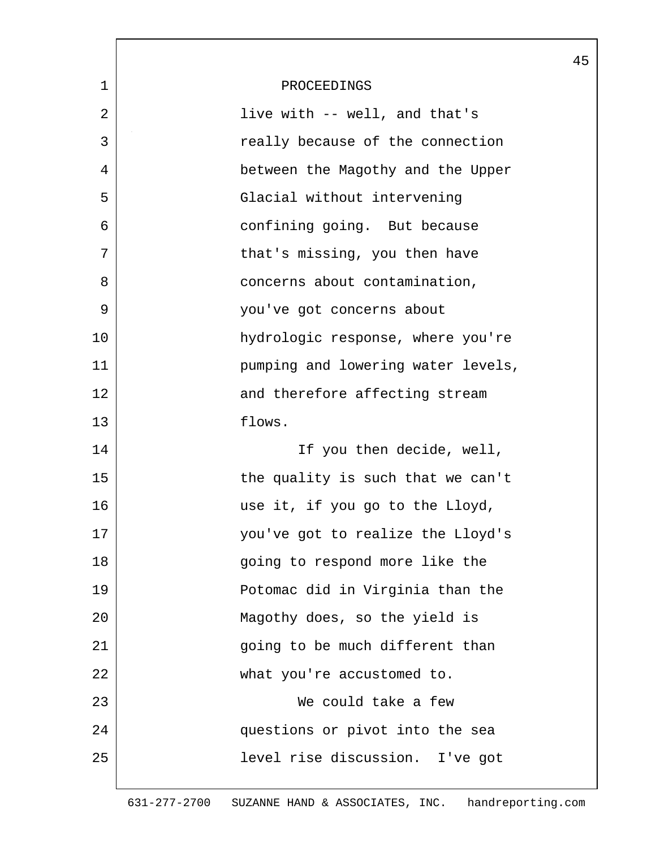|              |                                    | 45 |
|--------------|------------------------------------|----|
| $\mathbf{1}$ | PROCEEDINGS                        |    |
| 2            | live with -- well, and that's      |    |
| 3            | really because of the connection   |    |
| 4            | between the Magothy and the Upper  |    |
| 5            | Glacial without intervening        |    |
| 6            | confining going. But because       |    |
| 7            | that's missing, you then have      |    |
| 8            | concerns about contamination,      |    |
| 9            | you've got concerns about          |    |
| 10           | hydrologic response, where you're  |    |
| 11           | pumping and lowering water levels, |    |
| 12           | and therefore affecting stream     |    |
| 13           | flows.                             |    |
| 14           | If you then decide, well,          |    |
| 15           | the quality is such that we can't  |    |
| 16           | use it, if you go to the Lloyd,    |    |
| 17           | you've got to realize the Lloyd's  |    |
| 18           | going to respond more like the     |    |
| 19           | Potomac did in Virginia than the   |    |
| 20           | Magothy does, so the yield is      |    |
| 21           | going to be much different than    |    |
| 22           | what you're accustomed to.         |    |
| 23           | We could take a few                |    |
| 24           | questions or pivot into the sea    |    |
| 25           | level rise discussion. I've got    |    |
|              |                                    |    |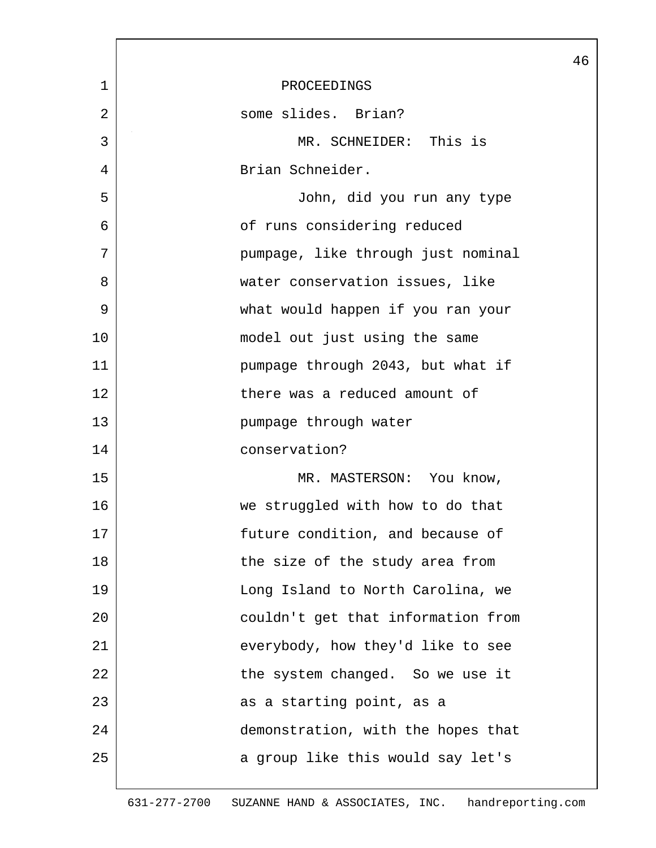|                |                                    | 46 |
|----------------|------------------------------------|----|
| $\mathbf 1$    | PROCEEDINGS                        |    |
| $\overline{2}$ | some slides. Brian?                |    |
| 3              | MR. SCHNEIDER: This is             |    |
| 4              | Brian Schneider.                   |    |
| 5              | John, did you run any type         |    |
| 6              | of runs considering reduced        |    |
| 7              | pumpage, like through just nominal |    |
| 8              | water conservation issues, like    |    |
| 9              | what would happen if you ran your  |    |
| 10             | model out just using the same      |    |
| 11             | pumpage through 2043, but what if  |    |
| 12             | there was a reduced amount of      |    |
| 13             | pumpage through water              |    |
| 14             | conservation?                      |    |
| 15             | MR. MASTERSON: You know,           |    |
| 16             | we struggled with how to do that   |    |
| 17             | future condition, and because of   |    |
| 18             | the size of the study area from    |    |
| 19             | Long Island to North Carolina, we  |    |
| 20             | couldn't get that information from |    |
| 21             | everybody, how they'd like to see  |    |
| 22             | the system changed. So we use it   |    |
| 23             | as a starting point, as a          |    |
| 24             | demonstration, with the hopes that |    |
| 25             | a group like this would say let's  |    |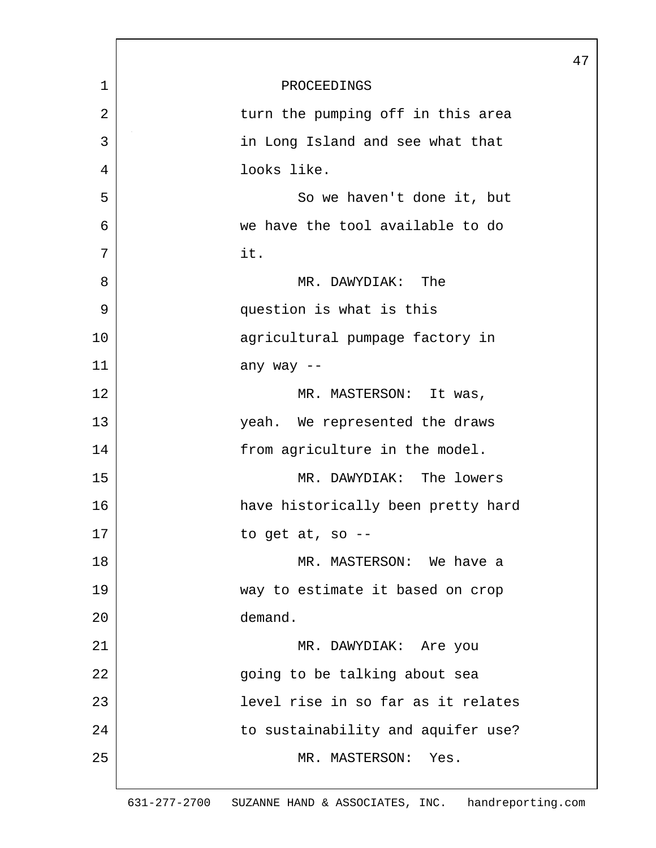| 1  | PROCEEDINGS                        |
|----|------------------------------------|
| 2  | turn the pumping off in this area  |
| 3  | in Long Island and see what that   |
| 4  | looks like.                        |
| 5  | So we haven't done it, but         |
| 6  | we have the tool available to do   |
| 7  | it.                                |
| 8  | MR. DAWYDIAK: The                  |
| 9  | question is what is this           |
| 10 | agricultural pumpage factory in    |
| 11 | any way --                         |
| 12 | MR. MASTERSON: It was,             |
| 13 | yeah. We represented the draws     |
| 14 | from agriculture in the model.     |
| 15 | MR. DAWYDIAK: The lowers           |
| 16 | have historically been pretty hard |
| 17 | to get at, so --                   |
| 18 | MR. MASTERSON: We have a           |
| 19 | way to estimate it based on crop   |
| 20 | demand.                            |
| 21 | MR. DAWYDIAK: Are you              |
| 22 | going to be talking about sea      |
| 23 | level rise in so far as it relates |
| 24 | to sustainability and aquifer use? |
| 25 | MR. MASTERSON: Yes.                |
|    |                                    |

47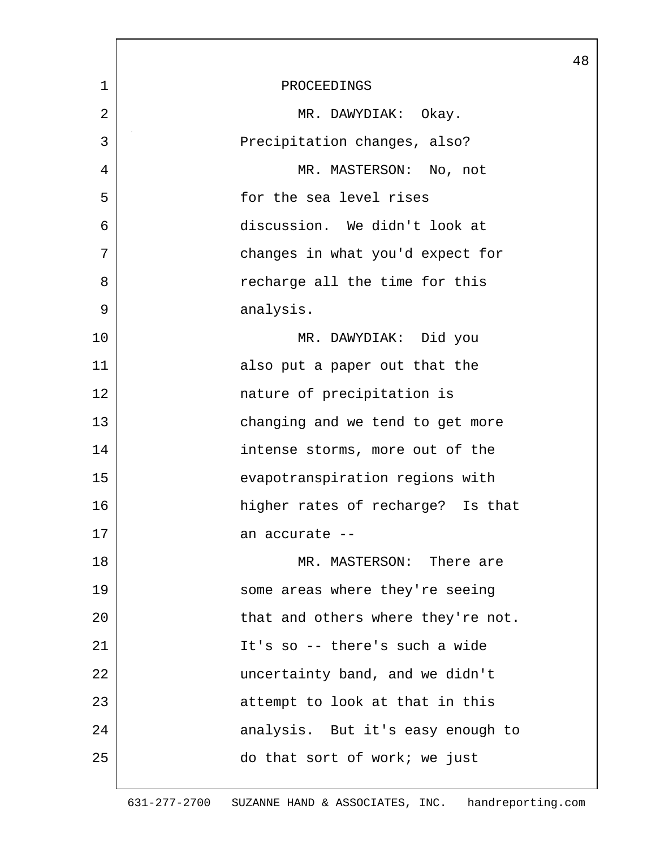|             | 48                                 |
|-------------|------------------------------------|
| $\mathbf 1$ | PROCEEDINGS                        |
| 2           | MR. DAWYDIAK: Okay.                |
| 3           | Precipitation changes, also?       |
| 4           | MR. MASTERSON: No, not             |
| 5           | for the sea level rises            |
| 6           | discussion. We didn't look at      |
| 7           | changes in what you'd expect for   |
| 8           | recharge all the time for this     |
| 9           | analysis.                          |
| 10          | MR. DAWYDIAK: Did you              |
| 11          | also put a paper out that the      |
| 12          | nature of precipitation is         |
| 13          | changing and we tend to get more   |
| 14          | intense storms, more out of the    |
| 15          | evapotranspiration regions with    |
| 16          | higher rates of recharge? Is that  |
| 17          | an accurate --                     |
| 18          | MR. MASTERSON: There are           |
| 19          | some areas where they're seeing    |
| 20          | that and others where they're not. |
| 21          | It's so -- there's such a wide     |
| 22          | uncertainty band, and we didn't    |
| 23          | attempt to look at that in this    |
| 24          | analysis. But it's easy enough to  |
| 25          | do that sort of work; we just      |
|             |                                    |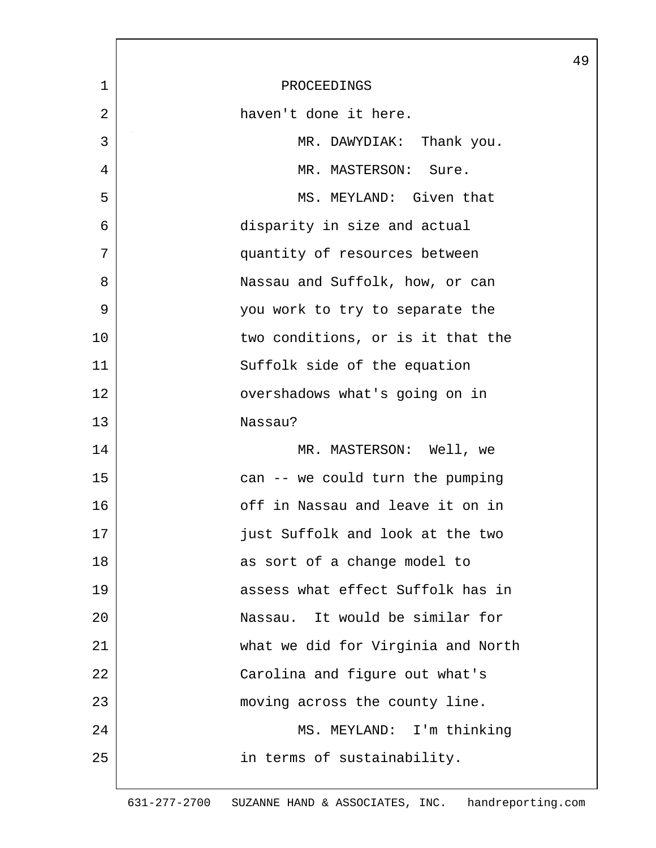|             |                                    | 49 |
|-------------|------------------------------------|----|
| $\mathbf 1$ | PROCEEDINGS                        |    |
| 2           | haven't done it here.              |    |
| 3           | MR. DAWYDIAK: Thank you.           |    |
| 4           | MR. MASTERSON: Sure.               |    |
| 5           | MS. MEYLAND: Given that            |    |
| 6           | disparity in size and actual       |    |
| 7           | quantity of resources between      |    |
| 8           | Nassau and Suffolk, how, or can    |    |
| 9           | you work to try to separate the    |    |
| 10          | two conditions, or is it that the  |    |
| 11          | Suffolk side of the equation       |    |
| 12          | overshadows what's going on in     |    |
| 13          | Nassau?                            |    |
| 14          | MR. MASTERSON: Well, we            |    |
| 15          | can -- we could turn the pumping   |    |
| 16          | off in Nassau and leave it on in   |    |
| 17          | just Suffolk and look at the two   |    |
| 18          | as sort of a change model to       |    |
| 19          | assess what effect Suffolk has in  |    |
| 20          | Nassau. It would be similar for    |    |
| 21          | what we did for Virginia and North |    |
| 22          | Carolina and figure out what's     |    |
| 23          | moving across the county line.     |    |
| 24          | MS. MEYLAND: I'm thinking          |    |
| 25          | in terms of sustainability.        |    |
|             |                                    |    |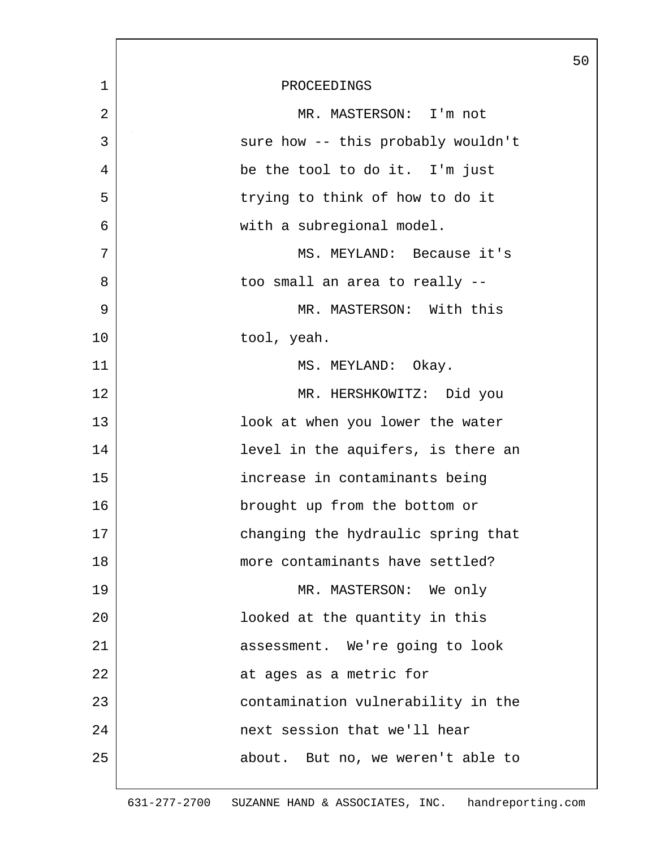|                |                                    | 50 |
|----------------|------------------------------------|----|
| $\mathbf 1$    | PROCEEDINGS                        |    |
| $\overline{2}$ | MR. MASTERSON: I'm not             |    |
| 3              | sure how -- this probably wouldn't |    |
| 4              | be the tool to do it. I'm just     |    |
| 5              | trying to think of how to do it    |    |
| 6              | with a subregional model.          |    |
| 7              | MS. MEYLAND: Because it's          |    |
| 8              | too small an area to really --     |    |
| 9              | MR. MASTERSON: With this           |    |
| 10             | tool, yeah.                        |    |
| 11             | MS. MEYLAND: Okay.                 |    |
| 12             | MR. HERSHKOWITZ: Did you           |    |
| 13             | look at when you lower the water   |    |
| 14             | level in the aquifers, is there an |    |
| 15             | increase in contaminants being     |    |
| 16             | brought up from the bottom or      |    |
| 17             | changing the hydraulic spring that |    |
| 18             | more contaminants have settled?    |    |
| 19             | MR. MASTERSON: We only             |    |
| 20             | looked at the quantity in this     |    |
| 21             | assessment. We're going to look    |    |
| 22             | at ages as a metric for            |    |
| 23             | contamination vulnerability in the |    |
| 24             | next session that we'll hear       |    |
| 25             | about. But no, we weren't able to  |    |
|                |                                    |    |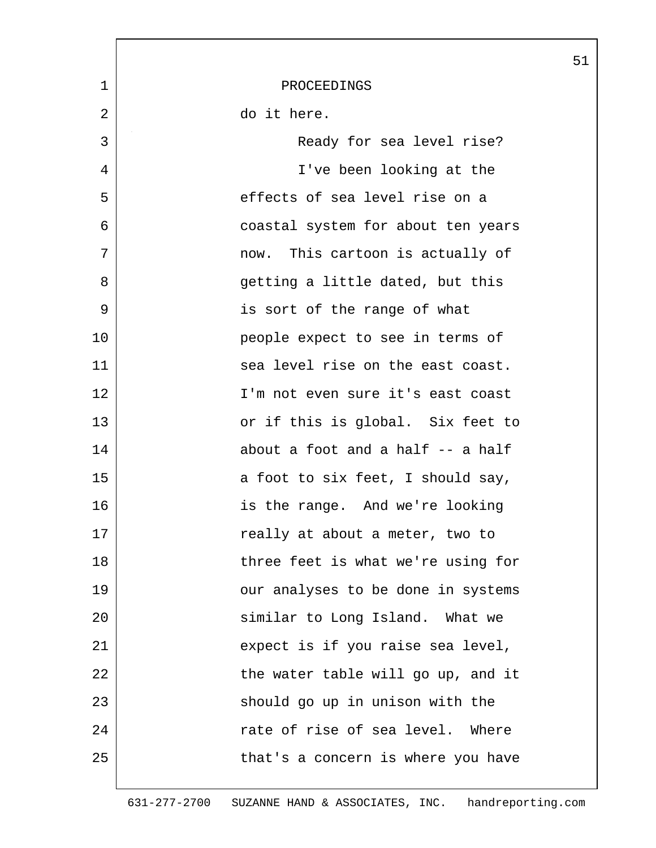|             |                                    | 51 |
|-------------|------------------------------------|----|
| $\mathbf 1$ | PROCEEDINGS                        |    |
| 2           | do it here.                        |    |
| 3           | Ready for sea level rise?          |    |
| 4           | I've been looking at the           |    |
| 5           | effects of sea level rise on a     |    |
| 6           | coastal system for about ten years |    |
| 7           | now. This cartoon is actually of   |    |
| 8           | getting a little dated, but this   |    |
| 9           | is sort of the range of what       |    |
| 10          | people expect to see in terms of   |    |
| 11          | sea level rise on the east coast.  |    |
| 12          | I'm not even sure it's east coast  |    |
| 13          | or if this is global. Six feet to  |    |
| 14          | about a foot and a half -- a half  |    |
| 15          | a foot to six feet, I should say,  |    |
| 16          | is the range. And we're looking    |    |
| 17          | really at about a meter, two to    |    |
| 18          | three feet is what we're using for |    |
| 19          | our analyses to be done in systems |    |
| 20          | similar to Long Island. What we    |    |
| 21          | expect is if you raise sea level,  |    |
| 22          | the water table will go up, and it |    |
| 23          | should go up in unison with the    |    |
| 24          | rate of rise of sea level. Where   |    |
| 25          | that's a concern is where you have |    |
|             |                                    |    |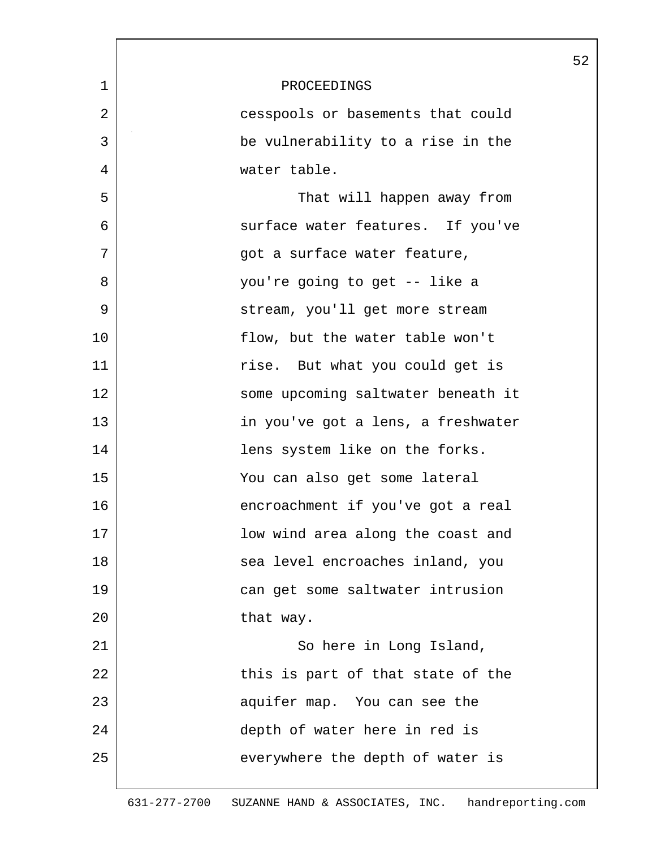|             |                                    | 52 |
|-------------|------------------------------------|----|
| $\mathbf 1$ | PROCEEDINGS                        |    |
| 2           | cesspools or basements that could  |    |
| 3           | be vulnerability to a rise in the  |    |
| 4           | water table.                       |    |
| 5           | That will happen away from         |    |
| 6           | surface water features. If you've  |    |
| 7           | got a surface water feature,       |    |
| 8           | you're going to get -- like a      |    |
| 9           | stream, you'll get more stream     |    |
| 10          | flow, but the water table won't    |    |
| 11          | rise. But what you could get is    |    |
| 12          | some upcoming saltwater beneath it |    |
| 13          | in you've got a lens, a freshwater |    |
| 14          | lens system like on the forks.     |    |
| 15          | You can also get some lateral      |    |
| 16          | encroachment if you've got a real  |    |
| 17          | low wind area along the coast and  |    |
| 18          | sea level encroaches inland, you   |    |
| 19          | can get some saltwater intrusion   |    |
| 20          | that way.                          |    |
| 21          | So here in Long Island,            |    |
| 22          | this is part of that state of the  |    |
| 23          | aquifer map. You can see the       |    |
| 24          | depth of water here in red is      |    |
| 25          | everywhere the depth of water is   |    |
|             |                                    |    |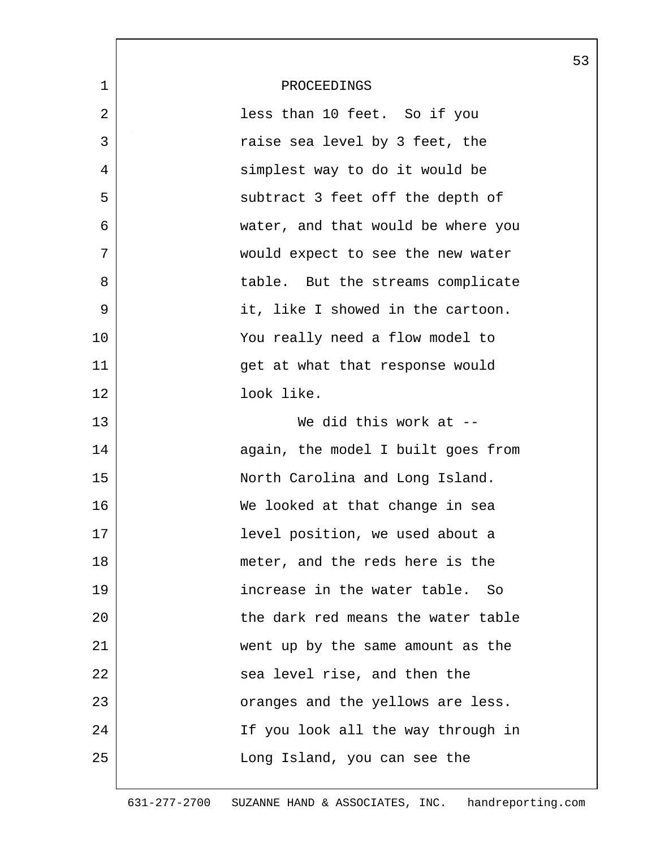|             |                                    | 53 |
|-------------|------------------------------------|----|
| $\mathbf 1$ | PROCEEDINGS                        |    |
| 2           | less than 10 feet. So if you       |    |
| 3           | raise sea level by 3 feet, the     |    |
| 4           | simplest way to do it would be     |    |
| 5           | subtract 3 feet off the depth of   |    |
| 6           | water, and that would be where you |    |
| 7           | would expect to see the new water  |    |
| 8           | table. But the streams complicate  |    |
| 9           | it, like I showed in the cartoon.  |    |
| 10          | You really need a flow model to    |    |
| 11          | get at what that response would    |    |
| 12          | look like.                         |    |
| 13          | We did this work at --             |    |
| 14          | again, the model I built goes from |    |
| 15          | North Carolina and Long Island.    |    |
| 16          | We looked at that change in sea    |    |
| 17          | level position, we used about a    |    |
| 18          | meter, and the reds here is the    |    |
| 19          | increase in the water table. So    |    |
| 20          | the dark red means the water table |    |
| 21          | went up by the same amount as the  |    |
| 22          | sea level rise, and then the       |    |
| 23          | oranges and the yellows are less.  |    |
| 24          | If you look all the way through in |    |
| 25          | Long Island, you can see the       |    |
|             |                                    |    |

 $\overline{\phantom{a}}$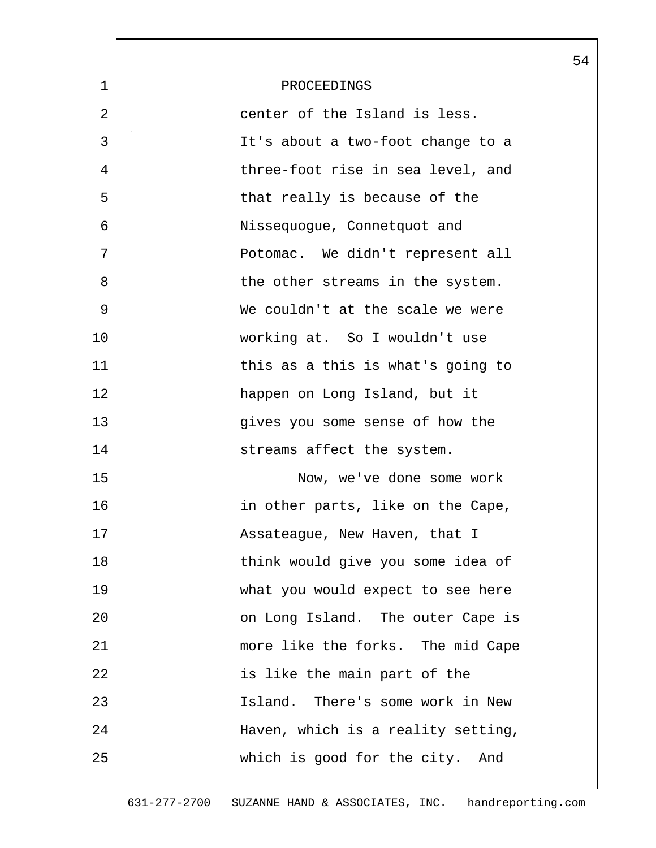|             |                                    | 54 |
|-------------|------------------------------------|----|
| $\mathbf 1$ | PROCEEDINGS                        |    |
| 2           | center of the Island is less.      |    |
| 3           | It's about a two-foot change to a  |    |
| 4           | three-foot rise in sea level, and  |    |
| 5           | that really is because of the      |    |
| 6           | Nissequogue, Connetquot and        |    |
| 7           | Potomac. We didn't represent all   |    |
| 8           | the other streams in the system.   |    |
| 9           | We couldn't at the scale we were   |    |
| 10          | working at. So I wouldn't use      |    |
| 11          | this as a this is what's going to  |    |
| 12          | happen on Long Island, but it      |    |
| 13          | gives you some sense of how the    |    |
| 14          | streams affect the system.         |    |
| 15          | Now, we've done some work          |    |
| 16          | in other parts, like on the Cape,  |    |
| 17          | Assateague, New Haven, that I      |    |
| 18          | think would give you some idea of  |    |
| 19          | what you would expect to see here  |    |
| 20          | on Long Island. The outer Cape is  |    |
| 21          | more like the forks. The mid Cape  |    |
| 22          | is like the main part of the       |    |
| 23          | Island. There's some work in New   |    |
| 24          | Haven, which is a reality setting, |    |
| 25          | which is good for the city. And    |    |
|             |                                    |    |

 $\overline{\phantom{a}}$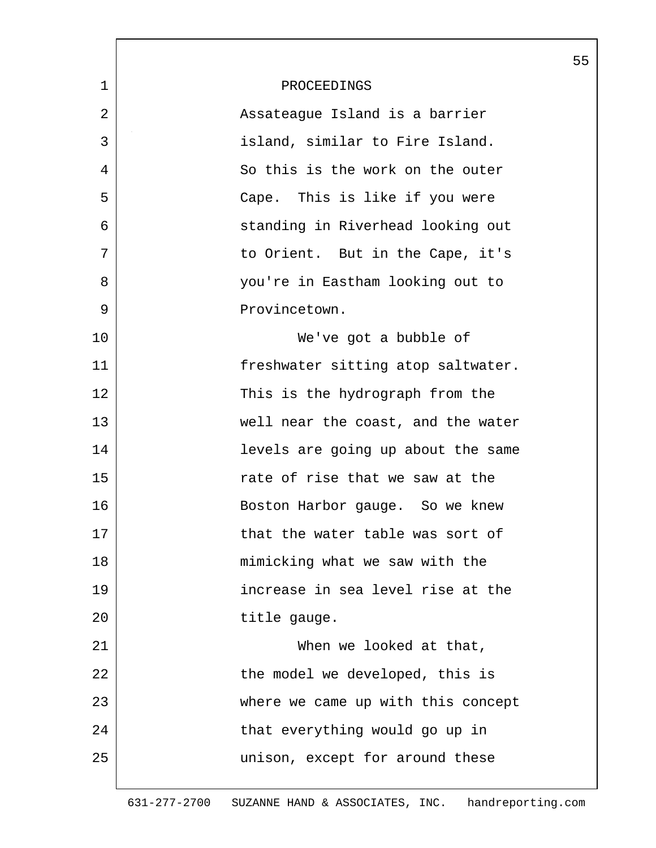|              |                                    | 55 |
|--------------|------------------------------------|----|
| $\mathbf{1}$ | PROCEEDINGS                        |    |
| 2            | Assateague Island is a barrier     |    |
| 3            | island, similar to Fire Island.    |    |
| 4            | So this is the work on the outer   |    |
| 5            | Cape. This is like if you were     |    |
| 6            | standing in Riverhead looking out  |    |
| 7            | to Orient. But in the Cape, it's   |    |
| 8            | you're in Eastham looking out to   |    |
| 9            | Provincetown.                      |    |
| 10           | We've got a bubble of              |    |
| 11           | freshwater sitting atop saltwater. |    |
| 12           | This is the hydrograph from the    |    |
| 13           | well near the coast, and the water |    |
| 14           | levels are going up about the same |    |
| 15           | rate of rise that we saw at the    |    |
| 16           | Boston Harbor gauge. So we knew    |    |
| 17           | that the water table was sort of   |    |
| 18           | mimicking what we saw with the     |    |
| 19           | increase in sea level rise at the  |    |
| 20           | title gauge.                       |    |
| 21           | When we looked at that,            |    |
| 22           | the model we developed, this is    |    |
| 23           | where we came up with this concept |    |
| 24           | that everything would go up in     |    |
| 25           | unison, except for around these    |    |
|              |                                    |    |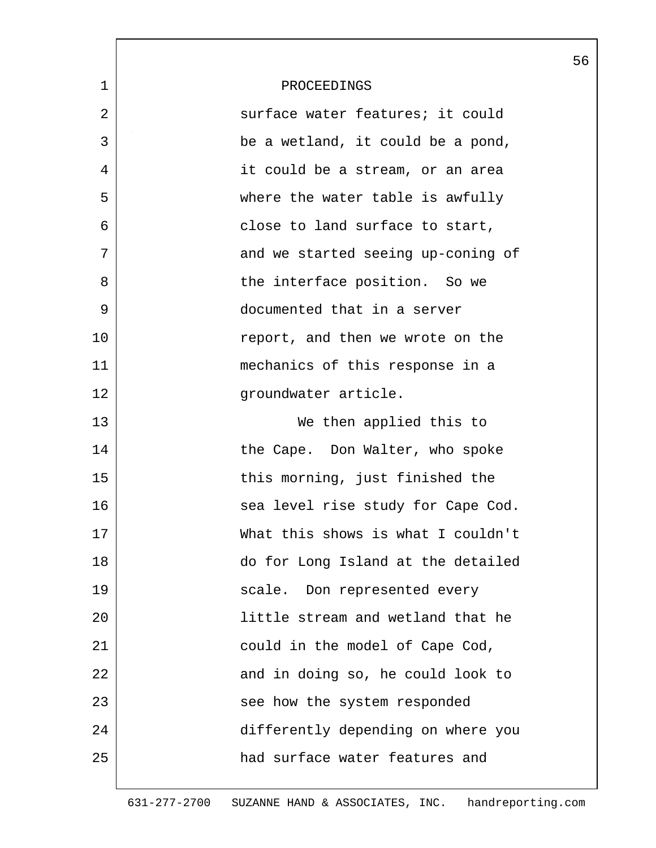|             |                                    | 56 |
|-------------|------------------------------------|----|
| $\mathbf 1$ | PROCEEDINGS                        |    |
| 2           | surface water features; it could   |    |
| 3           | be a wetland, it could be a pond,  |    |
| 4           | it could be a stream, or an area   |    |
| 5           | where the water table is awfully   |    |
| 6           | close to land surface to start,    |    |
| 7           | and we started seeing up-coning of |    |
| 8           | the interface position. So we      |    |
| 9           | documented that in a server        |    |
| 10          | report, and then we wrote on the   |    |
| 11          | mechanics of this response in a    |    |
| 12          | groundwater article.               |    |
| 13          | We then applied this to            |    |
| 14          | the Cape. Don Walter, who spoke    |    |
| 15          | this morning, just finished the    |    |
| 16          | sea level rise study for Cape Cod. |    |
| 17          | What this shows is what I couldn't |    |
| 18          | do for Long Island at the detailed |    |
| 19          | scale. Don represented every       |    |
| 20          | little stream and wetland that he  |    |
| 21          | could in the model of Cape Cod,    |    |
| 22          | and in doing so, he could look to  |    |
| 23          | see how the system responded       |    |
| 24          | differently depending on where you |    |
| 25          | had surface water features and     |    |
|             |                                    |    |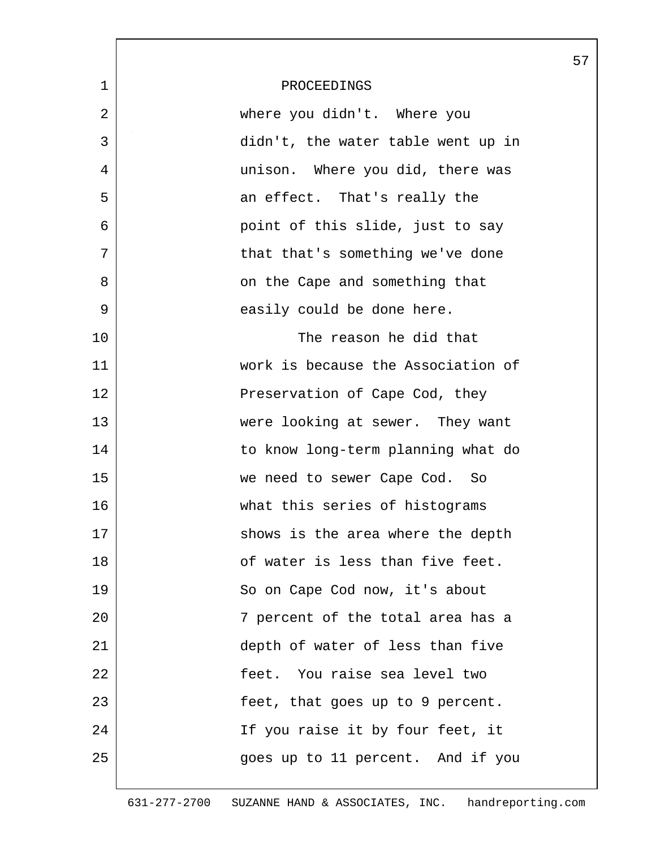|             |                                    | 57 |
|-------------|------------------------------------|----|
| $\mathbf 1$ | PROCEEDINGS                        |    |
| 2           | where you didn't. Where you        |    |
| 3           | didn't, the water table went up in |    |
| 4           | unison. Where you did, there was   |    |
| 5           | an effect. That's really the       |    |
| 6           | point of this slide, just to say   |    |
| 7           | that that's something we've done   |    |
| 8           | on the Cape and something that     |    |
| 9           | easily could be done here.         |    |
| 10          | The reason he did that             |    |
| 11          | work is because the Association of |    |
| 12          | Preservation of Cape Cod, they     |    |
| 13          | were looking at sewer. They want   |    |
| 14          | to know long-term planning what do |    |
| 15          | we need to sewer Cape Cod. So      |    |
| 16          | what this series of histograms     |    |
| 17          | shows is the area where the depth  |    |
| 18          | of water is less than five feet.   |    |
| 19          | So on Cape Cod now, it's about     |    |
| 20          | 7 percent of the total area has a  |    |
| 21          | depth of water of less than five   |    |
| 22          | feet. You raise sea level two      |    |
| 23          | feet, that goes up to 9 percent.   |    |
| 24          | If you raise it by four feet, it   |    |
| 25          | goes up to 11 percent. And if you  |    |
|             |                                    |    |

L

631-277-2700 SUZANNE HAND & ASSOCIATES, INC. handreporting.com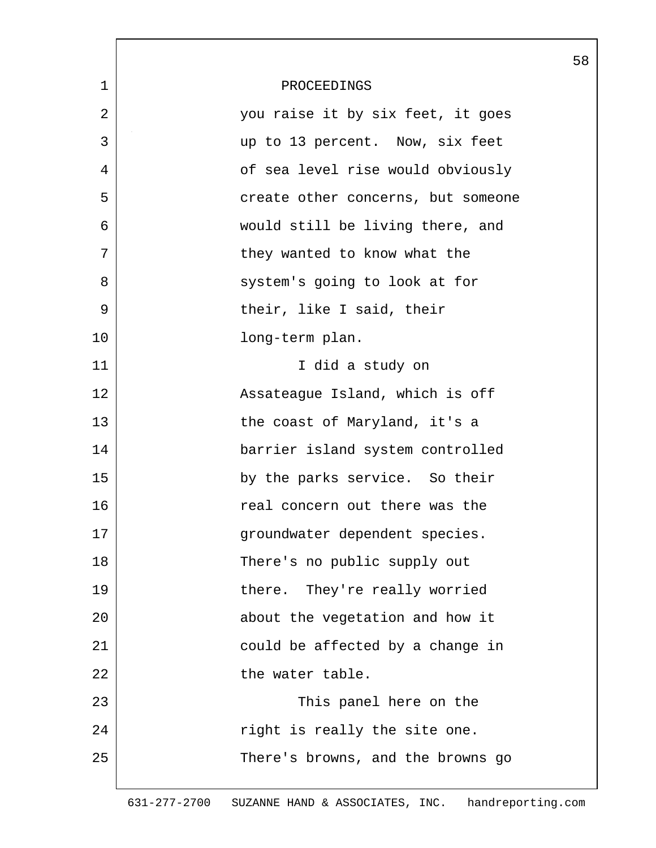|                |                                    | 58 |
|----------------|------------------------------------|----|
| $\mathbf 1$    | PROCEEDINGS                        |    |
| $\overline{2}$ | you raise it by six feet, it goes  |    |
| 3              | up to 13 percent. Now, six feet    |    |
| 4              | of sea level rise would obviously  |    |
| 5              | create other concerns, but someone |    |
| 6              | would still be living there, and   |    |
| 7              | they wanted to know what the       |    |
| 8              | system's going to look at for      |    |
| 9              | their, like I said, their          |    |
| 10             | long-term plan.                    |    |
| 11             | I did a study on                   |    |
| 12             | Assateague Island, which is off    |    |
| 13             | the coast of Maryland, it's a      |    |
| 14             | barrier island system controlled   |    |
| 15             | by the parks service. So their     |    |
| 16             | real concern out there was the     |    |
| 17             | groundwater dependent species.     |    |
| 18             | There's no public supply out       |    |
| 19             | there. They're really worried      |    |
| 20             | about the vegetation and how it    |    |
| 21             | could be affected by a change in   |    |
| 22             | the water table.                   |    |
| 23             | This panel here on the             |    |
| 24             | right is really the site one.      |    |
| 25             | There's browns, and the browns go  |    |
|                |                                    |    |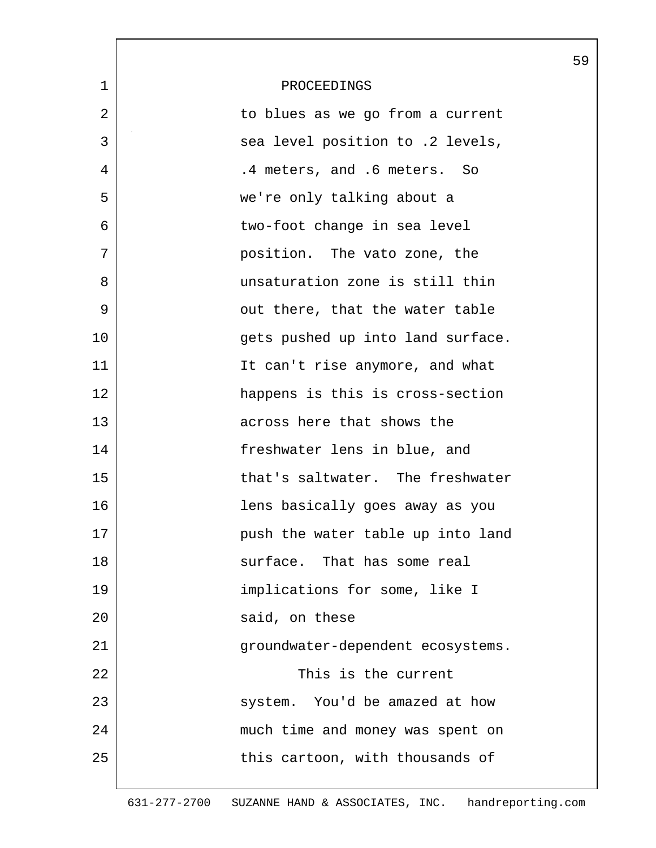|    |                                   | 59 |
|----|-----------------------------------|----|
| 1  | PROCEEDINGS                       |    |
| 2  | to blues as we go from a current  |    |
| 3  | sea level position to .2 levels,  |    |
| 4  | .4 meters, and .6 meters. So      |    |
| 5  | we're only talking about a        |    |
| 6  | two-foot change in sea level      |    |
| 7  | position. The vato zone, the      |    |
| 8  | unsaturation zone is still thin   |    |
| 9  | out there, that the water table   |    |
| 10 | gets pushed up into land surface. |    |
| 11 | It can't rise anymore, and what   |    |
| 12 | happens is this is cross-section  |    |
| 13 | across here that shows the        |    |
| 14 | freshwater lens in blue, and      |    |
| 15 | that's saltwater. The freshwater  |    |
| 16 | lens basically goes away as you   |    |
| 17 | push the water table up into land |    |
| 18 | surface. That has some real       |    |
| 19 | implications for some, like I     |    |
| 20 | said, on these                    |    |
| 21 | groundwater-dependent ecosystems. |    |
| 22 | This is the current               |    |
| 23 | system. You'd be amazed at how    |    |
| 24 | much time and money was spent on  |    |
| 25 | this cartoon, with thousands of   |    |
|    |                                   |    |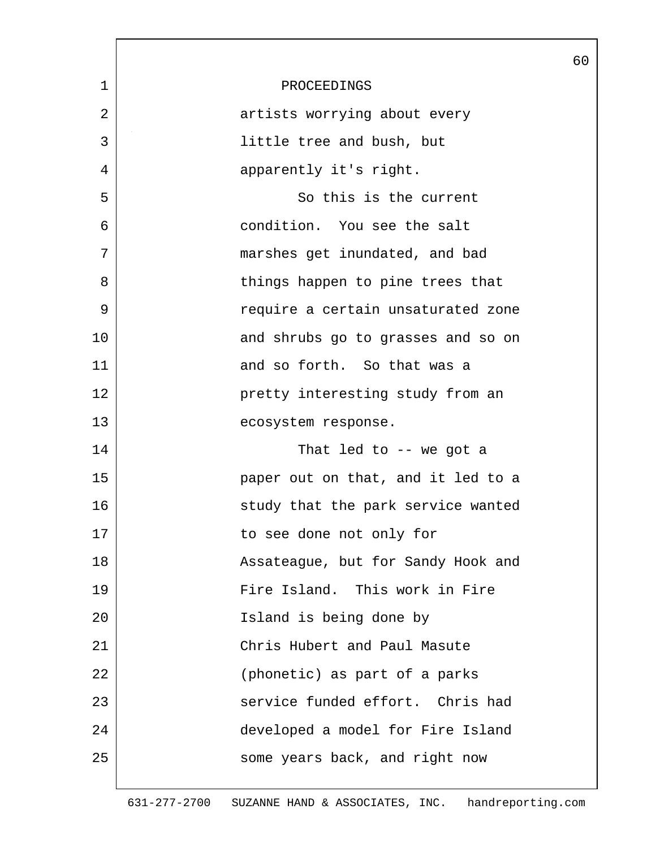|                |                                    | 60 |
|----------------|------------------------------------|----|
| $\mathbf 1$    | PROCEEDINGS                        |    |
| $\overline{2}$ | artists worrying about every       |    |
| 3              | little tree and bush, but          |    |
| 4              | apparently it's right.             |    |
| 5              | So this is the current             |    |
| 6              | condition. You see the salt        |    |
| 7              | marshes get inundated, and bad     |    |
| 8              | things happen to pine trees that   |    |
| 9              | require a certain unsaturated zone |    |
| 10             | and shrubs go to grasses and so on |    |
| 11             | and so forth. So that was a        |    |
| 12             | pretty interesting study from an   |    |
| 13             | ecosystem response.                |    |
| 14             | That led to $-$ we got a           |    |
| 15             | paper out on that, and it led to a |    |
| 16             | study that the park service wanted |    |
| 17             | to see done not only for           |    |
| 18             | Assateague, but for Sandy Hook and |    |
| 19             | Fire Island. This work in Fire     |    |
| 20             | Island is being done by            |    |
| 21             | Chris Hubert and Paul Masute       |    |
| 22             | (phonetic) as part of a parks      |    |
| 23             | service funded effort. Chris had   |    |
| 24             | developed a model for Fire Island  |    |
| 25             | some years back, and right now     |    |
|                |                                    |    |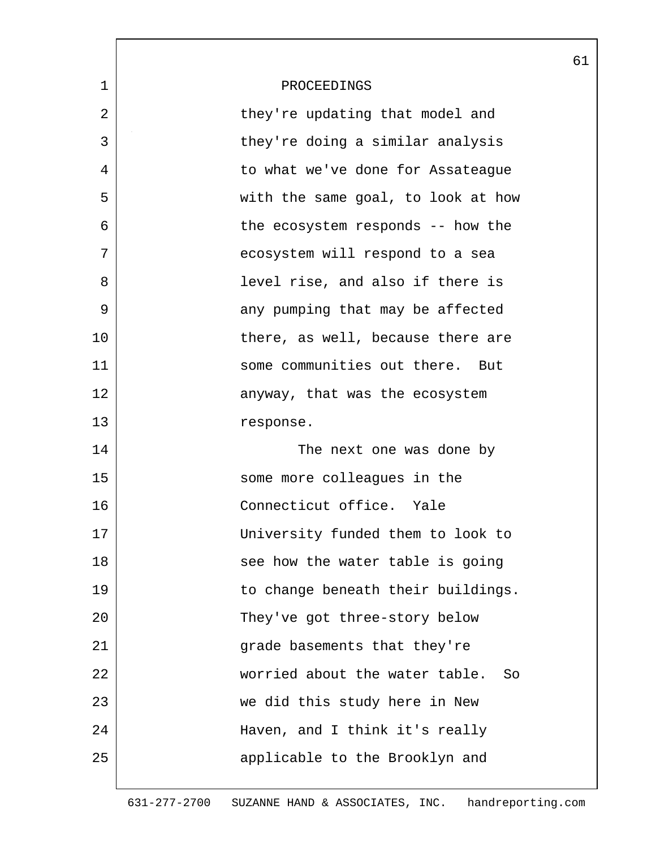|             |                                      | 61 |
|-------------|--------------------------------------|----|
| $\mathbf 1$ | PROCEEDINGS                          |    |
| 2           | they're updating that model and      |    |
| 3           | they're doing a similar analysis     |    |
| 4           | to what we've done for Assateaque    |    |
| 5           | with the same goal, to look at how   |    |
| 6           | the ecosystem responds -- how the    |    |
| 7           | ecosystem will respond to a sea      |    |
| 8           | level rise, and also if there is     |    |
| 9           | any pumping that may be affected     |    |
| 10          | there, as well, because there are    |    |
| 11          | some communities out there. But      |    |
| 12          | anyway, that was the ecosystem       |    |
| 13          | response.                            |    |
| 14          | The next one was done by             |    |
| 15          | some more colleagues in the          |    |
| 16          | Connecticut office. Yale             |    |
| 17          | University funded them to look to    |    |
| 18          | see how the water table is going     |    |
| 19          | to change beneath their buildings.   |    |
| 20          | They've got three-story below        |    |
| 21          | grade basements that they're         |    |
| 22          | worried about the water table.<br>So |    |
| 23          | we did this study here in New        |    |
| 24          | Haven, and I think it's really       |    |
| 25          | applicable to the Brooklyn and       |    |
|             |                                      |    |

 $\overline{\phantom{a}}$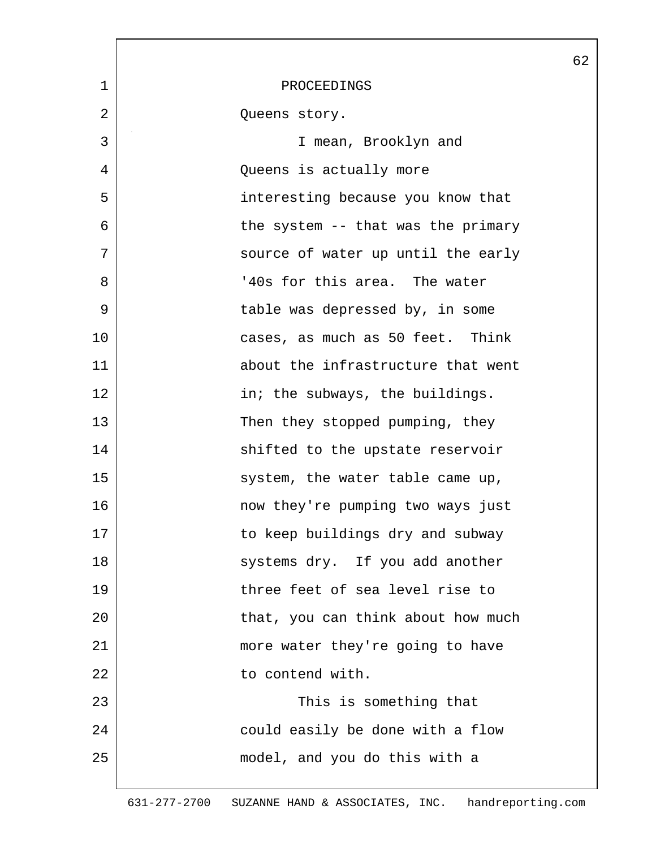|             |                                    | 62 |
|-------------|------------------------------------|----|
| $\mathbf 1$ | PROCEEDINGS                        |    |
| 2           | Queens story.                      |    |
| 3           | I mean, Brooklyn and               |    |
| 4           | Queens is actually more            |    |
| 5           | interesting because you know that  |    |
| 6           | the system -- that was the primary |    |
| 7           | source of water up until the early |    |
| 8           | '40s for this area. The water      |    |
| 9           | table was depressed by, in some    |    |
| 10          | cases, as much as 50 feet. Think   |    |
| 11          | about the infrastructure that went |    |
| 12          | in; the subways, the buildings.    |    |
| 13          | Then they stopped pumping, they    |    |
| 14          | shifted to the upstate reservoir   |    |
| 15          | system, the water table came up,   |    |
| 16          | now they're pumping two ways just  |    |
| 17          | to keep buildings dry and subway   |    |
| 18          | systems dry. If you add another    |    |
| 19          | three feet of sea level rise to    |    |
| 20          | that, you can think about how much |    |
| 21          | more water they're going to have   |    |
| 22          | to contend with.                   |    |
| 23          | This is something that             |    |
| 24          | could easily be done with a flow   |    |
| 25          | model, and you do this with a      |    |
|             |                                    |    |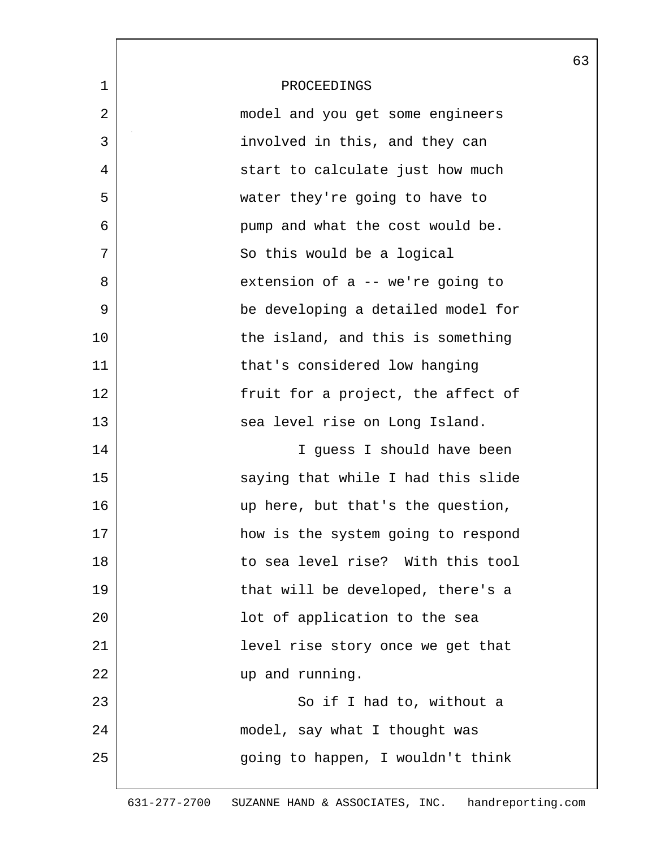|                |                                    | 63 |
|----------------|------------------------------------|----|
| $\mathbf 1$    | PROCEEDINGS                        |    |
| $\overline{2}$ | model and you get some engineers   |    |
| 3              | involved in this, and they can     |    |
| 4              | start to calculate just how much   |    |
| 5              | water they're going to have to     |    |
| 6              | pump and what the cost would be.   |    |
| 7              | So this would be a logical         |    |
| 8              | extension of a -- we're going to   |    |
| 9              | be developing a detailed model for |    |
| 10             | the island, and this is something  |    |
| 11             | that's considered low hanging      |    |
| 12             | fruit for a project, the affect of |    |
| 13             | sea level rise on Long Island.     |    |
| 14             | I guess I should have been         |    |
| 15             | saying that while I had this slide |    |
| 16             | up here, but that's the question,  |    |
| 17             | how is the system going to respond |    |
| 18             | to sea level rise? With this tool  |    |
| 19             | that will be developed, there's a  |    |
| 20             | lot of application to the sea      |    |
| 21             | level rise story once we get that  |    |
| 22             | up and running.                    |    |
| 23             | So if I had to, without a          |    |
| 24             | model, say what I thought was      |    |
| 25             | going to happen, I wouldn't think  |    |
|                |                                    |    |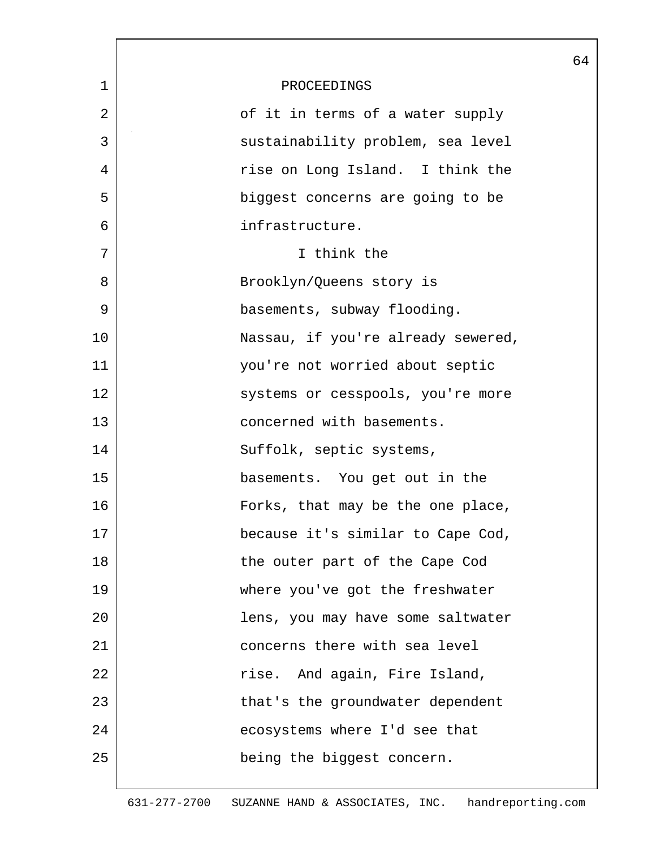|             |                                    | 64 |
|-------------|------------------------------------|----|
| $\mathbf 1$ | PROCEEDINGS                        |    |
| 2           | of it in terms of a water supply   |    |
| 3           | sustainability problem, sea level  |    |
| 4           | rise on Long Island. I think the   |    |
| 5           | biggest concerns are going to be   |    |
| 6           | infrastructure.                    |    |
| 7           | I think the                        |    |
| 8           | Brooklyn/Queens story is           |    |
| 9           | basements, subway flooding.        |    |
| 10          | Nassau, if you're already sewered, |    |
| 11          | you're not worried about septic    |    |
| 12          | systems or cesspools, you're more  |    |
| 13          | concerned with basements.          |    |
| 14          | Suffolk, septic systems,           |    |
| 15          | basements. You get out in the      |    |
| 16          | Forks, that may be the one place,  |    |
| 17          | because it's similar to Cape Cod,  |    |
| 18          | the outer part of the Cape Cod     |    |
| 19          | where you've got the freshwater    |    |
| 20          | lens, you may have some saltwater  |    |
| 21          | concerns there with sea level      |    |
| 22          | rise. And again, Fire Island,      |    |
| 23          | that's the groundwater dependent   |    |
| 24          | ecosystems where I'd see that      |    |
| 25          | being the biggest concern.         |    |
|             |                                    |    |

ı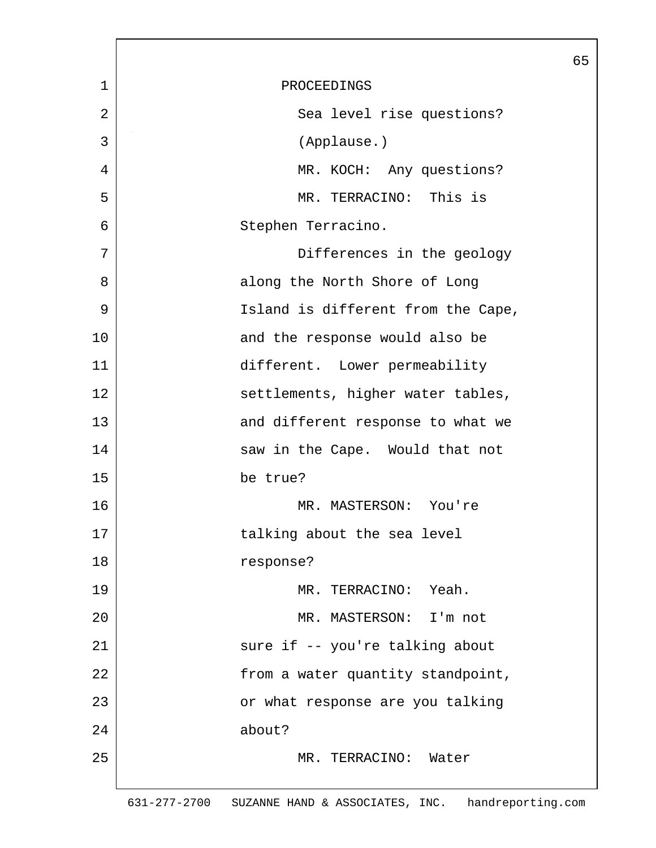|                |                                    | 65 |
|----------------|------------------------------------|----|
| $\mathbf 1$    | PROCEEDINGS                        |    |
| $\overline{2}$ | Sea level rise questions?          |    |
| 3              | (Applause.)                        |    |
| 4              | MR. KOCH: Any questions?           |    |
| 5              | MR. TERRACINO: This is             |    |
| 6              | Stephen Terracino.                 |    |
| 7              | Differences in the geology         |    |
| 8              | along the North Shore of Long      |    |
| 9              | Island is different from the Cape, |    |
| 10             | and the response would also be     |    |
| 11             | different. Lower permeability      |    |
| 12             | settlements, higher water tables,  |    |
| 13             | and different response to what we  |    |
| 14             | saw in the Cape. Would that not    |    |
| 15             | be true?                           |    |
| 16             | MR. MASTERSON: You're              |    |
| 17             | talking about the sea level        |    |
| 18             | response?                          |    |
| 19             | MR. TERRACINO: Yeah.               |    |
| 20             | MR. MASTERSON: I'm not             |    |
| 21             | sure if -- you're talking about    |    |
| 22             | from a water quantity standpoint,  |    |
| 23             | or what response are you talking   |    |
| 24             | about?                             |    |
| 25             | MR. TERRACINO:<br>Water            |    |
|                |                                    |    |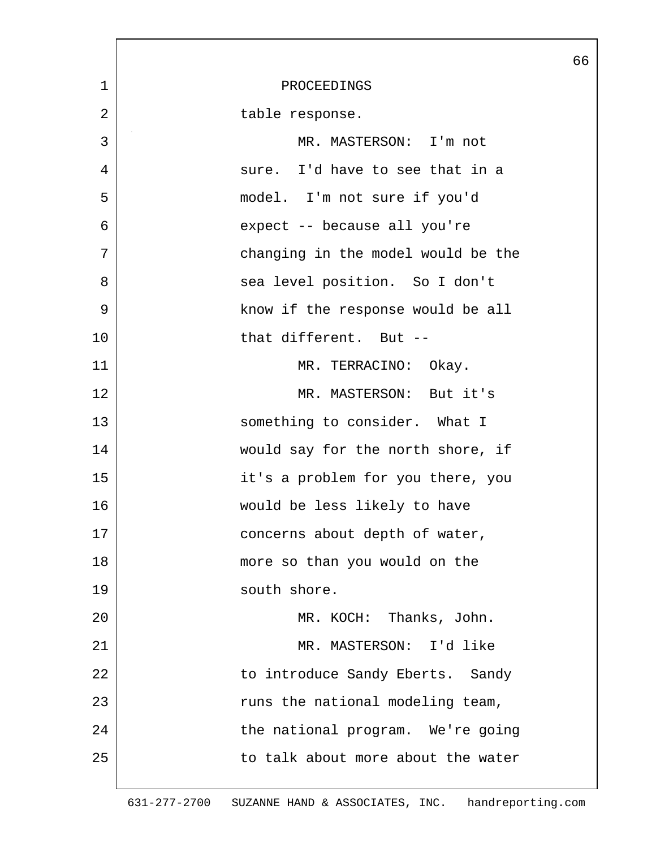|             |                                    | 66 |
|-------------|------------------------------------|----|
| $\mathbf 1$ | PROCEEDINGS                        |    |
| 2           | table response.                    |    |
| 3           | MR. MASTERSON: I'm not             |    |
| 4           | sure. I'd have to see that in a    |    |
| 5           | model. I'm not sure if you'd       |    |
| 6           | expect -- because all you're       |    |
| 7           | changing in the model would be the |    |
| 8           | sea level position. So I don't     |    |
| 9           | know if the response would be all  |    |
| 10          | that different. But --             |    |
| 11          | MR. TERRACINO: Okay.               |    |
| 12          | MR. MASTERSON: But it's            |    |
| 13          | something to consider. What I      |    |
| 14          | would say for the north shore, if  |    |
| 15          | it's a problem for you there, you  |    |
| 16          | would be less likely to have       |    |
| 17          | concerns about depth of water,     |    |
| 18          | more so than you would on the      |    |
| 19          | south shore.                       |    |
| 20          | MR. KOCH: Thanks, John.            |    |
| 21          | MR. MASTERSON: I'd like            |    |
| 22          | to introduce Sandy Eberts. Sandy   |    |
| 23          | runs the national modeling team,   |    |
| 24          | the national program. We're going  |    |
| 25          | to talk about more about the water |    |
|             |                                    |    |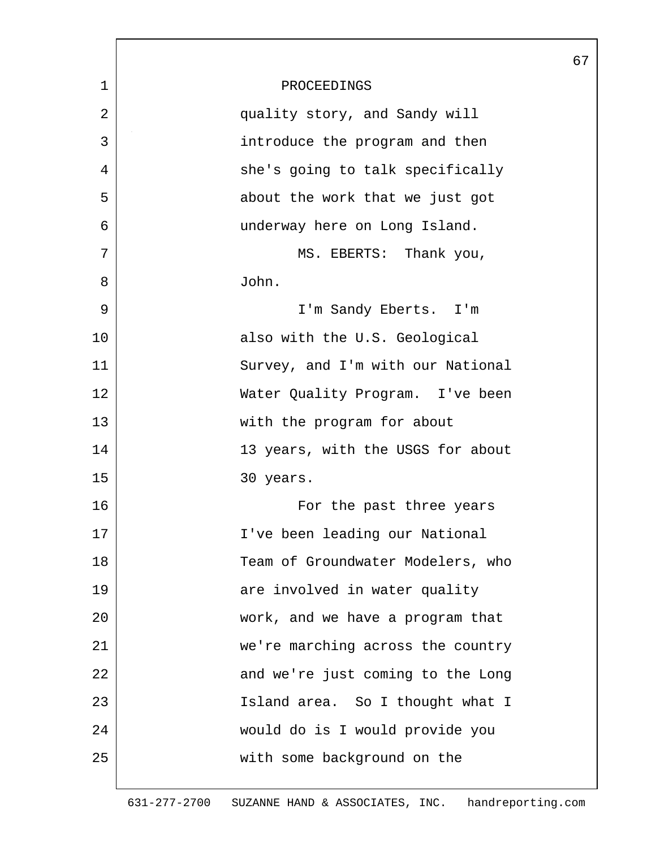|             |                                   | 67 |
|-------------|-----------------------------------|----|
| $\mathbf 1$ | PROCEEDINGS                       |    |
| 2           | quality story, and Sandy will     |    |
| 3           | introduce the program and then    |    |
| 4           | she's going to talk specifically  |    |
| 5           | about the work that we just got   |    |
| 6           | underway here on Long Island.     |    |
| 7           | MS. EBERTS: Thank you,            |    |
| 8           | John.                             |    |
| 9           | I'm Sandy Eberts. I'm             |    |
| 10          | also with the U.S. Geological     |    |
| 11          | Survey, and I'm with our National |    |
| 12          | Water Quality Program. I've been  |    |
| 13          | with the program for about        |    |
| 14          | 13 years, with the USGS for about |    |
| 15          | 30 years.                         |    |
| 16          | For the past three years          |    |
| 17          | I've been leading our National    |    |
| 18          | Team of Groundwater Modelers, who |    |
| 19          | are involved in water quality     |    |
| 20          | work, and we have a program that  |    |
| 21          | we're marching across the country |    |
| 22          | and we're just coming to the Long |    |
| 23          | Island area. So I thought what I  |    |
| 24          | would do is I would provide you   |    |
| 25          | with some background on the       |    |
|             |                                   |    |

L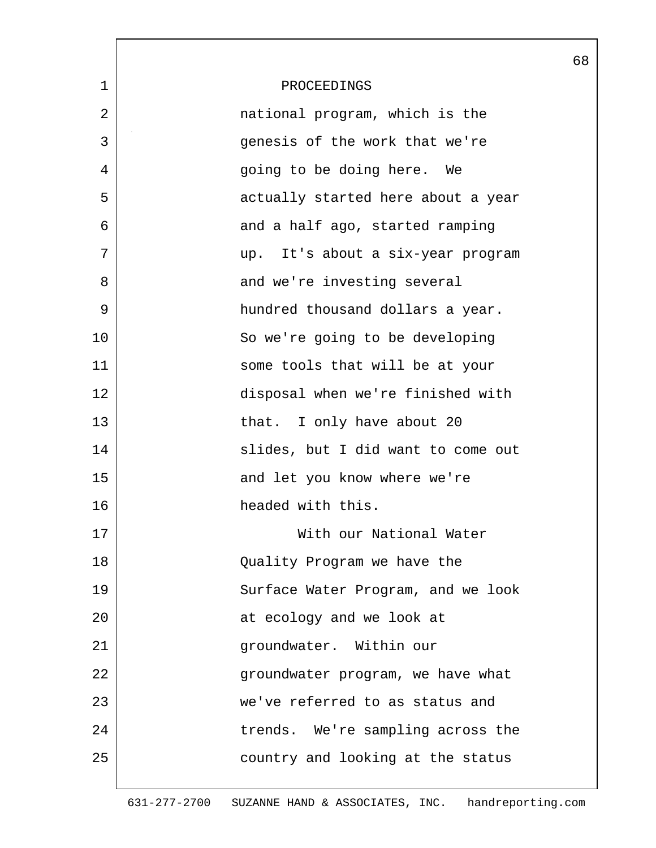|             |                                    | 68 |
|-------------|------------------------------------|----|
| $\mathbf 1$ | PROCEEDINGS                        |    |
| 2           | national program, which is the     |    |
| 3           | genesis of the work that we're     |    |
| 4           | going to be doing here. We         |    |
| 5           | actually started here about a year |    |
| 6           | and a half ago, started ramping    |    |
| 7           | up. It's about a six-year program  |    |
| 8           | and we're investing several        |    |
| 9           | hundred thousand dollars a year.   |    |
| 10          | So we're going to be developing    |    |
| 11          | some tools that will be at your    |    |
| 12          | disposal when we're finished with  |    |
| 13          | that. I only have about 20         |    |
| 14          | slides, but I did want to come out |    |
| 15          | and let you know where we're       |    |
| 16          | headed with this.                  |    |
| 17          | With our National Water            |    |
| 18          | Quality Program we have the        |    |
| 19          | Surface Water Program, and we look |    |
| 20          | at ecology and we look at          |    |
| 21          | groundwater. Within our            |    |
| 22          | groundwater program, we have what  |    |
| 23          | we've referred to as status and    |    |
| 24          | trends. We're sampling across the  |    |
| 25          | country and looking at the status  |    |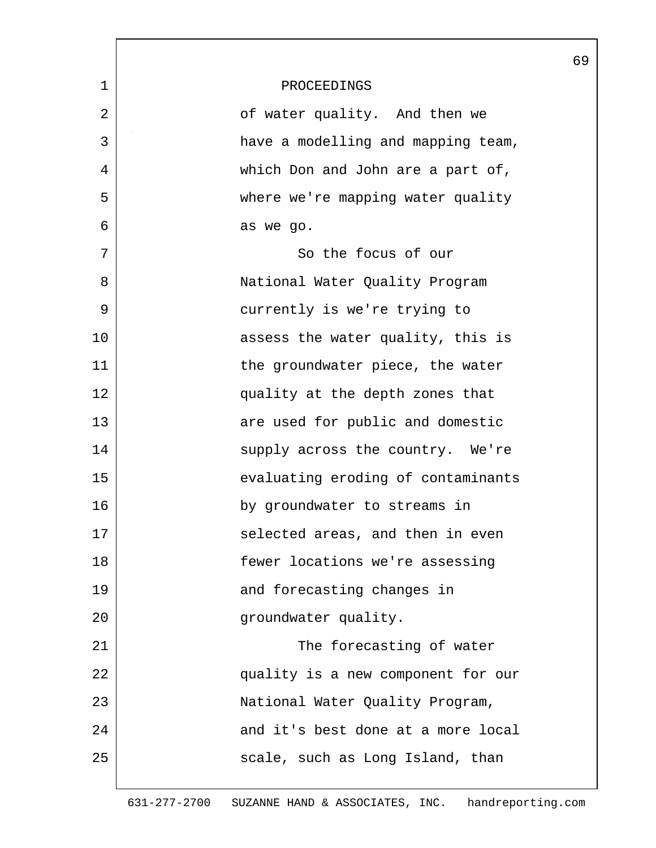|             |                                    | 69 |
|-------------|------------------------------------|----|
| $\mathbf 1$ | PROCEEDINGS                        |    |
| 2           | of water quality. And then we      |    |
| 3           | have a modelling and mapping team, |    |
| 4           | which Don and John are a part of,  |    |
| 5           | where we're mapping water quality  |    |
| 6           | as we go.                          |    |
| 7           | So the focus of our                |    |
| 8           | National Water Quality Program     |    |
| 9           | currently is we're trying to       |    |
| 10          | assess the water quality, this is  |    |
| 11          | the groundwater piece, the water   |    |
| 12          | quality at the depth zones that    |    |
| 13          | are used for public and domestic   |    |
| 14          | supply across the country. We're   |    |
| 15          | evaluating eroding of contaminants |    |
| 16          | by groundwater to streams in       |    |
| 17          | selected areas, and then in even   |    |
| 18          | fewer locations we're assessing    |    |
| 19          | and forecasting changes in         |    |
| 20          | groundwater quality.               |    |
| 21          | The forecasting of water           |    |
| 22          | quality is a new component for our |    |
| 23          | National Water Quality Program,    |    |
| 24          | and it's best done at a more local |    |
| 25          | scale, such as Long Island, than   |    |
|             |                                    |    |

 $\mathsf{l}$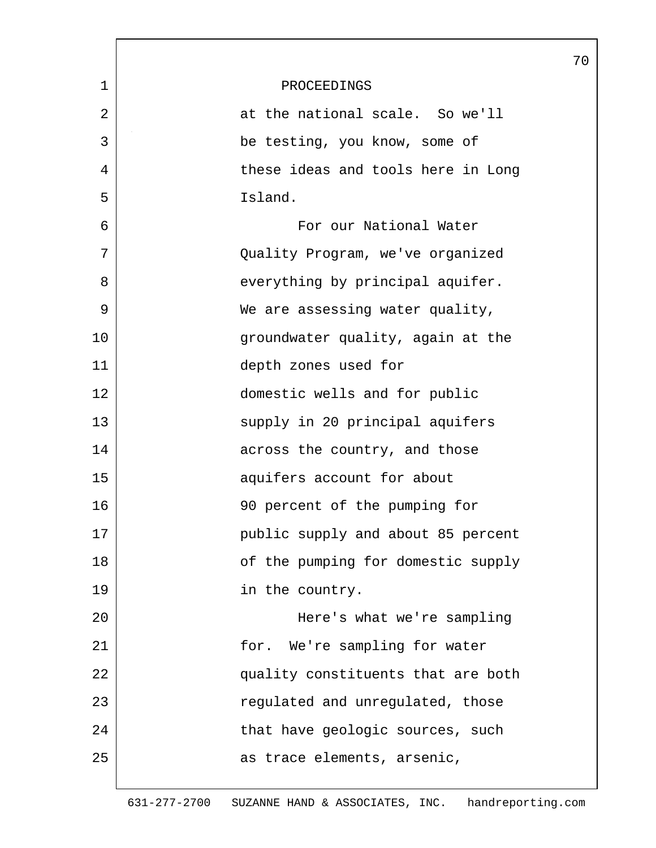|             | 70                                 |
|-------------|------------------------------------|
| $\mathbf 1$ | PROCEEDINGS                        |
| 2           | at the national scale. So we'll    |
| 3           | be testing, you know, some of      |
| 4           | these ideas and tools here in Long |
| 5           | Island.                            |
| 6           | For our National Water             |
| 7           | Quality Program, we've organized   |
| 8           | everything by principal aquifer.   |
| 9           | We are assessing water quality,    |
| 10          | groundwater quality, again at the  |
| 11          | depth zones used for               |
| 12          | domestic wells and for public      |
| 13          | supply in 20 principal aquifers    |
| 14          | across the country, and those      |
| 15          | aquifers account for about         |
| 16          | 90 percent of the pumping for      |
| 17          | public supply and about 85 percent |
| 18          | of the pumping for domestic supply |
| 19          | in the country.                    |
| 20          | Here's what we're sampling         |
| 21          | for. We're sampling for water      |
| 22          | quality constituents that are both |
| 23          | regulated and unregulated, those   |
| 24          | that have geologic sources, such   |
| 25          | as trace elements, arsenic,        |
|             |                                    |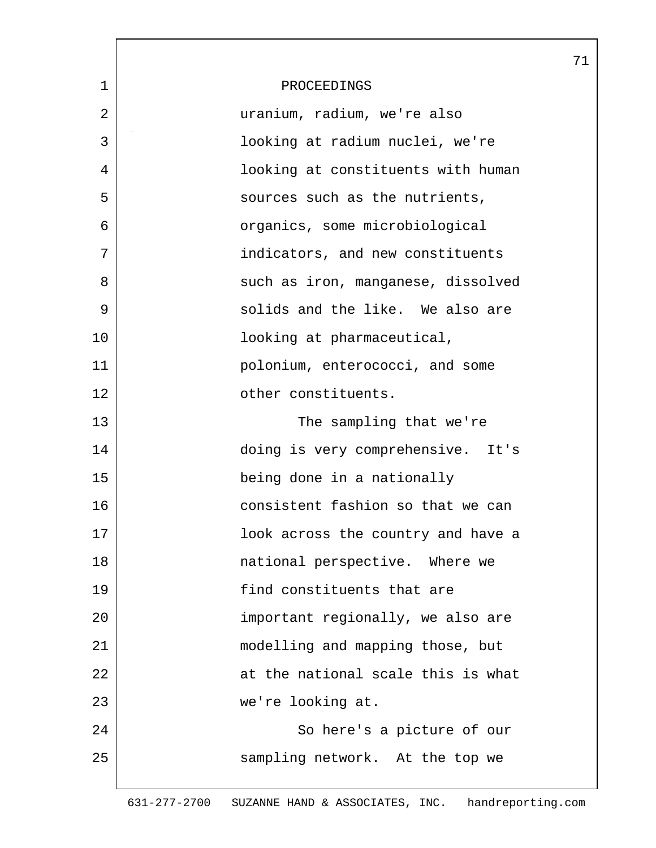|              |                                    | 71 |
|--------------|------------------------------------|----|
| $\mathbf{1}$ | PROCEEDINGS                        |    |
| 2            | uranium, radium, we're also        |    |
| 3            | looking at radium nuclei, we're    |    |
| 4            | looking at constituents with human |    |
| 5            | sources such as the nutrients,     |    |
| 6            | organics, some microbiological     |    |
| 7            | indicators, and new constituents   |    |
| 8            | such as iron, manganese, dissolved |    |
| 9            | solids and the like. We also are   |    |
| 10           | looking at pharmaceutical,         |    |
| 11           | polonium, enterococci, and some    |    |
| 12           | other constituents.                |    |
| 13           | The sampling that we're            |    |
| 14           | doing is very comprehensive. It's  |    |
| 15           | being done in a nationally         |    |
| 16           | consistent fashion so that we can  |    |
| 17           | look across the country and have a |    |
| 18           | national perspective. Where we     |    |
| 19           | find constituents that are         |    |
| 20           | important regionally, we also are  |    |
| 21           | modelling and mapping those, but   |    |
| 22           | at the national scale this is what |    |
| 23           | we're looking at.                  |    |
| 24           | So here's a picture of our         |    |
| 25           | sampling network. At the top we    |    |
|              |                                    |    |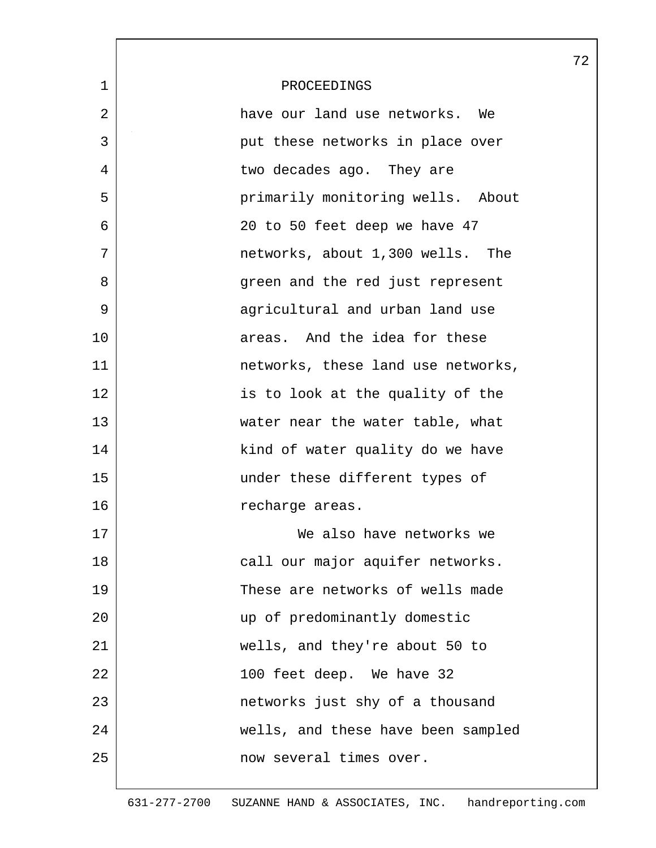|    |                                    | 7 |
|----|------------------------------------|---|
| 1  | PROCEEDINGS                        |   |
| 2  | have our land use networks. We     |   |
| 3  | put these networks in place over   |   |
| 4  | two decades ago. They are          |   |
| 5  | primarily monitoring wells. About  |   |
| 6  | 20 to 50 feet deep we have 47      |   |
| 7  | networks, about 1,300 wells. The   |   |
| 8  | green and the red just represent   |   |
| 9  | agricultural and urban land use    |   |
| 10 | areas. And the idea for these      |   |
| 11 | networks, these land use networks, |   |
| 12 | is to look at the quality of the   |   |
| 13 | water near the water table, what   |   |
| 14 | kind of water quality do we have   |   |
| 15 | under these different types of     |   |
| 16 | recharge areas.                    |   |
| 17 | We also have networks we           |   |
| 18 | call our major aquifer networks.   |   |
| 19 | These are networks of wells made   |   |
| 20 | up of predominantly domestic       |   |
| 21 | wells, and they're about 50 to     |   |
| 22 | 100 feet deep. We have 32          |   |
| 23 | networks just shy of a thousand    |   |
| 24 | wells, and these have been sampled |   |
| 25 | now several times over.            |   |
|    |                                    |   |

L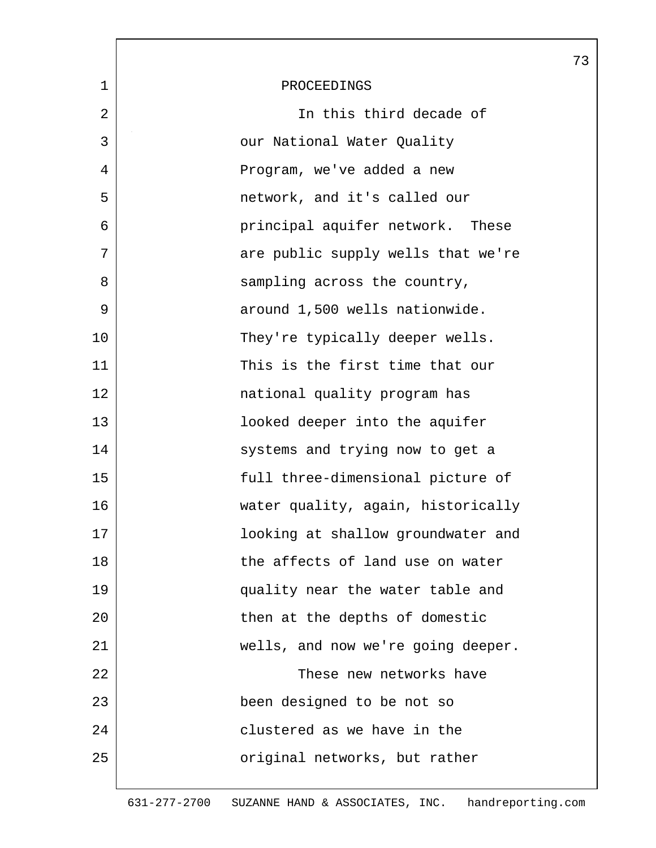|             |                                    | 73 |
|-------------|------------------------------------|----|
| $\mathbf 1$ | PROCEEDINGS                        |    |
| 2           | In this third decade of            |    |
| 3           | our National Water Quality         |    |
| 4           | Program, we've added a new         |    |
| 5           | network, and it's called our       |    |
| 6           | principal aquifer network. These   |    |
| 7           | are public supply wells that we're |    |
| 8           | sampling across the country,       |    |
| 9           | around 1,500 wells nationwide.     |    |
| 10          | They're typically deeper wells.    |    |
| 11          | This is the first time that our    |    |
| 12          | national quality program has       |    |
| 13          | looked deeper into the aquifer     |    |
| 14          | systems and trying now to get a    |    |
| 15          | full three-dimensional picture of  |    |
| 16          | water quality, again, historically |    |
| 17          | looking at shallow groundwater and |    |
| 18          | the affects of land use on water   |    |
| 19          | quality near the water table and   |    |
| 20          | then at the depths of domestic     |    |
| 21          | wells, and now we're going deeper. |    |
| 22          | These new networks have            |    |
| 23          | been designed to be not so         |    |
| 24          | clustered as we have in the        |    |
| 25          | original networks, but rather      |    |
|             |                                    |    |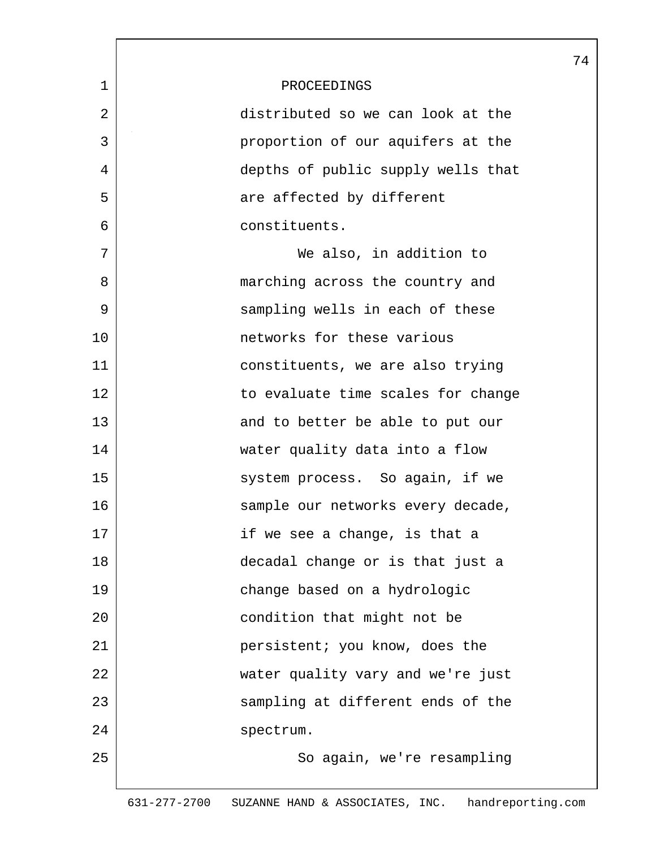|    |                                    | 74 |
|----|------------------------------------|----|
| 1  | PROCEEDINGS                        |    |
| 2  | distributed so we can look at the  |    |
| 3  | proportion of our aquifers at the  |    |
| 4  | depths of public supply wells that |    |
| 5  | are affected by different          |    |
| 6  | constituents.                      |    |
| 7  | We also, in addition to            |    |
| 8  | marching across the country and    |    |
| 9  | sampling wells in each of these    |    |
| 10 | networks for these various         |    |
| 11 | constituents, we are also trying   |    |
| 12 | to evaluate time scales for change |    |
| 13 | and to better be able to put our   |    |
| 14 | water quality data into a flow     |    |
| 15 | system process. So again, if we    |    |
| 16 | sample our networks every decade,  |    |
| 17 | if we see a change, is that a      |    |
| 18 | decadal change or is that just a   |    |
| 19 | change based on a hydrologic       |    |
| 20 | condition that might not be        |    |
| 21 | persistent; you know, does the     |    |
| 22 | water quality vary and we're just  |    |
| 23 | sampling at different ends of the  |    |
| 24 | spectrum.                          |    |
| 25 | So again, we're resampling         |    |
|    |                                    |    |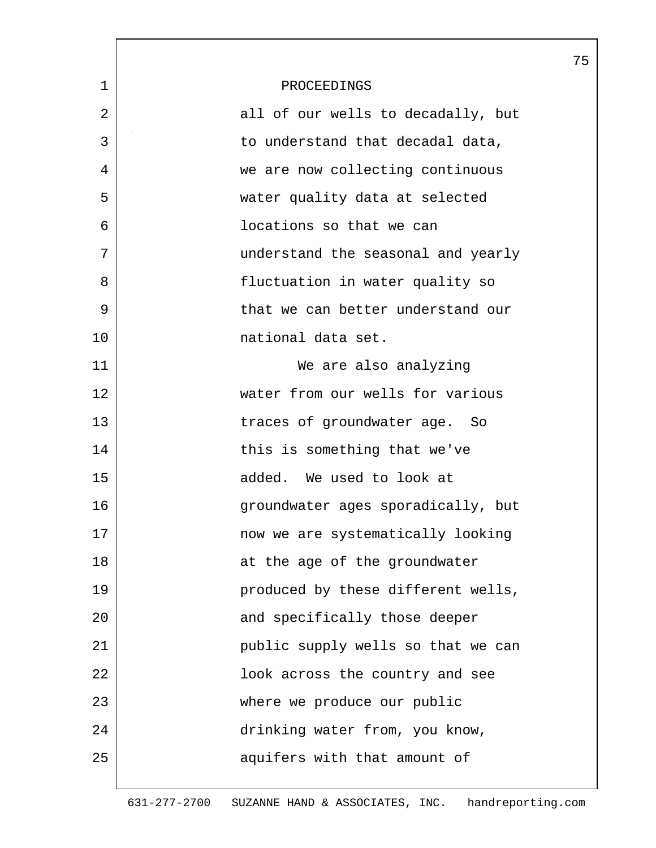|    |                                    | 75 |
|----|------------------------------------|----|
| 1  | PROCEEDINGS                        |    |
| 2  | all of our wells to decadally, but |    |
| 3  | to understand that decadal data,   |    |
| 4  | we are now collecting continuous   |    |
| 5  | water quality data at selected     |    |
| 6  | locations so that we can           |    |
| 7  | understand the seasonal and yearly |    |
| 8  | fluctuation in water quality so    |    |
| 9  | that we can better understand our  |    |
| 10 | national data set.                 |    |
| 11 | We are also analyzing              |    |
| 12 | water from our wells for various   |    |
| 13 | traces of groundwater age. So      |    |
| 14 | this is something that we've       |    |
| 15 | added. We used to look at          |    |
| 16 | groundwater ages sporadically, but |    |
| 17 | now we are systematically looking  |    |
| 18 | at the age of the groundwater      |    |
| 19 | produced by these different wells, |    |
| 20 | and specifically those deeper      |    |
| 21 | public supply wells so that we can |    |
| 22 | look across the country and see    |    |
| 23 | where we produce our public        |    |
| 24 | drinking water from, you know,     |    |
| 25 | aquifers with that amount of       |    |
|    |                                    |    |

 $\overline{\phantom{a}}$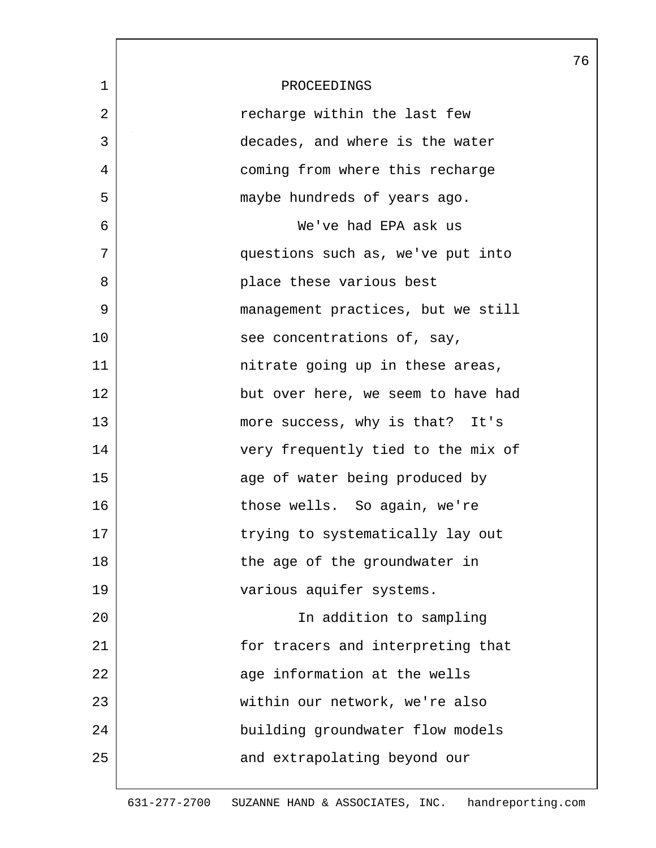|             |                                    | 76 |
|-------------|------------------------------------|----|
| $\mathbf 1$ | PROCEEDINGS                        |    |
| 2           | recharge within the last few       |    |
| 3           | decades, and where is the water    |    |
| 4           | coming from where this recharge    |    |
| 5           | maybe hundreds of years ago.       |    |
| 6           | We've had EPA ask us               |    |
| 7           | questions such as, we've put into  |    |
| 8           | place these various best           |    |
| 9           | management practices, but we still |    |
| 10          | see concentrations of, say,        |    |
| 11          | nitrate going up in these areas,   |    |
| 12          | but over here, we seem to have had |    |
| 13          | more success, why is that? It's    |    |
| 14          | very frequently tied to the mix of |    |
| 15          | age of water being produced by     |    |
| 16          | those wells. So again, we're       |    |
| 17          | trying to systematically lay out   |    |
| 18          | the age of the groundwater in      |    |
| 19          | various aquifer systems.           |    |
| 20          | In addition to sampling            |    |
| 21          | for tracers and interpreting that  |    |
| 22          | age information at the wells       |    |
| 23          | within our network, we're also     |    |
| 24          | building groundwater flow models   |    |
| 25          | and extrapolating beyond our       |    |
|             |                                    |    |

 $\mathsf{l}$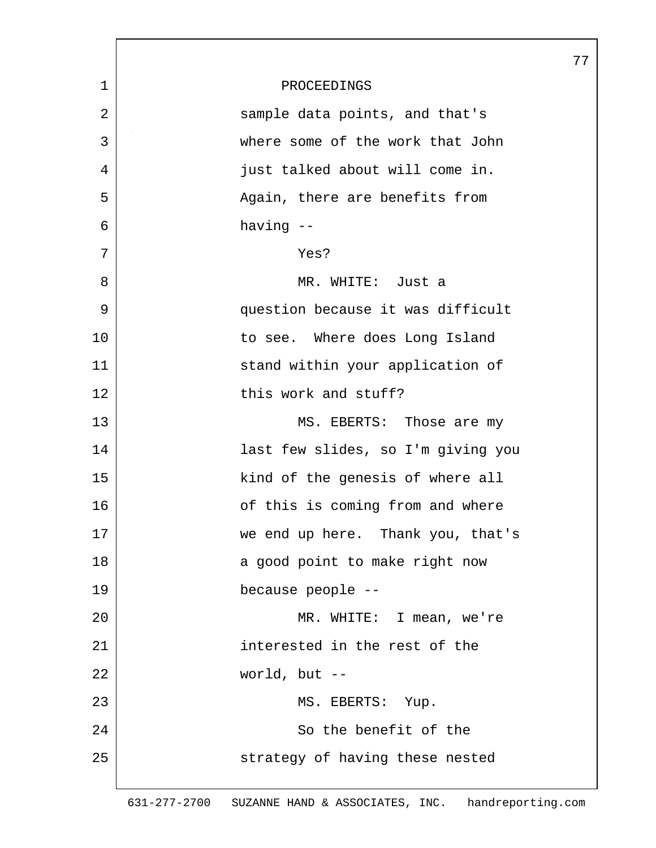|             |                                    | 77 |
|-------------|------------------------------------|----|
| $\mathbf 1$ | PROCEEDINGS                        |    |
| 2           | sample data points, and that's     |    |
| 3           | where some of the work that John   |    |
| 4           | just talked about will come in.    |    |
| 5           | Again, there are benefits from     |    |
| 6           | having --                          |    |
| 7           | Yes?                               |    |
| 8           | MR. WHITE: Just a                  |    |
| 9           | question because it was difficult  |    |
| 10          | to see. Where does Long Island     |    |
| 11          | stand within your application of   |    |
| 12          | this work and stuff?               |    |
| 13          | MS. EBERTS: Those are my           |    |
| 14          | last few slides, so I'm giving you |    |
| 15          | kind of the genesis of where all   |    |
| 16          | of this is coming from and where   |    |
| 17          | we end up here. Thank you, that's  |    |
| 18          | a good point to make right now     |    |
| 19          | because people --                  |    |
| 20          | MR. WHITE: I mean, we're           |    |
| 21          | interested in the rest of the      |    |
| 22          | world, but $--$                    |    |
| 23          | MS. EBERTS: Yup.                   |    |
| 24          | So the benefit of the              |    |
| 25          | strategy of having these nested    |    |
|             |                                    |    |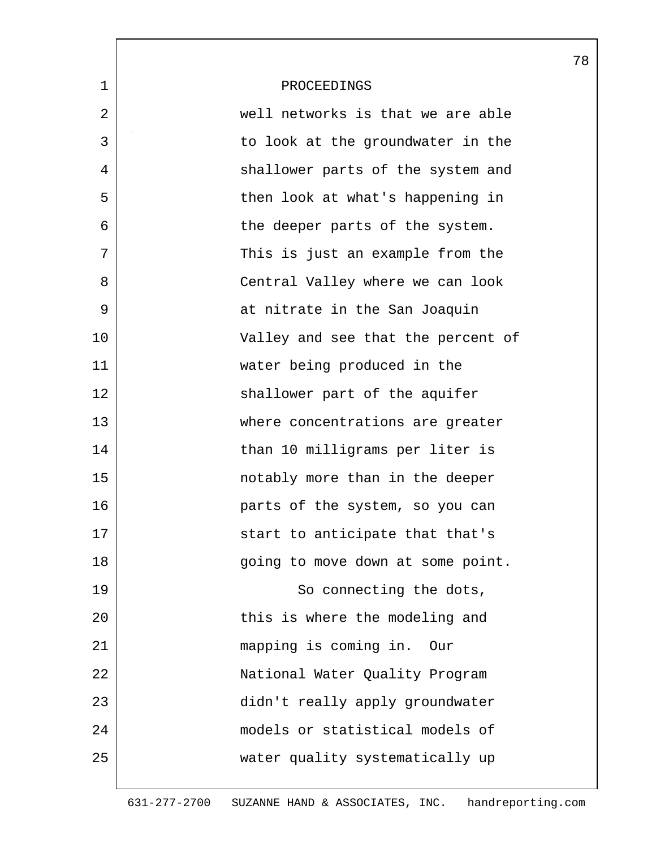|             |                                    | 78 |
|-------------|------------------------------------|----|
| $\mathbf 1$ | PROCEEDINGS                        |    |
| 2           | well networks is that we are able  |    |
| 3           | to look at the groundwater in the  |    |
| 4           | shallower parts of the system and  |    |
| 5           | then look at what's happening in   |    |
| 6           | the deeper parts of the system.    |    |
| 7           | This is just an example from the   |    |
| 8           | Central Valley where we can look   |    |
| 9           | at nitrate in the San Joaquin      |    |
| 10          | Valley and see that the percent of |    |
| 11          | water being produced in the        |    |
| 12          | shallower part of the aquifer      |    |
| 13          | where concentrations are greater   |    |
| 14          | than 10 milligrams per liter is    |    |
| 15          | notably more than in the deeper    |    |
| 16          | parts of the system, so you can    |    |
| 17          | start to anticipate that that's    |    |
| 18          | going to move down at some point.  |    |
| 19          | So connecting the dots,            |    |
| 20          | this is where the modeling and     |    |
| 21          | mapping is coming in. Our          |    |
| 22          | National Water Quality Program     |    |
| 23          | didn't really apply groundwater    |    |
| 24          | models or statistical models of    |    |
| 25          | water quality systematically up    |    |
|             |                                    |    |

 $\mathsf{l}$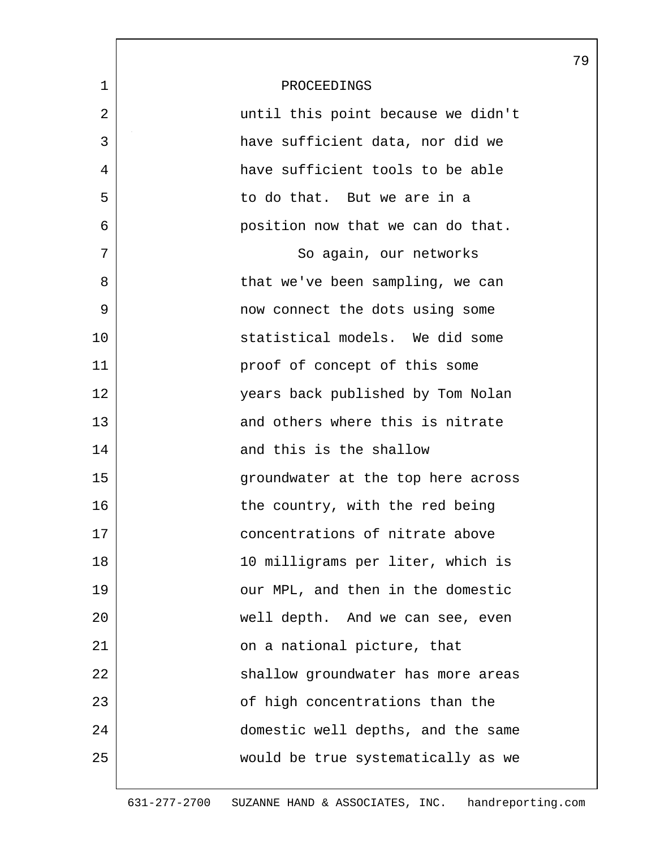|             |                                    | 79 |
|-------------|------------------------------------|----|
| $\mathbf 1$ | PROCEEDINGS                        |    |
| 2           | until this point because we didn't |    |
| 3           | have sufficient data, nor did we   |    |
| 4           | have sufficient tools to be able   |    |
| 5           | to do that. But we are in a        |    |
| 6           | position now that we can do that.  |    |
| 7           | So again, our networks             |    |
| 8           | that we've been sampling, we can   |    |
| 9           | now connect the dots using some    |    |
| 10          | statistical models. We did some    |    |
| 11          | proof of concept of this some      |    |
| 12          | years back published by Tom Nolan  |    |
| 13          | and others where this is nitrate   |    |
| 14          | and this is the shallow            |    |
| 15          | groundwater at the top here across |    |
| 16          | the country, with the red being    |    |
| 17          | concentrations of nitrate above    |    |
| 18          | 10 milligrams per liter, which is  |    |
| 19          | our MPL, and then in the domestic  |    |
| 20          | well depth. And we can see, even   |    |
| 21          | on a national picture, that        |    |
| 22          | shallow groundwater has more areas |    |
| 23          | of high concentrations than the    |    |
| 24          | domestic well depths, and the same |    |
| 25          | would be true systematically as we |    |
|             |                                    |    |

 $\mathbf l$ 

ı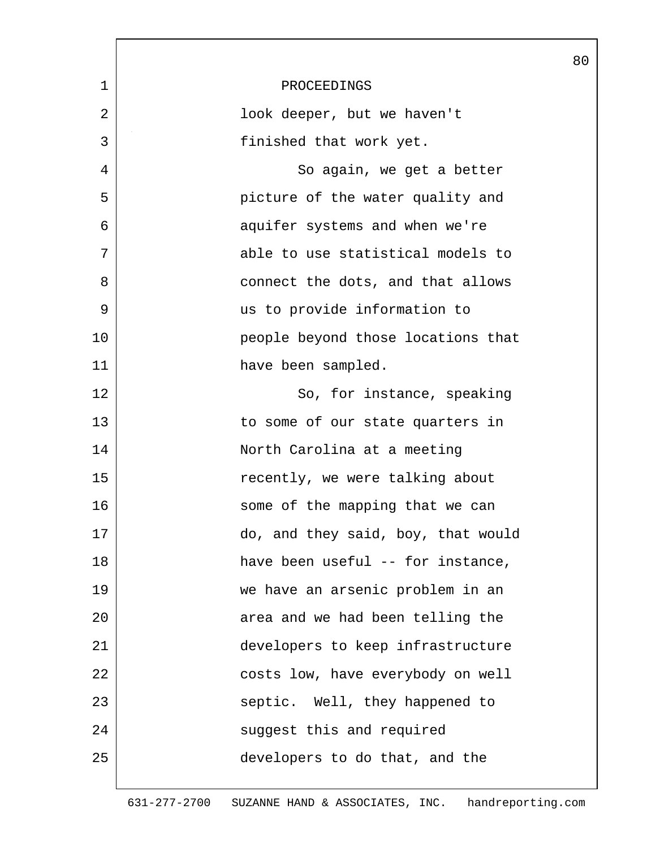|              |                                    | 80 |
|--------------|------------------------------------|----|
| $\mathbf{1}$ | PROCEEDINGS                        |    |
| 2            | look deeper, but we haven't        |    |
| 3            | finished that work yet.            |    |
| 4            | So again, we get a better          |    |
| 5            | picture of the water quality and   |    |
| 6            | aquifer systems and when we're     |    |
| 7            | able to use statistical models to  |    |
| 8            | connect the dots, and that allows  |    |
| 9            | us to provide information to       |    |
| 10           | people beyond those locations that |    |
| 11           | have been sampled.                 |    |
| 12           | So, for instance, speaking         |    |
| 13           | to some of our state quarters in   |    |
| 14           | North Carolina at a meeting        |    |
| 15           | recently, we were talking about    |    |
| 16           | some of the mapping that we can    |    |
| 17           | do, and they said, boy, that would |    |
| 18           | have been useful -- for instance,  |    |
| 19           | we have an arsenic problem in an   |    |
| 20           | area and we had been telling the   |    |
| 21           | developers to keep infrastructure  |    |
| 22           | costs low, have everybody on well  |    |
| 23           | septic. Well, they happened to     |    |
| 24           | suggest this and required          |    |
| 25           | developers to do that, and the     |    |
|              |                                    |    |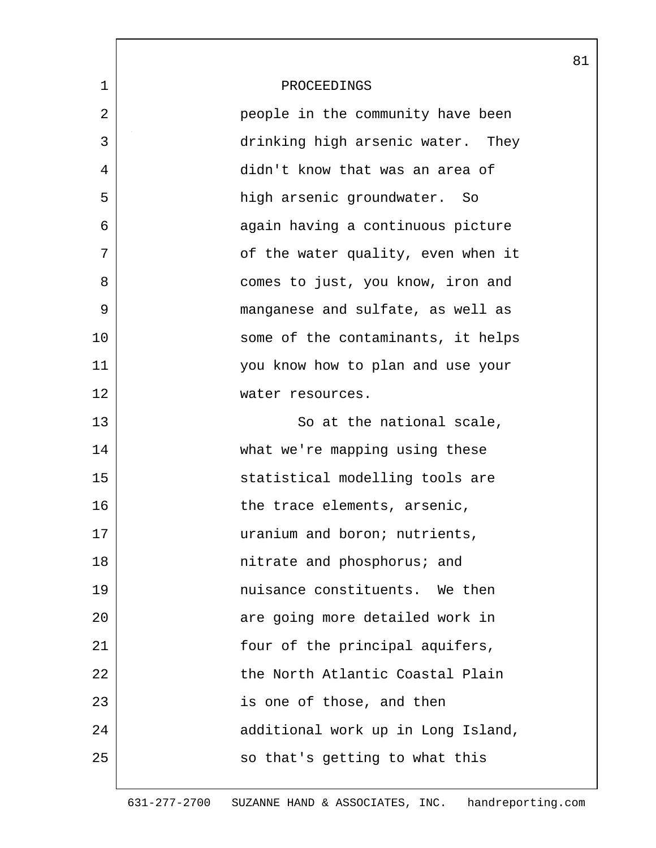|    |                                    | 81 |
|----|------------------------------------|----|
| 1  | PROCEEDINGS                        |    |
| 2  | people in the community have been  |    |
| 3  | drinking high arsenic water. They  |    |
| 4  | didn't know that was an area of    |    |
| 5  | high arsenic groundwater. So       |    |
| 6  | again having a continuous picture  |    |
| 7  | of the water quality, even when it |    |
| 8  | comes to just, you know, iron and  |    |
| 9  | manganese and sulfate, as well as  |    |
| 10 | some of the contaminants, it helps |    |
| 11 | you know how to plan and use your  |    |
| 12 | water resources.                   |    |
| 13 | So at the national scale,          |    |
| 14 | what we're mapping using these     |    |
| 15 | statistical modelling tools are    |    |
| 16 | the trace elements, arsenic,       |    |
| 17 | uranium and boron; nutrients,      |    |
| 18 | nitrate and phosphorus; and        |    |
| 19 | nuisance constituents. We then     |    |
| 20 | are going more detailed work in    |    |
| 21 | four of the principal aquifers,    |    |
| 22 | the North Atlantic Coastal Plain   |    |
| 23 | is one of those, and then          |    |
| 24 | additional work up in Long Island, |    |
| 25 | so that's getting to what this     |    |
|    |                                    |    |

ı

631-277-2700 SUZANNE HAND & ASSOCIATES, INC. handreporting.com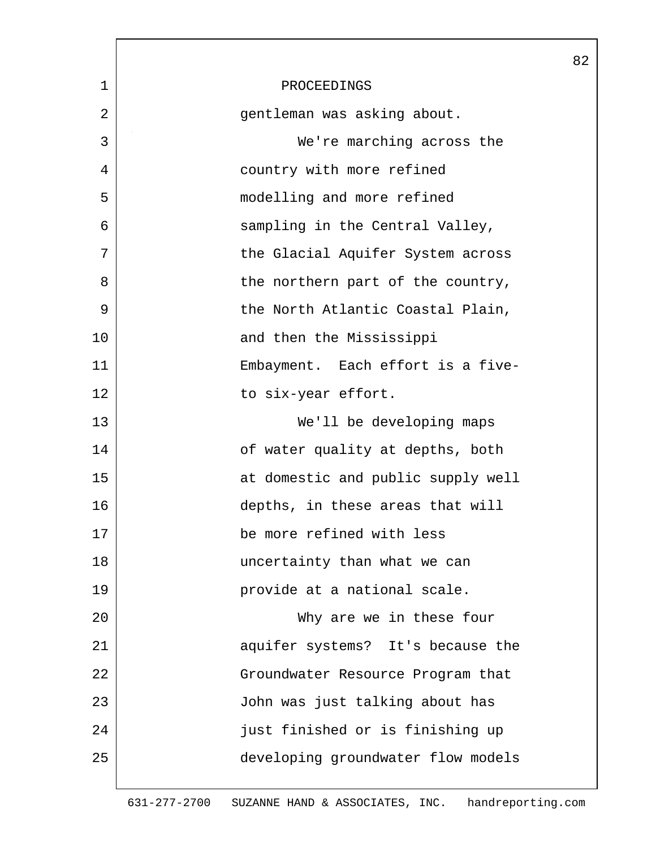|    |                                    | 82 |
|----|------------------------------------|----|
| 1  | PROCEEDINGS                        |    |
| 2  | gentleman was asking about.        |    |
| 3  | We're marching across the          |    |
| 4  | country with more refined          |    |
| 5  | modelling and more refined         |    |
| 6  | sampling in the Central Valley,    |    |
| 7  | the Glacial Aquifer System across  |    |
| 8  | the northern part of the country,  |    |
| 9  | the North Atlantic Coastal Plain,  |    |
| 10 | and then the Mississippi           |    |
| 11 | Embayment. Each effort is a five-  |    |
| 12 | to six-year effort.                |    |
| 13 | We'll be developing maps           |    |
| 14 | of water quality at depths, both   |    |
| 15 | at domestic and public supply well |    |
| 16 | depths, in these areas that will   |    |
| 17 | be more refined with less          |    |
| 18 | uncertainty than what we can       |    |
| 19 | provide at a national scale.       |    |
| 20 | Why are we in these four           |    |
| 21 | aquifer systems? It's because the  |    |
| 22 | Groundwater Resource Program that  |    |
| 23 | John was just talking about has    |    |
| 24 | just finished or is finishing up   |    |
| 25 | developing groundwater flow models |    |
|    |                                    |    |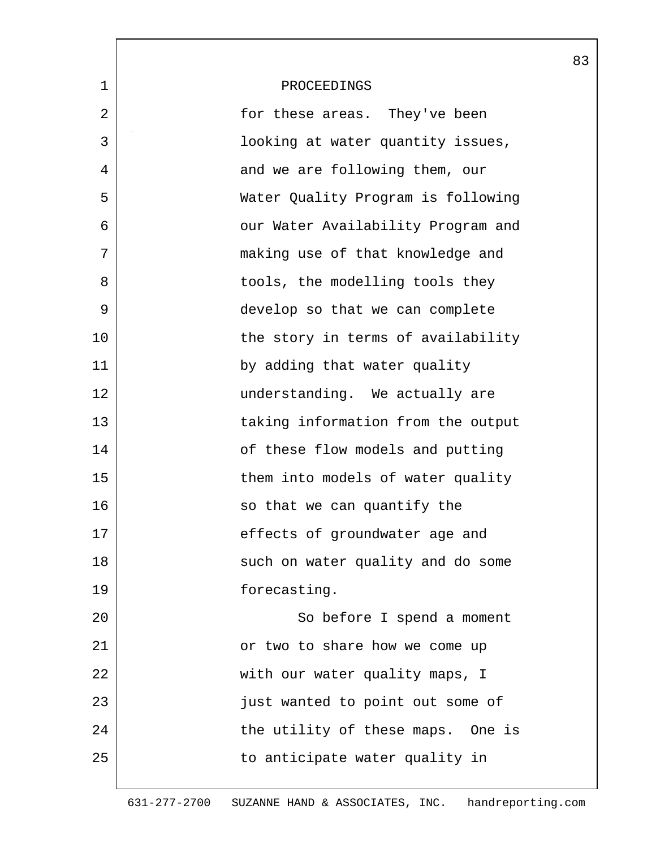|             |                                    | 83 |
|-------------|------------------------------------|----|
| $\mathbf 1$ | PROCEEDINGS                        |    |
| 2           | for these areas. They've been      |    |
| 3           | looking at water quantity issues,  |    |
| 4           | and we are following them, our     |    |
| 5           | Water Quality Program is following |    |
| 6           | our Water Availability Program and |    |
| 7           | making use of that knowledge and   |    |
| 8           | tools, the modelling tools they    |    |
| 9           | develop so that we can complete    |    |
| 10          | the story in terms of availability |    |
| 11          | by adding that water quality       |    |
| 12          | understanding. We actually are     |    |
| 13          | taking information from the output |    |
| 14          | of these flow models and putting   |    |
| 15          | them into models of water quality  |    |
| 16          | so that we can quantify the        |    |
| 17          | effects of groundwater age and     |    |
| 18          | such on water quality and do some  |    |
| 19          | forecasting.                       |    |
| 20          | So before I spend a moment         |    |
| 21          | or two to share how we come up     |    |
| 22          | with our water quality maps, I     |    |
| 23          | just wanted to point out some of   |    |
| 24          | the utility of these maps. One is  |    |
| 25          | to anticipate water quality in     |    |
|             |                                    |    |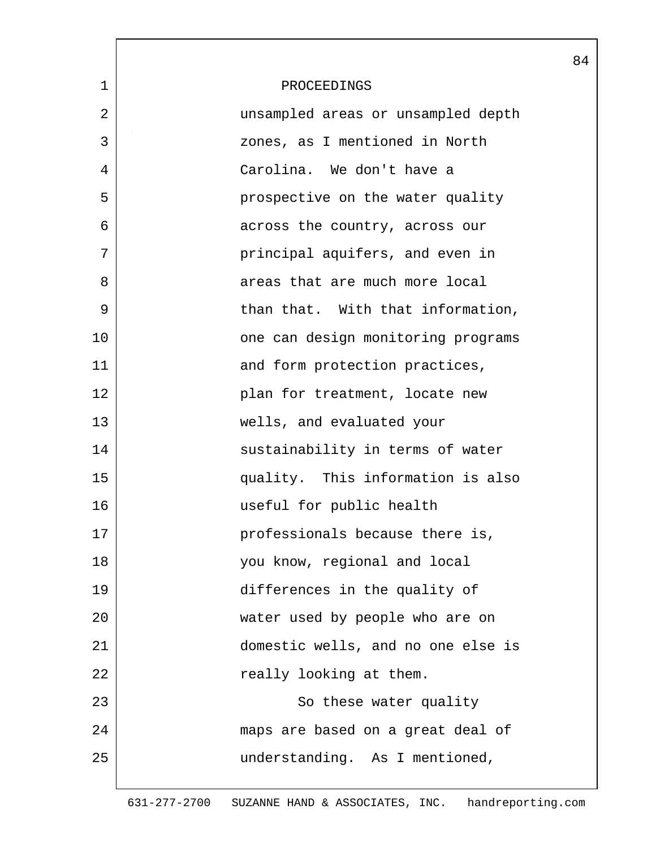|             |                                    | 84 |
|-------------|------------------------------------|----|
| $\mathbf 1$ | PROCEEDINGS                        |    |
| 2           | unsampled areas or unsampled depth |    |
| 3           | zones, as I mentioned in North     |    |
| 4           | Carolina. We don't have a          |    |
| 5           | prospective on the water quality   |    |
| 6           | across the country, across our     |    |
| 7           | principal aquifers, and even in    |    |
| 8           | areas that are much more local     |    |
| 9           | than that. With that information,  |    |
| 10          | one can design monitoring programs |    |
| 11          | and form protection practices,     |    |
| 12          | plan for treatment, locate new     |    |
| 13          | wells, and evaluated your          |    |
| 14          | sustainability in terms of water   |    |
| 15          | quality. This information is also  |    |
| 16          | useful for public health           |    |
| 17          | professionals because there is,    |    |
| 18          | you know, regional and local       |    |
| 19          | differences in the quality of      |    |
| 20          | water used by people who are on    |    |
| 21          | domestic wells, and no one else is |    |
| 22          | really looking at them.            |    |
| 23          | So these water quality             |    |
| 24          | maps are based on a great deal of  |    |
| 25          | understanding. As I mentioned,     |    |
|             |                                    |    |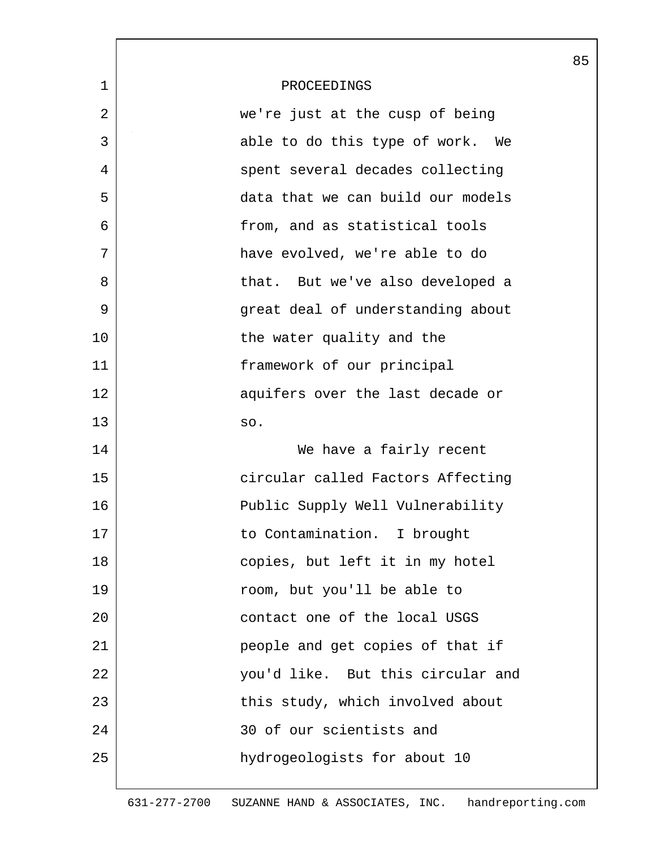|             |                                   | 85 |
|-------------|-----------------------------------|----|
| $\mathbf 1$ | PROCEEDINGS                       |    |
| 2           | we're just at the cusp of being   |    |
| 3           | able to do this type of work. We  |    |
| 4           | spent several decades collecting  |    |
| 5           | data that we can build our models |    |
| 6           | from, and as statistical tools    |    |
| 7           | have evolved, we're able to do    |    |
| 8           | that. But we've also developed a  |    |
| 9           | great deal of understanding about |    |
| 10          | the water quality and the         |    |
| 11          | framework of our principal        |    |
| 12          | aquifers over the last decade or  |    |
| 13          | SO.                               |    |
| 14          | We have a fairly recent           |    |
| 15          | circular called Factors Affecting |    |
| 16          | Public Supply Well Vulnerability  |    |
| 17          | to Contamination. I brought       |    |
| 18          | copies, but left it in my hotel   |    |
| 19          | room, but you'll be able to       |    |
| 20          | contact one of the local USGS     |    |
| 21          | people and get copies of that if  |    |
| 22          | you'd like. But this circular and |    |
| 23          | this study, which involved about  |    |
| 24          | 30 of our scientists and          |    |
| 25          | hydrogeologists for about 10      |    |
|             |                                   |    |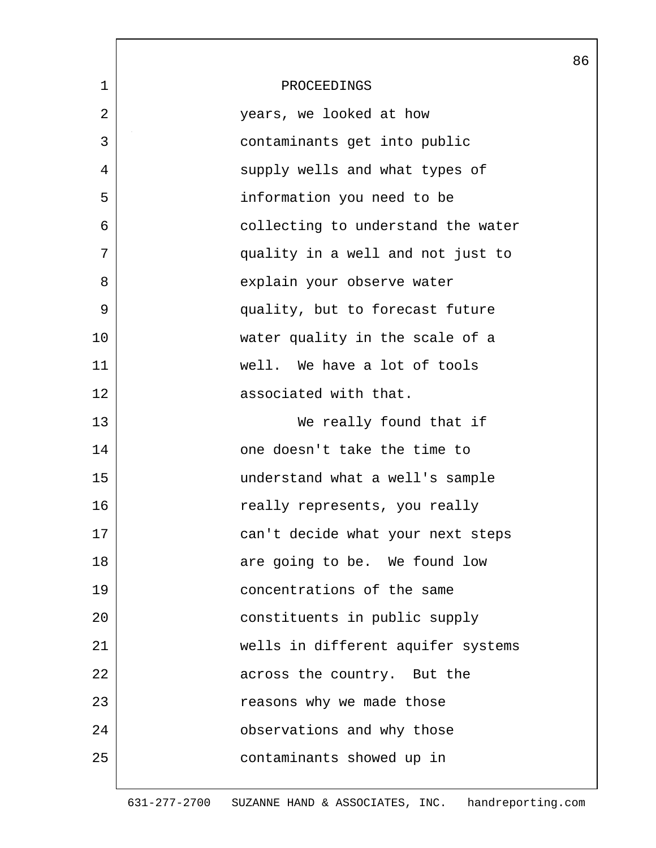|             |                                    | 86 |
|-------------|------------------------------------|----|
| $\mathbf 1$ | PROCEEDINGS                        |    |
| 2           | years, we looked at how            |    |
| 3           | contaminants get into public       |    |
| 4           | supply wells and what types of     |    |
| 5           | information you need to be         |    |
| 6           | collecting to understand the water |    |
| 7           | quality in a well and not just to  |    |
| 8           | explain your observe water         |    |
| 9           | quality, but to forecast future    |    |
| 10          | water quality in the scale of a    |    |
| 11          | well. We have a lot of tools       |    |
| 12          | associated with that.              |    |
| 13          | We really found that if            |    |
| 14          | one doesn't take the time to       |    |
| 15          | understand what a well's sample    |    |
| 16          | really represents, you really      |    |
| 17          | can't decide what your next steps  |    |
| 18          | are going to be. We found low      |    |
| 19          | concentrations of the same         |    |
| 20          | constituents in public supply      |    |
| 21          | wells in different aquifer systems |    |
| 22          | across the country. But the        |    |
| 23          | reasons why we made those          |    |
| 24          | observations and why those         |    |
| 25          | contaminants showed up in          |    |
|             |                                    |    |

 $\mathbf{L}$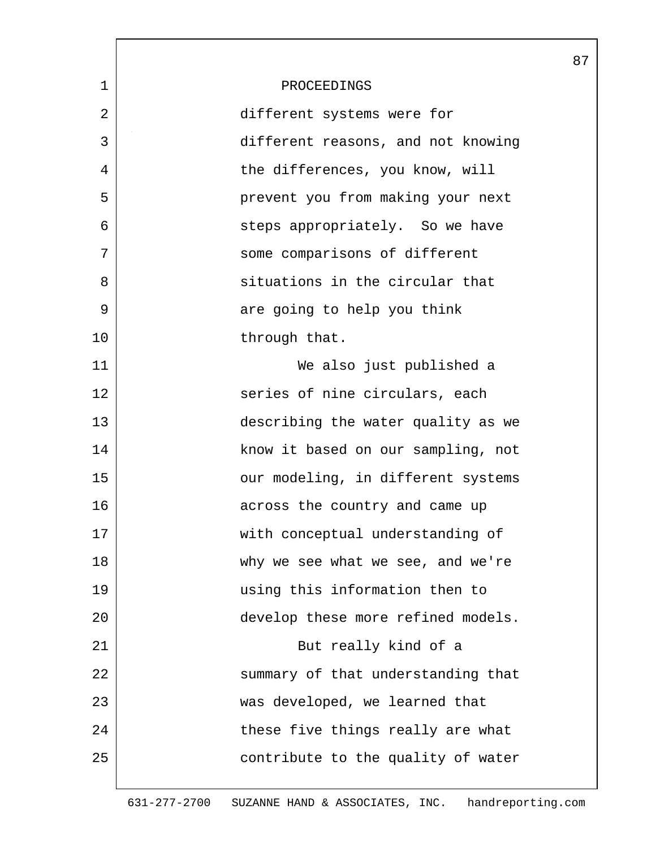|              |                                    | 87 |
|--------------|------------------------------------|----|
| $\mathbf{1}$ | PROCEEDINGS                        |    |
| 2            | different systems were for         |    |
| 3            | different reasons, and not knowing |    |
| 4            | the differences, you know, will    |    |
| 5            | prevent you from making your next  |    |
| 6            | steps appropriately. So we have    |    |
| 7            | some comparisons of different      |    |
| 8            | situations in the circular that    |    |
| 9            | are going to help you think        |    |
| 10           | through that.                      |    |
| 11           | We also just published a           |    |
| 12           | series of nine circulars, each     |    |
| 13           | describing the water quality as we |    |
| 14           | know it based on our sampling, not |    |
| 15           | our modeling, in different systems |    |
| 16           | across the country and came up     |    |
| 17           | with conceptual understanding of   |    |
| 18           | why we see what we see, and we're  |    |
| 19           | using this information then to     |    |
| 20           | develop these more refined models. |    |
| 21           | But really kind of a               |    |
| 22           | summary of that understanding that |    |
| 23           | was developed, we learned that     |    |
| 24           | these five things really are what  |    |
| 25           | contribute to the quality of water |    |
|              |                                    |    |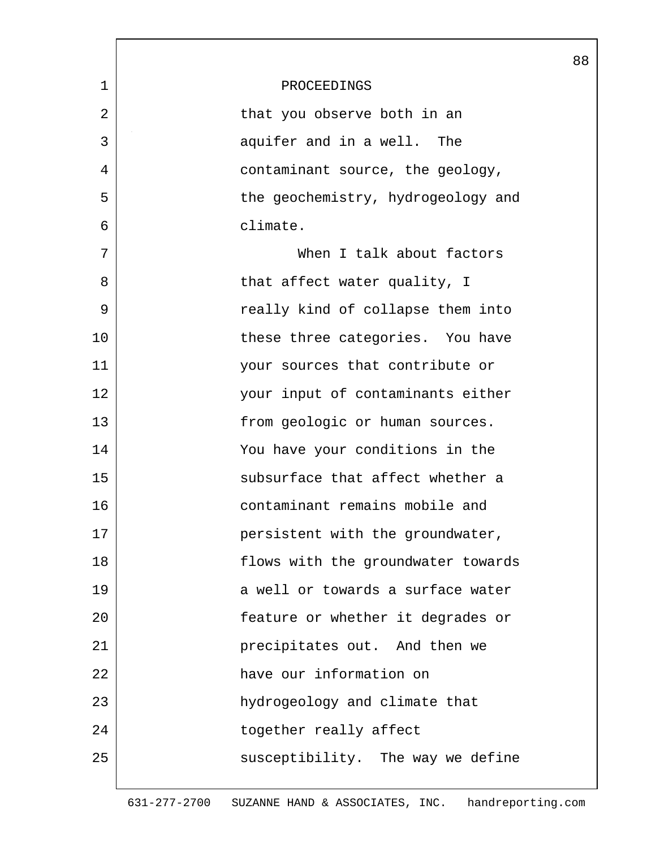|    |                                    | 88 |
|----|------------------------------------|----|
| 1  | PROCEEDINGS                        |    |
| 2  | that you observe both in an        |    |
| 3  | aquifer and in a well. The         |    |
| 4  | contaminant source, the geology,   |    |
| 5  | the geochemistry, hydrogeology and |    |
| 6  | climate.                           |    |
| 7  | When I talk about factors          |    |
| 8  | that affect water quality, I       |    |
| 9  | really kind of collapse them into  |    |
| 10 | these three categories. You have   |    |
| 11 | your sources that contribute or    |    |
| 12 | your input of contaminants either  |    |
| 13 | from geologic or human sources.    |    |
| 14 | You have your conditions in the    |    |
| 15 | subsurface that affect whether a   |    |
| 16 | contaminant remains mobile and     |    |
| 17 | persistent with the groundwater,   |    |
| 18 | flows with the groundwater towards |    |
| 19 | a well or towards a surface water  |    |
| 20 | feature or whether it degrades or  |    |
| 21 | precipitates out. And then we      |    |
| 22 | have our information on            |    |
| 23 | hydrogeology and climate that      |    |
| 24 | together really affect             |    |
| 25 | susceptibility. The way we define  |    |
|    |                                    |    |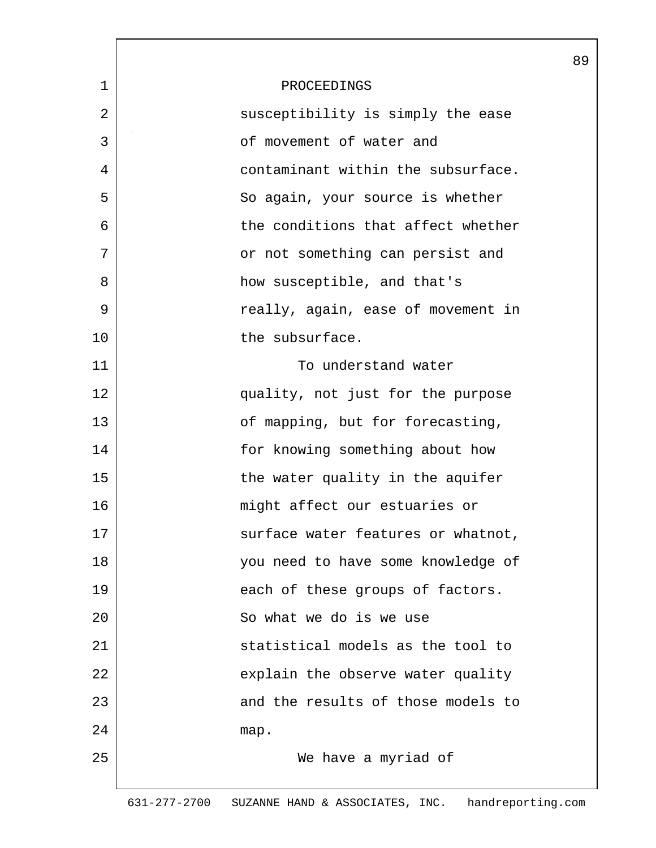| 1  | PROCEEDINGS                        |  |
|----|------------------------------------|--|
| 2  | susceptibility is simply the ease  |  |
| 3  | of movement of water and           |  |
| 4  | contaminant within the subsurface. |  |
| 5  | So again, your source is whether   |  |
| 6  | the conditions that affect whether |  |
| 7  | or not something can persist and   |  |
| 8  | how susceptible, and that's        |  |
| 9  | really, again, ease of movement in |  |
| 10 | the subsurface.                    |  |
| 11 | To understand water                |  |
| 12 | quality, not just for the purpose  |  |
| 13 | of mapping, but for forecasting,   |  |
| 14 | for knowing something about how    |  |
| 15 | the water quality in the aquifer   |  |
| 16 | might affect our estuaries or      |  |
| 17 | surface water features or whatnot, |  |
| 18 | you need to have some knowledge of |  |
| 19 | each of these groups of factors.   |  |
| 20 | So what we do is we use            |  |
| 21 | statistical models as the tool to  |  |
| 22 | explain the observe water quality  |  |
| 23 | and the results of those models to |  |
| 24 | map.                               |  |
| 25 | We have a myriad of                |  |
|    |                                    |  |

89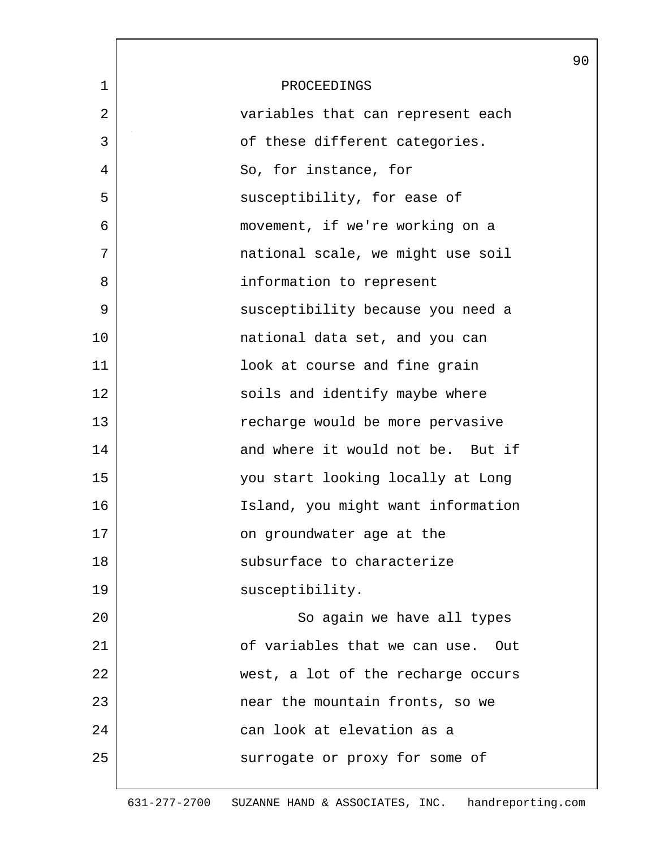|             |                                    | 90 |
|-------------|------------------------------------|----|
| $\mathbf 1$ | PROCEEDINGS                        |    |
| 2           | variables that can represent each  |    |
| 3           | of these different categories.     |    |
| 4           | So, for instance, for              |    |
| 5           | susceptibility, for ease of        |    |
| 6           | movement, if we're working on a    |    |
| 7           | national scale, we might use soil  |    |
| 8           | information to represent           |    |
| 9           | susceptibility because you need a  |    |
| 10          | national data set, and you can     |    |
| 11          | look at course and fine grain      |    |
| 12          | soils and identify maybe where     |    |
| 13          | recharge would be more pervasive   |    |
| 14          | and where it would not be. But if  |    |
| 15          | you start looking locally at Long  |    |
| 16          | Island, you might want information |    |
| 17          | on groundwater age at the          |    |
| 18          | subsurface to characterize         |    |
| 19          | susceptibility.                    |    |
| 20          | So again we have all types         |    |
| 21          | of variables that we can use. Out  |    |
| 22          | west, a lot of the recharge occurs |    |
| 23          | near the mountain fronts, so we    |    |
| 24          | can look at elevation as a         |    |
| 25          | surrogate or proxy for some of     |    |
|             |                                    |    |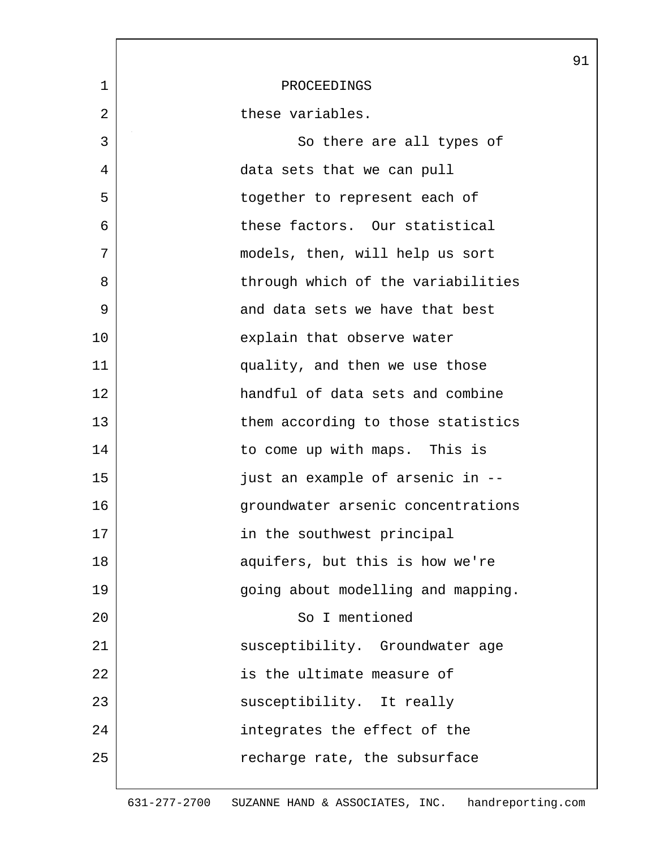|              |                                    | 91 |
|--------------|------------------------------------|----|
| $\mathbf{1}$ | PROCEEDINGS                        |    |
| 2            | these variables.                   |    |
| 3            | So there are all types of          |    |
| 4            | data sets that we can pull         |    |
| 5            | together to represent each of      |    |
| 6            | these factors. Our statistical     |    |
| 7            | models, then, will help us sort    |    |
| 8            | through which of the variabilities |    |
| 9            | and data sets we have that best    |    |
| 10           | explain that observe water         |    |
| 11           | quality, and then we use those     |    |
| 12           | handful of data sets and combine   |    |
| 13           | them according to those statistics |    |
| 14           | to come up with maps. This is      |    |
| 15           | just an example of arsenic in --   |    |
| 16           | groundwater arsenic concentrations |    |
| 17           | in the southwest principal         |    |
| 18           | aquifers, but this is how we're    |    |
| 19           | going about modelling and mapping. |    |
| 20           | So I mentioned                     |    |
| 21           | susceptibility. Groundwater age    |    |
| 22           | is the ultimate measure of         |    |
| 23           | susceptibility. It really          |    |
| 24           | integrates the effect of the       |    |
| 25           | recharge rate, the subsurface      |    |
|              |                                    |    |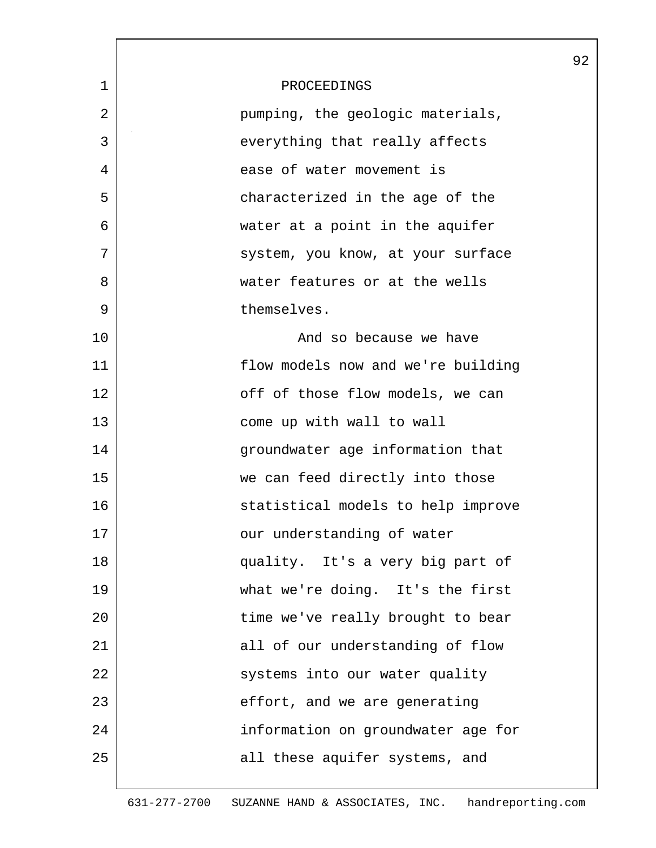|              |                                    | 92 |
|--------------|------------------------------------|----|
| $\mathbf{1}$ | PROCEEDINGS                        |    |
| 2            | pumping, the geologic materials,   |    |
| 3            | everything that really affects     |    |
| 4            | ease of water movement is          |    |
| 5            | characterized in the age of the    |    |
| 6            | water at a point in the aquifer    |    |
| 7            | system, you know, at your surface  |    |
| 8            | water features or at the wells     |    |
| 9            | themselves.                        |    |
| 10           | And so because we have             |    |
| 11           | flow models now and we're building |    |
| 12           | off of those flow models, we can   |    |
| 13           | come up with wall to wall          |    |
| 14           | groundwater age information that   |    |
| 15           | we can feed directly into those    |    |
| 16           | statistical models to help improve |    |
| 17           | our understanding of water         |    |
| 18           | quality. It's a very big part of   |    |
| 19           | what we're doing. It's the first   |    |
| 20           | time we've really brought to bear  |    |
| 21           | all of our understanding of flow   |    |
| 22           | systems into our water quality     |    |
| 23           | effort, and we are generating      |    |
| 24           | information on groundwater age for |    |
| 25           | all these aquifer systems, and     |    |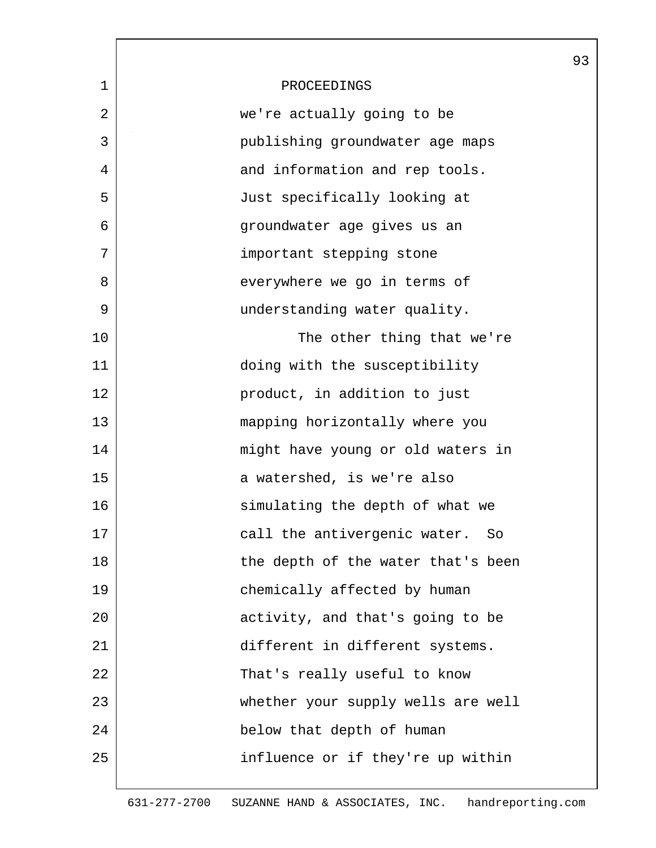|             |                                    | 93 |
|-------------|------------------------------------|----|
| $\mathbf 1$ | PROCEEDINGS                        |    |
| 2           | we're actually going to be         |    |
| 3           | publishing groundwater age maps    |    |
| 4           | and information and rep tools.     |    |
| 5           | Just specifically looking at       |    |
| 6           | groundwater age gives us an        |    |
| 7           | important stepping stone           |    |
| 8           | everywhere we go in terms of       |    |
| 9           | understanding water quality.       |    |
| 10          | The other thing that we're         |    |
| 11          | doing with the susceptibility      |    |
| 12          | product, in addition to just       |    |
| 13          | mapping horizontally where you     |    |
| 14          | might have young or old waters in  |    |
| 15          | a watershed, is we're also         |    |
| 16          | simulating the depth of what we    |    |
| 17          | call the antivergenic water. So    |    |
| 18          | the depth of the water that's been |    |
| 19          | chemically affected by human       |    |
| 20          | activity, and that's going to be   |    |
| 21          | different in different systems.    |    |
| 22          | That's really useful to know       |    |
| 23          | whether your supply wells are well |    |
| 24          | below that depth of human          |    |
| 25          | influence or if they're up within  |    |
|             |                                    |    |

 $\mathbf l$ 

 $\mathbf{L}$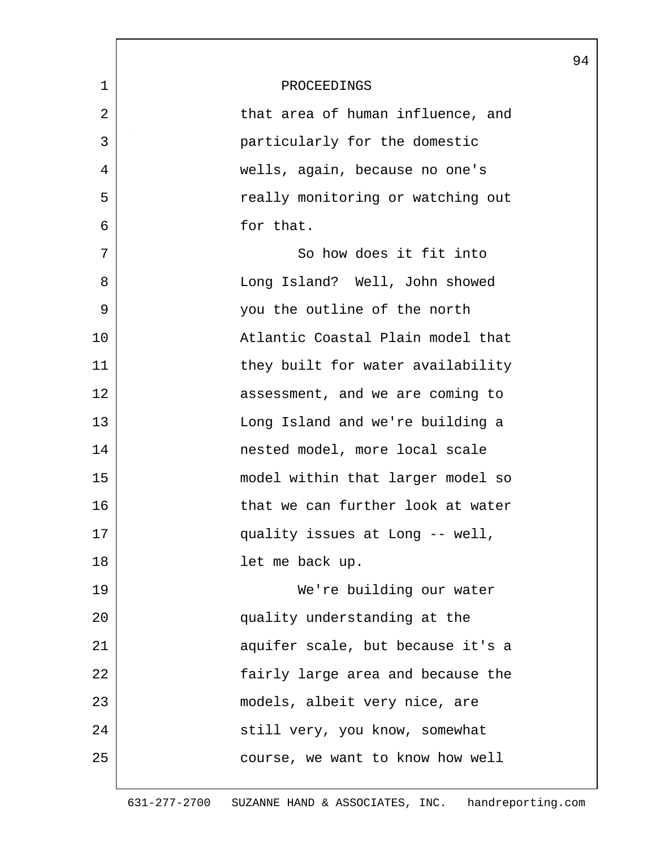|             |                                   | 94 |
|-------------|-----------------------------------|----|
| $\mathbf 1$ | PROCEEDINGS                       |    |
| 2           | that area of human influence, and |    |
| 3           | particularly for the domestic     |    |
| 4           | wells, again, because no one's    |    |
| 5           | really monitoring or watching out |    |
| 6           | for that.                         |    |
| 7           | So how does it fit into           |    |
| 8           | Long Island? Well, John showed    |    |
| 9           | you the outline of the north      |    |
| 10          | Atlantic Coastal Plain model that |    |
| 11          | they built for water availability |    |
| 12          | assessment, and we are coming to  |    |
| 13          | Long Island and we're building a  |    |
| 14          | nested model, more local scale    |    |
| 15          | model within that larger model so |    |
| 16          | that we can further look at water |    |
| 17          | quality issues at Long -- well,   |    |
| 18          | let me back up.                   |    |
| 19          | We're building our water          |    |
| 20          | quality understanding at the      |    |
| 21          | aquifer scale, but because it's a |    |
| 22          | fairly large area and because the |    |
| 23          | models, albeit very nice, are     |    |
| 24          | still very, you know, somewhat    |    |
| 25          | course, we want to know how well  |    |
|             |                                   |    |

 $\lceil$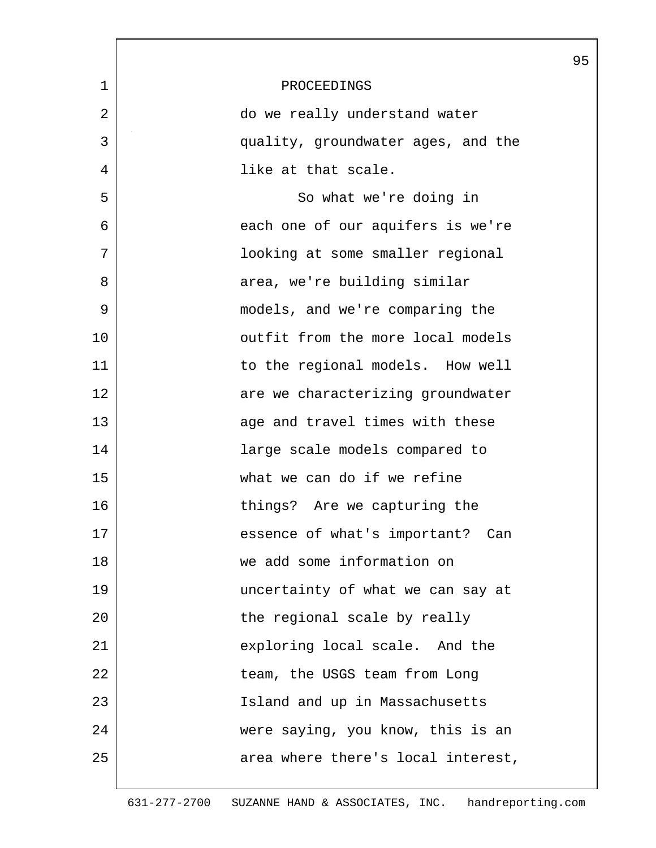|             |                                    | 95 |
|-------------|------------------------------------|----|
| $\mathbf 1$ | PROCEEDINGS                        |    |
| 2           | do we really understand water      |    |
| 3           | quality, groundwater ages, and the |    |
| 4           | like at that scale.                |    |
| 5           | So what we're doing in             |    |
| 6           | each one of our aquifers is we're  |    |
| 7           | looking at some smaller regional   |    |
| 8           | area, we're building similar       |    |
| 9           | models, and we're comparing the    |    |
| 10          | outfit from the more local models  |    |
| 11          | to the regional models. How well   |    |
| 12          | are we characterizing groundwater  |    |
| 13          | age and travel times with these    |    |
| 14          | large scale models compared to     |    |
| 15          | what we can do if we refine        |    |
| 16          | things? Are we capturing the       |    |
| 17          | essence of what's important? Can   |    |
| 18          | we add some information on         |    |
| 19          | uncertainty of what we can say at  |    |
| 20          | the regional scale by really       |    |
| 21          | exploring local scale. And the     |    |
| 22          | team, the USGS team from Long      |    |
| 23          | Island and up in Massachusetts     |    |
| 24          | were saying, you know, this is an  |    |
| 25          | area where there's local interest, |    |
|             |                                    |    |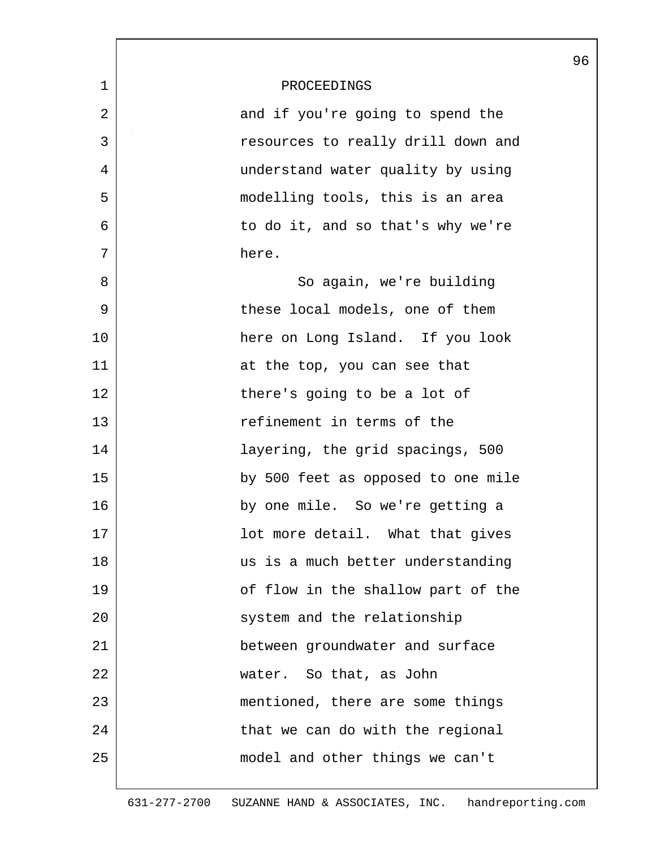|    |                                    | 96 |
|----|------------------------------------|----|
| 1  | PROCEEDINGS                        |    |
| 2  | and if you're going to spend the   |    |
| 3  | resources to really drill down and |    |
| 4  | understand water quality by using  |    |
| 5  | modelling tools, this is an area   |    |
| 6  | to do it, and so that's why we're  |    |
| 7  | here.                              |    |
| 8  | So again, we're building           |    |
| 9  | these local models, one of them    |    |
| 10 | here on Long Island. If you look   |    |
| 11 | at the top, you can see that       |    |
| 12 | there's going to be a lot of       |    |
| 13 | refinement in terms of the         |    |
| 14 | layering, the grid spacings, 500   |    |
| 15 | by 500 feet as opposed to one mile |    |
| 16 | by one mile. So we're getting a    |    |
| 17 | lot more detail. What that gives   |    |
| 18 | us is a much better understanding  |    |
| 19 | of flow in the shallow part of the |    |
| 20 | system and the relationship        |    |
| 21 | between groundwater and surface    |    |
| 22 | water. So that, as John            |    |
| 23 | mentioned, there are some things   |    |
| 24 | that we can do with the regional   |    |
| 25 | model and other things we can't    |    |
|    |                                    |    |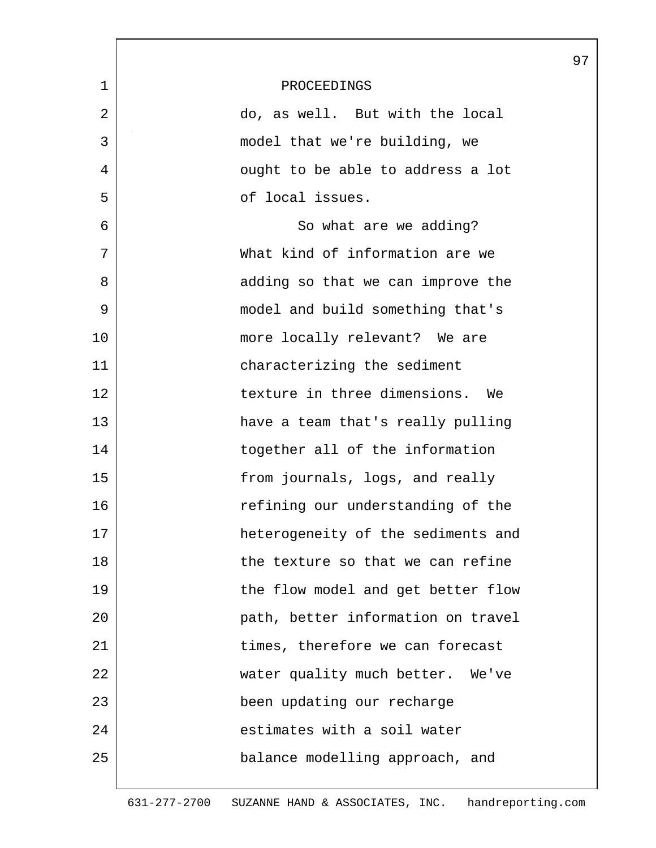|             |                                    | 97 |
|-------------|------------------------------------|----|
| $\mathbf 1$ | PROCEEDINGS                        |    |
| 2           | do, as well. But with the local    |    |
| 3           | model that we're building, we      |    |
| 4           | ought to be able to address a lot  |    |
| 5           | of local issues.                   |    |
| 6           | So what are we adding?             |    |
| 7           | What kind of information are we    |    |
| 8           | adding so that we can improve the  |    |
| 9           | model and build something that's   |    |
| 10          | more locally relevant? We are      |    |
| 11          | characterizing the sediment        |    |
| 12          | texture in three dimensions. We    |    |
| 13          | have a team that's really pulling  |    |
| 14          | together all of the information    |    |
| 15          | from journals, logs, and really    |    |
| 16          | refining our understanding of the  |    |
| 17          | heterogeneity of the sediments and |    |
| 18          | the texture so that we can refine  |    |
| 19          | the flow model and get better flow |    |
| 20          | path, better information on travel |    |
| 21          | times, therefore we can forecast   |    |
| 22          | water quality much better. We've   |    |
| 23          | been updating our recharge         |    |
| 24          | estimates with a soil water        |    |
| 25          | balance modelling approach, and    |    |
|             |                                    |    |

 $\mathbf l$ 

ı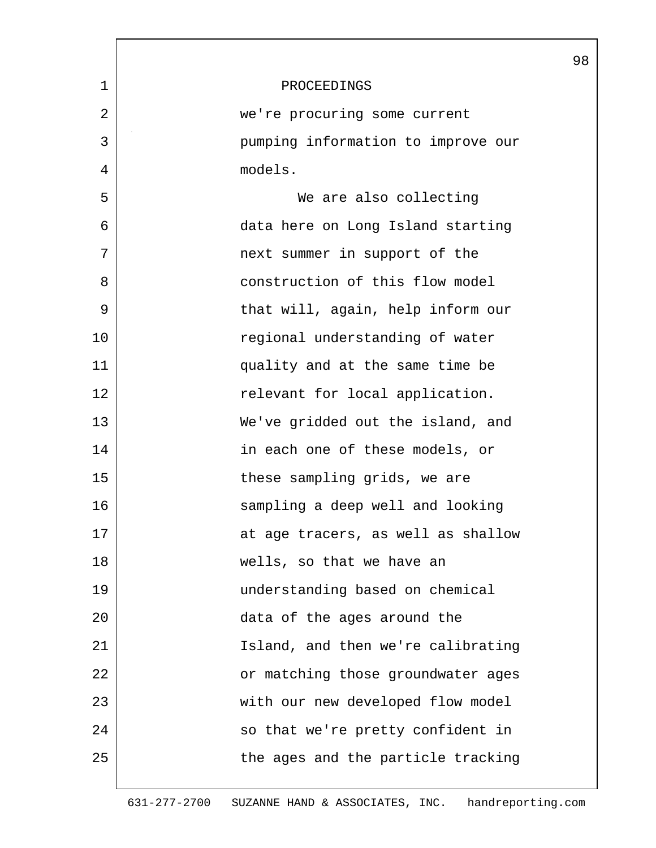|    |                                    | 98 |
|----|------------------------------------|----|
| 1  | PROCEEDINGS                        |    |
| 2  | we're procuring some current       |    |
| 3  | pumping information to improve our |    |
| 4  | models.                            |    |
| 5  | We are also collecting             |    |
| 6  | data here on Long Island starting  |    |
| 7  | next summer in support of the      |    |
| 8  | construction of this flow model    |    |
| 9  | that will, again, help inform our  |    |
| 10 | regional understanding of water    |    |
| 11 | quality and at the same time be    |    |
| 12 | relevant for local application.    |    |
| 13 | We've gridded out the island, and  |    |
| 14 | in each one of these models, or    |    |
| 15 | these sampling grids, we are       |    |
| 16 | sampling a deep well and looking   |    |
| 17 | at age tracers, as well as shallow |    |
| 18 | wells, so that we have an          |    |
| 19 | understanding based on chemical    |    |
| 20 | data of the ages around the        |    |
| 21 | Island, and then we're calibrating |    |
| 22 | or matching those groundwater ages |    |
| 23 | with our new developed flow model  |    |
| 24 | so that we're pretty confident in  |    |
| 25 | the ages and the particle tracking |    |
|    |                                    |    |

 $\mathbf{L}$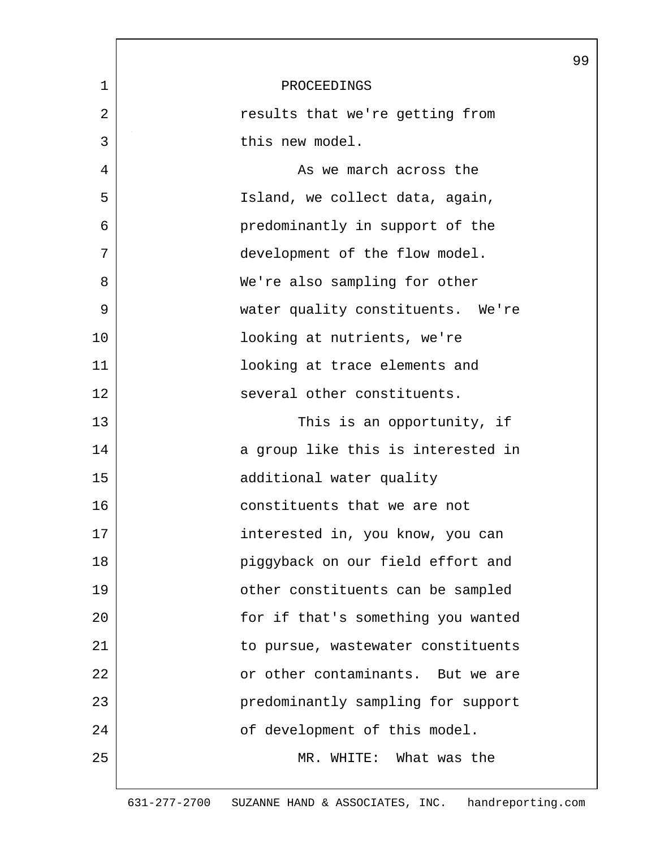|    |                                    | 99 |
|----|------------------------------------|----|
| 1  | PROCEEDINGS                        |    |
| 2  | results that we're getting from    |    |
| 3  | this new model.                    |    |
| 4  | As we march across the             |    |
| 5  | Island, we collect data, again,    |    |
| 6  | predominantly in support of the    |    |
| 7  | development of the flow model.     |    |
| 8  | We're also sampling for other      |    |
| 9  | water quality constituents. We're  |    |
| 10 | looking at nutrients, we're        |    |
| 11 | looking at trace elements and      |    |
| 12 | several other constituents.        |    |
| 13 | This is an opportunity, if         |    |
| 14 | a group like this is interested in |    |
| 15 | additional water quality           |    |
| 16 | constituents that we are not       |    |
| 17 | interested in, you know, you can   |    |
| 18 | piggyback on our field effort and  |    |
| 19 | other constituents can be sampled  |    |
| 20 | for if that's something you wanted |    |
| 21 | to pursue, wastewater constituents |    |
| 22 | or other contaminants. But we are  |    |
| 23 | predominantly sampling for support |    |
| 24 | of development of this model.      |    |
| 25 | MR. WHITE: What was the            |    |
|    |                                    |    |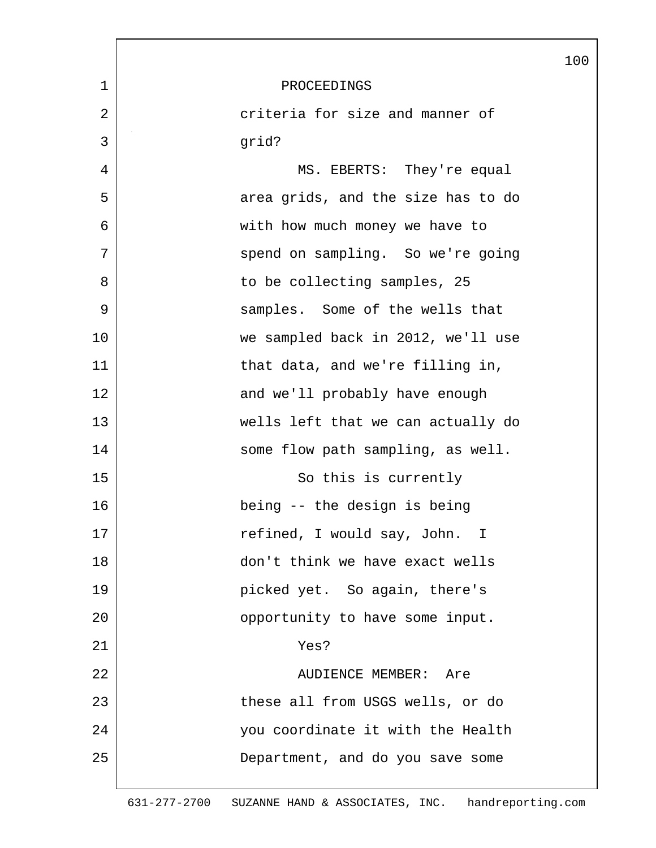|    |                                    | 100 |
|----|------------------------------------|-----|
| 1  | PROCEEDINGS                        |     |
| 2  | criteria for size and manner of    |     |
| 3  | grid?                              |     |
| 4  | MS. EBERTS: They're equal          |     |
| 5  | area grids, and the size has to do |     |
| 6  | with how much money we have to     |     |
| 7  | spend on sampling. So we're going  |     |
| 8  | to be collecting samples, 25       |     |
| 9  | samples. Some of the wells that    |     |
| 10 | we sampled back in 2012, we'll use |     |
| 11 | that data, and we're filling in,   |     |
| 12 | and we'll probably have enough     |     |
| 13 | wells left that we can actually do |     |
| 14 | some flow path sampling, as well.  |     |
| 15 | So this is currently               |     |
| 16 | being -- the design is being       |     |
| 17 | refined, I would say, John. I      |     |
| 18 | don't think we have exact wells    |     |
| 19 | picked yet. So again, there's      |     |
| 20 | opportunity to have some input.    |     |
| 21 | Yes?                               |     |
| 22 | AUDIENCE MEMBER: Are               |     |
| 23 | these all from USGS wells, or do   |     |
| 24 | you coordinate it with the Health  |     |
| 25 | Department, and do you save some   |     |
|    |                                    |     |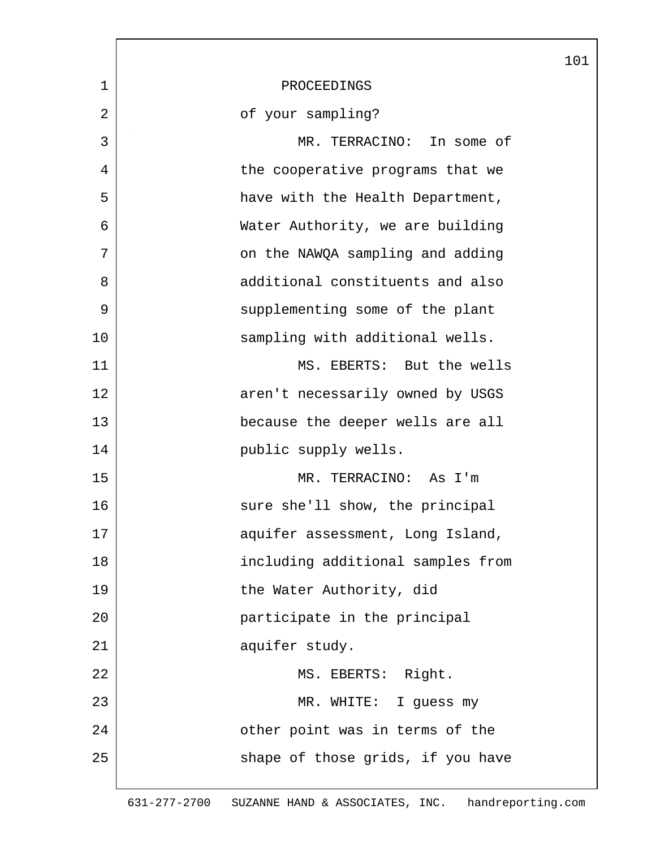|                |                                   | 101 |
|----------------|-----------------------------------|-----|
| $\mathbf 1$    | PROCEEDINGS                       |     |
| $\overline{2}$ | of your sampling?                 |     |
| 3              | MR. TERRACINO: In some of         |     |
| 4              | the cooperative programs that we  |     |
| 5              | have with the Health Department,  |     |
| 6              | Water Authority, we are building  |     |
| 7              | on the NAWQA sampling and adding  |     |
| 8              | additional constituents and also  |     |
| 9              | supplementing some of the plant   |     |
| 10             | sampling with additional wells.   |     |
| 11             | MS. EBERTS: But the wells         |     |
| 12             | aren't necessarily owned by USGS  |     |
| 13             | because the deeper wells are all  |     |
| 14             | public supply wells.              |     |
| 15             | MR. TERRACINO: As I'm             |     |
| 16             | sure she'll show, the principal   |     |
| 17             | aquifer assessment, Long Island,  |     |
| 18             | including additional samples from |     |
| 19             | the Water Authority, did          |     |
| 20             | participate in the principal      |     |
| 21             | aquifer study.                    |     |
| 22             | MS. EBERTS: Right.                |     |
| 23             | MR. WHITE: I guess my             |     |
| 24             | other point was in terms of the   |     |
| 25             | shape of those grids, if you have |     |
|                |                                   |     |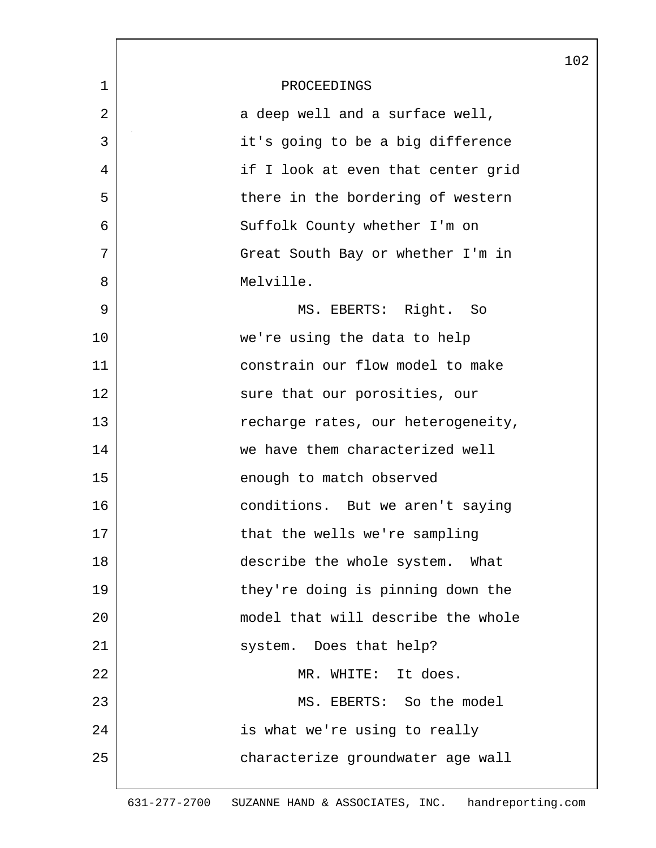|                |                                    | 102 |
|----------------|------------------------------------|-----|
| $\mathbf 1$    | PROCEEDINGS                        |     |
| $\overline{2}$ | a deep well and a surface well,    |     |
| 3              | it's going to be a big difference  |     |
| 4              | if I look at even that center grid |     |
| 5              | there in the bordering of western  |     |
| 6              | Suffolk County whether I'm on      |     |
| 7              | Great South Bay or whether I'm in  |     |
| 8              | Melville.                          |     |
| 9              | MS. EBERTS: Right. So              |     |
| 10             | we're using the data to help       |     |
| 11             | constrain our flow model to make   |     |
| 12             | sure that our porosities, our      |     |
| 13             | recharge rates, our heterogeneity, |     |
| 14             | we have them characterized well    |     |
| 15             | enough to match observed           |     |
| 16             | conditions. But we aren't saying   |     |
| 17             | that the wells we're sampling      |     |
| 18             | describe the whole system. What    |     |
| 19             | they're doing is pinning down the  |     |
| 20             | model that will describe the whole |     |
| 21             | system. Does that help?            |     |
| 22             | MR. WHITE: It does.                |     |
| 23             | MS. EBERTS: So the model           |     |
| 24             | is what we're using to really      |     |
| 25             | characterize groundwater age wall  |     |
|                |                                    |     |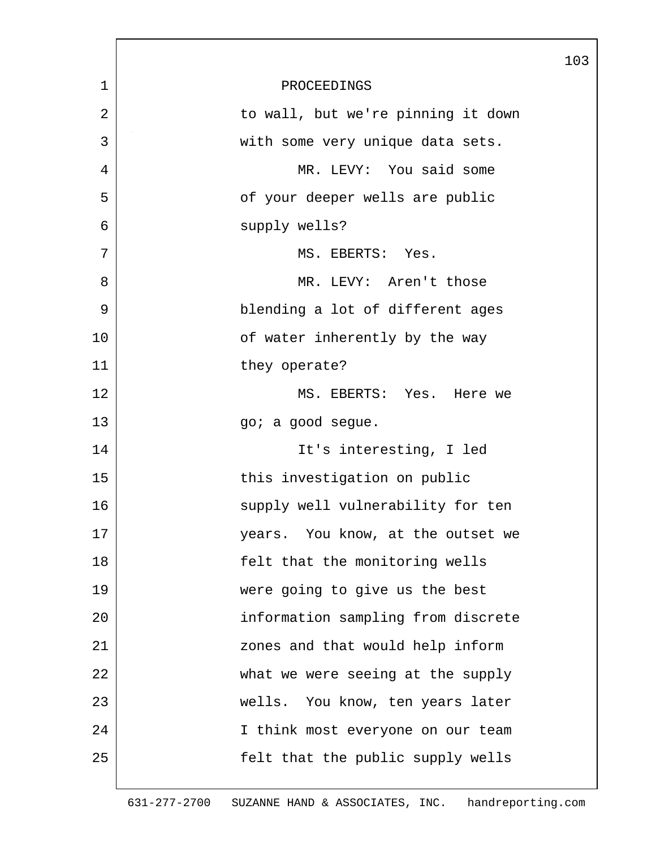|             |                                    | 103 |
|-------------|------------------------------------|-----|
| $\mathbf 1$ | PROCEEDINGS                        |     |
| 2           | to wall, but we're pinning it down |     |
| 3           | with some very unique data sets.   |     |
| 4           | MR. LEVY: You said some            |     |
| 5           | of your deeper wells are public    |     |
| 6           | supply wells?                      |     |
| 7           | MS. EBERTS: Yes.                   |     |
| 8           | MR. LEVY: Aren't those             |     |
| 9           | blending a lot of different ages   |     |
| 10          | of water inherently by the way     |     |
| 11          | they operate?                      |     |
| 12          | MS. EBERTS: Yes. Here we           |     |
| 13          | go; a good segue.                  |     |
| 14          | It's interesting, I led            |     |
| 15          | this investigation on public       |     |
| 16          | supply well vulnerability for ten  |     |
| 17          | years. You know, at the outset we  |     |
| 18          | felt that the monitoring wells     |     |
| 19          | were going to give us the best     |     |
| 20          | information sampling from discrete |     |
| 21          | zones and that would help inform   |     |
| 22          | what we were seeing at the supply  |     |
| 23          | wells. You know, ten years later   |     |
| 24          | I think most everyone on our team  |     |
| 25          | felt that the public supply wells  |     |
|             |                                    |     |

 $\overline{\phantom{a}}$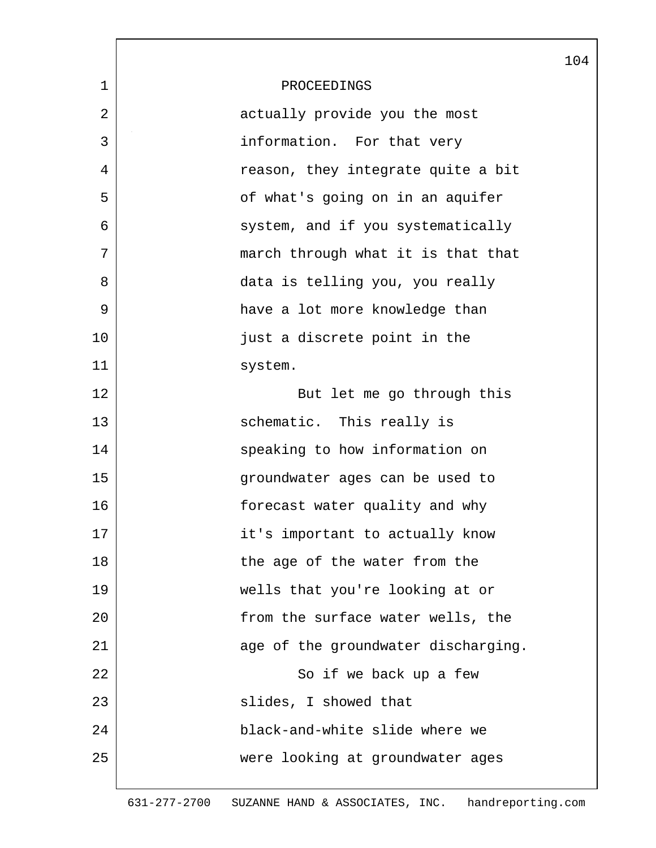|                |                                     | 104 |
|----------------|-------------------------------------|-----|
| $\mathbf 1$    | PROCEEDINGS                         |     |
| $\overline{2}$ | actually provide you the most       |     |
| 3              | information. For that very          |     |
| 4              | reason, they integrate quite a bit  |     |
| 5              | of what's going on in an aquifer    |     |
| 6              | system, and if you systematically   |     |
| 7              | march through what it is that that  |     |
| 8              | data is telling you, you really     |     |
| 9              | have a lot more knowledge than      |     |
| 10             | just a discrete point in the        |     |
| 11             | system.                             |     |
| 12             | But let me go through this          |     |
| 13             | schematic. This really is           |     |
| 14             | speaking to how information on      |     |
| 15             | groundwater ages can be used to     |     |
| 16             | forecast water quality and why      |     |
| 17             | it's important to actually know     |     |
| 18             | the age of the water from the       |     |
| 19             | wells that you're looking at or     |     |
| 20             | from the surface water wells, the   |     |
| 21             | age of the groundwater discharging. |     |
| 22             | So if we back up a few              |     |
| 23             | slides, I showed that               |     |
| 24             | black-and-white slide where we      |     |
| 25             | were looking at groundwater ages    |     |
|                |                                     |     |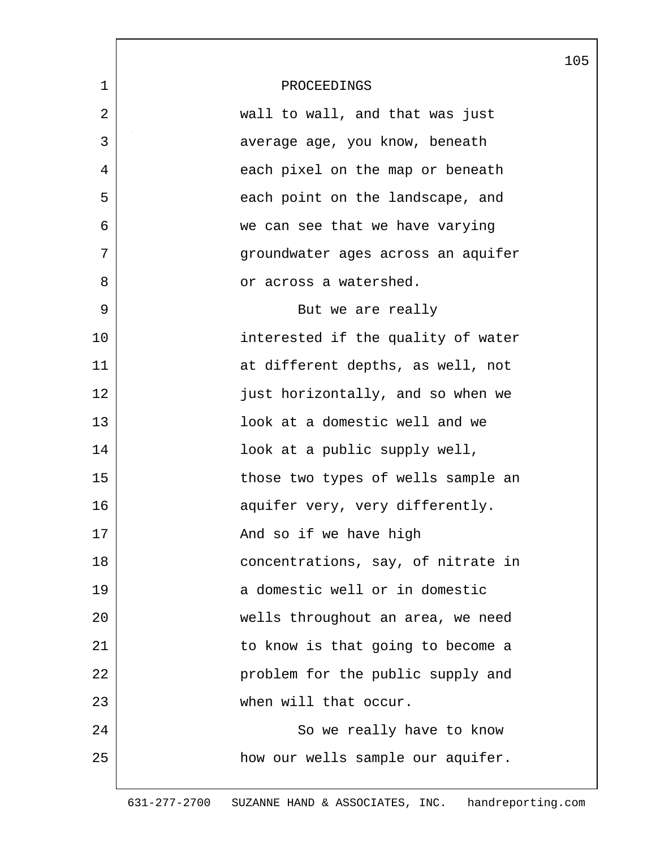|    |                                    | 105 |
|----|------------------------------------|-----|
| 1  | PROCEEDINGS                        |     |
| 2  | wall to wall, and that was just    |     |
| 3  | average age, you know, beneath     |     |
| 4  | each pixel on the map or beneath   |     |
| 5  | each point on the landscape, and   |     |
| 6  | we can see that we have varying    |     |
| 7  | groundwater ages across an aquifer |     |
| 8  | or across a watershed.             |     |
| 9  | But we are really                  |     |
| 10 | interested if the quality of water |     |
| 11 | at different depths, as well, not  |     |
| 12 | just horizontally, and so when we  |     |
| 13 | look at a domestic well and we     |     |
| 14 | look at a public supply well,      |     |
| 15 | those two types of wells sample an |     |
| 16 | aquifer very, very differently.    |     |
| 17 | And so if we have high             |     |
| 18 | concentrations, say, of nitrate in |     |
| 19 | a domestic well or in domestic     |     |
| 20 | wells throughout an area, we need  |     |
| 21 | to know is that going to become a  |     |
| 22 | problem for the public supply and  |     |
| 23 | when will that occur.              |     |
| 24 | So we really have to know          |     |
| 25 | how our wells sample our aquifer.  |     |
|    |                                    |     |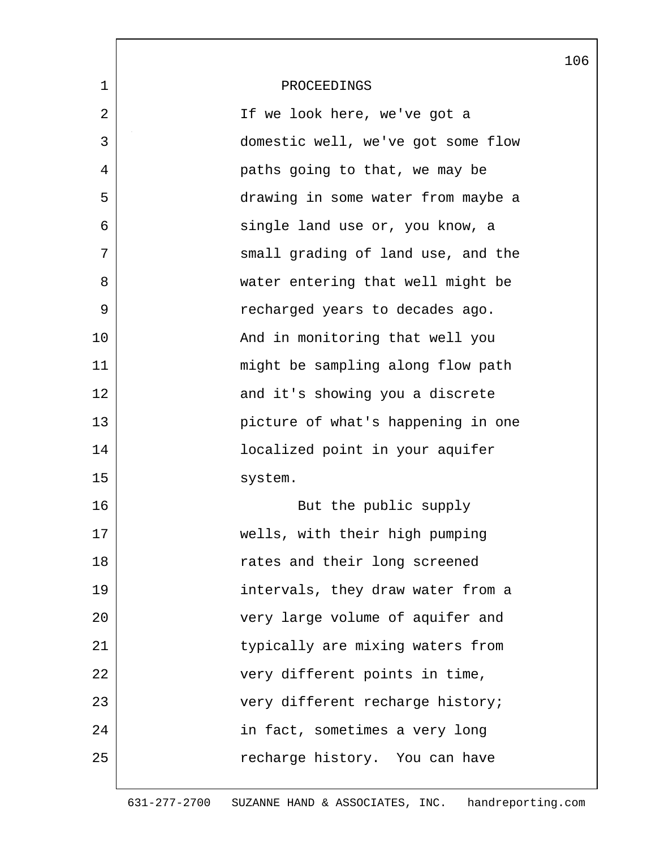|             |                                    | 106 |
|-------------|------------------------------------|-----|
| $\mathbf 1$ | PROCEEDINGS                        |     |
| 2           | If we look here, we've got a       |     |
| 3           | domestic well, we've got some flow |     |
| 4           | paths going to that, we may be     |     |
| 5           | drawing in some water from maybe a |     |
| 6           | single land use or, you know, a    |     |
| 7           | small grading of land use, and the |     |
| 8           | water entering that well might be  |     |
| 9           | recharged years to decades ago.    |     |
| 10          | And in monitoring that well you    |     |
| 11          | might be sampling along flow path  |     |
| 12          | and it's showing you a discrete    |     |
| 13          | picture of what's happening in one |     |
| 14          | localized point in your aquifer    |     |
| 15          | system.                            |     |
| 16          | But the public supply              |     |
| 17          | wells, with their high pumping     |     |
| 18          | rates and their long screened      |     |
| 19          | intervals, they draw water from a  |     |
| 20          | very large volume of aquifer and   |     |
| 21          | typically are mixing waters from   |     |
| 22          | very different points in time,     |     |
| 23          | very different recharge history;   |     |
| 24          | in fact, sometimes a very long     |     |
| 25          | recharge history. You can have     |     |
|             |                                    |     |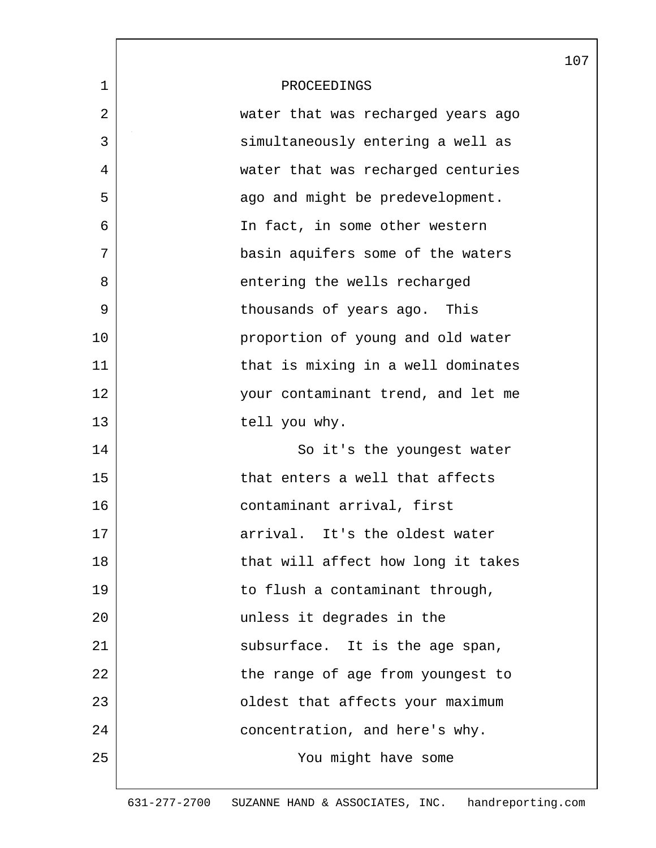|             |                                    | 107 |
|-------------|------------------------------------|-----|
| $\mathbf 1$ | PROCEEDINGS                        |     |
| 2           | water that was recharged years ago |     |
| 3           | simultaneously entering a well as  |     |
| 4           | water that was recharged centuries |     |
| 5           | ago and might be predevelopment.   |     |
| 6           | In fact, in some other western     |     |
| 7           | basin aquifers some of the waters  |     |
| 8           | entering the wells recharged       |     |
| 9           | thousands of years ago. This       |     |
| 10          | proportion of young and old water  |     |
| 11          | that is mixing in a well dominates |     |
| 12          | your contaminant trend, and let me |     |
| 13          | tell you why.                      |     |
| 14          | So it's the youngest water         |     |
| 15          | that enters a well that affects    |     |
| 16          | contaminant arrival, first         |     |
| 17          | arrival. It's the oldest water     |     |
| 18          | that will affect how long it takes |     |
| 19          | to flush a contaminant through,    |     |
| 20          | unless it degrades in the          |     |
| 21          | subsurface. It is the age span,    |     |
| 22          | the range of age from youngest to  |     |
| 23          | oldest that affects your maximum   |     |
| 24          | concentration, and here's why.     |     |
| 25          | You might have some                |     |
|             |                                    |     |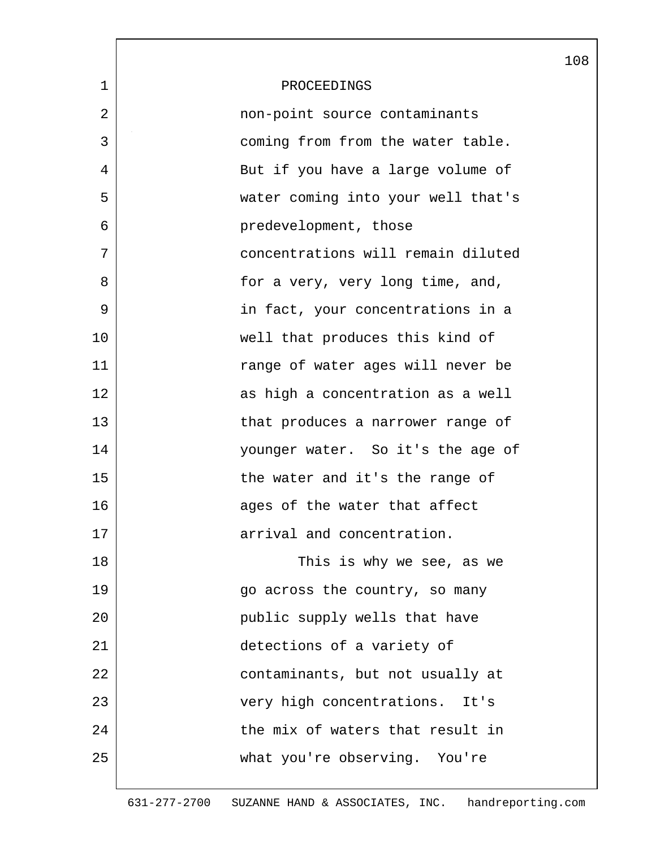|             |                                    | 108 |
|-------------|------------------------------------|-----|
| $\mathbf 1$ | PROCEEDINGS                        |     |
| 2           | non-point source contaminants      |     |
| 3           | coming from from the water table.  |     |
| 4           | But if you have a large volume of  |     |
| 5           | water coming into your well that's |     |
| 6           | predevelopment, those              |     |
| 7           | concentrations will remain diluted |     |
| 8           | for a very, very long time, and,   |     |
| 9           | in fact, your concentrations in a  |     |
| 10          | well that produces this kind of    |     |
| 11          | range of water ages will never be  |     |
| 12          | as high a concentration as a well  |     |
| 13          | that produces a narrower range of  |     |
| 14          | younger water. So it's the age of  |     |
| 15          | the water and it's the range of    |     |
| 16          | ages of the water that affect      |     |
| 17          | arrival and concentration.         |     |
| 18          | This is why we see, as we          |     |
| 19          | go across the country, so many     |     |
| 20          | public supply wells that have      |     |
| 21          | detections of a variety of         |     |
| 22          | contaminants, but not usually at   |     |
| 23          | very high concentrations. It's     |     |
| 24          | the mix of waters that result in   |     |
| 25          | what you're observing. You're      |     |
|             |                                    |     |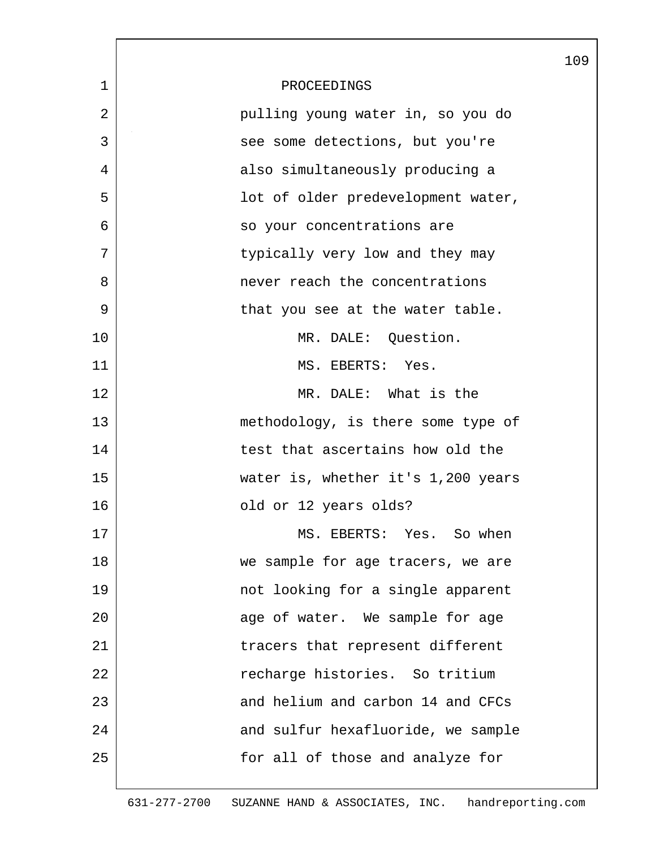|              |                                    | 109 |
|--------------|------------------------------------|-----|
| $\mathbf{1}$ | PROCEEDINGS                        |     |
| 2            | pulling young water in, so you do  |     |
| 3            | see some detections, but you're    |     |
| 4            | also simultaneously producing a    |     |
| 5            | lot of older predevelopment water, |     |
| 6            | so your concentrations are         |     |
| 7            | typically very low and they may    |     |
| 8            | never reach the concentrations     |     |
| 9            | that you see at the water table.   |     |
| 10           | MR. DALE: Question.                |     |
| 11           | MS. EBERTS: Yes.                   |     |
| 12           | MR. DALE: What is the              |     |
| 13           | methodology, is there some type of |     |
| 14           | test that ascertains how old the   |     |
| 15           | water is, whether it's 1,200 years |     |
| 16           | old or 12 years olds?              |     |
| 17           | MS. EBERTS: Yes. So when           |     |
| 18           | we sample for age tracers, we are  |     |
| 19           | not looking for a single apparent  |     |
| 20           | age of water. We sample for age    |     |
| 21           | tracers that represent different   |     |
| 22           | recharge histories. So tritium     |     |
| 23           | and helium and carbon 14 and CFCs  |     |
| 24           | and sulfur hexafluoride, we sample |     |
| 25           | for all of those and analyze for   |     |
|              |                                    |     |

 $\overline{\phantom{a}}$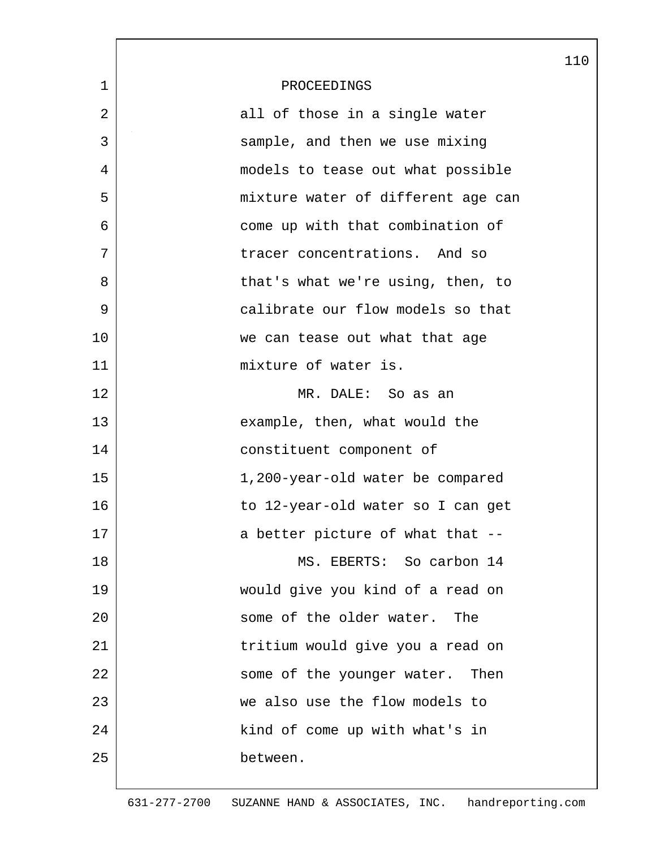|              |                                    | 110 |
|--------------|------------------------------------|-----|
| $\mathbf{1}$ | PROCEEDINGS                        |     |
| 2            | all of those in a single water     |     |
| 3            | sample, and then we use mixing     |     |
| 4            | models to tease out what possible  |     |
| 5            | mixture water of different age can |     |
| 6            | come up with that combination of   |     |
| 7            | tracer concentrations. And so      |     |
| 8            | that's what we're using, then, to  |     |
| 9            | calibrate our flow models so that  |     |
| 10           | we can tease out what that age     |     |
| 11           | mixture of water is.               |     |
| 12           | MR. DALE: So as an                 |     |
| 13           | example, then, what would the      |     |
| 14           | constituent component of           |     |
| 15           | 1,200-year-old water be compared   |     |
| 16           | to 12-year-old water so I can get  |     |
| 17           | a better picture of what that --   |     |
| 18           | MS. EBERTS: So carbon 14           |     |
| 19           | would give you kind of a read on   |     |
| 20           | some of the older water. The       |     |
| 21           | tritium would give you a read on   |     |
| 22           | some of the younger water. Then    |     |
| 23           | we also use the flow models to     |     |
| 24           | kind of come up with what's in     |     |
| 25           | between.                           |     |
|              |                                    |     |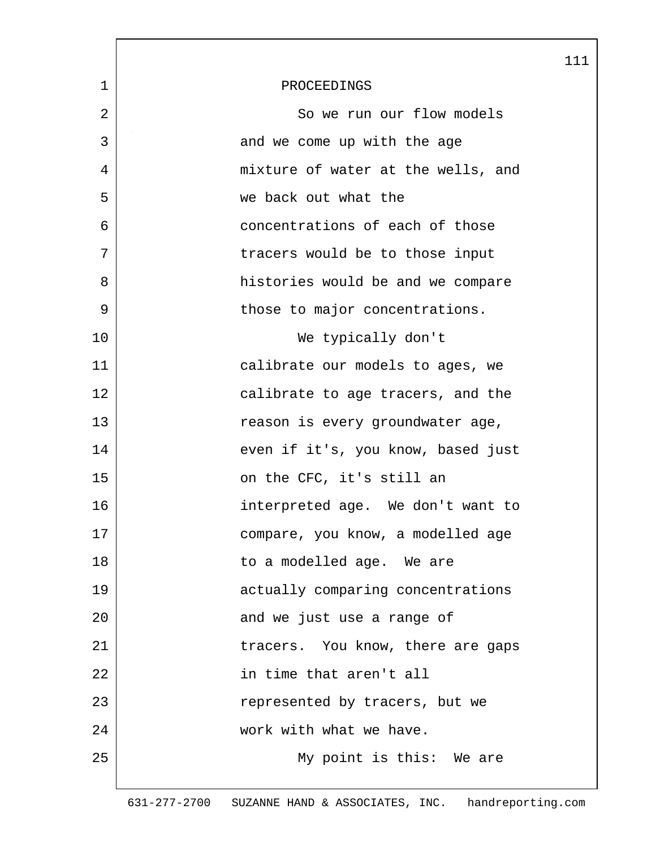|             |                                    | 111 |
|-------------|------------------------------------|-----|
| $\mathbf 1$ | PROCEEDINGS                        |     |
| 2           | So we run our flow models          |     |
| 3           | and we come up with the age        |     |
| 4           | mixture of water at the wells, and |     |
| 5           | we back out what the               |     |
| 6           | concentrations of each of those    |     |
| 7           | tracers would be to those input    |     |
| 8           | histories would be and we compare  |     |
| 9           | those to major concentrations.     |     |
| 10          | We typically don't                 |     |
| 11          | calibrate our models to ages, we   |     |
| 12          | calibrate to age tracers, and the  |     |
| 13          | reason is every groundwater age,   |     |
| 14          | even if it's, you know, based just |     |
| 15          | on the CFC, it's still an          |     |
| 16          | interpreted age. We don't want to  |     |
| 17          | compare, you know, a modelled age  |     |
| 18          | to a modelled age. We are          |     |
| 19          | actually comparing concentrations  |     |
| 20          | and we just use a range of         |     |
| 21          | tracers. You know, there are gaps  |     |
| 22          | in time that aren't all            |     |
| 23          | represented by tracers, but we     |     |
| 24          | work with what we have.            |     |
| 25          | My point is this: We are           |     |
|             |                                    |     |

 $\mathsf{l}$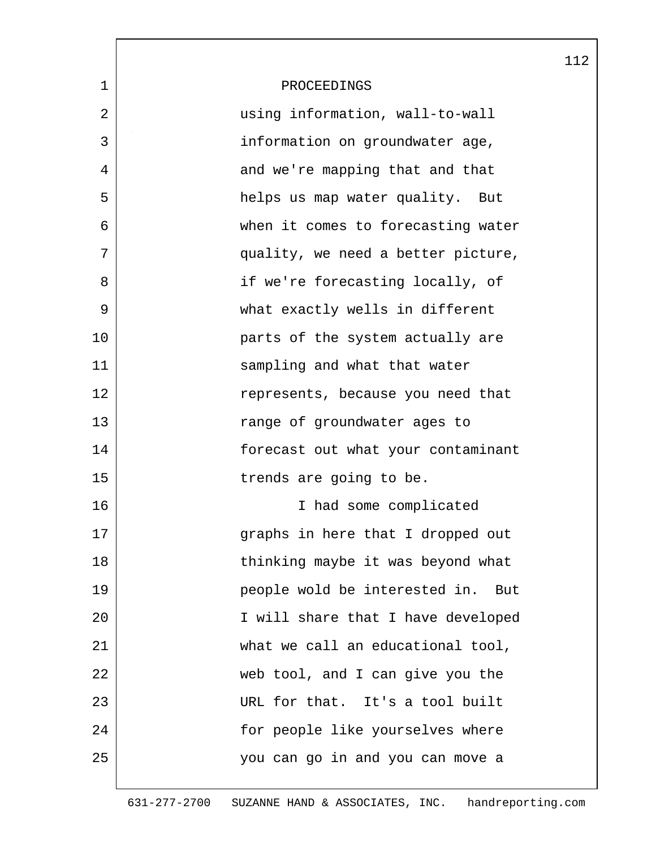|                |                                      | 112 |
|----------------|--------------------------------------|-----|
| $\mathbf 1$    | PROCEEDINGS                          |     |
| $\overline{2}$ | using information, wall-to-wall      |     |
| 3              | information on groundwater age,      |     |
| 4              | and we're mapping that and that      |     |
| 5              | helps us map water quality. But      |     |
| 6              | when it comes to forecasting water   |     |
| 7              | quality, we need a better picture,   |     |
| 8              | if we're forecasting locally, of     |     |
| 9              | what exactly wells in different      |     |
| 10             | parts of the system actually are     |     |
| 11             | sampling and what that water         |     |
| 12             | represents, because you need that    |     |
| 13             | range of groundwater ages to         |     |
| 14             | forecast out what your contaminant   |     |
| 15             | trends are going to be.              |     |
| 16             | I had some complicated               |     |
| 17             | graphs in here that I dropped out    |     |
| 18             | thinking maybe it was beyond what    |     |
| 19             | people wold be interested in.<br>But |     |
| 20             | I will share that I have developed   |     |
| 21             | what we call an educational tool,    |     |
| 22             | web tool, and I can give you the     |     |
| 23             | URL for that. It's a tool built      |     |
| 24             | for people like yourselves where     |     |
| 25             | you can go in and you can move a     |     |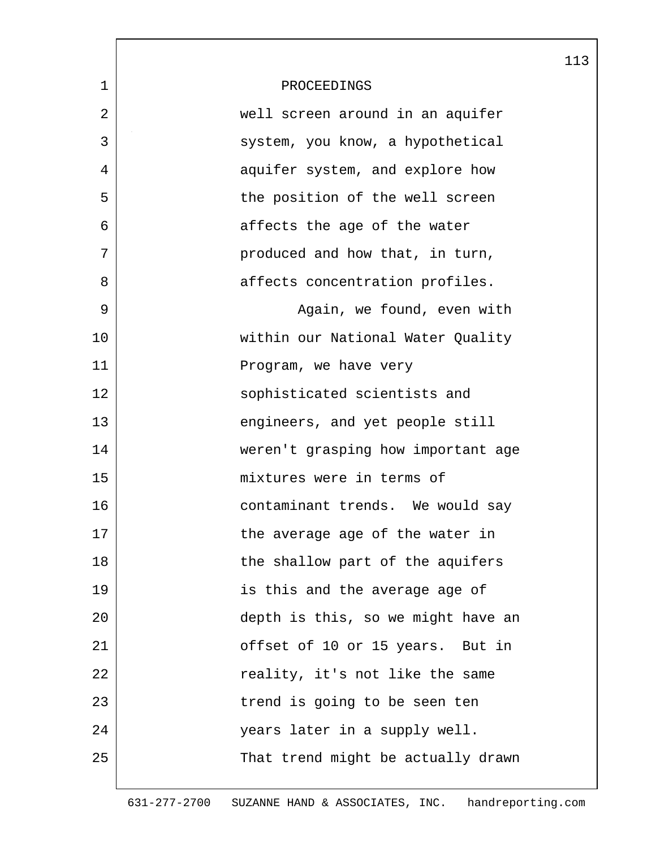|             |                                    | 113 |
|-------------|------------------------------------|-----|
| $\mathbf 1$ | PROCEEDINGS                        |     |
| 2           | well screen around in an aquifer   |     |
| 3           | system, you know, a hypothetical   |     |
| 4           | aquifer system, and explore how    |     |
| 5           | the position of the well screen    |     |
| 6           | affects the age of the water       |     |
| 7           | produced and how that, in turn,    |     |
| 8           | affects concentration profiles.    |     |
| 9           | Again, we found, even with         |     |
| 10          | within our National Water Quality  |     |
| 11          | Program, we have very              |     |
| 12          | sophisticated scientists and       |     |
| 13          | engineers, and yet people still    |     |
| 14          | weren't grasping how important age |     |
| 15          | mixtures were in terms of          |     |
| 16          | contaminant trends. We would say   |     |
| 17          | the average age of the water in    |     |
| 18          | the shallow part of the aquifers   |     |
| 19          | is this and the average age of     |     |
| 20          | depth is this, so we might have an |     |
| 21          | offset of 10 or 15 years. But in   |     |
| 22          | reality, it's not like the same    |     |
| 23          | trend is going to be seen ten      |     |
| 24          | years later in a supply well.      |     |
| 25          | That trend might be actually drawn |     |
|             |                                    |     |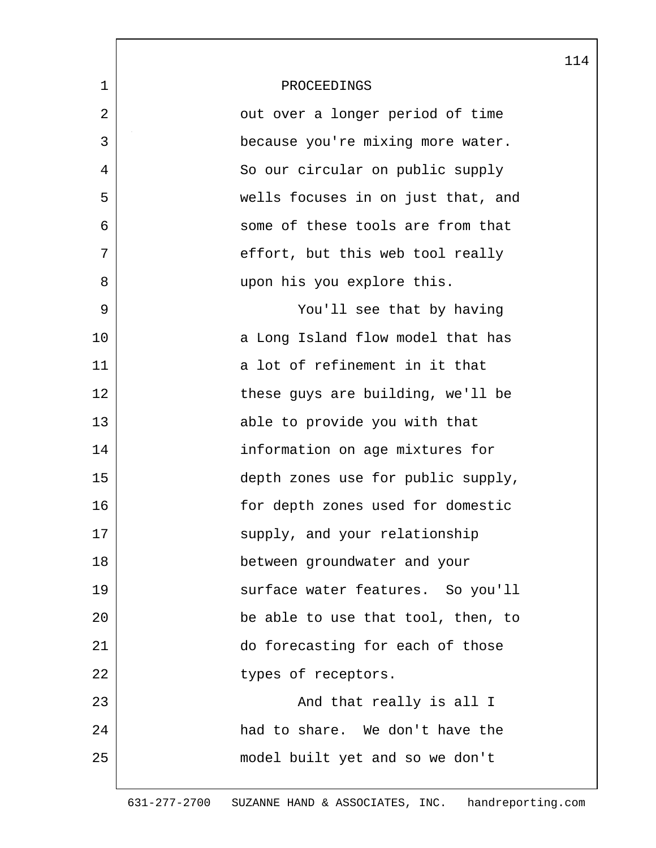|    |                                    | 114 |
|----|------------------------------------|-----|
| 1  | PROCEEDINGS                        |     |
| 2  | out over a longer period of time   |     |
| 3  | because you're mixing more water.  |     |
| 4  | So our circular on public supply   |     |
| 5  | wells focuses in on just that, and |     |
| 6  | some of these tools are from that  |     |
| 7  | effort, but this web tool really   |     |
| 8  | upon his you explore this.         |     |
| 9  | You'll see that by having          |     |
| 10 | a Long Island flow model that has  |     |
| 11 | a lot of refinement in it that     |     |
| 12 | these guys are building, we'll be  |     |
| 13 | able to provide you with that      |     |
| 14 | information on age mixtures for    |     |
| 15 | depth zones use for public supply, |     |
| 16 | for depth zones used for domestic  |     |
| 17 | supply, and your relationship      |     |
| 18 | between groundwater and your       |     |
| 19 | surface water features. So you'll  |     |
| 20 | be able to use that tool, then, to |     |
| 21 | do forecasting for each of those   |     |
| 22 | types of receptors.                |     |
| 23 | And that really is all I           |     |
| 24 | had to share. We don't have the    |     |
| 25 | model built yet and so we don't    |     |
|    |                                    |     |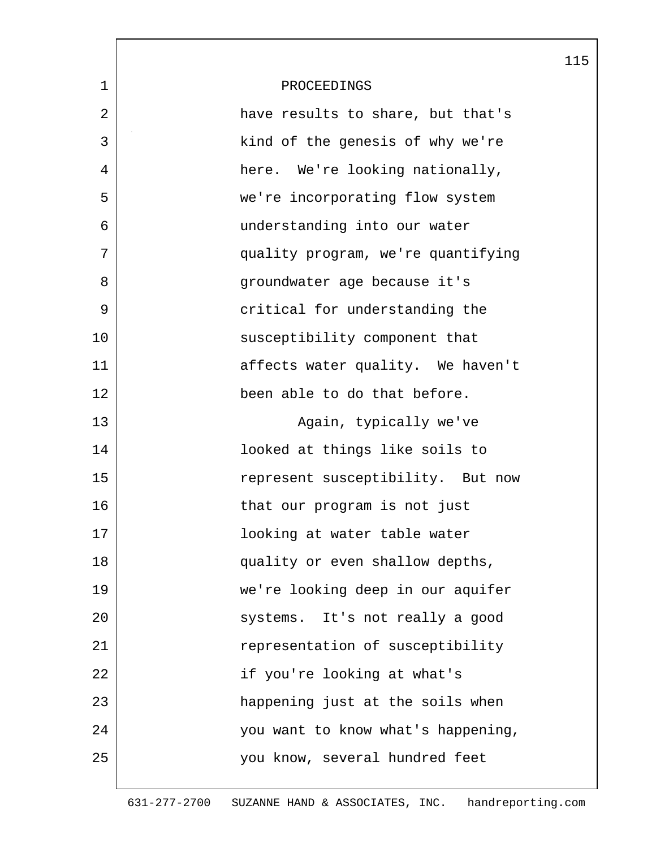|             |                                    | 115 |
|-------------|------------------------------------|-----|
| $\mathbf 1$ | PROCEEDINGS                        |     |
| 2           | have results to share, but that's  |     |
| 3           | kind of the genesis of why we're   |     |
| 4           | here. We're looking nationally,    |     |
| 5           | we're incorporating flow system    |     |
| 6           | understanding into our water       |     |
| 7           | quality program, we're quantifying |     |
| 8           | groundwater age because it's       |     |
| 9           | critical for understanding the     |     |
| 10          | susceptibility component that      |     |
| 11          | affects water quality. We haven't  |     |
| 12          | been able to do that before.       |     |
| 13          | Again, typically we've             |     |
| 14          | looked at things like soils to     |     |
| 15          | represent susceptibility. But now  |     |
| 16          | that our program is not just       |     |
| 17          | looking at water table water       |     |
| 18          | quality or even shallow depths,    |     |
| 19          | we're looking deep in our aquifer  |     |
| 20          | systems. It's not really a good    |     |
| 21          | representation of susceptibility   |     |
| 22          | if you're looking at what's        |     |
| 23          | happening just at the soils when   |     |
| 24          | you want to know what's happening, |     |
| 25          | you know, several hundred feet     |     |
|             |                                    |     |

 $\overline{\phantom{a}}$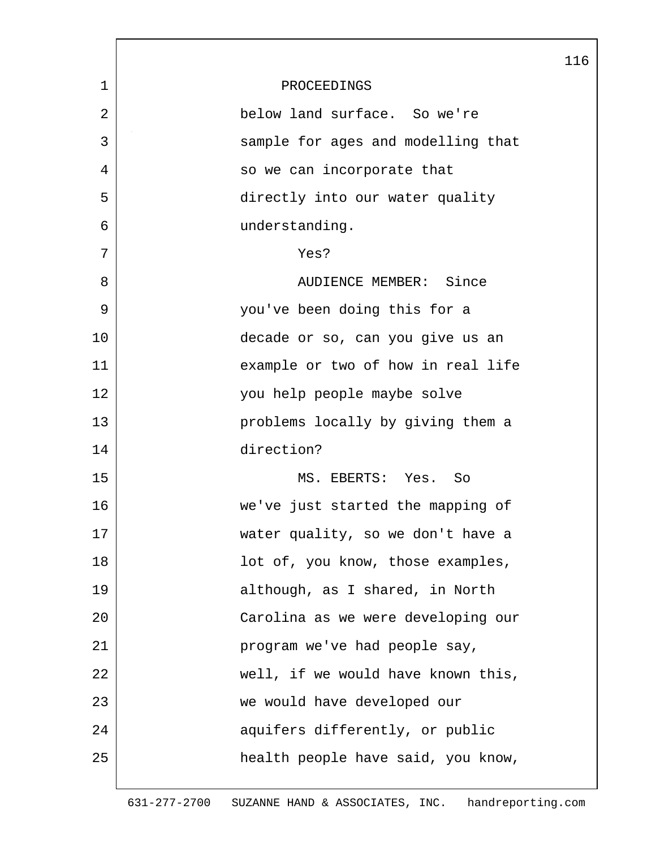|                |                                    | 116 |
|----------------|------------------------------------|-----|
| $\mathbf 1$    | PROCEEDINGS                        |     |
| $\overline{2}$ | below land surface. So we're       |     |
| 3              | sample for ages and modelling that |     |
| 4              | so we can incorporate that         |     |
| 5              | directly into our water quality    |     |
| 6              | understanding.                     |     |
| 7              | Yes?                               |     |
| 8              | AUDIENCE MEMBER: Since             |     |
| 9              | you've been doing this for a       |     |
| 10             | decade or so, can you give us an   |     |
| 11             | example or two of how in real life |     |
| 12             | you help people maybe solve        |     |
| 13             | problems locally by giving them a  |     |
| 14             | direction?                         |     |
| 15             | MS. EBERTS: Yes. So                |     |
| 16             | we've just started the mapping of  |     |
| 17             | water quality, so we don't have a  |     |
| 18             | lot of, you know, those examples,  |     |
| 19             | although, as I shared, in North    |     |
| 20             | Carolina as we were developing our |     |
| 21             | program we've had people say,      |     |
| 22             | well, if we would have known this, |     |
| 23             | we would have developed our        |     |
| 24             | aquifers differently, or public    |     |
| 25             | health people have said, you know, |     |
|                |                                    |     |

 $\overline{\phantom{a}}$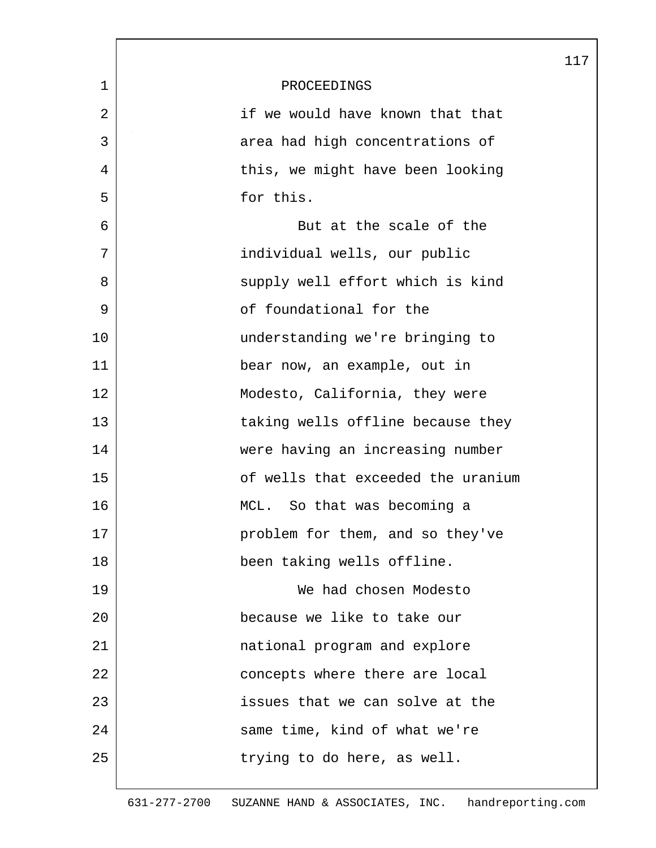|                |                                    | 117 |
|----------------|------------------------------------|-----|
| 1              | PROCEEDINGS                        |     |
| $\overline{2}$ | if we would have known that that   |     |
| 3              | area had high concentrations of    |     |
| 4              | this, we might have been looking   |     |
| 5              | for this.                          |     |
| 6              | But at the scale of the            |     |
| 7              | individual wells, our public       |     |
| 8              | supply well effort which is kind   |     |
| 9              | of foundational for the            |     |
| 10             | understanding we're bringing to    |     |
| 11             | bear now, an example, out in       |     |
| 12             | Modesto, California, they were     |     |
| 13             | taking wells offline because they  |     |
| 14             | were having an increasing number   |     |
| 15             | of wells that exceeded the uranium |     |
| 16             | MCL. So that was becoming a        |     |
| 17             | problem for them, and so they've   |     |
| 18             | been taking wells offline.         |     |
| 19             | We had chosen Modesto              |     |
| 20             | because we like to take our        |     |
| 21             | national program and explore       |     |
| 22             | concepts where there are local     |     |
| 23             | issues that we can solve at the    |     |
| 24             | same time, kind of what we're      |     |
| 25             | trying to do here, as well.        |     |
|                |                                    |     |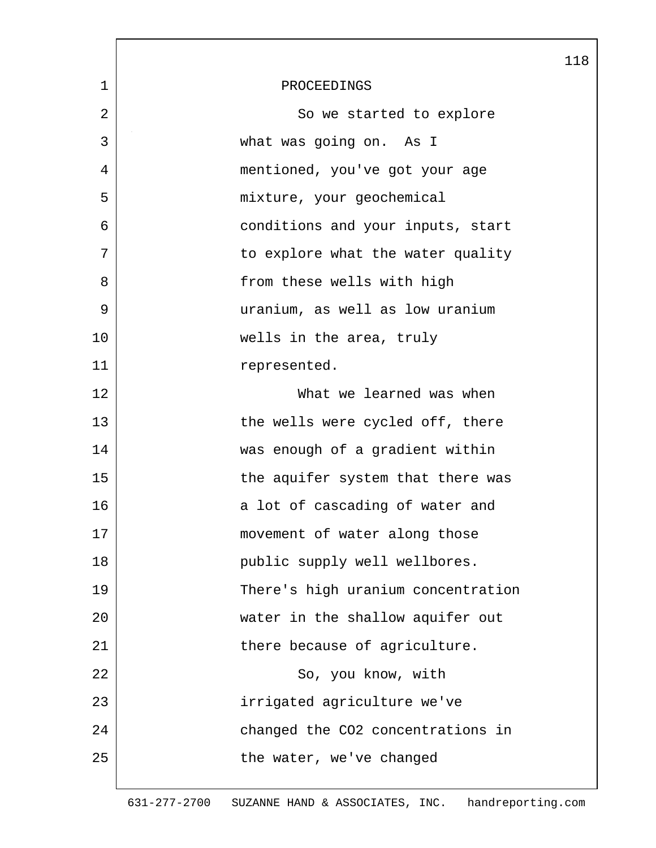|             |                                    | 118 |
|-------------|------------------------------------|-----|
| $\mathbf 1$ | PROCEEDINGS                        |     |
| 2           | So we started to explore           |     |
| 3           | what was going on. As I            |     |
| 4           | mentioned, you've got your age     |     |
| 5           | mixture, your geochemical          |     |
| 6           | conditions and your inputs, start  |     |
| 7           | to explore what the water quality  |     |
| 8           | from these wells with high         |     |
| 9           | uranium, as well as low uranium    |     |
| 10          | wells in the area, truly           |     |
| 11          | represented.                       |     |
| 12          | What we learned was when           |     |
| 13          | the wells were cycled off, there   |     |
| 14          | was enough of a gradient within    |     |
| 15          | the aquifer system that there was  |     |
| 16          | a lot of cascading of water and    |     |
| 17          | movement of water along those      |     |
| 18          | public supply well wellbores.      |     |
| 19          | There's high uranium concentration |     |
| 20          | water in the shallow aquifer out   |     |
| 21          | there because of agriculture.      |     |
| 22          | So, you know, with                 |     |
| 23          | irrigated agriculture we've        |     |
| 24          | changed the CO2 concentrations in  |     |
| 25          | the water, we've changed           |     |
|             |                                    |     |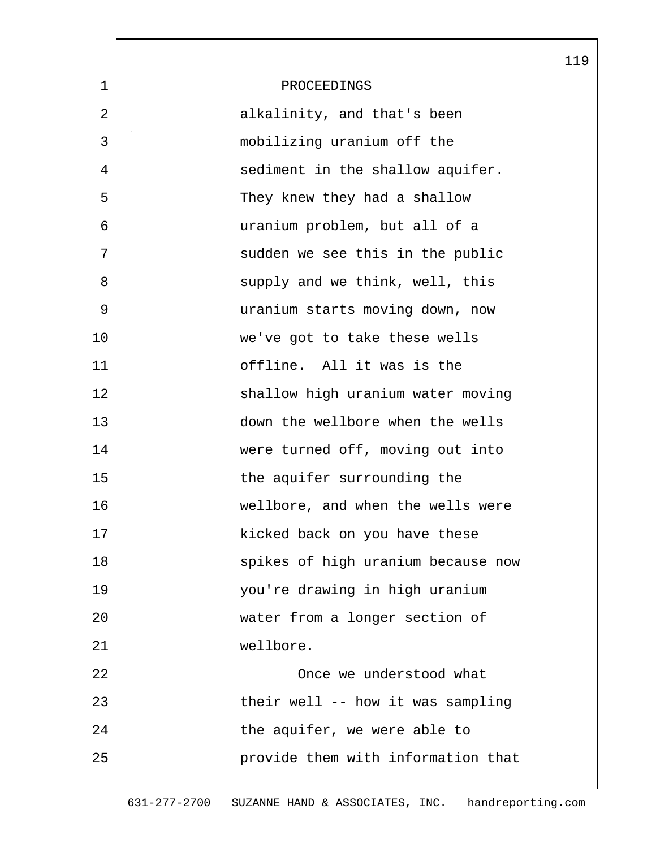|             |                                    | 119 |
|-------------|------------------------------------|-----|
| $\mathbf 1$ | PROCEEDINGS                        |     |
| 2           | alkalinity, and that's been        |     |
| 3           | mobilizing uranium off the         |     |
| 4           | sediment in the shallow aquifer.   |     |
| 5           | They knew they had a shallow       |     |
| 6           | uranium problem, but all of a      |     |
| 7           | sudden we see this in the public   |     |
| 8           | supply and we think, well, this    |     |
| 9           | uranium starts moving down, now    |     |
| 10          | we've got to take these wells      |     |
| 11          | offline. All it was is the         |     |
| 12          | shallow high uranium water moving  |     |
| 13          | down the wellbore when the wells   |     |
| 14          | were turned off, moving out into   |     |
| 15          | the aquifer surrounding the        |     |
| 16          | wellbore, and when the wells were  |     |
| 17          | kicked back on you have these      |     |
| 18          | spikes of high uranium because now |     |
| 19          | you're drawing in high uranium     |     |
| 20          | water from a longer section of     |     |
| 21          | wellbore.                          |     |
| 22          | Once we understood what            |     |
| 23          | their well -- how it was sampling  |     |
| 24          | the aquifer, we were able to       |     |
| 25          | provide them with information that |     |
|             |                                    |     |

631-277-2700 SUZANNE HAND & ASSOCIATES, INC. handreporting.com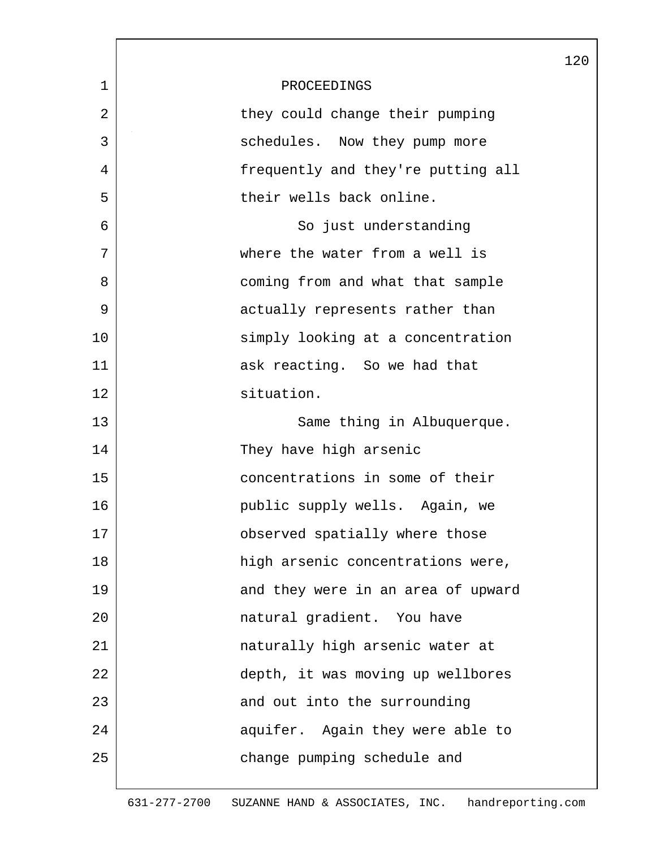|             |                                    | 120 |
|-------------|------------------------------------|-----|
| $\mathbf 1$ | PROCEEDINGS                        |     |
| 2           | they could change their pumping    |     |
| 3           | schedules. Now they pump more      |     |
| 4           | frequently and they're putting all |     |
| 5           | their wells back online.           |     |
| 6           | So just understanding              |     |
| 7           | where the water from a well is     |     |
| 8           | coming from and what that sample   |     |
| 9           | actually represents rather than    |     |
| 10          | simply looking at a concentration  |     |
| 11          | ask reacting. So we had that       |     |
| 12          | situation.                         |     |
| 13          | Same thing in Albuquerque.         |     |
| 14          | They have high arsenic             |     |
| 15          | concentrations in some of their    |     |
| 16          | public supply wells. Again, we     |     |
| 17          | observed spatially where those     |     |
| 18          | high arsenic concentrations were,  |     |
| 19          | and they were in an area of upward |     |
| 20          | natural gradient. You have         |     |
| 21          | naturally high arsenic water at    |     |
| 22          | depth, it was moving up wellbores  |     |
| 23          | and out into the surrounding       |     |
| 24          | aquifer. Again they were able to   |     |
| 25          | change pumping schedule and        |     |
|             |                                    |     |

 $\overline{\phantom{a}}$ 

631-277-2700 SUZANNE HAND & ASSOCIATES, INC. handreporting.com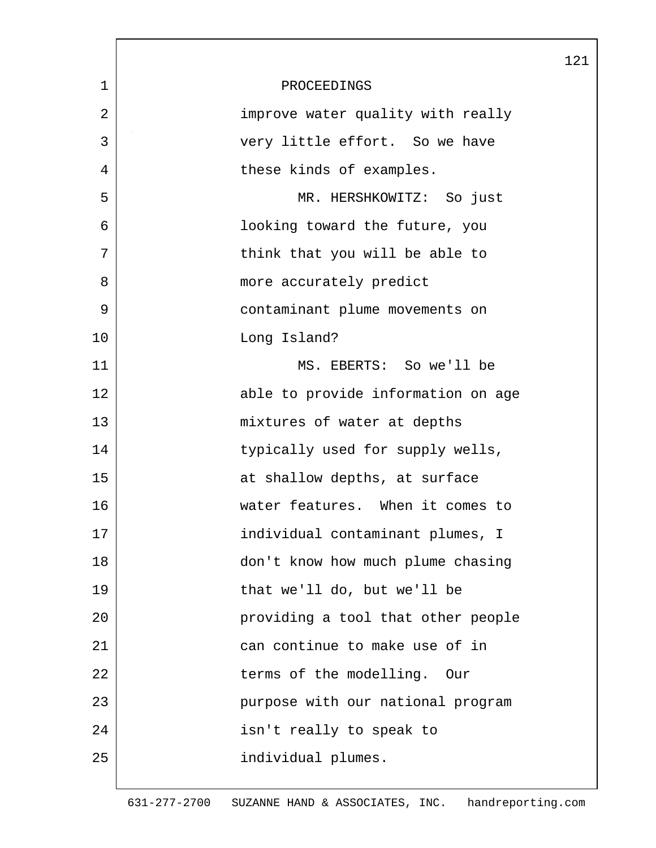|                |                                    | 121 |
|----------------|------------------------------------|-----|
| $\mathbf{1}$   | PROCEEDINGS                        |     |
| $\overline{2}$ | improve water quality with really  |     |
| 3              | very little effort. So we have     |     |
| 4              | these kinds of examples.           |     |
| 5              | MR. HERSHKOWITZ: So just           |     |
| 6              | looking toward the future, you     |     |
| 7              | think that you will be able to     |     |
| 8              | more accurately predict            |     |
| 9              | contaminant plume movements on     |     |
| 10             | Long Island?                       |     |
| 11             | MS. EBERTS: So we'll be            |     |
| 12             | able to provide information on age |     |
| 13             | mixtures of water at depths        |     |
| 14             | typically used for supply wells,   |     |
| 15             | at shallow depths, at surface      |     |
| 16             | water features. When it comes to   |     |
| 17             | individual contaminant plumes, I   |     |
| 18             | don't know how much plume chasing  |     |
| 19             | that we'll do, but we'll be        |     |
| 20             | providing a tool that other people |     |
| 21             | can continue to make use of in     |     |
| 22             | terms of the modelling.<br>Our     |     |
| 23             | purpose with our national program  |     |
| 24             | isn't really to speak to           |     |
| 25             | individual plumes.                 |     |
|                |                                    |     |

L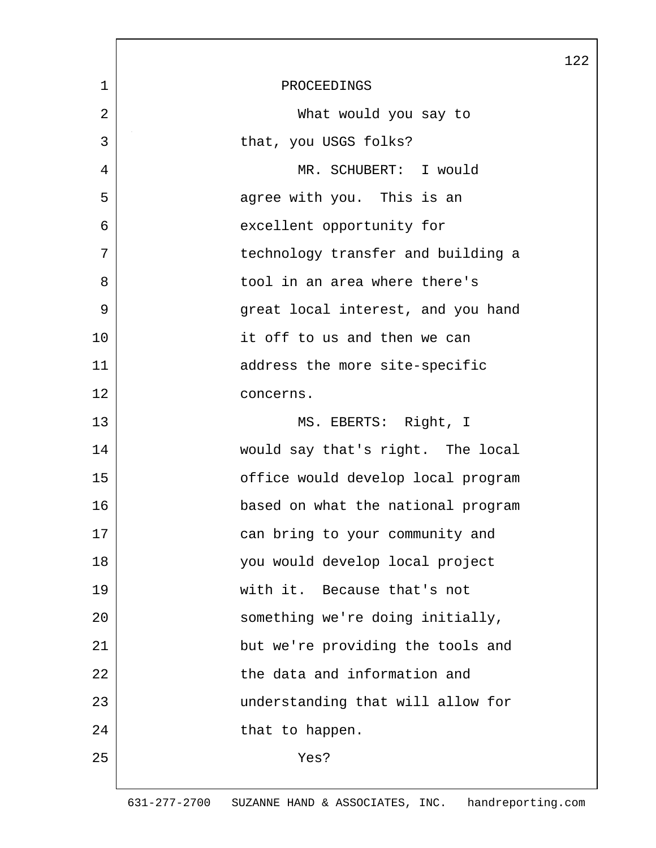|    |                                    | 122 |
|----|------------------------------------|-----|
| 1  | PROCEEDINGS                        |     |
| 2  | What would you say to              |     |
| 3  | that, you USGS folks?              |     |
| 4  | MR. SCHUBERT: I would              |     |
| 5  | agree with you. This is an         |     |
| 6  | excellent opportunity for          |     |
| 7  | technology transfer and building a |     |
| 8  | tool in an area where there's      |     |
| 9  | great local interest, and you hand |     |
| 10 | it off to us and then we can       |     |
| 11 | address the more site-specific     |     |
| 12 | concerns.                          |     |
| 13 | MS. EBERTS: Right, I               |     |
| 14 | would say that's right. The local  |     |
| 15 | office would develop local program |     |
| 16 | based on what the national program |     |
| 17 | can bring to your community and    |     |
| 18 | you would develop local project    |     |
| 19 | with it. Because that's not        |     |
| 20 | something we're doing initially,   |     |
| 21 | but we're providing the tools and  |     |
| 22 | the data and information and       |     |
| 23 | understanding that will allow for  |     |
| 24 | that to happen.                    |     |
| 25 | Yes?                               |     |
|    |                                    |     |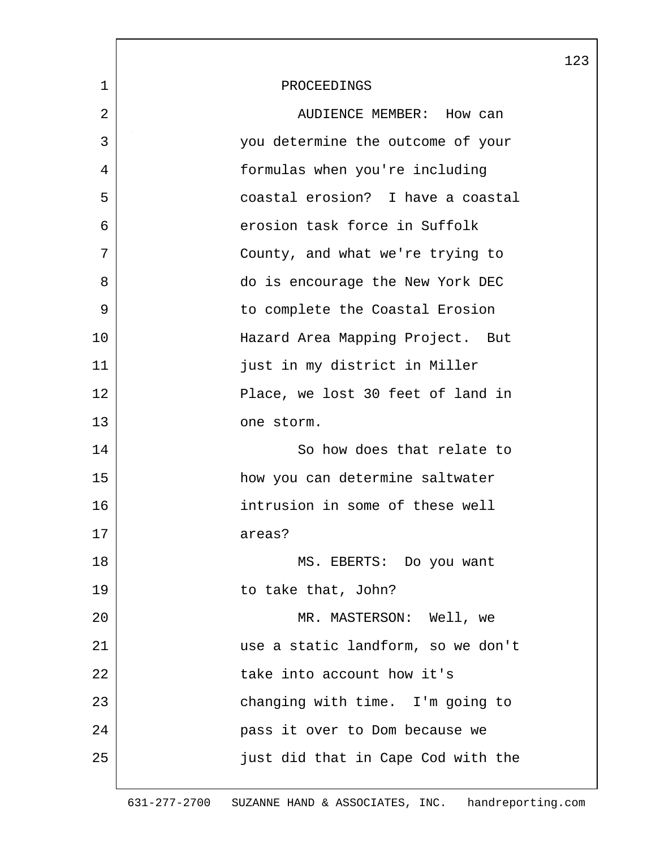|             |                                    | 123 |
|-------------|------------------------------------|-----|
| $\mathbf 1$ | PROCEEDINGS                        |     |
| 2           | AUDIENCE MEMBER: How can           |     |
| 3           | you determine the outcome of your  |     |
| 4           | formulas when you're including     |     |
| 5           | coastal erosion? I have a coastal  |     |
| 6           | erosion task force in Suffolk      |     |
| 7           | County, and what we're trying to   |     |
| 8           | do is encourage the New York DEC   |     |
| 9           | to complete the Coastal Erosion    |     |
| 10          | Hazard Area Mapping Project. But   |     |
| 11          | just in my district in Miller      |     |
| 12          | Place, we lost 30 feet of land in  |     |
| 13          | one storm.                         |     |
| 14          | So how does that relate to         |     |
| 15          | how you can determine saltwater    |     |
| 16          | intrusion in some of these well    |     |
| 17          | areas?                             |     |
| 18          | MS. EBERTS: Do you want            |     |
| 19          | to take that, John?                |     |
| 20          | MR. MASTERSON: Well, we            |     |
| 21          | use a static landform, so we don't |     |
| 22          | take into account how it's         |     |
| 23          | changing with time. I'm going to   |     |
| 24          | pass it over to Dom because we     |     |
| 25          | just did that in Cape Cod with the |     |
|             |                                    |     |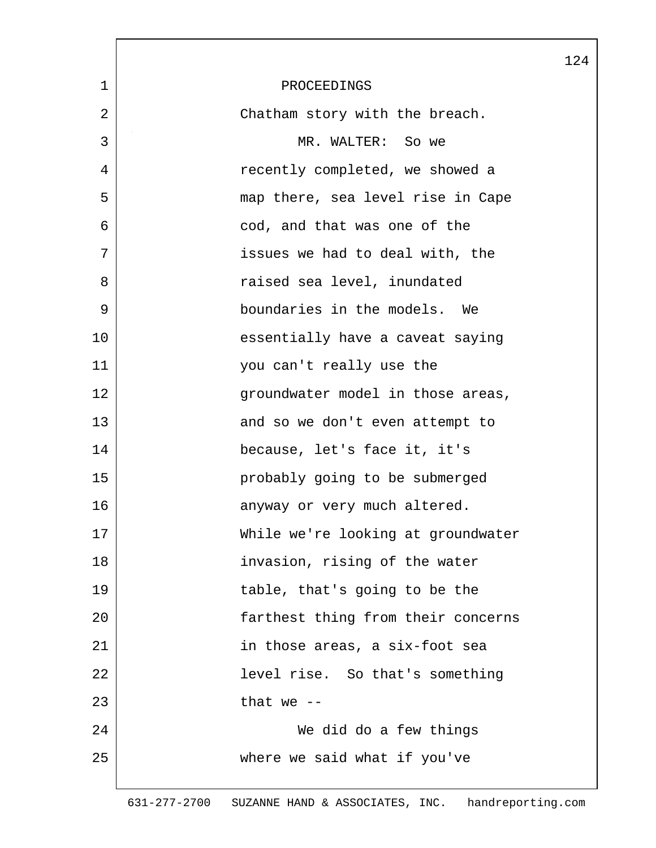|              |                                    | 124 |
|--------------|------------------------------------|-----|
| $\mathbf{1}$ | PROCEEDINGS                        |     |
| 2            | Chatham story with the breach.     |     |
| 3            | MR. WALTER: So we                  |     |
| 4            | recently completed, we showed a    |     |
| 5            | map there, sea level rise in Cape  |     |
| 6            | cod, and that was one of the       |     |
| 7            | issues we had to deal with, the    |     |
| 8            | raised sea level, inundated        |     |
| 9            | boundaries in the models. We       |     |
| 10           | essentially have a caveat saying   |     |
| 11           | you can't really use the           |     |
| 12           | groundwater model in those areas,  |     |
| 13           | and so we don't even attempt to    |     |
| 14           | because, let's face it, it's       |     |
| 15           | probably going to be submerged     |     |
| 16           | anyway or very much altered.       |     |
| 17           | While we're looking at groundwater |     |
| 18           | invasion, rising of the water      |     |
| 19           | table, that's going to be the      |     |
| 20           | farthest thing from their concerns |     |
| 21           | in those areas, a six-foot sea     |     |
| 22           | level rise. So that's something    |     |
| 23           | that we $-$                        |     |
| 24           | We did do a few things             |     |
| 25           | where we said what if you've       |     |
|              |                                    |     |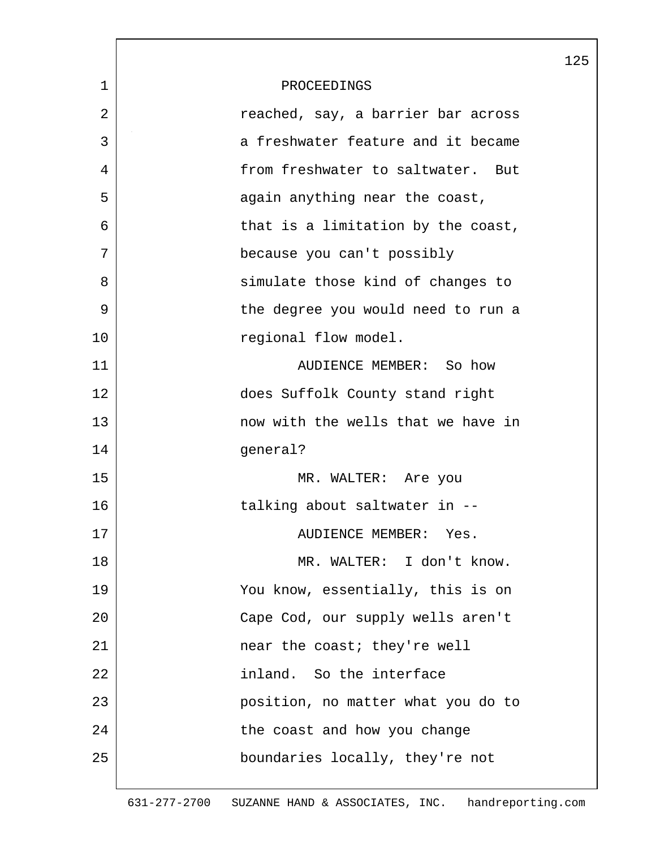|    |                                    | 125 |
|----|------------------------------------|-----|
| 1  | PROCEEDINGS                        |     |
| 2  | reached, say, a barrier bar across |     |
| 3  | a freshwater feature and it became |     |
| 4  | from freshwater to saltwater. But  |     |
| 5  | again anything near the coast,     |     |
| 6  | that is a limitation by the coast, |     |
| 7  | because you can't possibly         |     |
| 8  | simulate those kind of changes to  |     |
| 9  | the degree you would need to run a |     |
| 10 | regional flow model.               |     |
| 11 | AUDIENCE MEMBER: So how            |     |
| 12 | does Suffolk County stand right    |     |
| 13 | now with the wells that we have in |     |
| 14 | general?                           |     |
| 15 | MR. WALTER: Are you                |     |
| 16 | talking about saltwater in --      |     |
| 17 | AUDIENCE MEMBER: Yes.              |     |
| 18 | MR. WALTER: I don't know.          |     |
| 19 | You know, essentially, this is on  |     |
| 20 | Cape Cod, our supply wells aren't  |     |
| 21 | near the coast; they're well       |     |
| 22 | inland. So the interface           |     |
| 23 | position, no matter what you do to |     |
| 24 | the coast and how you change       |     |
| 25 | boundaries locally, they're not    |     |
|    |                                    |     |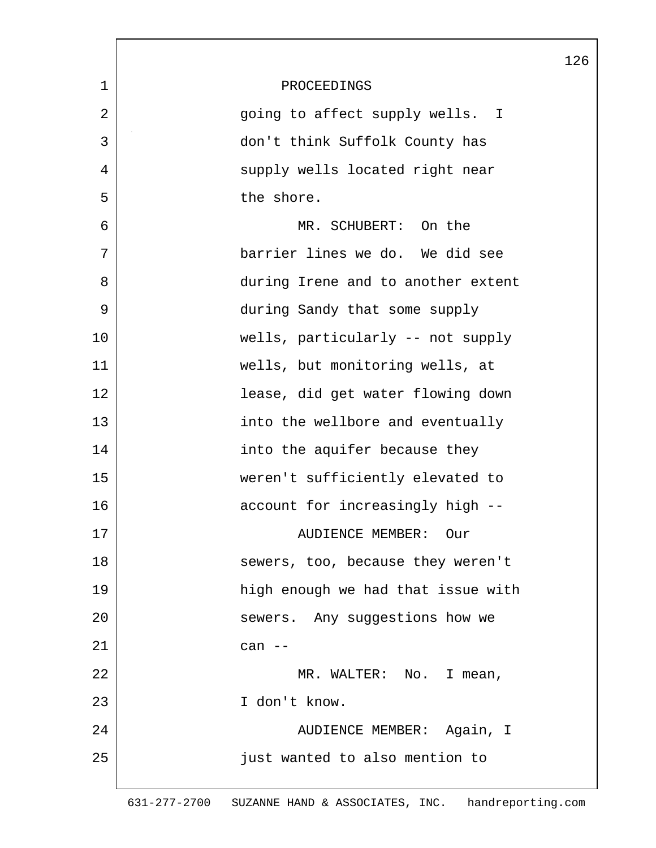|    |                                    | 126 |
|----|------------------------------------|-----|
| 1  | PROCEEDINGS                        |     |
| 2  | going to affect supply wells. I    |     |
| 3  | don't think Suffolk County has     |     |
| 4  | supply wells located right near    |     |
| 5  | the shore.                         |     |
| 6  | MR. SCHUBERT: On the               |     |
| 7  | barrier lines we do. We did see    |     |
| 8  | during Irene and to another extent |     |
| 9  | during Sandy that some supply      |     |
| 10 | wells, particularly -- not supply  |     |
| 11 | wells, but monitoring wells, at    |     |
| 12 | lease, did get water flowing down  |     |
| 13 | into the wellbore and eventually   |     |
| 14 | into the aquifer because they      |     |
| 15 | weren't sufficiently elevated to   |     |
| 16 | account for increasingly high --   |     |
| 17 | <b>AUDIENCE MEMBER:</b><br>Our     |     |
| 18 | sewers, too, because they weren't  |     |
| 19 | high enough we had that issue with |     |
| 20 | sewers. Any suggestions how we     |     |
| 21 | can --                             |     |
| 22 | MR. WALTER: No. I mean,            |     |
| 23 | I don't know.                      |     |
| 24 | AUDIENCE MEMBER: Again, I          |     |
| 25 | just wanted to also mention to     |     |
|    |                                    |     |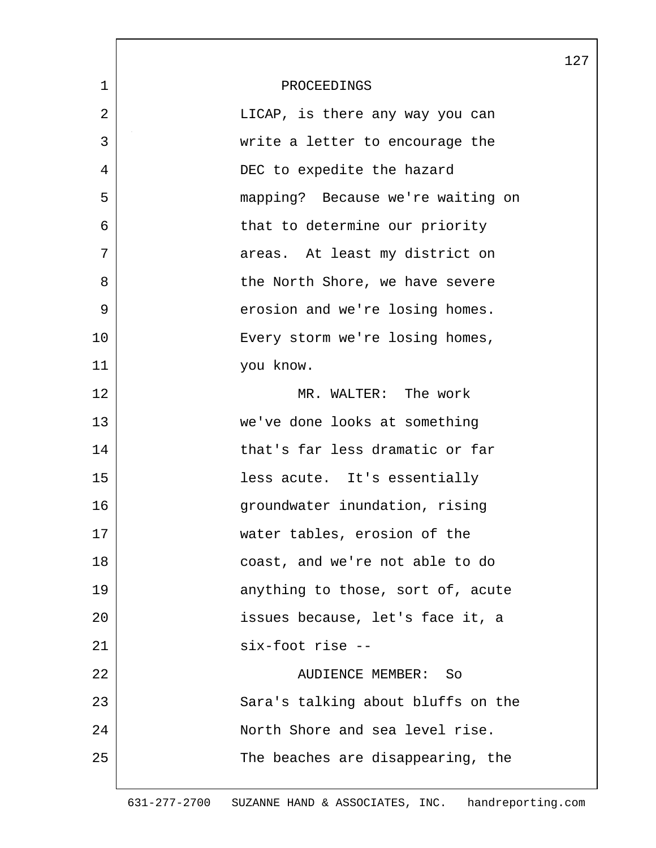|                |                                    | 127 |
|----------------|------------------------------------|-----|
| $\mathbf 1$    | PROCEEDINGS                        |     |
| $\overline{2}$ | LICAP, is there any way you can    |     |
| 3              | write a letter to encourage the    |     |
| 4              | DEC to expedite the hazard         |     |
| 5              | mapping? Because we're waiting on  |     |
| 6              | that to determine our priority     |     |
| 7              | areas. At least my district on     |     |
| 8              | the North Shore, we have severe    |     |
| 9              | erosion and we're losing homes.    |     |
| 10             | Every storm we're losing homes,    |     |
| 11             | you know.                          |     |
| 12             | MR. WALTER: The work               |     |
| 13             | we've done looks at something      |     |
| 14             | that's far less dramatic or far    |     |
| 15             | less acute. It's essentially       |     |
| 16             | groundwater inundation, rising     |     |
| 17             | water tables, erosion of the       |     |
| 18             | coast, and we're not able to do    |     |
| 19             | anything to those, sort of, acute  |     |
| 20             | issues because, let's face it, a   |     |
| 21             | six-foot rise --                   |     |
| 22             | AUDIENCE MEMBER:<br>So             |     |
| 23             | Sara's talking about bluffs on the |     |
| 24             | North Shore and sea level rise.    |     |
| 25             | The beaches are disappearing, the  |     |
|                |                                    |     |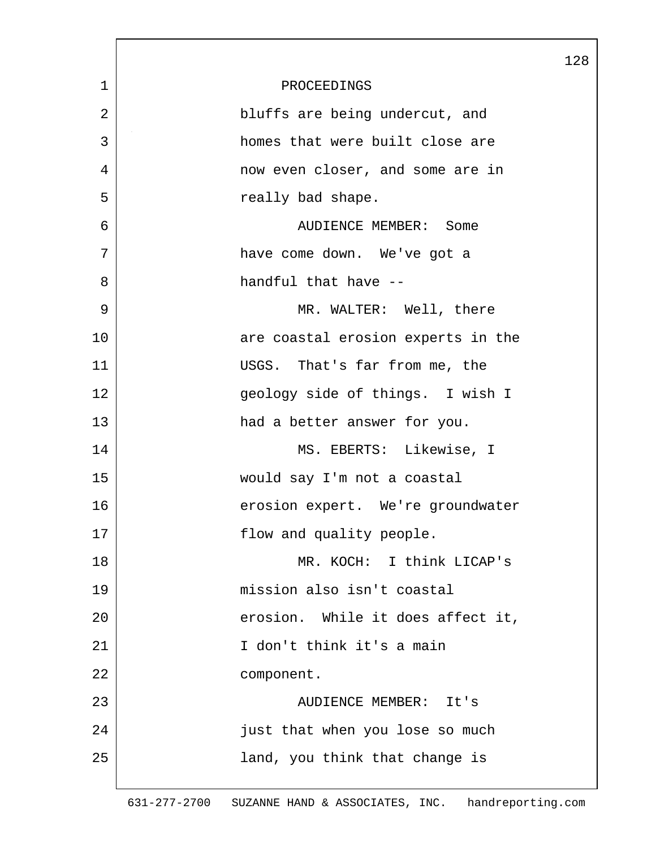|                |                                    | 128 |
|----------------|------------------------------------|-----|
| $\mathbf 1$    | PROCEEDINGS                        |     |
| $\overline{2}$ | bluffs are being undercut, and     |     |
| 3              | homes that were built close are    |     |
| 4              | now even closer, and some are in   |     |
| 5              | really bad shape.                  |     |
| 6              | AUDIENCE MEMBER: Some              |     |
| 7              | have come down. We've got a        |     |
| 8              | handful that have --               |     |
| 9              | MR. WALTER: Well, there            |     |
| 10             | are coastal erosion experts in the |     |
| 11             | USGS. That's far from me, the      |     |
| 12             | geology side of things. I wish I   |     |
| 13             | had a better answer for you.       |     |
| 14             | MS. EBERTS: Likewise, I            |     |
| 15             | would say I'm not a coastal        |     |
| 16             | erosion expert. We're groundwater  |     |
| 17             | flow and quality people.           |     |
| 18             | MR. KOCH: I think LICAP's          |     |
| 19             | mission also isn't coastal         |     |
| 20             | erosion. While it does affect it,  |     |
| 21             | I don't think it's a main          |     |
| 22             | component.                         |     |
| 23             | AUDIENCE MEMBER: It's              |     |
| 24             | just that when you lose so much    |     |
| 25             | land, you think that change is     |     |
|                |                                    |     |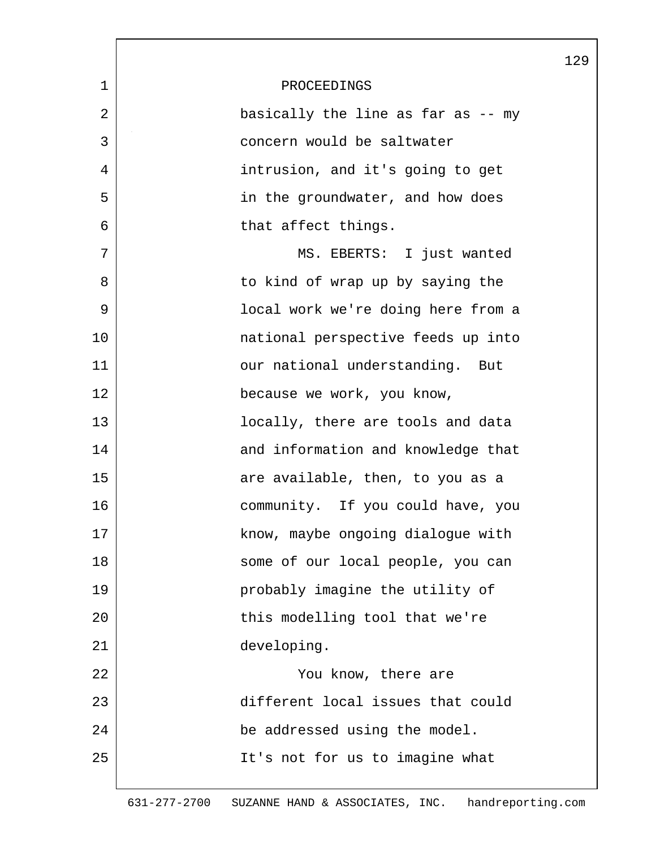|                |                                    | 129 |
|----------------|------------------------------------|-----|
| $\mathbf 1$    | PROCEEDINGS                        |     |
| $\overline{2}$ | basically the line as far as -- my |     |
| 3              | concern would be saltwater         |     |
| 4              | intrusion, and it's going to get   |     |
| 5              | in the groundwater, and how does   |     |
| 6              | that affect things.                |     |
| 7              | MS. EBERTS: I just wanted          |     |
| 8              | to kind of wrap up by saying the   |     |
| 9              | local work we're doing here from a |     |
| 10             | national perspective feeds up into |     |
| 11             | our national understanding. But    |     |
| 12             | because we work, you know,         |     |
| 13             | locally, there are tools and data  |     |
| 14             | and information and knowledge that |     |
| 15             | are available, then, to you as a   |     |
| 16             | community. If you could have, you  |     |
| 17             | know, maybe ongoing dialogue with  |     |
| 18             | some of our local people, you can  |     |
| 19             | probably imagine the utility of    |     |
| 20             | this modelling tool that we're     |     |
| 21             | developing.                        |     |
| 22             | You know, there are                |     |
| 23             | different local issues that could  |     |
| 24             | be addressed using the model.      |     |
| 25             | It's not for us to imagine what    |     |
|                |                                    |     |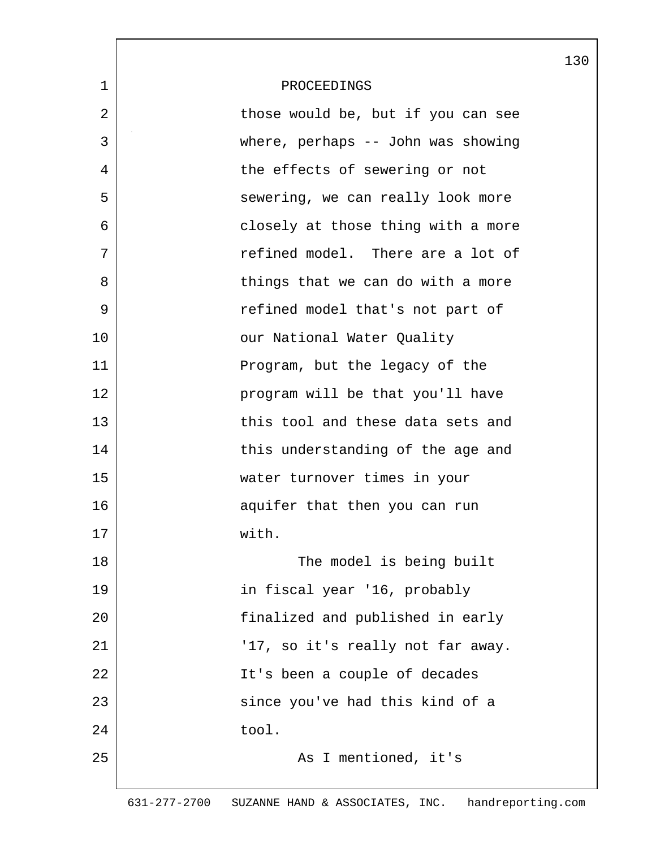|             |                                    | 130 |
|-------------|------------------------------------|-----|
| $\mathbf 1$ | PROCEEDINGS                        |     |
| 2           | those would be, but if you can see |     |
| 3           | where, perhaps -- John was showing |     |
| 4           | the effects of sewering or not     |     |
| 5           | sewering, we can really look more  |     |
| 6           | closely at those thing with a more |     |
| 7           | refined model. There are a lot of  |     |
| 8           | things that we can do with a more  |     |
| 9           | refined model that's not part of   |     |
| 10          | our National Water Quality         |     |
| 11          | Program, but the legacy of the     |     |
| 12          | program will be that you'll have   |     |
| 13          | this tool and these data sets and  |     |
| 14          | this understanding of the age and  |     |
| 15          | water turnover times in your       |     |
| 16          | aquifer that then you can run      |     |
| 17          | with.                              |     |
| 18          | The model is being built           |     |
| 19          | in fiscal year '16, probably       |     |
| 20          | finalized and published in early   |     |
| 21          | '17, so it's really not far away.  |     |
| 22          | It's been a couple of decades      |     |
| 23          | since you've had this kind of a    |     |
| 24          | tool.                              |     |
| 25          | As I mentioned, it's               |     |
|             |                                    |     |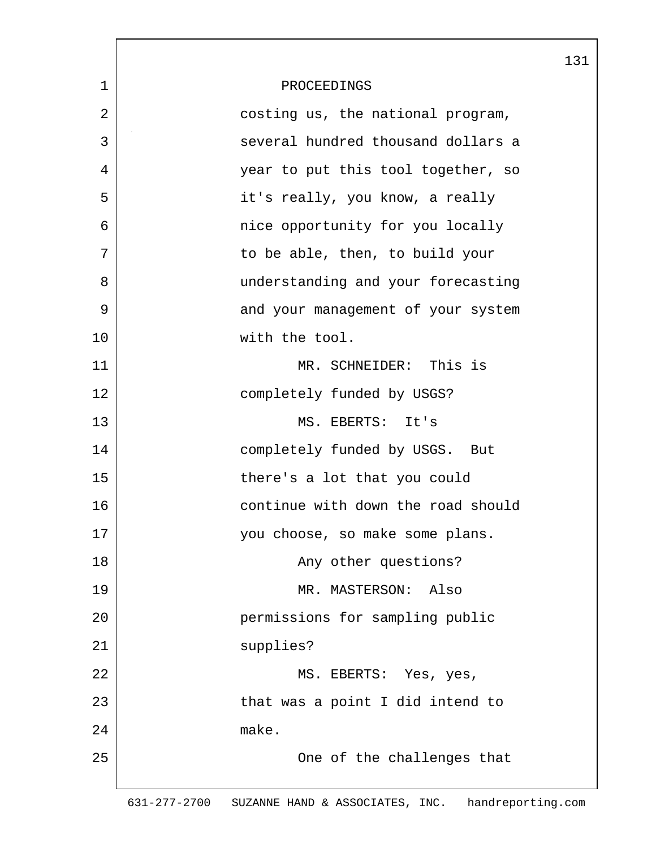|                |                                    | 131 |
|----------------|------------------------------------|-----|
| $\mathbf 1$    | PROCEEDINGS                        |     |
| $\overline{2}$ | costing us, the national program,  |     |
| 3              | several hundred thousand dollars a |     |
| 4              | year to put this tool together, so |     |
| 5              | it's really, you know, a really    |     |
| 6              | nice opportunity for you locally   |     |
| 7              | to be able, then, to build your    |     |
| 8              | understanding and your forecasting |     |
| 9              | and your management of your system |     |
| 10             | with the tool.                     |     |
| 11             | MR. SCHNEIDER: This is             |     |
| 12             | completely funded by USGS?         |     |
| 13             | MS. EBERTS: It's                   |     |
| 14             | completely funded by USGS. But     |     |
| 15             | there's a lot that you could       |     |
| 16             | continue with down the road should |     |
| 17             | you choose, so make some plans.    |     |
| 18             | Any other questions?               |     |
| 19             | MR. MASTERSON:<br>Also             |     |
| 20             | permissions for sampling public    |     |
| 21             | supplies?                          |     |
| 22             | MS. EBERTS: Yes, yes,              |     |
| 23             | that was a point I did intend to   |     |
| 24             | make.                              |     |
| 25             | One of the challenges that         |     |
|                |                                    |     |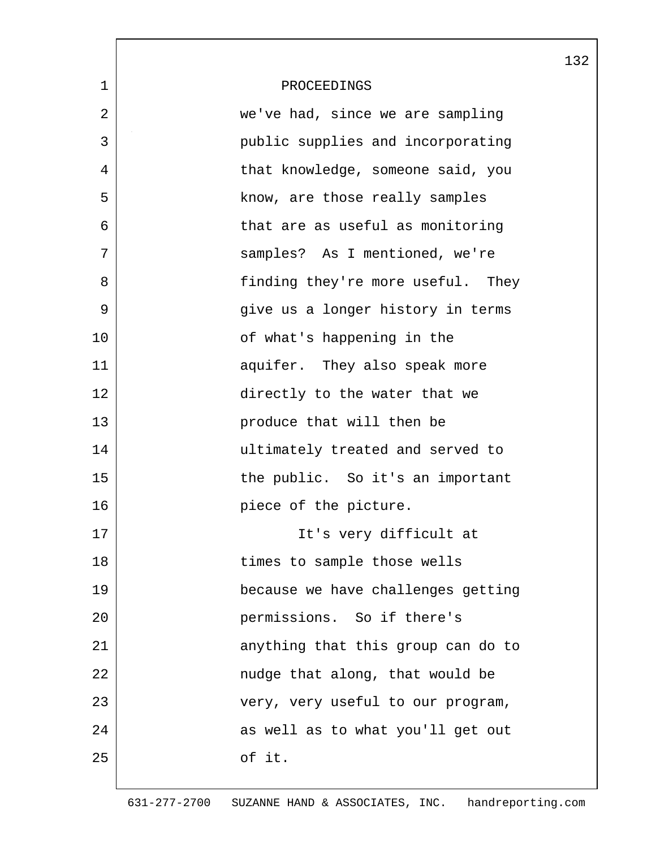|             |                                    | 132 |
|-------------|------------------------------------|-----|
| $\mathbf 1$ | PROCEEDINGS                        |     |
| 2           | we've had, since we are sampling   |     |
| 3           | public supplies and incorporating  |     |
| 4           | that knowledge, someone said, you  |     |
| 5           | know, are those really samples     |     |
| 6           | that are as useful as monitoring   |     |
| 7           | samples? As I mentioned, we're     |     |
| 8           | finding they're more useful. They  |     |
| 9           | give us a longer history in terms  |     |
| 10          | of what's happening in the         |     |
| 11          | aquifer. They also speak more      |     |
| 12          | directly to the water that we      |     |
| 13          | produce that will then be          |     |
| 14          | ultimately treated and served to   |     |
| 15          | the public. So it's an important   |     |
| 16          | piece of the picture.              |     |
| 17          | It's very difficult at             |     |
| 18          | times to sample those wells        |     |
| 19          | because we have challenges getting |     |
| 20          | permissions. So if there's         |     |
| 21          | anything that this group can do to |     |
| 22          | nudge that along, that would be    |     |
| 23          | very, very useful to our program,  |     |
| 24          | as well as to what you'll get out  |     |
| 25          | of it.                             |     |
|             |                                    |     |

L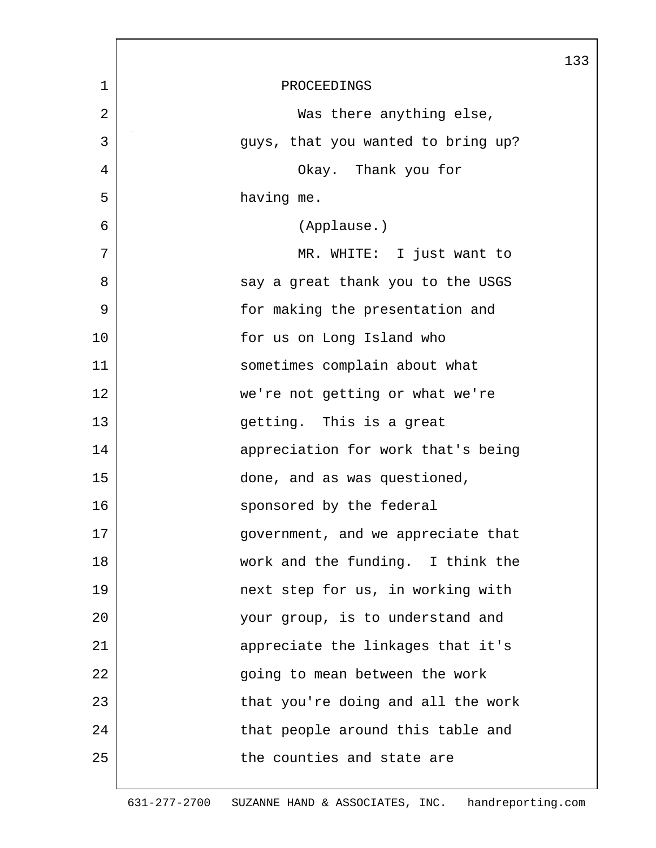|                |                                    | 133 |
|----------------|------------------------------------|-----|
| $\mathbf{1}$   | PROCEEDINGS                        |     |
| $\overline{2}$ | Was there anything else,           |     |
| 3              | guys, that you wanted to bring up? |     |
| 4              | Okay. Thank you for                |     |
| 5              | having me.                         |     |
| 6              | (Applause.)                        |     |
| 7              | MR. WHITE: I just want to          |     |
| 8              | say a great thank you to the USGS  |     |
| 9              | for making the presentation and    |     |
| 10             | for us on Long Island who          |     |
| 11             | sometimes complain about what      |     |
| 12             | we're not getting or what we're    |     |
| 13             | getting. This is a great           |     |
| 14             | appreciation for work that's being |     |
| 15             | done, and as was questioned,       |     |
| 16             | sponsored by the federal           |     |
| 17             | government, and we appreciate that |     |
| 18             | work and the funding. I think the  |     |
| 19             | next step for us, in working with  |     |
| 20             | your group, is to understand and   |     |
| 21             | appreciate the linkages that it's  |     |
| 22             | going to mean between the work     |     |
| 23             | that you're doing and all the work |     |
| 24             | that people around this table and  |     |
| 25             | the counties and state are         |     |
|                |                                    |     |

 $\overline{\phantom{a}}$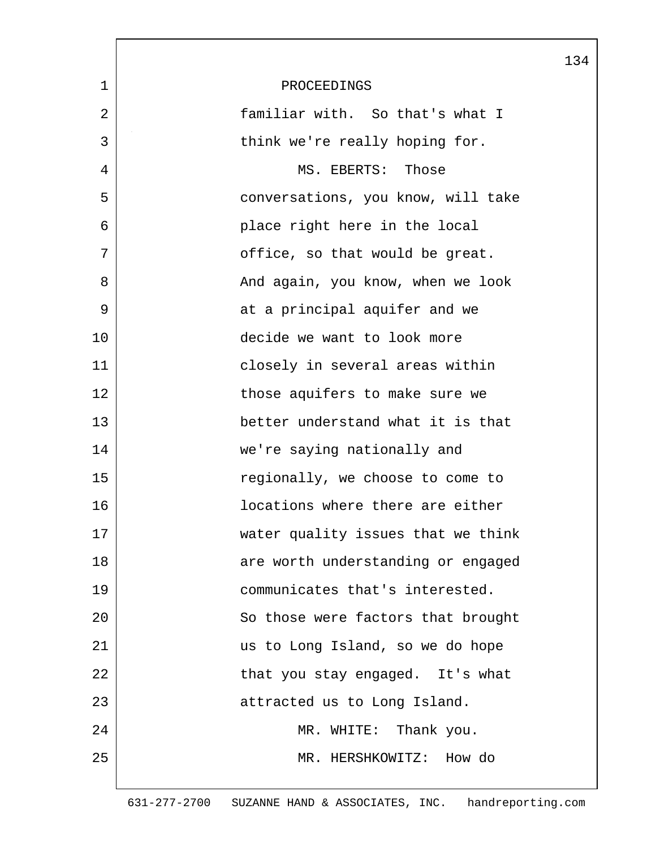|              |                                    | 134 |
|--------------|------------------------------------|-----|
| $\mathbf{1}$ | PROCEEDINGS                        |     |
| 2            | familiar with. So that's what I    |     |
| 3            | think we're really hoping for.     |     |
| 4            | MS. EBERTS: Those                  |     |
| 5            | conversations, you know, will take |     |
| 6            | place right here in the local      |     |
| 7            | office, so that would be great.    |     |
| 8            | And again, you know, when we look  |     |
| 9            | at a principal aquifer and we      |     |
| 10           | decide we want to look more        |     |
| 11           | closely in several areas within    |     |
| 12           | those aquifers to make sure we     |     |
| 13           | better understand what it is that  |     |
| 14           | we're saying nationally and        |     |
| 15           | regionally, we choose to come to   |     |
| 16           | locations where there are either   |     |
| 17           | water quality issues that we think |     |
| 18           | are worth understanding or engaged |     |
| 19           | communicates that's interested.    |     |
| 20           | So those were factors that brought |     |
| 21           | us to Long Island, so we do hope   |     |
| 22           | that you stay engaged. It's what   |     |
| 23           | attracted us to Long Island.       |     |
| 24           | MR. WHITE: Thank you.              |     |
| 25           | MR. HERSHKOWITZ: How do            |     |
|              |                                    |     |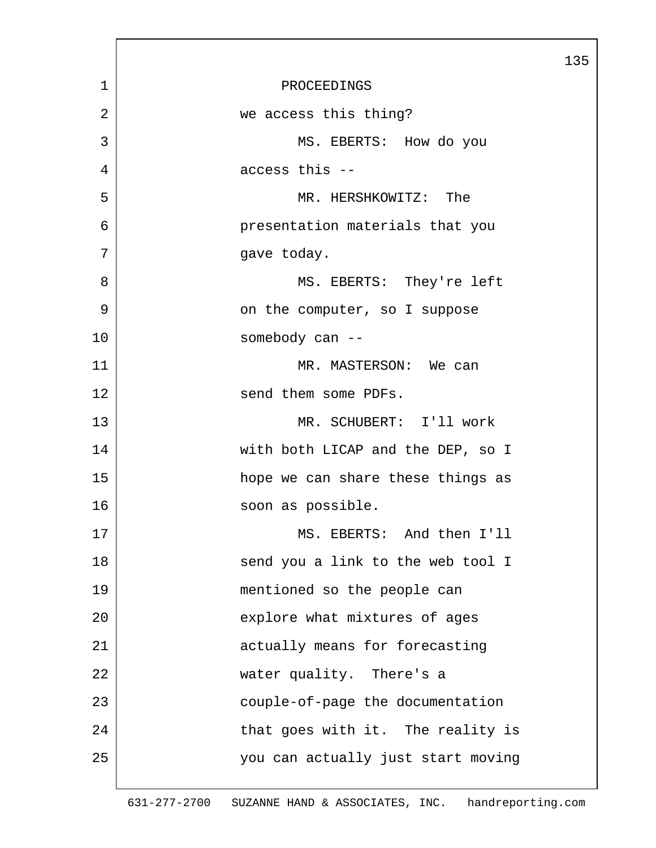|                |                                    | 135 |
|----------------|------------------------------------|-----|
| 1              | PROCEEDINGS                        |     |
| $\overline{2}$ | we access this thing?              |     |
| 3              | MS. EBERTS: How do you             |     |
| 4              | access this --                     |     |
| 5              | MR. HERSHKOWITZ: The               |     |
| 6              | presentation materials that you    |     |
| 7              | gave today.                        |     |
| 8              | MS. EBERTS: They're left           |     |
| 9              | on the computer, so I suppose      |     |
| 10             | somebody can --                    |     |
| 11             | MR. MASTERSON: We can              |     |
| 12             | send them some PDFs.               |     |
| 13             | MR. SCHUBERT: I'll work            |     |
| 14             | with both LICAP and the DEP, so I  |     |
| 15             | hope we can share these things as  |     |
| 16             | soon as possible.                  |     |
| 17             | MS. EBERTS: And then I'll          |     |
| 18             | send you a link to the web tool I  |     |
| 19             | mentioned so the people can        |     |
| 20             | explore what mixtures of ages      |     |
| 21             | actually means for forecasting     |     |
| 22             | water quality. There's a           |     |
| 23             | couple-of-page the documentation   |     |
| 24             | that goes with it. The reality is  |     |
| 25             | you can actually just start moving |     |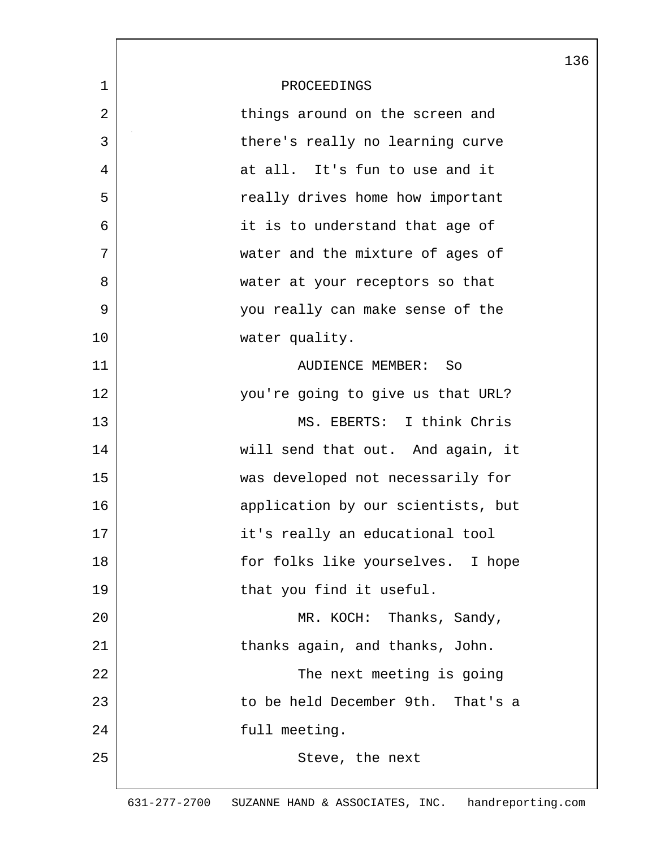|                |                                    | 136 |
|----------------|------------------------------------|-----|
| $\mathbf 1$    | PROCEEDINGS                        |     |
| $\overline{2}$ | things around on the screen and    |     |
| 3              | there's really no learning curve   |     |
| 4              | at all. It's fun to use and it     |     |
| 5              | really drives home how important   |     |
| 6              | it is to understand that age of    |     |
| 7              | water and the mixture of ages of   |     |
| 8              | water at your receptors so that    |     |
| 9              | you really can make sense of the   |     |
| 10             | water quality.                     |     |
| 11             | AUDIENCE MEMBER: So                |     |
| 12             | you're going to give us that URL?  |     |
| 13             | MS. EBERTS: I think Chris          |     |
| 14             | will send that out. And again, it  |     |
| 15             | was developed not necessarily for  |     |
| 16             | application by our scientists, but |     |
| 17             | it's really an educational tool    |     |
| 18             | for folks like yourselves. I hope  |     |
| 19             | that you find it useful.           |     |
| 20             | MR. KOCH: Thanks, Sandy,           |     |
| 21             | thanks again, and thanks, John.    |     |
| 22             | The next meeting is going          |     |
| 23             | to be held December 9th. That's a  |     |
| 24             | full meeting.                      |     |
| 25             | Steve, the next                    |     |
|                |                                    |     |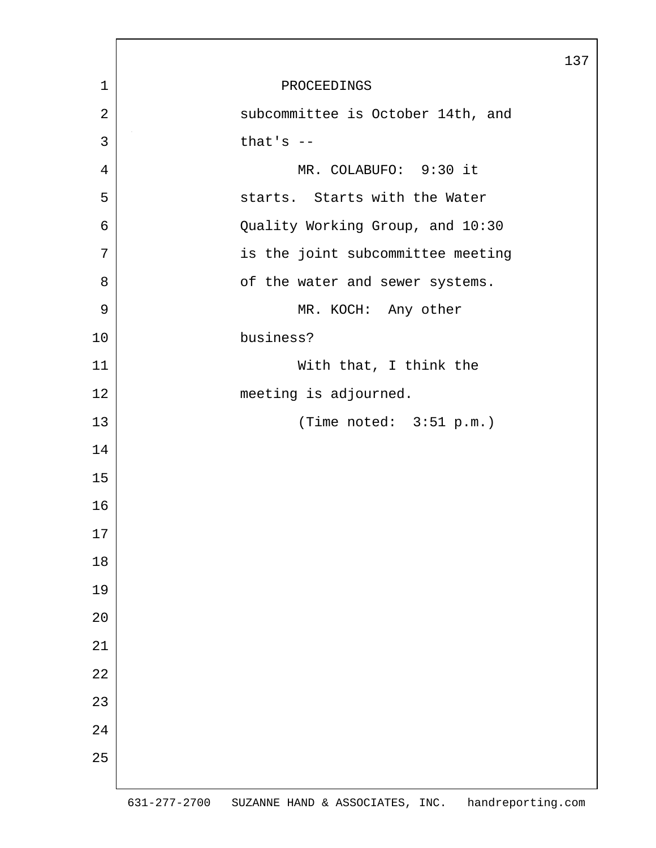|                |                                   | 137 |
|----------------|-----------------------------------|-----|
| 1              | PROCEEDINGS                       |     |
| $\overline{2}$ | subcommittee is October 14th, and |     |
| 3              | that's $--$                       |     |
| $\overline{4}$ | MR. COLABUFO: 9:30 it             |     |
| 5              | starts. Starts with the Water     |     |
| 6              | Quality Working Group, and 10:30  |     |
| 7              | is the joint subcommittee meeting |     |
| 8              | of the water and sewer systems.   |     |
| $\mathsf 9$    | MR. KOCH: Any other               |     |
| $10$           | business?                         |     |
| 11             | With that, I think the            |     |
| 12             | meeting is adjourned.             |     |
| 13             | (Time noted: $3:51 p.m.$ )        |     |
| 14             |                                   |     |
| 15             |                                   |     |
| 16             |                                   |     |
| 17             |                                   |     |
| $18\,$         |                                   |     |
| 19             |                                   |     |
| 20             |                                   |     |
| 21             |                                   |     |
| 22             |                                   |     |
| 23             |                                   |     |
| 24             |                                   |     |
| 25             |                                   |     |
|                |                                   |     |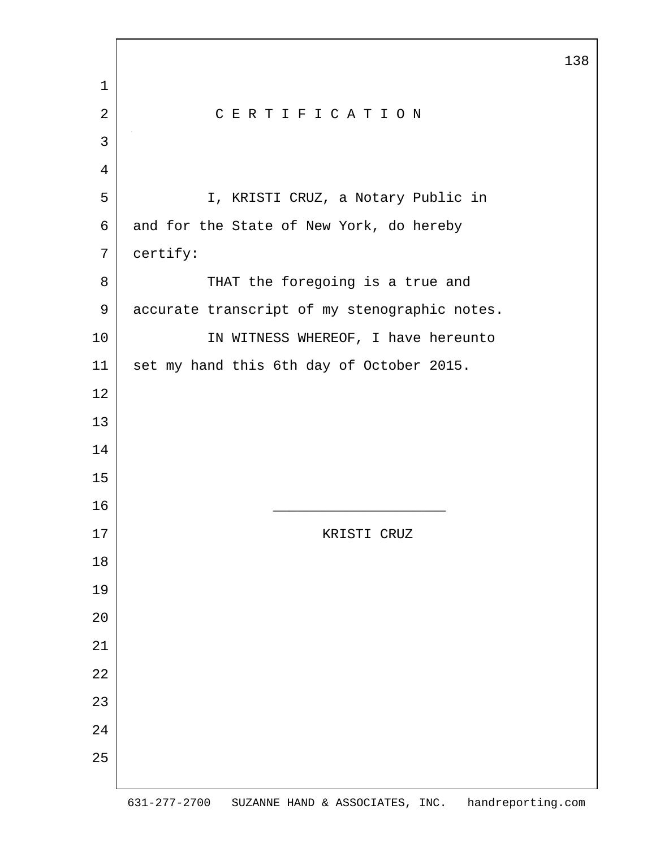2 CERTIFICATION 5 I, KRISTI CRUZ, a Notary Public in 6 and for the State of New York, do hereby certify: 8 THAT the foregoing is a true and 9 accurate transcript of my stenographic notes. 10 IN WITNESS WHEREOF, I have hereunto 11 set my hand this 6th day of October 2015. 16 \_\_\_\_\_\_\_\_\_\_\_\_\_\_\_\_\_\_\_\_\_ 17 | KRISTI CRUZ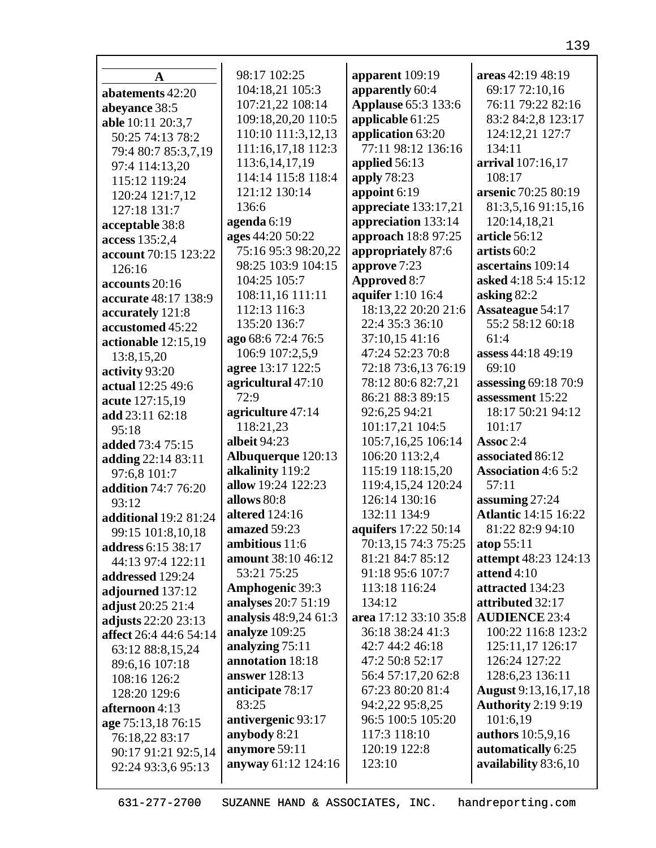| A                      | 98:17 102:25           | apparent 109:19             | areas 42:19 48:19           |
|------------------------|------------------------|-----------------------------|-----------------------------|
| abatements 42:20       | 104:18,21 105:3        | apparently 60:4             | 69:17 72:10,16              |
| abeyance 38:5          | 107:21,22 108:14       | <b>Applause</b> 65:3 133:6  | 76:11 79:22 82:16           |
| able 10:11 20:3,7      | 109:18,20,20 110:5     | applicable 61:25            | 83:2 84:2,8 123:17          |
| 50:25 74:13 78:2       | 110:10 111:3,12,13     | application 63:20           | 124:12,21 127:7             |
| 79:4 80:7 85:3,7,19    | 111:16,17,18 112:3     | 77:11 98:12 136:16          | 134:11                      |
| 97:4 114:13,20         | 113:6, 14, 17, 19      | applied 56:13               | arrival 107:16,17           |
| 115:12 119:24          | 114:14 115:8 118:4     | apply 78:23                 | 108:17                      |
| 120:24 121:7,12        | 121:12 130:14          | appoint 6:19                | arsenic 70:25 80:19         |
| 127:18 131:7           | 136:6                  | appreciate 133:17,21        | 81:3,5,16 91:15,16          |
| acceptable 38:8        | agenda 6:19            | appreciation 133:14         | 120:14,18,21                |
| access 135:2,4         | ages 44:20 50:22       | approach 18:8 97:25         | article 56:12               |
| account 70:15 123:22   | 75:16 95:3 98:20,22    | appropriately 87:6          | artists 60:2                |
| 126:16                 | 98:25 103:9 104:15     | approve 7:23                | ascertains 109:14           |
| accounts 20:16         | 104:25 105:7           | <b>Approved 8:7</b>         | asked 4:18 5:4 15:12        |
| accurate 48:17 138:9   | 108:11,16 111:11       | aquifer 1:10 16:4           | asking 82:2                 |
| accurately 121:8       | 112:13 116:3           | 18:13,22 20:20 21:6         | <b>Assateague 54:17</b>     |
| accustomed 45:22       | 135:20 136:7           | 22:4 35:3 36:10             | 55:2 58:12 60:18            |
| actionable 12:15,19    | ago 68:6 72:4 76:5     | 37:10,15 41:16              | 61:4                        |
| 13:8,15,20             | 106:9 107:2,5,9        | 47:24 52:23 70:8            | assess 44:18 49:19          |
| activity 93:20         | agree 13:17 122:5      | 72:18 73:6,13 76:19         | 69:10                       |
| actual 12:25 49:6      | agricultural 47:10     | 78:12 80:6 82:7,21          | assessing 69:18 70:9        |
| acute 127:15,19        | 72:9                   | 86:21 88:3 89:15            | assessment 15:22            |
| add 23:11 62:18        | agriculture 47:14      | 92:6,25 94:21               | 18:17 50:21 94:12           |
| 95:18                  | 118:21,23              | 101:17,21 104:5             | 101:17                      |
| added 73:4 75:15       | albeit 94:23           | 105:7,16,25 106:14          | Assoc 2:4                   |
| adding 22:14 83:11     | Albuquerque 120:13     | 106:20 113:2,4              | associated 86:12            |
| 97:6,8 101:7           | alkalinity 119:2       | 115:19 118:15,20            | <b>Association 4:6 5:2</b>  |
| addition 74:7 76:20    | allow 19:24 122:23     | 119:4,15,24 120:24          | 57:11                       |
| 93:12                  | allows 80:8            | 126:14 130:16               | assuming 27:24              |
| additional 19:2 81:24  | <b>altered</b> 124:16  | 132:11 134:9                | <b>Atlantic 14:15 16:22</b> |
| 99:15 101:8,10,18      | amazed 59:23           | <b>aquifers</b> 17:22 50:14 | 81:22 82:9 94:10            |
| address 6:15 38:17     | ambitious 11:6         | 70:13,15 74:3 75:25         | atop 55:11                  |
| 44:13 97:4 122:11      | amount 38:10 46:12     | 81:21 84:7 85:12            | attempt 48:23 124:13        |
| addressed 129:24       | 53:21 75:25            | 91:18 95:6 107:7            | attend 4:10                 |
| adjourned 137:12       | <b>Amphogenic 39:3</b> | 113:18 116:24               | attracted 134:23            |
| adjust 20:25 21:4      | analyses 20:7 51:19    | 134:12                      | attributed 32:17            |
| adjusts 22:20 23:13    | analysis 48:9,24 61:3  | area 17:12 33:10 35:8       | <b>AUDIENCE 23:4</b>        |
| affect 26:4 44:6 54:14 | analyze 109:25         | 36:18 38:24 41:3            | 100:22 116:8 123:2          |
| 63:12 88:8,15,24       | analyzing 75:11        | 42:7 44:2 46:18             | 125:11,17 126:17            |
| 89:6,16 107:18         | annotation 18:18       | 47:2 50:8 52:17             | 126:24 127:22               |
| 108:16 126:2           | answer 128:13          | 56:4 57:17,20 62:8          | 128:6,23 136:11             |
| 128:20 129:6           | anticipate 78:17       | 67:23 80:20 81:4            | <b>August</b> 9:13,16,17,18 |
| afternoon 4:13         | 83:25                  | 94:2,22 95:8,25             | <b>Authority 2:19 9:19</b>  |
| age 75:13,18 76:15     | antivergenic 93:17     | 96:5 100:5 105:20           | 101:6,19                    |
| 76:18,22 83:17         | anybody 8:21           | 117:3 118:10                | authors 10:5,9,16           |
| 90:17 91:21 92:5,14    | anymore 59:11          | 120:19 122:8                | automatically 6:25          |
| 92:24 93:3,6 95:13     | anyway 61:12 124:16    | 123:10                      | availability 83:6,10        |
|                        |                        |                             |                             |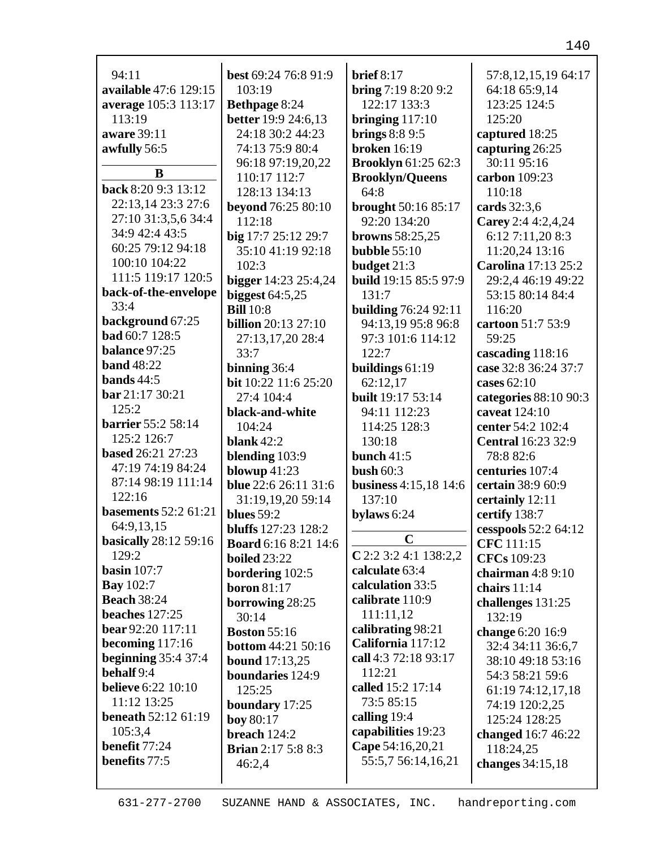| 94:11                        | best 69:24 76:8 91:9                    | brief $8:17$                    | 57:8, 12, 15, 19 64: 17                   |
|------------------------------|-----------------------------------------|---------------------------------|-------------------------------------------|
| available 47:6 129:15        | 103:19                                  | bring 7:19 8:20 9:2             | 64:18 65:9,14                             |
| average 105:3 113:17         | <b>Bethpage 8:24</b>                    | 122:17 133:3                    | 123:25 124:5                              |
| 113:19                       | <b>better</b> 19:9 24:6,13              | bringing $117:10$               | 125:20                                    |
| aware 39:11                  | 24:18 30:2 44:23                        | brings $8:89:5$                 | captured 18:25                            |
| awfully 56:5                 | 74:13 75:9 80:4                         | <b>broken</b> 16:19             | capturing 26:25                           |
|                              | 96:18 97:19,20,22                       | <b>Brooklyn</b> 61:25 62:3      | 30:11 95:16                               |
| B                            | 110:17 112:7                            | <b>Brooklyn/Queens</b>          | carbon 109:23                             |
| back 8:20 9:3 13:12          | 128:13 134:13                           | 64:8                            | 110:18                                    |
| 22:13,14 23:3 27:6           | beyond 76:25 80:10                      | brought 50:16 85:17             | cards 32:3,6                              |
| 27:10 31:3,5,6 34:4          | 112:18                                  | 92:20 134:20                    | Carey 2:4 4:2,4,24                        |
| 34:9 42:4 43:5               | big 17:7 25:12 29:7                     | browns $58:25,25$               | 6:12 7:11,20 8:3                          |
| 60:25 79:12 94:18            | 35:10 41:19 92:18                       | bubble $55:10$                  | 11:20,24 13:16                            |
| 100:10 104:22                | 102:3                                   | budget 21:3                     | Carolina 17:13 25:2                       |
| 111:5 119:17 120:5           | bigger 14:23 25:4,24                    | <b>build</b> 19:15 85:5 97:9    | 29:2,4 46:19 49:22                        |
| back-of-the-envelope         | biggest $64:5,25$                       | 131:7                           | 53:15 80:14 84:4                          |
| 33:4                         | <b>Bill</b> 10:8                        | <b>building 76:24 92:11</b>     | 116:20                                    |
| background 67:25             | <b>billion</b> 20:13 27:10              | 94:13,19 95:8 96:8              | cartoon 51:7 53:9                         |
| <b>bad</b> 60:7 128:5        | 27:13,17,20 28:4                        | 97:3 101:6 114:12               | 59:25                                     |
| balance 97:25                | 33:7                                    | 122:7                           | cascading 118:16                          |
| <b>band</b> 48:22            | binning 36:4                            | buildings 61:19                 | case 32:8 36:24 37:7                      |
| bands $44:5$                 | bit 10:22 11:6 25:20                    |                                 | cases $62:10$                             |
| bar 21:17 30:21              | 27:4 104:4                              | 62:12,17<br>built 19:17 53:14   |                                           |
| 125:2                        |                                         |                                 | categories 88:10 90:3                     |
| <b>barrier</b> 55:2 58:14    | black-and-white                         | 94:11 112:23                    | caveat 124:10                             |
| 125:2 126:7                  | 104:24                                  | 114:25 128:3                    | center 54:2 102:4                         |
| based 26:21 27:23            | blank $42:2$                            | 130:18                          | <b>Central</b> 16:23 32:9                 |
| 47:19 74:19 84:24            | blending 103:9                          | bunch $41:5$<br>bush $60:3$     | 78:8 82:6                                 |
| 87:14 98:19 111:14           | blowup $41:23$<br>blue 22:6 26:11 31:6  |                                 | centuries 107:4                           |
| 122:16                       |                                         | business 4:15,18 14:6<br>137:10 | certain 38:9 60:9                         |
| <b>basements</b> 52:2 61:21  | 31:19,19,20 59:14<br>blues $59:2$       |                                 | certainly 12:11<br>certify 138:7          |
| 64:9,13,15                   | bluffs 127:23 128:2                     | bylaws 6:24                     |                                           |
| <b>basically</b> 28:12 59:16 | <b>Board</b> 6:16 8:21 14:6             | $\mathbf C$                     | cesspools 52:2 64:12<br><b>CFC</b> 111:15 |
| 129:2                        | <b>boiled</b> 23:22                     | $C$ 2:2 3:2 4:1 138:2,2         | <b>CFCs</b> 109:23                        |
| basin $107:7$                |                                         | calculate 63:4                  | chairman $4:89:10$                        |
| <b>Bay</b> 102:7             | <b>bordering</b> 102:5<br>boron $81:17$ | calculation 33:5                | chairs $11:14$                            |
| <b>Beach</b> 38:24           |                                         | calibrate 110:9                 |                                           |
| beaches $127:25$             | borrowing 28:25<br>30:14                | 111:11,12                       | challenges 131:25<br>132:19               |
| bear 92:20 117:11            | <b>Boston</b> 55:16                     | calibrating 98:21               |                                           |
| becoming $117:16$            |                                         | California 117:12               | change 6:20 16:9                          |
| <b>beginning</b> 35:4 37:4   | <b>bottom</b> 44:21 50:16               | call 4:3 72:18 93:17            | 32:4 34:11 36:6,7                         |
| behalf 9:4                   | <b>bound</b> 17:13,25                   | 112:21                          | 38:10 49:18 53:16                         |
| <b>believe</b> 6:22 10:10    | <b>boundaries</b> 124:9                 | called 15:2 17:14               | 54:3 58:21 59:6                           |
| 11:12 13:25                  | 125:25                                  | 73:5 85:15                      | 61:19 74:12,17,18                         |
| <b>beneath 52:12 61:19</b>   | boundary 17:25                          | calling 19:4                    | 74:19 120:2,25                            |
| 105:3,4                      | boy 80:17                               | capabilities 19:23              | 125:24 128:25                             |
| benefit 77:24                | breach 124:2                            | Cape 54:16,20,21                | changed 16:7 46:22                        |
| benefits 77:5                | <b>Brian</b> $2:17$ 5:8 8:3             | 55:5,7 56:14,16,21              | 118:24,25                                 |
|                              | 46:2,4                                  |                                 | changes 34:15,18                          |
|                              |                                         |                                 |                                           |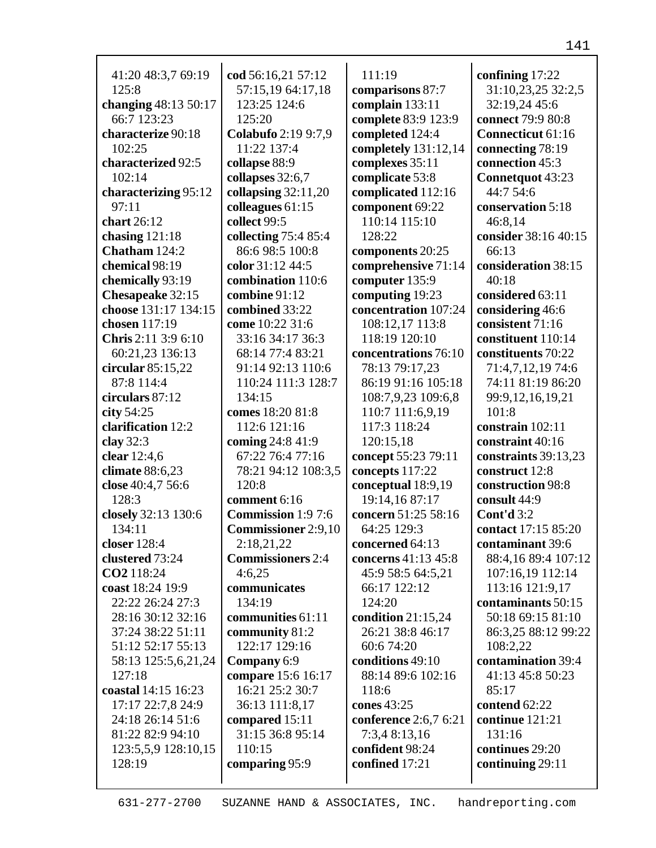| 41:20 48:3,7 69:19   | cod 56:16,21 57:12         | 111:19                | confining 17:22      |
|----------------------|----------------------------|-----------------------|----------------------|
| 125:8                | 57:15,19 64:17,18          | comparisons 87:7      | 31:10,23,25 32:2,5   |
| changing 48:13 50:17 | 123:25 124:6               | complain 133:11       | 32:19,24 45:6        |
| 66:7 123:23          | 125:20                     | complete 83:9 123:9   | connect 79:9 80:8    |
| characterize 90:18   | <b>Colabufo</b> 2:19 9:7,9 | completed 124:4       | Connecticut 61:16    |
| 102:25               | 11:22 137:4                | completely 131:12,14  | connecting 78:19     |
| characterized 92:5   | collapse 88:9              | complexes 35:11       | connection 45:3      |
| 102:14               | collapses 32:6,7           | complicate 53:8       | Connetquot 43:23     |
| characterizing 95:12 | collapsing $32:11,20$      | complicated 112:16    | 44:7 54:6            |
| 97:11                | colleagues $61:15$         | component 69:22       | conservation 5:18    |
| chart 26:12          | collect 99:5               | 110:14 115:10         | 46:8,14              |
| chasing $121:18$     | collecting 75:4 85:4       | 128:22                | consider 38:16 40:15 |
| Chatham 124:2        | 86:6 98:5 100:8            | components 20:25      | 66:13                |
| chemical 98:19       | color 31:12 44:5           | comprehensive 71:14   | consideration 38:15  |
| chemically 93:19     | combination 110:6          | computer 135:9        | 40:18                |
| Chesapeake 32:15     | combine 91:12              | computing 19:23       | considered 63:11     |
| choose 131:17 134:15 | combined 33:22             | concentration 107:24  | considering 46:6     |
| chosen 117:19        | come 10:22 31:6            | 108:12,17 113:8       | consistent 71:16     |
| Chris 2:11 3:9 6:10  | 33:16 34:17 36:3           | 118:19 120:10         | constituent 110:14   |
| 60:21,23 136:13      | 68:14 77:4 83:21           | concentrations 76:10  | constituents 70:22   |
| circular $85:15,22$  | 91:14 92:13 110:6          | 78:13 79:17,23        | 71:4,7,12,19 74:6    |
| 87:8 114:4           | 110:24 111:3 128:7         | 86:19 91:16 105:18    | 74:11 81:19 86:20    |
| circulars 87:12      | 134:15                     | 108:7,9,23 109:6,8    | 99:9,12,16,19,21     |
| city $54:25$         | comes 18:20 81:8           | 110:7 111:6,9,19      | 101:8                |
| clarification 12:2   | 112:6 121:16               | 117:3 118:24          | constrain 102:11     |
| clay 32:3            | coming 24:8 41:9           | 120:15,18             | constraint 40:16     |
| clear 12:4,6         | 67:22 76:4 77:16           | concept 55:23 79:11   | constraints 39:13,23 |
| climate 88:6,23      | 78:21 94:12 108:3,5        | concepts 117:22       | construct 12:8       |
| close 40:4,7 56:6    | 120:8                      | conceptual 18:9,19    | construction 98:8    |
| 128:3                | comment 6:16               | 19:14,16 87:17        | consult 44:9         |
| closely 32:13 130:6  | <b>Commission</b> 1:9 7:6  | concern 51:25 58:16   | Cont'd 3:2           |
| 134:11               | <b>Commissioner</b> 2:9,10 | 64:25 129:3           | contact 17:15 85:20  |
| closer 128:4         | 2:18,21,22                 | concerned 64:13       | contaminant 39:6     |
| clustered 73:24      | <b>Commissioners</b> 2:4   | concerns 41:13 45:8   | 88:4,16 89:4 107:12  |
| CO2 118:24           | 4:6,25                     | 45:9 58:5 64:5,21     | 107:16,19 112:14     |
| coast 18:24 19:9     | communicates               | 66:17 122:12          | 113:16 121:9,17      |
| 22:22 26:24 27:3     | 134:19                     | 124:20                | contaminants 50:15   |
| 28:16 30:12 32:16    | communities 61:11          | condition $21:15,24$  | 50:18 69:15 81:10    |
| 37:24 38:22 51:11    | community 81:2             | 26:21 38:8 46:17      | 86:3,25 88:12 99:22  |
| 51:12 52:17 55:13    | 122:17 129:16              | 60:6 74:20            | 108:2,22             |
| 58:13 125:5,6,21,24  | Company 6:9                | conditions 49:10      | contamination 39:4   |
| 127:18               | compare 15:6 16:17         | 88:14 89:6 102:16     | 41:13 45:8 50:23     |
| coastal 14:15 16:23  | 16:21 25:2 30:7            | 118:6                 | 85:17                |
| 17:17 22:7,8 24:9    | 36:13 111:8,17             | cones 43:25           | contend $62:22$      |
| 24:18 26:14 51:6     | compared 15:11             | conference 2:6,7 6:21 | continue 121:21      |
| 81:22 82:9 94:10     | 31:15 36:8 95:14           | 7:3,4 8:13,16         | 131:16               |
| 123:5,5,9 128:10,15  | 110:15                     | confident 98:24       | continues 29:20      |
| 128:19               | comparing 95:9             | confined 17:21        | continuing 29:11     |
|                      |                            |                       |                      |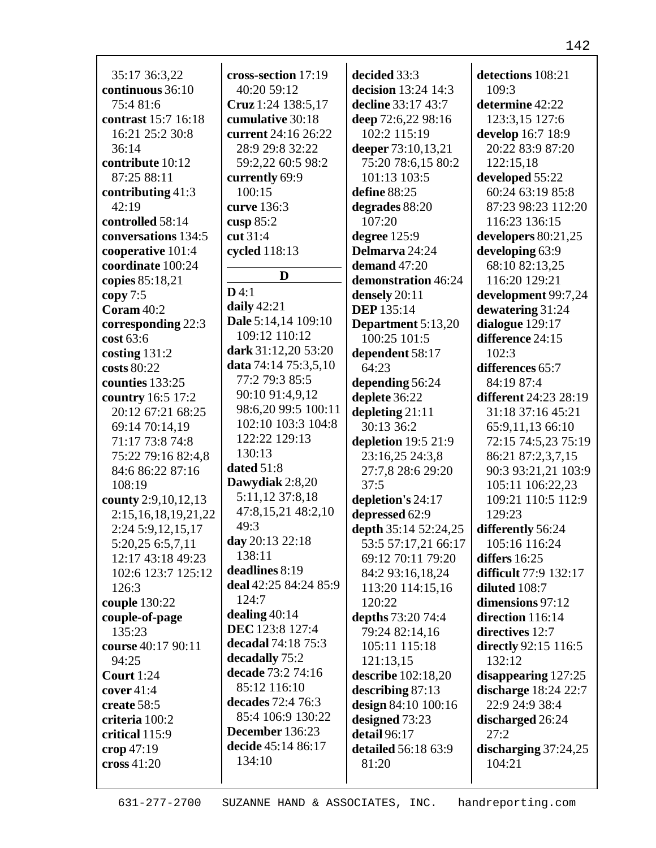| 35:17 36:3,22            | cross-section 17:19   | decided 33:3         | detections 108:21            |
|--------------------------|-----------------------|----------------------|------------------------------|
| continuous 36:10         | 40:20 59:12           | decision 13:24 14:3  | 109:3                        |
|                          |                       |                      |                              |
| 75:4 81:6                | Cruz 1:24 138:5,17    | decline 33:17 43:7   | determine 42:22              |
| contrast 15:7 16:18      | cumulative 30:18      | deep 72:6,22 98:16   | 123:3,15 127:6               |
| 16:21 25:2 30:8          | current 24:16 26:22   | 102:2 115:19         | develop 16:7 18:9            |
| 36:14                    | 28:9 29:8 32:22       | deeper 73:10,13,21   | 20:22 83:9 87:20             |
| contribute 10:12         | 59:2,22 60:5 98:2     | 75:20 78:6,15 80:2   | 122:15,18                    |
| 87:25 88:11              | currently 69:9        | 101:13 103:5         | developed 55:22              |
| contributing 41:3        | 100:15                | define 88:25         | 60:24 63:19 85:8             |
| 42:19                    | curve 136:3           | degrades 88:20       | 87:23 98:23 112:20           |
| controlled 58:14         | cusp $85:2$           | 107:20               | 116:23 136:15                |
| conversations 134:5      | cut 31:4              | degree 125:9         | developers $80:21,25$        |
| cooperative 101:4        | cycled 118:13         | Delmarva 24:24       | developing 63:9              |
| coordinate 100:24        | D                     | demand 47:20         | 68:10 82:13,25               |
| copies 85:18,21          | D4:1                  | demonstration 46:24  | 116:20 129:21                |
| copy 7:5                 |                       | densely 20:11        | development 99:7,24          |
| Coram $40:2$             | daily $42:21$         | <b>DEP</b> 135:14    | dewatering 31:24             |
| corresponding 22:3       | Dale 5:14,14 109:10   | Department 5:13,20   | dialogue 129:17              |
| cost 63:6                | 109:12 110:12         | 100:25 101:5         | difference 24:15             |
| costing $131:2$          | dark 31:12,20 53:20   | dependent 58:17      | 102:3                        |
| costs 80:22              | data 74:14 75:3,5,10  | 64:23                | differences 65:7             |
| counties 133:25          | 77:2 79:3 85:5        | depending 56:24      | 84:19 87:4                   |
| country 16:5 17:2        | 90:10 91:4,9,12       | deplete 36:22        | <b>different</b> 24:23 28:19 |
| 20:12 67:21 68:25        | 98:6,20 99:5 100:11   | depleting 21:11      | 31:18 37:16 45:21            |
| 69:14 70:14,19           | 102:10 103:3 104:8    | 30:13 36:2           | 65:9,11,13 66:10             |
| 71:17 73:8 74:8          | 122:22 129:13         | depletion 19:5 21:9  | 72:15 74:5,23 75:19          |
| 75:22 79:16 82:4,8       | 130:13                | 23:16,25 24:3,8      | 86:21 87:2,3,7,15            |
| 84:6 86:22 87:16         | dated 51:8            | 27:7,8 28:6 29:20    | 90:3 93:21,21 103:9          |
| 108:19                   | Dawydiak 2:8,20       | 37:5                 | 105:11 106:22,23             |
| county 2:9, 10, 12, 13   | 5:11,12 37:8,18       | depletion's 24:17    | 109:21 110:5 112:9           |
| 2:15, 16, 18, 19, 21, 22 | 47:8,15,21 48:2,10    | depressed 62:9       | 129:23                       |
| 2:24 5:9,12,15,17        | 49:3                  | depth 35:14 52:24,25 | differently 56:24            |
| 5:20,25 6:5,7,11         | day $20:13\,22:18$    | 53:5 57:17,21 66:17  | 105:16 116:24                |
| 12:17 43:18 49:23        | 138:11                | 69:12 70:11 79:20    | differs $16:25$              |
| 102:6 123:7 125:12       | deadlines 8:19        | 84:2 93:16,18,24     | difficult 77:9 132:17        |
| 126:3                    | deal 42:25 84:24 85:9 | 113:20 114:15,16     | diluted 108:7                |
| couple 130:22            | 124:7                 | 120:22               | dimensions 97:12             |
| couple-of-page           | dealing $40:14$       | depths 73:20 74:4    | direction 116:14             |
| 135:23                   | DEC 123:8 127:4       | 79:24 82:14,16       | directives 12:7              |
| course 40:17 90:11       | decadal 74:18 75:3    | 105:11 115:18        | directly 92:15 116:5         |
| 94:25                    | decadally 75:2        | 121:13,15            | 132:12                       |
| <b>Court</b> 1:24        | decade 73:2 74:16     | describe 102:18,20   | disappearing $127:25$        |
| cover $41:4$             | 85:12 116:10          | describing $87:13$   | discharge 18:24 22:7         |
| create 58:5              | decades 72:4 76:3     | design 84:10 100:16  | 22:9 24:9 38:4               |
| criteria 100:2           | 85:4 106:9 130:22     | designed 73:23       | discharged 26:24             |
| critical 115:9           | December 136:23       | detail 96:17         | 27:2                         |
| crop $47:19$             | decide 45:14 86:17    | detailed 56:18 63:9  | discharging $37:24,25$       |
| cross 41:20              | 134:10                | 81:20                | 104:21                       |
|                          |                       |                      |                              |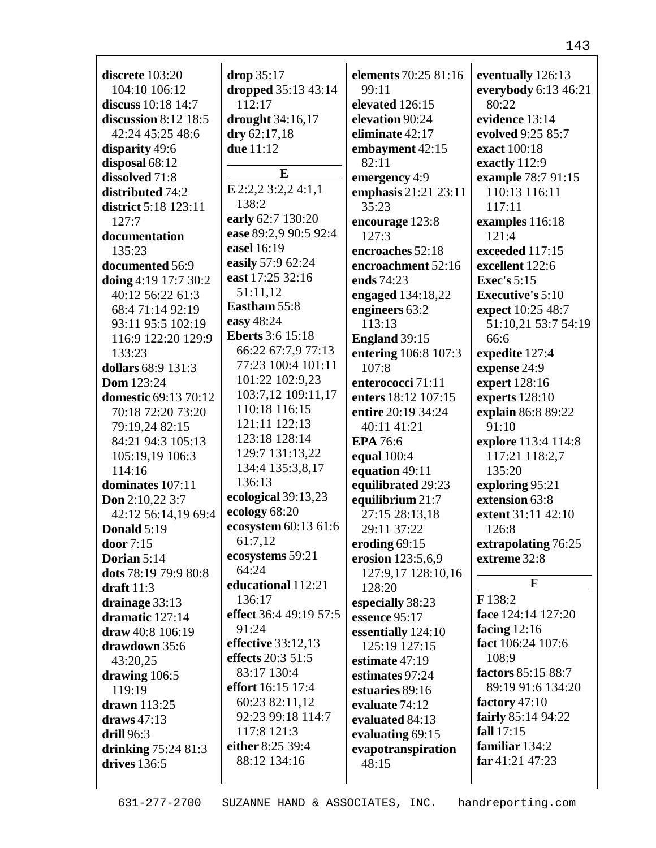| dropped 35:13 43:14<br>everybody 6:13 46:21<br>104:10 106:12<br>99:11<br>112:17<br>elevated 126:15<br>discuss 10:18 14:7<br>80:22<br>evidence 13:14<br>discussion $8:12$ 18:5<br>drought 34:16,17<br>elevation 90:24<br>dry 62:17,18<br>42:24 45:25 48:6<br>eliminate 42:17<br>evolved 9:25 85:7<br>due 11:12<br>disparity 49:6<br>embayment 42:15<br>exact 100:18<br>disposal 68:12<br>82:11<br>exactly 112:9<br>E<br>dissolved 71:8<br>emergency 4:9<br>example 78:7 91:15<br>$E$ 2:2,2 3:2,2 4:1,1<br>emphasis 21:21 23:11<br>110:13 116:11<br>distributed 74:2<br>138:2<br>35:23<br>district 5:18 123:11<br>117:11<br>early 62:7 130:20<br>127:7<br>examples 116:18<br>encourage 123:8<br>ease 89:2,9 90:5 92:4<br>127:3<br>documentation<br>121:4<br>easel 16:19<br>135:23<br>encroaches 52:18<br>exceeded 117:15<br>easily 57:9 62:24<br>documented 56:9<br>encroachment 52:16<br>excellent 122:6<br>east 17:25 32:16<br>doing 4:19 17:7 30:2<br>ends 74:23<br><b>Exec's</b> 5:15<br>51:11,12<br>40:12 56:22 61:3<br>engaged 134:18,22<br><b>Executive's 5:10</b><br>Eastham 55:8<br>68:4 71:14 92:19<br>engineers 63:2<br>expect 10:25 48:7<br>easy 48:24<br>113:13<br>51:10,21 53:7 54:19<br>93:11 95:5 102:19<br><b>Eberts</b> 3:6 15:18<br>116:9 122:20 129:9<br>England 39:15<br>66:6<br>66:22 67:7,9 77:13<br>133:23<br>entering 106:8 107:3<br>expedite 127:4<br>77:23 100:4 101:11<br>dollars 68:9 131:3<br>107:8<br>expense 24:9<br>101:22 102:9,23<br><b>Dom</b> 123:24<br>expert 128:16<br>enterococci 71:11<br>103:7,12 109:11,17<br>domestic 69:13 70:12<br>enters 18:12 107:15<br>experts 128:10<br>110:18 116:15<br>70:18 72:20 73:20<br>entire 20:19 34:24<br>explain 86:8 89:22<br>121:11 122:13<br>79:19,24 82:15<br>40:11 41:21<br>91:10<br>123:18 128:14<br>84:21 94:3 105:13<br>explore 113:4 114:8<br><b>EPA</b> 76:6<br>129:7 131:13,22<br>105:19,19 106:3<br>equal 100:4<br>117:21 118:2,7<br>134:4 135:3,8,17<br>114:16<br>equation 49:11<br>135:20<br>136:13<br>dominates 107:11<br>equilibrated 29:23<br>exploring 95:21<br>ecological 39:13,23<br>equilibrium 21:7<br>extension 63:8<br><b>Don</b> 2:10,22 3:7<br>ecology 68:20<br>27:15 28:13,18<br>42:12 56:14,19 69:4<br>extent 31:11 42:10<br>ecosystem 60:13 61:6<br>Donald 5:19<br>29:11 37:22<br>126:8<br>61:7,12<br>door 7:15<br>eroding $69:15$<br>extrapolating 76:25<br>ecosystems 59:21<br>erosion 123:5,6,9<br>extreme 32:8<br>Dorian 5:14<br>64:24<br>dots 78:19 79:9 80:8<br>127:9,17 128:10,16<br>F<br>educational 112:21<br>128:20<br>draft $11:3$<br>F 138:2<br>136:17<br>drainage 33:13<br>especially 38:23<br>effect 36:4 49:19 57:5<br>face 124:14 127:20<br>dramatic 127:14<br>essence 95:17<br>91:24<br>facing $12:16$<br>draw 40:8 106:19<br>essentially 124:10<br>effective 33:12,13<br>fact 106:24 107:6<br>125:19 127:15<br>drawdown 35:6<br>effects 20:3 51:5<br>108:9<br>estimate $47:19$<br>43:20,25<br>83:17 130:4<br>factors 85:15 88:7<br>drawing 106:5<br>estimates 97:24<br>effort 16:15 17:4<br>89:19 91:6 134:20<br>119:19<br>estuaries 89:16<br>60:23 82:11,12<br>factory $47:10$<br>drawn 113:25<br>evaluate 74:12<br>92:23 99:18 114:7<br>fairly 85:14 94:22<br>evaluated 84:13<br>draws $47:13$<br>fall 17:15<br>117:8 121:3<br><b>drill</b> 96:3<br>evaluating 69:15<br>familiar 134:2<br>either 8:25 39:4<br>drinking $75:2481:3$<br>evapotranspiration<br>far 41:21 47:23<br>88:12 134:16<br>drives 136:5<br>48:15 |                   |            |                             |                   |
|--------------------------------------------------------------------------------------------------------------------------------------------------------------------------------------------------------------------------------------------------------------------------------------------------------------------------------------------------------------------------------------------------------------------------------------------------------------------------------------------------------------------------------------------------------------------------------------------------------------------------------------------------------------------------------------------------------------------------------------------------------------------------------------------------------------------------------------------------------------------------------------------------------------------------------------------------------------------------------------------------------------------------------------------------------------------------------------------------------------------------------------------------------------------------------------------------------------------------------------------------------------------------------------------------------------------------------------------------------------------------------------------------------------------------------------------------------------------------------------------------------------------------------------------------------------------------------------------------------------------------------------------------------------------------------------------------------------------------------------------------------------------------------------------------------------------------------------------------------------------------------------------------------------------------------------------------------------------------------------------------------------------------------------------------------------------------------------------------------------------------------------------------------------------------------------------------------------------------------------------------------------------------------------------------------------------------------------------------------------------------------------------------------------------------------------------------------------------------------------------------------------------------------------------------------------------------------------------------------------------------------------------------------------------------------------------------------------------------------------------------------------------------------------------------------------------------------------------------------------------------------------------------------------------------------------------------------------------------------------------------------------------------------------------------------------------------------------------------------------------------------------------------------------------------------------------------------------------------------------------------------------------------------------------------------------------------------------------------------------------------------------------------------------------------------------------------|-------------------|------------|-----------------------------|-------------------|
|                                                                                                                                                                                                                                                                                                                                                                                                                                                                                                                                                                                                                                                                                                                                                                                                                                                                                                                                                                                                                                                                                                                                                                                                                                                                                                                                                                                                                                                                                                                                                                                                                                                                                                                                                                                                                                                                                                                                                                                                                                                                                                                                                                                                                                                                                                                                                                                                                                                                                                                                                                                                                                                                                                                                                                                                                                                                                                                                                                                                                                                                                                                                                                                                                                                                                                                                                                                                                                                  | discrete $103:20$ | drop 35:17 | <b>elements</b> 70:25 81:16 | eventually 126:13 |
|                                                                                                                                                                                                                                                                                                                                                                                                                                                                                                                                                                                                                                                                                                                                                                                                                                                                                                                                                                                                                                                                                                                                                                                                                                                                                                                                                                                                                                                                                                                                                                                                                                                                                                                                                                                                                                                                                                                                                                                                                                                                                                                                                                                                                                                                                                                                                                                                                                                                                                                                                                                                                                                                                                                                                                                                                                                                                                                                                                                                                                                                                                                                                                                                                                                                                                                                                                                                                                                  |                   |            |                             |                   |
|                                                                                                                                                                                                                                                                                                                                                                                                                                                                                                                                                                                                                                                                                                                                                                                                                                                                                                                                                                                                                                                                                                                                                                                                                                                                                                                                                                                                                                                                                                                                                                                                                                                                                                                                                                                                                                                                                                                                                                                                                                                                                                                                                                                                                                                                                                                                                                                                                                                                                                                                                                                                                                                                                                                                                                                                                                                                                                                                                                                                                                                                                                                                                                                                                                                                                                                                                                                                                                                  |                   |            |                             |                   |
|                                                                                                                                                                                                                                                                                                                                                                                                                                                                                                                                                                                                                                                                                                                                                                                                                                                                                                                                                                                                                                                                                                                                                                                                                                                                                                                                                                                                                                                                                                                                                                                                                                                                                                                                                                                                                                                                                                                                                                                                                                                                                                                                                                                                                                                                                                                                                                                                                                                                                                                                                                                                                                                                                                                                                                                                                                                                                                                                                                                                                                                                                                                                                                                                                                                                                                                                                                                                                                                  |                   |            |                             |                   |
|                                                                                                                                                                                                                                                                                                                                                                                                                                                                                                                                                                                                                                                                                                                                                                                                                                                                                                                                                                                                                                                                                                                                                                                                                                                                                                                                                                                                                                                                                                                                                                                                                                                                                                                                                                                                                                                                                                                                                                                                                                                                                                                                                                                                                                                                                                                                                                                                                                                                                                                                                                                                                                                                                                                                                                                                                                                                                                                                                                                                                                                                                                                                                                                                                                                                                                                                                                                                                                                  |                   |            |                             |                   |
|                                                                                                                                                                                                                                                                                                                                                                                                                                                                                                                                                                                                                                                                                                                                                                                                                                                                                                                                                                                                                                                                                                                                                                                                                                                                                                                                                                                                                                                                                                                                                                                                                                                                                                                                                                                                                                                                                                                                                                                                                                                                                                                                                                                                                                                                                                                                                                                                                                                                                                                                                                                                                                                                                                                                                                                                                                                                                                                                                                                                                                                                                                                                                                                                                                                                                                                                                                                                                                                  |                   |            |                             |                   |
|                                                                                                                                                                                                                                                                                                                                                                                                                                                                                                                                                                                                                                                                                                                                                                                                                                                                                                                                                                                                                                                                                                                                                                                                                                                                                                                                                                                                                                                                                                                                                                                                                                                                                                                                                                                                                                                                                                                                                                                                                                                                                                                                                                                                                                                                                                                                                                                                                                                                                                                                                                                                                                                                                                                                                                                                                                                                                                                                                                                                                                                                                                                                                                                                                                                                                                                                                                                                                                                  |                   |            |                             |                   |
|                                                                                                                                                                                                                                                                                                                                                                                                                                                                                                                                                                                                                                                                                                                                                                                                                                                                                                                                                                                                                                                                                                                                                                                                                                                                                                                                                                                                                                                                                                                                                                                                                                                                                                                                                                                                                                                                                                                                                                                                                                                                                                                                                                                                                                                                                                                                                                                                                                                                                                                                                                                                                                                                                                                                                                                                                                                                                                                                                                                                                                                                                                                                                                                                                                                                                                                                                                                                                                                  |                   |            |                             |                   |
|                                                                                                                                                                                                                                                                                                                                                                                                                                                                                                                                                                                                                                                                                                                                                                                                                                                                                                                                                                                                                                                                                                                                                                                                                                                                                                                                                                                                                                                                                                                                                                                                                                                                                                                                                                                                                                                                                                                                                                                                                                                                                                                                                                                                                                                                                                                                                                                                                                                                                                                                                                                                                                                                                                                                                                                                                                                                                                                                                                                                                                                                                                                                                                                                                                                                                                                                                                                                                                                  |                   |            |                             |                   |
|                                                                                                                                                                                                                                                                                                                                                                                                                                                                                                                                                                                                                                                                                                                                                                                                                                                                                                                                                                                                                                                                                                                                                                                                                                                                                                                                                                                                                                                                                                                                                                                                                                                                                                                                                                                                                                                                                                                                                                                                                                                                                                                                                                                                                                                                                                                                                                                                                                                                                                                                                                                                                                                                                                                                                                                                                                                                                                                                                                                                                                                                                                                                                                                                                                                                                                                                                                                                                                                  |                   |            |                             |                   |
|                                                                                                                                                                                                                                                                                                                                                                                                                                                                                                                                                                                                                                                                                                                                                                                                                                                                                                                                                                                                                                                                                                                                                                                                                                                                                                                                                                                                                                                                                                                                                                                                                                                                                                                                                                                                                                                                                                                                                                                                                                                                                                                                                                                                                                                                                                                                                                                                                                                                                                                                                                                                                                                                                                                                                                                                                                                                                                                                                                                                                                                                                                                                                                                                                                                                                                                                                                                                                                                  |                   |            |                             |                   |
|                                                                                                                                                                                                                                                                                                                                                                                                                                                                                                                                                                                                                                                                                                                                                                                                                                                                                                                                                                                                                                                                                                                                                                                                                                                                                                                                                                                                                                                                                                                                                                                                                                                                                                                                                                                                                                                                                                                                                                                                                                                                                                                                                                                                                                                                                                                                                                                                                                                                                                                                                                                                                                                                                                                                                                                                                                                                                                                                                                                                                                                                                                                                                                                                                                                                                                                                                                                                                                                  |                   |            |                             |                   |
|                                                                                                                                                                                                                                                                                                                                                                                                                                                                                                                                                                                                                                                                                                                                                                                                                                                                                                                                                                                                                                                                                                                                                                                                                                                                                                                                                                                                                                                                                                                                                                                                                                                                                                                                                                                                                                                                                                                                                                                                                                                                                                                                                                                                                                                                                                                                                                                                                                                                                                                                                                                                                                                                                                                                                                                                                                                                                                                                                                                                                                                                                                                                                                                                                                                                                                                                                                                                                                                  |                   |            |                             |                   |
|                                                                                                                                                                                                                                                                                                                                                                                                                                                                                                                                                                                                                                                                                                                                                                                                                                                                                                                                                                                                                                                                                                                                                                                                                                                                                                                                                                                                                                                                                                                                                                                                                                                                                                                                                                                                                                                                                                                                                                                                                                                                                                                                                                                                                                                                                                                                                                                                                                                                                                                                                                                                                                                                                                                                                                                                                                                                                                                                                                                                                                                                                                                                                                                                                                                                                                                                                                                                                                                  |                   |            |                             |                   |
|                                                                                                                                                                                                                                                                                                                                                                                                                                                                                                                                                                                                                                                                                                                                                                                                                                                                                                                                                                                                                                                                                                                                                                                                                                                                                                                                                                                                                                                                                                                                                                                                                                                                                                                                                                                                                                                                                                                                                                                                                                                                                                                                                                                                                                                                                                                                                                                                                                                                                                                                                                                                                                                                                                                                                                                                                                                                                                                                                                                                                                                                                                                                                                                                                                                                                                                                                                                                                                                  |                   |            |                             |                   |
|                                                                                                                                                                                                                                                                                                                                                                                                                                                                                                                                                                                                                                                                                                                                                                                                                                                                                                                                                                                                                                                                                                                                                                                                                                                                                                                                                                                                                                                                                                                                                                                                                                                                                                                                                                                                                                                                                                                                                                                                                                                                                                                                                                                                                                                                                                                                                                                                                                                                                                                                                                                                                                                                                                                                                                                                                                                                                                                                                                                                                                                                                                                                                                                                                                                                                                                                                                                                                                                  |                   |            |                             |                   |
|                                                                                                                                                                                                                                                                                                                                                                                                                                                                                                                                                                                                                                                                                                                                                                                                                                                                                                                                                                                                                                                                                                                                                                                                                                                                                                                                                                                                                                                                                                                                                                                                                                                                                                                                                                                                                                                                                                                                                                                                                                                                                                                                                                                                                                                                                                                                                                                                                                                                                                                                                                                                                                                                                                                                                                                                                                                                                                                                                                                                                                                                                                                                                                                                                                                                                                                                                                                                                                                  |                   |            |                             |                   |
|                                                                                                                                                                                                                                                                                                                                                                                                                                                                                                                                                                                                                                                                                                                                                                                                                                                                                                                                                                                                                                                                                                                                                                                                                                                                                                                                                                                                                                                                                                                                                                                                                                                                                                                                                                                                                                                                                                                                                                                                                                                                                                                                                                                                                                                                                                                                                                                                                                                                                                                                                                                                                                                                                                                                                                                                                                                                                                                                                                                                                                                                                                                                                                                                                                                                                                                                                                                                                                                  |                   |            |                             |                   |
|                                                                                                                                                                                                                                                                                                                                                                                                                                                                                                                                                                                                                                                                                                                                                                                                                                                                                                                                                                                                                                                                                                                                                                                                                                                                                                                                                                                                                                                                                                                                                                                                                                                                                                                                                                                                                                                                                                                                                                                                                                                                                                                                                                                                                                                                                                                                                                                                                                                                                                                                                                                                                                                                                                                                                                                                                                                                                                                                                                                                                                                                                                                                                                                                                                                                                                                                                                                                                                                  |                   |            |                             |                   |
|                                                                                                                                                                                                                                                                                                                                                                                                                                                                                                                                                                                                                                                                                                                                                                                                                                                                                                                                                                                                                                                                                                                                                                                                                                                                                                                                                                                                                                                                                                                                                                                                                                                                                                                                                                                                                                                                                                                                                                                                                                                                                                                                                                                                                                                                                                                                                                                                                                                                                                                                                                                                                                                                                                                                                                                                                                                                                                                                                                                                                                                                                                                                                                                                                                                                                                                                                                                                                                                  |                   |            |                             |                   |
|                                                                                                                                                                                                                                                                                                                                                                                                                                                                                                                                                                                                                                                                                                                                                                                                                                                                                                                                                                                                                                                                                                                                                                                                                                                                                                                                                                                                                                                                                                                                                                                                                                                                                                                                                                                                                                                                                                                                                                                                                                                                                                                                                                                                                                                                                                                                                                                                                                                                                                                                                                                                                                                                                                                                                                                                                                                                                                                                                                                                                                                                                                                                                                                                                                                                                                                                                                                                                                                  |                   |            |                             |                   |
|                                                                                                                                                                                                                                                                                                                                                                                                                                                                                                                                                                                                                                                                                                                                                                                                                                                                                                                                                                                                                                                                                                                                                                                                                                                                                                                                                                                                                                                                                                                                                                                                                                                                                                                                                                                                                                                                                                                                                                                                                                                                                                                                                                                                                                                                                                                                                                                                                                                                                                                                                                                                                                                                                                                                                                                                                                                                                                                                                                                                                                                                                                                                                                                                                                                                                                                                                                                                                                                  |                   |            |                             |                   |
|                                                                                                                                                                                                                                                                                                                                                                                                                                                                                                                                                                                                                                                                                                                                                                                                                                                                                                                                                                                                                                                                                                                                                                                                                                                                                                                                                                                                                                                                                                                                                                                                                                                                                                                                                                                                                                                                                                                                                                                                                                                                                                                                                                                                                                                                                                                                                                                                                                                                                                                                                                                                                                                                                                                                                                                                                                                                                                                                                                                                                                                                                                                                                                                                                                                                                                                                                                                                                                                  |                   |            |                             |                   |
|                                                                                                                                                                                                                                                                                                                                                                                                                                                                                                                                                                                                                                                                                                                                                                                                                                                                                                                                                                                                                                                                                                                                                                                                                                                                                                                                                                                                                                                                                                                                                                                                                                                                                                                                                                                                                                                                                                                                                                                                                                                                                                                                                                                                                                                                                                                                                                                                                                                                                                                                                                                                                                                                                                                                                                                                                                                                                                                                                                                                                                                                                                                                                                                                                                                                                                                                                                                                                                                  |                   |            |                             |                   |
|                                                                                                                                                                                                                                                                                                                                                                                                                                                                                                                                                                                                                                                                                                                                                                                                                                                                                                                                                                                                                                                                                                                                                                                                                                                                                                                                                                                                                                                                                                                                                                                                                                                                                                                                                                                                                                                                                                                                                                                                                                                                                                                                                                                                                                                                                                                                                                                                                                                                                                                                                                                                                                                                                                                                                                                                                                                                                                                                                                                                                                                                                                                                                                                                                                                                                                                                                                                                                                                  |                   |            |                             |                   |
|                                                                                                                                                                                                                                                                                                                                                                                                                                                                                                                                                                                                                                                                                                                                                                                                                                                                                                                                                                                                                                                                                                                                                                                                                                                                                                                                                                                                                                                                                                                                                                                                                                                                                                                                                                                                                                                                                                                                                                                                                                                                                                                                                                                                                                                                                                                                                                                                                                                                                                                                                                                                                                                                                                                                                                                                                                                                                                                                                                                                                                                                                                                                                                                                                                                                                                                                                                                                                                                  |                   |            |                             |                   |
|                                                                                                                                                                                                                                                                                                                                                                                                                                                                                                                                                                                                                                                                                                                                                                                                                                                                                                                                                                                                                                                                                                                                                                                                                                                                                                                                                                                                                                                                                                                                                                                                                                                                                                                                                                                                                                                                                                                                                                                                                                                                                                                                                                                                                                                                                                                                                                                                                                                                                                                                                                                                                                                                                                                                                                                                                                                                                                                                                                                                                                                                                                                                                                                                                                                                                                                                                                                                                                                  |                   |            |                             |                   |
|                                                                                                                                                                                                                                                                                                                                                                                                                                                                                                                                                                                                                                                                                                                                                                                                                                                                                                                                                                                                                                                                                                                                                                                                                                                                                                                                                                                                                                                                                                                                                                                                                                                                                                                                                                                                                                                                                                                                                                                                                                                                                                                                                                                                                                                                                                                                                                                                                                                                                                                                                                                                                                                                                                                                                                                                                                                                                                                                                                                                                                                                                                                                                                                                                                                                                                                                                                                                                                                  |                   |            |                             |                   |
|                                                                                                                                                                                                                                                                                                                                                                                                                                                                                                                                                                                                                                                                                                                                                                                                                                                                                                                                                                                                                                                                                                                                                                                                                                                                                                                                                                                                                                                                                                                                                                                                                                                                                                                                                                                                                                                                                                                                                                                                                                                                                                                                                                                                                                                                                                                                                                                                                                                                                                                                                                                                                                                                                                                                                                                                                                                                                                                                                                                                                                                                                                                                                                                                                                                                                                                                                                                                                                                  |                   |            |                             |                   |
|                                                                                                                                                                                                                                                                                                                                                                                                                                                                                                                                                                                                                                                                                                                                                                                                                                                                                                                                                                                                                                                                                                                                                                                                                                                                                                                                                                                                                                                                                                                                                                                                                                                                                                                                                                                                                                                                                                                                                                                                                                                                                                                                                                                                                                                                                                                                                                                                                                                                                                                                                                                                                                                                                                                                                                                                                                                                                                                                                                                                                                                                                                                                                                                                                                                                                                                                                                                                                                                  |                   |            |                             |                   |
|                                                                                                                                                                                                                                                                                                                                                                                                                                                                                                                                                                                                                                                                                                                                                                                                                                                                                                                                                                                                                                                                                                                                                                                                                                                                                                                                                                                                                                                                                                                                                                                                                                                                                                                                                                                                                                                                                                                                                                                                                                                                                                                                                                                                                                                                                                                                                                                                                                                                                                                                                                                                                                                                                                                                                                                                                                                                                                                                                                                                                                                                                                                                                                                                                                                                                                                                                                                                                                                  |                   |            |                             |                   |
|                                                                                                                                                                                                                                                                                                                                                                                                                                                                                                                                                                                                                                                                                                                                                                                                                                                                                                                                                                                                                                                                                                                                                                                                                                                                                                                                                                                                                                                                                                                                                                                                                                                                                                                                                                                                                                                                                                                                                                                                                                                                                                                                                                                                                                                                                                                                                                                                                                                                                                                                                                                                                                                                                                                                                                                                                                                                                                                                                                                                                                                                                                                                                                                                                                                                                                                                                                                                                                                  |                   |            |                             |                   |
|                                                                                                                                                                                                                                                                                                                                                                                                                                                                                                                                                                                                                                                                                                                                                                                                                                                                                                                                                                                                                                                                                                                                                                                                                                                                                                                                                                                                                                                                                                                                                                                                                                                                                                                                                                                                                                                                                                                                                                                                                                                                                                                                                                                                                                                                                                                                                                                                                                                                                                                                                                                                                                                                                                                                                                                                                                                                                                                                                                                                                                                                                                                                                                                                                                                                                                                                                                                                                                                  |                   |            |                             |                   |
|                                                                                                                                                                                                                                                                                                                                                                                                                                                                                                                                                                                                                                                                                                                                                                                                                                                                                                                                                                                                                                                                                                                                                                                                                                                                                                                                                                                                                                                                                                                                                                                                                                                                                                                                                                                                                                                                                                                                                                                                                                                                                                                                                                                                                                                                                                                                                                                                                                                                                                                                                                                                                                                                                                                                                                                                                                                                                                                                                                                                                                                                                                                                                                                                                                                                                                                                                                                                                                                  |                   |            |                             |                   |
|                                                                                                                                                                                                                                                                                                                                                                                                                                                                                                                                                                                                                                                                                                                                                                                                                                                                                                                                                                                                                                                                                                                                                                                                                                                                                                                                                                                                                                                                                                                                                                                                                                                                                                                                                                                                                                                                                                                                                                                                                                                                                                                                                                                                                                                                                                                                                                                                                                                                                                                                                                                                                                                                                                                                                                                                                                                                                                                                                                                                                                                                                                                                                                                                                                                                                                                                                                                                                                                  |                   |            |                             |                   |
|                                                                                                                                                                                                                                                                                                                                                                                                                                                                                                                                                                                                                                                                                                                                                                                                                                                                                                                                                                                                                                                                                                                                                                                                                                                                                                                                                                                                                                                                                                                                                                                                                                                                                                                                                                                                                                                                                                                                                                                                                                                                                                                                                                                                                                                                                                                                                                                                                                                                                                                                                                                                                                                                                                                                                                                                                                                                                                                                                                                                                                                                                                                                                                                                                                                                                                                                                                                                                                                  |                   |            |                             |                   |
|                                                                                                                                                                                                                                                                                                                                                                                                                                                                                                                                                                                                                                                                                                                                                                                                                                                                                                                                                                                                                                                                                                                                                                                                                                                                                                                                                                                                                                                                                                                                                                                                                                                                                                                                                                                                                                                                                                                                                                                                                                                                                                                                                                                                                                                                                                                                                                                                                                                                                                                                                                                                                                                                                                                                                                                                                                                                                                                                                                                                                                                                                                                                                                                                                                                                                                                                                                                                                                                  |                   |            |                             |                   |
|                                                                                                                                                                                                                                                                                                                                                                                                                                                                                                                                                                                                                                                                                                                                                                                                                                                                                                                                                                                                                                                                                                                                                                                                                                                                                                                                                                                                                                                                                                                                                                                                                                                                                                                                                                                                                                                                                                                                                                                                                                                                                                                                                                                                                                                                                                                                                                                                                                                                                                                                                                                                                                                                                                                                                                                                                                                                                                                                                                                                                                                                                                                                                                                                                                                                                                                                                                                                                                                  |                   |            |                             |                   |
|                                                                                                                                                                                                                                                                                                                                                                                                                                                                                                                                                                                                                                                                                                                                                                                                                                                                                                                                                                                                                                                                                                                                                                                                                                                                                                                                                                                                                                                                                                                                                                                                                                                                                                                                                                                                                                                                                                                                                                                                                                                                                                                                                                                                                                                                                                                                                                                                                                                                                                                                                                                                                                                                                                                                                                                                                                                                                                                                                                                                                                                                                                                                                                                                                                                                                                                                                                                                                                                  |                   |            |                             |                   |
|                                                                                                                                                                                                                                                                                                                                                                                                                                                                                                                                                                                                                                                                                                                                                                                                                                                                                                                                                                                                                                                                                                                                                                                                                                                                                                                                                                                                                                                                                                                                                                                                                                                                                                                                                                                                                                                                                                                                                                                                                                                                                                                                                                                                                                                                                                                                                                                                                                                                                                                                                                                                                                                                                                                                                                                                                                                                                                                                                                                                                                                                                                                                                                                                                                                                                                                                                                                                                                                  |                   |            |                             |                   |
|                                                                                                                                                                                                                                                                                                                                                                                                                                                                                                                                                                                                                                                                                                                                                                                                                                                                                                                                                                                                                                                                                                                                                                                                                                                                                                                                                                                                                                                                                                                                                                                                                                                                                                                                                                                                                                                                                                                                                                                                                                                                                                                                                                                                                                                                                                                                                                                                                                                                                                                                                                                                                                                                                                                                                                                                                                                                                                                                                                                                                                                                                                                                                                                                                                                                                                                                                                                                                                                  |                   |            |                             |                   |
|                                                                                                                                                                                                                                                                                                                                                                                                                                                                                                                                                                                                                                                                                                                                                                                                                                                                                                                                                                                                                                                                                                                                                                                                                                                                                                                                                                                                                                                                                                                                                                                                                                                                                                                                                                                                                                                                                                                                                                                                                                                                                                                                                                                                                                                                                                                                                                                                                                                                                                                                                                                                                                                                                                                                                                                                                                                                                                                                                                                                                                                                                                                                                                                                                                                                                                                                                                                                                                                  |                   |            |                             |                   |
|                                                                                                                                                                                                                                                                                                                                                                                                                                                                                                                                                                                                                                                                                                                                                                                                                                                                                                                                                                                                                                                                                                                                                                                                                                                                                                                                                                                                                                                                                                                                                                                                                                                                                                                                                                                                                                                                                                                                                                                                                                                                                                                                                                                                                                                                                                                                                                                                                                                                                                                                                                                                                                                                                                                                                                                                                                                                                                                                                                                                                                                                                                                                                                                                                                                                                                                                                                                                                                                  |                   |            |                             |                   |
|                                                                                                                                                                                                                                                                                                                                                                                                                                                                                                                                                                                                                                                                                                                                                                                                                                                                                                                                                                                                                                                                                                                                                                                                                                                                                                                                                                                                                                                                                                                                                                                                                                                                                                                                                                                                                                                                                                                                                                                                                                                                                                                                                                                                                                                                                                                                                                                                                                                                                                                                                                                                                                                                                                                                                                                                                                                                                                                                                                                                                                                                                                                                                                                                                                                                                                                                                                                                                                                  |                   |            |                             |                   |
|                                                                                                                                                                                                                                                                                                                                                                                                                                                                                                                                                                                                                                                                                                                                                                                                                                                                                                                                                                                                                                                                                                                                                                                                                                                                                                                                                                                                                                                                                                                                                                                                                                                                                                                                                                                                                                                                                                                                                                                                                                                                                                                                                                                                                                                                                                                                                                                                                                                                                                                                                                                                                                                                                                                                                                                                                                                                                                                                                                                                                                                                                                                                                                                                                                                                                                                                                                                                                                                  |                   |            |                             |                   |
|                                                                                                                                                                                                                                                                                                                                                                                                                                                                                                                                                                                                                                                                                                                                                                                                                                                                                                                                                                                                                                                                                                                                                                                                                                                                                                                                                                                                                                                                                                                                                                                                                                                                                                                                                                                                                                                                                                                                                                                                                                                                                                                                                                                                                                                                                                                                                                                                                                                                                                                                                                                                                                                                                                                                                                                                                                                                                                                                                                                                                                                                                                                                                                                                                                                                                                                                                                                                                                                  |                   |            |                             |                   |
|                                                                                                                                                                                                                                                                                                                                                                                                                                                                                                                                                                                                                                                                                                                                                                                                                                                                                                                                                                                                                                                                                                                                                                                                                                                                                                                                                                                                                                                                                                                                                                                                                                                                                                                                                                                                                                                                                                                                                                                                                                                                                                                                                                                                                                                                                                                                                                                                                                                                                                                                                                                                                                                                                                                                                                                                                                                                                                                                                                                                                                                                                                                                                                                                                                                                                                                                                                                                                                                  |                   |            |                             |                   |
|                                                                                                                                                                                                                                                                                                                                                                                                                                                                                                                                                                                                                                                                                                                                                                                                                                                                                                                                                                                                                                                                                                                                                                                                                                                                                                                                                                                                                                                                                                                                                                                                                                                                                                                                                                                                                                                                                                                                                                                                                                                                                                                                                                                                                                                                                                                                                                                                                                                                                                                                                                                                                                                                                                                                                                                                                                                                                                                                                                                                                                                                                                                                                                                                                                                                                                                                                                                                                                                  |                   |            |                             |                   |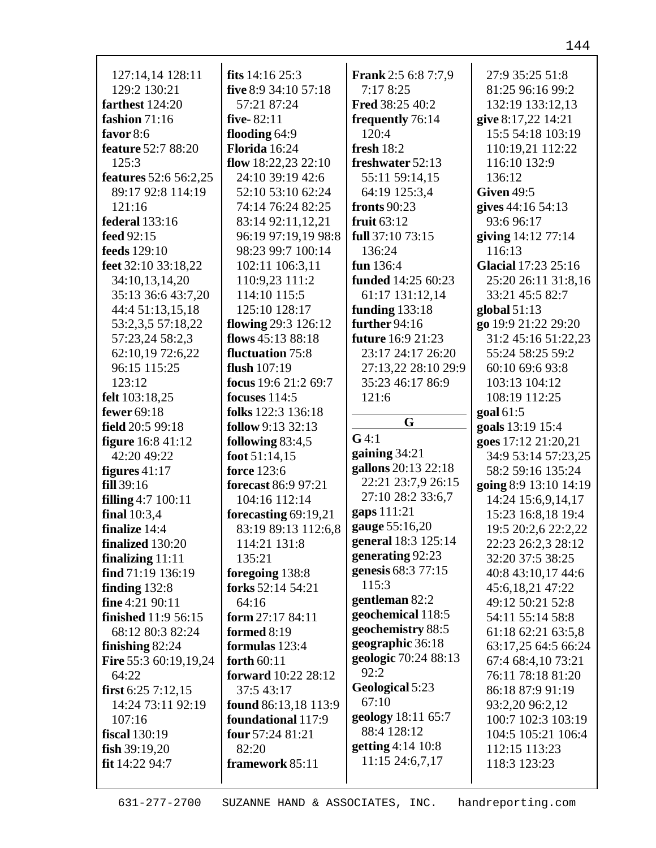| 127:14,14 128:11             | fits $14:16$ 25:3          | <b>Frank</b> 2:5 6:8 7:7,9 | 27:9 35:25 51:8       |
|------------------------------|----------------------------|----------------------------|-----------------------|
| 129:2 130:21                 | five 8:9 34:10 57:18       | 7:178:25                   | 81:25 96:16 99:2      |
| farthest 124:20              | 57:21 87:24                | <b>Fred 38:25 40:2</b>     | 132:19 133:12,13      |
| fashion 71:16                | five-82:11                 | frequently 76:14           | give 8:17,22 14:21    |
| favor $8:6$                  | flooding 64:9              | 120:4                      | 15:5 54:18 103:19     |
| <b>feature</b> 52:7 88:20    | Florida 16:24              | fresh $18:2$               | 110:19,21 112:22      |
| 125:3                        | flow $18:22,23$ 22:10      | freshwater 52:13           | 116:10 132:9          |
| features 52:6 56:2,25        | 24:10 39:19 42:6           | 55:11 59:14,15             | 136:12                |
| 89:17 92:8 114:19            | 52:10 53:10 62:24          | 64:19 125:3,4              | <b>Given 49:5</b>     |
| 121:16                       | 74:14 76:24 82:25          | <b>fronts</b> 90:23        | gives 44:16 54:13     |
| federal 133:16               | 83:14 92:11,12,21          | fruit $63:12$              | 93:6 96:17            |
| feed 92:15                   | 96:19 97:19,19 98:8        | full 37:10 73:15           | giving 14:12 77:14    |
| feeds 129:10                 | 98:23 99:7 100:14          | 136:24                     | 116:13                |
| feet 32:10 33:18,22          | 102:11 106:3,11            | fun 136:4                  | Glacial 17:23 25:16   |
| 34:10,13,14,20               | 110:9,23 111:2             | funded 14:25 60:23         | 25:20 26:11 31:8,16   |
| 35:13 36:6 43:7,20           | 114:10 115:5               | 61:17 131:12,14            | 33:21 45:5 82:7       |
| 44:4 51:13,15,18             | 125:10 128:17              | funding $133:18$           | global $51:13$        |
| 53:2,3,5 57:18,22            | flowing 29:3 126:12        | further 94:16              | go 19:9 21:22 29:20   |
| 57:23,24 58:2,3              | flows 45:13 88:18          | future 16:9 21:23          | 31:2 45:16 51:22,23   |
| 62:10,19 72:6,22             | fluctuation 75:8           | 23:17 24:17 26:20          | 55:24 58:25 59:2      |
| 96:15 115:25                 | flush 107:19               | 27:13,22 28:10 29:9        | 60:10 69:6 93:8       |
| 123:12                       | focus 19:6 21:2 69:7       | 35:23 46:17 86:9           | 103:13 104:12         |
| felt 103:18,25               | focuses $114:5$            | 121:6                      | 108:19 112:25         |
| fewer 69:18                  | folks 122:3 136:18         | G                          | goal 61:5             |
| field 20:5 99:18             | follow 9:13 32:13          |                            | goals 13:19 15:4      |
|                              |                            |                            |                       |
| <b>figure</b> 16:8 41:12     | following 83:4,5           | G4:1                       | goes 17:12 21:20,21   |
| 42:20 49:22                  | foot $51:14,15$            | gaining $34:21$            | 34:9 53:14 57:23,25   |
| figures $41:17$              | force 123:6                | gallons 20:13 22:18        | 58:2 59:16 135:24     |
| fill 39:16                   | forecast 86:9 97:21        | 22:21 23:7,9 26:15         | going 8:9 13:10 14:19 |
| filling 4:7 100:11           | 104:16 112:14              | 27:10 28:2 33:6,7          | 14:24 15:6,9,14,17    |
| final $10:3,4$               | forecasting 69:19,21       | gaps 111:21                | 15:23 16:8,18 19:4    |
| finalize 14:4                | 83:19 89:13 112:6,8        | gauge 55:16,20             | 19:5 20:2,6 22:2,22   |
| finalized 130:20             | 114:21 131:8               | general 18:3 125:14        | 22:23 26:2,3 28:12    |
| finalizing $11:11$           | 135:21                     | generating 92:23           | 32:20 37:5 38:25      |
| find 71:19 136:19            | foregoing 138:8            | genesis 68:3 77:15         | 40:8 43:10,17 44:6    |
| finding $132:8$              | forks 52:14 54:21          | 115:3                      | 45:6,18,21 47:22      |
| fine $4:2190:11$             | 64:16                      | gentleman 82:2             | 49:12 50:21 52:8      |
| <b>finished</b> 11:9 56:15   | form $27:1784:11$          | geochemical 118:5          | 54:11 55:14 58:8      |
| 68:12 80:3 82:24             | formed 8:19                | geochemistry 88:5          | 61:18 62:21 63:5,8    |
| finishing $82:24$            | formulas 123:4             | geographic 36:18           | 63:17,25 64:5 66:24   |
| <b>Fire</b> 55:3 60:19,19,24 | forth 60:11                | geologic 70:24 88:13       | 67:4 68:4,10 73:21    |
| 64:22                        | <b>forward</b> 10:22 28:12 | 92:2                       | 76:11 78:18 81:20     |
| first $6:257:12,15$          | 37:5 43:17                 | Geological 5:23            | 86:18 87:9 91:19      |
| 14:24 73:11 92:19            | found 86:13,18 113:9       | 67:10                      | 93:2,20 96:2,12       |
| 107:16                       | foundational 117:9         | geology 18:11 65:7         | 100:7 102:3 103:19    |
| fiscal 130:19                | four 57:24 81:21           | 88:4 128:12                | 104:5 105:21 106:4    |
| fish $39:19,20$              | 82:20                      | getting 4:14 10:8          | 112:15 113:23         |
| fit 14:22 94:7               | framework 85:11            | 11:15 24:6,7,17            | 118:3 123:23          |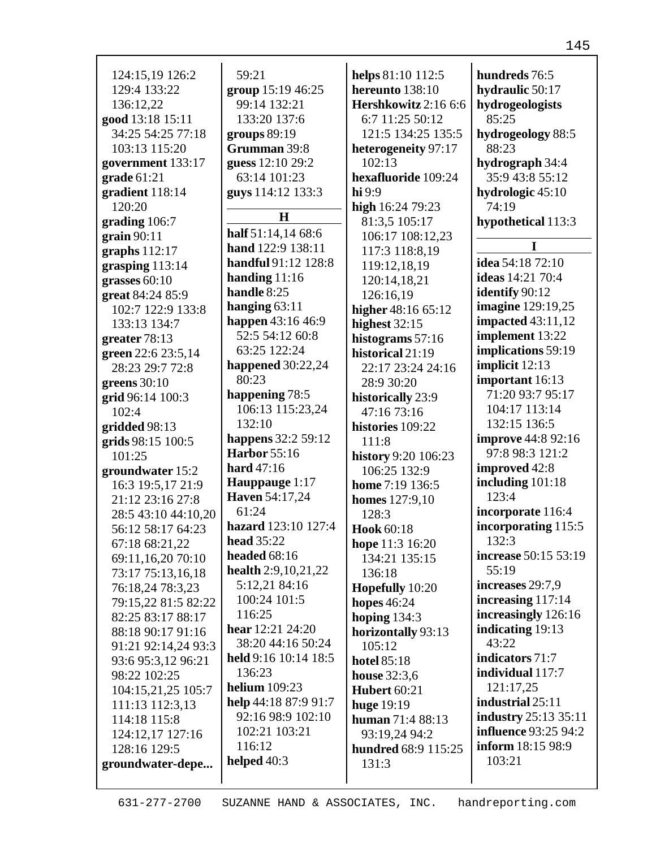| 124:15,19 126:2     | 59:21                 | helps 81:10 112:5     | hundreds 76:5               |
|---------------------|-----------------------|-----------------------|-----------------------------|
| 129:4 133:22        | group 15:19 46:25     | hereunto 138:10       | hydraulic 50:17             |
| 136:12,22           | 99:14 132:21          | Hershkowitz 2:16 6:6  | hydrogeologists             |
| good 13:18 15:11    | 133:20 137:6          | 6:7 11:25 50:12       | 85:25                       |
| 34:25 54:25 77:18   | groups $89:19$        | 121:5 134:25 135:5    | hydrogeology 88:5           |
| 103:13 115:20       | Grumman 39:8          | heterogeneity 97:17   | 88:23                       |
| government 133:17   | guess 12:10 29:2      | 102:13                | hydrograph 34:4             |
| grade $61:21$       | 63:14 101:23          | hexafluoride 109:24   | 35:9 43:8 55:12             |
| gradient 118:14     | guys 114:12 133:3     | hi9:9                 | hydrologic 45:10            |
| 120:20              |                       | high 16:24 79:23      | 74:19                       |
| grading 106:7       | $\bf H$               | 81:3,5 105:17         | hypothetical 113:3          |
| grain $90:11$       | half 51:14,14 68:6    | 106:17 108:12,23      |                             |
| graphs $112:17$     | hand 122:9 138:11     | 117:3 118:8,19        | I                           |
| grasping 113:14     | handful 91:12 128:8   | 119:12,18,19          | idea 54:18 72:10            |
| grasses $60:10$     | handing $11:16$       | 120:14,18,21          | ideas 14:21 70:4            |
| great 84:24 85:9    | handle 8:25           | 126:16,19             | identify 90:12              |
| 102:7 122:9 133:8   | hanging $63:11$       | higher 48:16 65:12    | <b>imagine</b> 129:19,25    |
| 133:13 134:7        | happen 43:16 46:9     | highest $32:15$       | <b>impacted</b> 43:11,12    |
| greater 78:13       | 52:5 54:12 60:8       | histograms 57:16      | implement 13:22             |
| green 22:6 23:5,14  | 63:25 122:24          | historical 21:19      | implications 59:19          |
| 28:23 29:7 72:8     | happened $30:22,24$   | 22:17 23:24 24:16     | implicit 12:13              |
| greens $30:10$      | 80:23                 | 28:9 30:20            | important 16:13             |
| grid 96:14 100:3    | happening 78:5        | historically 23:9     | 71:20 93:7 95:17            |
| 102:4               | 106:13 115:23,24      | 47:16 73:16           | 104:17 113:14               |
| gridded 98:13       | 132:10                | histories 109:22      | 132:15 136:5                |
| grids 98:15 100:5   | happens 32:2 59:12    | 111:8                 | <b>improve</b> 44:8 92:16   |
| 101:25              | <b>Harbor</b> 55:16   | history 9:20 106:23   | 97:8 98:3 121:2             |
| groundwater 15:2    | hard $47:16$          | 106:25 132:9          | improved 42:8               |
| 16:3 19:5,17 21:9   | Hauppauge 1:17        | home 7:19 136:5       | including 101:18            |
| 21:12 23:16 27:8    | <b>Haven</b> 54:17,24 | <b>homes</b> 127:9,10 | 123:4                       |
| 28:5 43:10 44:10,20 | 61:24                 | 128:3                 | incorporate 116:4           |
| 56:12 58:17 64:23   | hazard 123:10 127:4   | Hook 60:18            | incorporating 115:5         |
| 67:18 68:21,22      | <b>head</b> 35:22     | hope 11:3 16:20       | 132:3                       |
| 69:11,16,20 70:10   | headed $68:16$        | 134:21 135:15         | increase 50:15 53:19        |
| 73:17 75:13,16,18   | health 2:9,10,21,22   | 136:18                | 55:19                       |
| 76:18,24 78:3,23    | 5:12,21 84:16         | Hopefully 10:20       | increases 29:7,9            |
| 79:15,22 81:5 82:22 | 100:24 101:5          | hopes $46:24$         | increasing 117:14           |
| 82:25 83:17 88:17   | 116:25                | hoping $134:3$        | increasingly 126:16         |
| 88:18 90:17 91:16   | hear 12:21 24:20      | horizontally 93:13    | indicating 19:13            |
| 91:21 92:14,24 93:3 | 38:20 44:16 50:24     | 105:12                | 43:22                       |
| 93:6 95:3,12 96:21  | held 9:16 10:14 18:5  | <b>hotel 85:18</b>    | indicators 71:7             |
| 98:22 102:25        | 136:23                | <b>house</b> 32:3,6   | individual 117:7            |
| 104:15,21,25 105:7  | <b>helium</b> 109:23  | <b>Hubert 60:21</b>   | 121:17,25                   |
| 111:13 112:3,13     | help 44:18 87:9 91:7  | <b>huge</b> 19:19     | industrial 25:11            |
| 114:18 115:8        | 92:16 98:9 102:10     | human 71:4 88:13      | <b>industry</b> 25:13 35:11 |
| 124:12,17 127:16    | 102:21 103:21         | 93:19,24 94:2         | <b>influence</b> 93:25 94:2 |
| 128:16 129:5        | 116:12                | hundred 68:9 115:25   | <b>inform</b> 18:15 98:9    |
| groundwater-depe    | helped $40:3$         | 131:3                 | 103:21                      |
|                     |                       |                       |                             |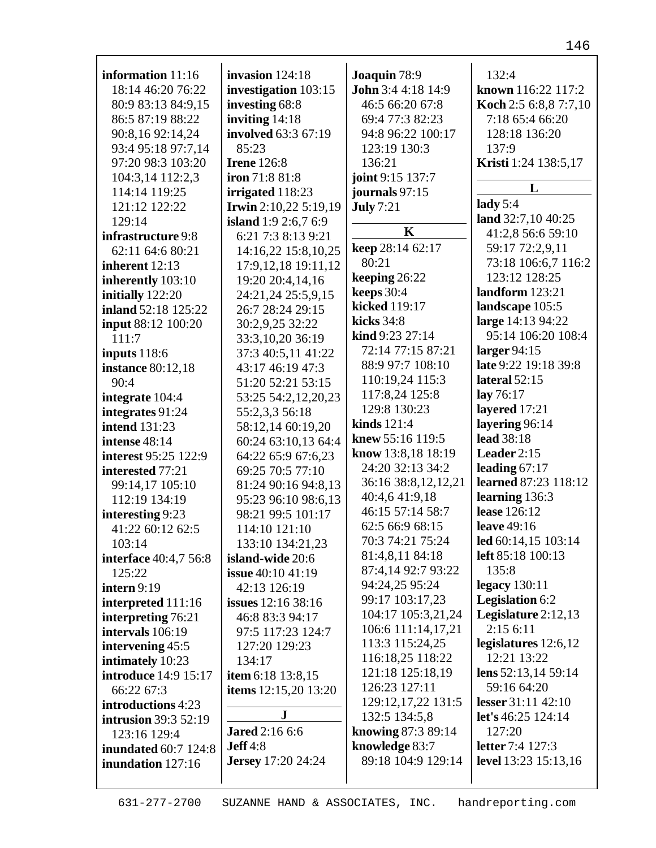| information $11:16$         | invasion $124:18$           | Joaquin 78:9                 | 132:4                  |
|-----------------------------|-----------------------------|------------------------------|------------------------|
| 18:14 46:20 76:22           | investigation 103:15        | John 3:4 4:18 14:9           | known 116:22 117:2     |
| 80:9 83:13 84:9,15          | investing 68:8              | 46:5 66:20 67:8              | Koch 2:5 6:8,8 7:7,10  |
| 86:5 87:19 88:22            | inviting $14:18$            | 69:4 77:3 82:23              | 7:18 65:4 66:20        |
| 90:8,16 92:14,24            | involved 63:3 67:19         | 94:8 96:22 100:17            | 128:18 136:20          |
| 93:4 95:18 97:7,14          | 85:23                       | 123:19 130:3                 | 137:9                  |
| 97:20 98:3 103:20           | <b>Irene</b> 126:8          | 136:21                       | Kristi 1:24 138:5,17   |
| 104:3,14 112:2,3            | iron 71:8 81:8              | joint 9:15 137:7             |                        |
| 114:14 119:25               | irrigated 118:23            | journals 97:15               | L                      |
| 121:12 122:22               | Irwin 2:10,22 5:19,19       | <b>July 7:21</b>             | lady $5:4$             |
| 129:14                      | <b>island</b> 1:9 2:6,7 6:9 |                              | land $32:7,1040:25$    |
| infrastructure 9:8          | 6:21 7:3 8:13 9:21          | $\bf K$                      | 41:2,8 56:6 59:10      |
| 62:11 64:6 80:21            | 14:16,22 15:8,10,25         | keep 28:14 62:17             | 59:17 72:2,9,11        |
| inherent 12:13              | 17:9, 12, 18 19:11, 12      | 80:21                        | 73:18 106:6,7 116:2    |
| inherently 103:10           | 19:20 20:4,14,16            | keeping 26:22                | 123:12 128:25          |
| initially 122:20            | 24:21,24 25:5,9,15          | keeps 30:4                   | landform 123:21        |
| inland 52:18 125:22         | 26:7 28:24 29:15            | kicked 119:17                | landscape 105:5        |
| input 88:12 100:20          | 30:2,9,25 32:22             | kicks 34:8                   | large 14:13 94:22      |
| 111:7                       | 33:3,10,20 36:19            | $\mathbf{kind}\,9:23\,27:14$ | 95:14 106:20 108:4     |
| inputs $118:6$              | 37:3 40:5,11 41:22          | 72:14 77:15 87:21            | larger $94:15$         |
| <b>instance</b> 80:12,18    | 43:17 46:19 47:3            | 88:9 97:7 108:10             | late 9:22 19:18 39:8   |
| 90:4                        | 51:20 52:21 53:15           | 110:19,24 115:3              | lateral $52:15$        |
| integrate 104:4             | 53:25 54:2,12,20,23         | 117:8,24 125:8               | lay $76:17$            |
| integrates 91:24            | 55:2,3,3 56:18              | 129:8 130:23                 | layered 17:21          |
| <b>intend</b> 131:23        | 58:12,14 60:19,20           | kinds 121:4                  | layering 96:14         |
| intense 48:14               | 60:24 63:10,13 64:4         | knew 55:16 119:5             | <b>lead</b> 38:18      |
| <b>interest</b> 95:25 122:9 | 64:22 65:9 67:6,23          | know 13:8,18 18:19           | Leader $2:15$          |
| interested 77:21            | 69:25 70:5 77:10            | 24:20 32:13 34:2             | leading 67:17          |
| 99:14,17 105:10             | 81:24 90:16 94:8,13         | 36:16 38:8,12,12,21          | learned 87:23 118:12   |
| 112:19 134:19               | 95:23 96:10 98:6,13         | 40:4,6 41:9,18               | learning 136:3         |
| interesting 9:23            | 98:21 99:5 101:17           | 46:15 57:14 58:7             | lease 126:12           |
| 41:22 60:12 62:5            | 114:10 121:10               | 62:5 66:9 68:15              | leave 49:16            |
| 103:14                      | 133:10 134:21,23            | 70:3 74:21 75:24             | led 60:14,15 103:14    |
| interface 40:4,7 56:8       | island-wide 20:6            | 81:4,8,11 84:18              | left 85:18 100:13      |
| 125:22                      | <b>issue</b> 40:10 41:19    | 87:4,14 92:7 93:22           | 135:8                  |
| intern $9:19$               | 42:13 126:19                | 94:24,25 95:24               | legacy $130:11$        |
| interpreted 111:16          | issues 12:16 38:16          | 99:17 103:17,23              | <b>Legislation 6:2</b> |
| interpreting 76:21          | 46:8 83:3 94:17             | 104:17 105:3,21,24           | Legislature $2:12,13$  |
| intervals 106:19            | 97:5 117:23 124:7           | 106:6 111:14,17,21           | 2:156:11               |
| intervening 45:5            | 127:20 129:23               | 113:3 115:24,25              | legislatures $12:6,12$ |
| intimately 10:23            | 134:17                      | 116:18,25 118:22             | 12:21 13:22            |
| <b>introduce</b> 14:9 15:17 | item 6:18 13:8,15           | 121:18 125:18,19             | lens $52:13,1459:14$   |
| 66:22 67:3                  | items $12:15,20$ $13:20$    | 126:23 127:11                | 59:16 64:20            |
| introductions 4:23          |                             | 129:12, 17, 22 131:5         | lesser $31:11$ $42:10$ |
| <b>intrusion</b> 39:3 52:19 | ${\bf J}$                   | 132:5 134:5,8                | let's $46:25$ 124:14   |
| 123:16 129:4                | <b>Jared</b> 2:16 6:6       | knowing 87:3 89:14           | 127:20                 |
| <b>inundated 60:7 124:8</b> | Jeff 4:8                    | knowledge 83:7               | letter 7:4 127:3       |
| inundation 127:16           | <b>Jersey</b> 17:20 24:24   | 89:18 104:9 129:14           | level 13:23 15:13,16   |
|                             |                             |                              |                        |
|                             |                             |                              |                        |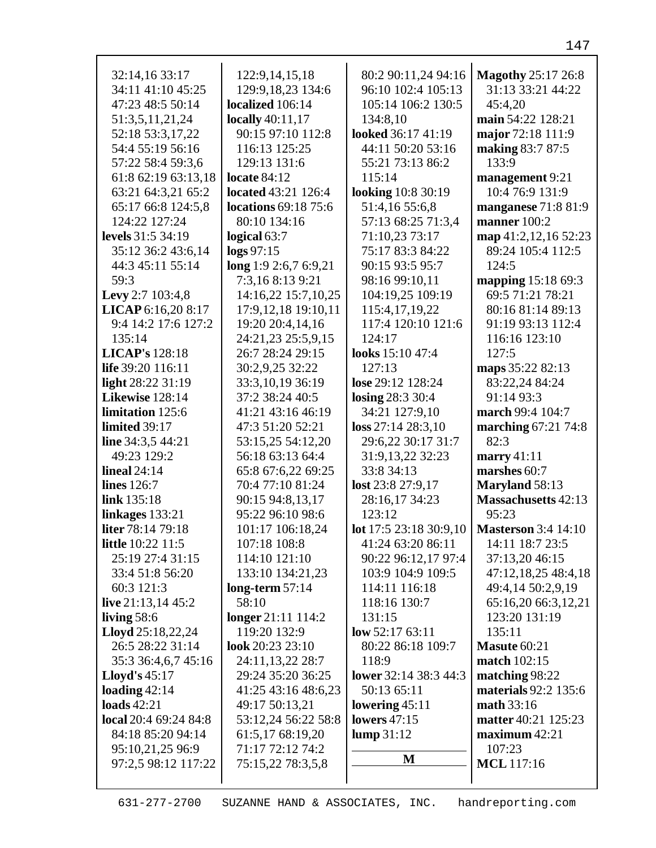| 32:14,16 33:17           | 122:9, 14, 15, 18           | 80:2 90:11,24 94:16       | <b>Magothy</b> 25:17 26:8  |
|--------------------------|-----------------------------|---------------------------|----------------------------|
| 34:11 41:10 45:25        | 129:9, 18, 23 134: 6        | 96:10 102:4 105:13        | 31:13 33:21 44:22          |
| 47:23 48:5 50:14         | localized 106:14            | 105:14 106:2 130:5        | 45:4,20                    |
| 51:3,5,11,21,24          | <b>locally</b> 40:11,17     | 134:8,10                  | main 54:22 128:21          |
| 52:18 53:3,17,22         | 90:15 97:10 112:8           | looked 36:17 41:19        | major 72:18 111:9          |
| 54:4 55:19 56:16         | 116:13 125:25               | 44:11 50:20 53:16         | making 83:7 87:5           |
| 57:22 58:4 59:3,6        | 129:13 131:6                | 55:21 73:13 86:2          | 133:9                      |
| 61:8 62:19 63:13,18      | locate $84:12$              | 115:14                    | management 9:21            |
| 63:21 64:3,21 65:2       | <b>located</b> 43:21 126:4  | <b>looking</b> 10:8 30:19 | 10:4 76:9 131:9            |
| 65:17 66:8 124:5,8       | <b>locations</b> 69:18 75:6 | 51:4,16 55:6,8            | manganese 71:8 81:9        |
| 124:22 127:24            | 80:10 134:16                | 57:13 68:25 71:3,4        | manner 100:2               |
| levels 31:5 34:19        | logical 63:7                | 71:10,23 73:17            | map 41:2,12,16 52:23       |
| 35:12 36:2 43:6,14       | $\log s 97:15$              | 75:17 83:3 84:22          | 89:24 105:4 112:5          |
| 44:3 45:11 55:14         | long 1:9 2:6,7 6:9,21       | 90:15 93:5 95:7           | 124:5                      |
| 59:3                     | 7:3,168:139:21              | 98:16 99:10,11            | <b>mapping</b> 15:18 69:3  |
| Levy 2:7 103:4,8         | 14:16,22 15:7,10,25         | 104:19,25 109:19          | 69:5 71:21 78:21           |
| LICAP 6:16,20 8:17       | 17:9, 12, 18 19:10, 11      | 115:4,17,19,22            | 80:16 81:14 89:13          |
| 9:4 14:2 17:6 127:2      | 19:20 20:4,14,16            | 117:4 120:10 121:6        | 91:19 93:13 112:4          |
| 135:14                   | 24:21,23 25:5,9,15          | 124:17                    | 116:16 123:10              |
| <b>LICAP's</b> 128:18    | 26:7 28:24 29:15            | looks 15:10 47:4          | 127:5                      |
| life 39:20 116:11        | 30:2,9,25 32:22             | 127:13                    | maps 35:22 82:13           |
| light 28:22 31:19        | 33:3,10,19 36:19            | lose 29:12 128:24         | 83:22,24 84:24             |
| Likewise 128:14          | 37:2 38:24 40:5             | losing 28:3 30:4          | 91:14 93:3                 |
| limitation 125:6         | 41:21 43:16 46:19           | 34:21 127:9,10            | march 99:4 104:7           |
| limited 39:17            | 47:3 51:20 52:21            | loss 27:14 28:3,10        | marching 67:21 74:8        |
| line $34:3,544:21$       | 53:15,25 54:12,20           | 29:6,22 30:17 31:7        | 82:3                       |
| 49:23 129:2              | 56:18 63:13 64:4            | 31:9,13,22 32:23          | marry $41:11$              |
| lineal $24:14$           | 65:8 67:6,22 69:25          | 33:8 34:13                | marshes 60:7               |
| <b>lines</b> 126:7       | 70:4 77:10 81:24            | lost 23:8 27:9,17         | Maryland 58:13             |
| link 135:18              | 90:15 94:8,13,17            | 28:16,17 34:23            | <b>Massachusetts</b> 42:13 |
| linkages 133:21          | 95:22 96:10 98:6            | 123:12                    | 95:23                      |
| <b>liter</b> 78:14 79:18 | 101:17 106:18,24            | lot 17:5 23:18 30:9,10    | <b>Masterson</b> 3:4 14:10 |
| <b>little</b> 10:22 11:5 | 107:18 108:8                | 41:24 63:20 86:11         | 14:11 18:7 23:5            |
| 25:19 27:4 31:15         | 114:10 121:10               | 90:22 96:12,17 97:4       | 37:13,20 46:15             |
| 33:4 51:8 56:20          | 133:10 134:21,23            | 103:9 104:9 109:5         | 47:12,18,25 48:4,18        |
| 60:3 121:3               | long-term $57:14$           | 114:11 116:18             | 49:4,14 50:2,9,19          |
| live $21:13,1445:2$      | 58:10                       | 118:16 130:7              | 65:16,20 66:3,12,21        |
| living $58:6$            | longer 21:11 114:2          | 131:15                    | 123:20 131:19              |
| Lloyd 25:18,22,24        | 119:20 132:9                | low $52:1763:11$          | 135:11                     |
| 26:5 28:22 31:14         | look 20:23 23:10            | 80:22 86:18 109:7         | Masute 60:21               |
| 35:3 36:4,6,7 45:16      | 24:11,13,22 28:7            | 118:9                     | match 102:15               |
| <b>Lloyd's</b> $45:17$   | 29:24 35:20 36:25           | lower 32:14 38:3 44:3     | matching 98:22             |
| loading $42:14$          | 41:25 43:16 48:6,23         | 50:13 65:11               | materials 92:2 135:6       |
| loads $42:21$            | 49:17 50:13,21              | lowering $45:11$          | math 33:16                 |
| local 20:4 69:24 84:8    | 53:12,24 56:22 58:8         | lowers $47:15$            | matter 40:21 125:23        |
| 84:18 85:20 94:14        | 61:5,17 68:19,20            | lump 31:12                | maximum 42:21              |
| 95:10,21,25 96:9         | 71:17 72:12 74:2            |                           | 107:23                     |
| 97:2,5 98:12 117:22      | 75:15,22 78:3,5,8           | M                         | <b>MCL</b> 117:16          |
|                          |                             |                           |                            |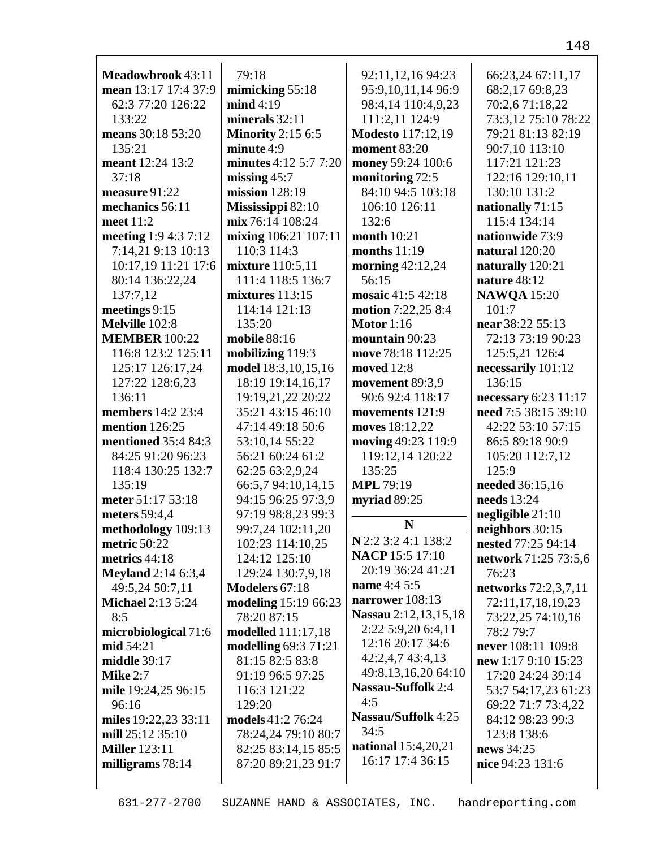| Meadowbrook 43:11          | 79:18                       | 92:11,12,16 94:23          | 66:23,24 67:11,17    |
|----------------------------|-----------------------------|----------------------------|----------------------|
| mean 13:17 17:4 37:9       | mimicking $55:18$           | 95:9,10,11,14 96:9         | 68:2,17 69:8,23      |
| 62:3 77:20 126:22          | mid 4:19                    | 98:4,14 110:4,9,23         | 70:2,671:18,22       |
| 133:22                     | minerals $32:11$            | 111:2,11 124:9             | 73:3,12 75:10 78:22  |
| means 30:18 53:20          | <b>Minority</b> 2:15 6:5    | <b>Modesto</b> 117:12,19   | 79:21 81:13 82:19    |
| 135:21                     | minute 4:9                  | moment 83:20               | 90:7,10 113:10       |
| meant 12:24 13:2           | minutes 4:12 5:7 7:20       | money 59:24 100:6          | 117:21 121:23        |
| 37:18                      | missing $45:7$              | monitoring 72:5            | 122:16 129:10,11     |
| measure 91:22              | mission 128:19              | 84:10 94:5 103:18          | 130:10 131:2         |
| mechanics 56:11            | Mississippi 82:10           | 106:10 126:11              | nationally 71:15     |
| meet 11:2                  | mix 76:14 108:24            | 132:6                      | 115:4 134:14         |
| meeting 1:9 4:3 7:12       | mixing 106:21 107:11        | <b>month</b> 10:21         | nationwide 73:9      |
|                            | 110:3 114:3                 | months $11:19$             | natural 120:20       |
| 7:14,21 9:13 10:13         |                             |                            |                      |
| 10:17,19 11:21 17:6        | mixture 110:5,11            | morning 42:12,24           | naturally 120:21     |
| 80:14 136:22,24            | 111:4 118:5 136:7           | 56:15                      | nature 48:12         |
| 137:7,12                   | mixtures 113:15             | mosaic 41:5 42:18          | <b>NAWQA</b> 15:20   |
| meetings 9:15              | 114:14 121:13               | motion 7:22,25 8:4         | 101:7                |
| Melville 102:8             | 135:20                      | Motor $1:16$               | near 38:22 55:13     |
| <b>MEMBER 100:22</b>       | mobile 88:16                | mountain 90:23             | 72:13 73:19 90:23    |
| 116:8 123:2 125:11         | mobilizing 119:3            | move 78:18 112:25          | 125:5,21 126:4       |
| 125:17 126:17,24           | model 18:3, 10, 15, 16      | moved 12:8                 | necessarily 101:12   |
| 127:22 128:6,23            | 18:19 19:14,16,17           | movement 89:3,9            | 136:15               |
| 136:11                     | 19:19,21,22 20:22           | 90:6 92:4 118:17           | necessary 6:23 11:17 |
| <b>members</b> 14:2 23:4   | 35:21 43:15 46:10           | movements 121:9            | need 7:5 38:15 39:10 |
| <b>mention</b> 126:25      | 47:14 49:18 50:6            | moves 18:12,22             | 42:22 53:10 57:15    |
| <b>mentioned</b> 35:4 84:3 | 53:10,14 55:22              | moving 49:23 119:9         | 86:5 89:18 90:9      |
| 84:25 91:20 96:23          | 56:21 60:24 61:2            | 119:12,14 120:22           | 105:20 112:7,12      |
| 118:4 130:25 132:7         | 62:25 63:2,9,24             | 135:25                     | 125:9                |
| 135:19                     | 66:5,7 94:10,14,15          | <b>MPL 79:19</b>           | needed 36:15,16      |
| meter 51:17 53:18          | 94:15 96:25 97:3,9          | myriad 89:25               | needs 13:24          |
| meters 59:4,4              | 97:19 98:8,23 99:3          | N                          | negligible $21:10$   |
| methodology 109:13         | 99:7,24 102:11,20           | $N$ 2:2 3:2 4:1 138:2      | neighbors 30:15      |
| metric 50:22               | 102:23 114:10,25            | <b>NACP</b> 15:5 17:10     | nested 77:25 94:14   |
| metrics 44:18              | 124:12 125:10               | 20:19 36:24 41:21          | network 71:25 73:5,6 |
| <b>Meyland</b> 2:14 6:3,4  | 129:24 130:7,9,18           | <b>name</b> 4:4 5:5        | 76:23                |
| 49:5,24 50:7,11            | Modelers 67:18              | narrower 108:13            | networks 72:2,3,7,11 |
| <b>Michael 2:13 5:24</b>   | modeling 15:19 66:23        | Nassau 2:12,13,15,18       | 72:11,17,18,19,23    |
| 8:5                        | 78:20 87:15                 | 2:22 5:9,20 6:4,11         | 73:22,25 74:10,16    |
| microbiological 71:6       | modelled 111:17,18          | 12:16 20:17 34:6           | 78:2 79:7            |
| mid 54:21                  | <b>modelling 69:3 71:21</b> | 42:2,4,7 43:4,13           | never 108:11 109:8   |
| middle 39:17               | 81:15 82:5 83:8             | 49:8,13,16,20 64:10        | new 1:17 9:10 15:23  |
| <b>Mike 2:7</b>            | 91:19 96:5 97:25            | <b>Nassau-Suffolk 2:4</b>  | 17:20 24:24 39:14    |
| mile 19:24,25 96:15        | 116:3 121:22                | 4:5                        | 53:7 54:17,23 61:23  |
| 96:16                      | 129:20                      | <b>Nassau/Suffolk</b> 4:25 | 69:22 71:7 73:4,22   |
| miles 19:22,23 33:11       | models 41:2 76:24           | 34:5                       | 84:12 98:23 99:3     |
| mill 25:12 35:10           | 78:24,24 79:10 80:7         | <b>national</b> 15:4,20,21 | 123:8 138:6          |
| <b>Miller</b> 123:11       | 82:25 83:14,15 85:5         | 16:17 17:4 36:15           | news 34:25           |
| milligrams 78:14           | 87:20 89:21,23 91:7         |                            | nice 94:23 131:6     |
|                            |                             |                            |                      |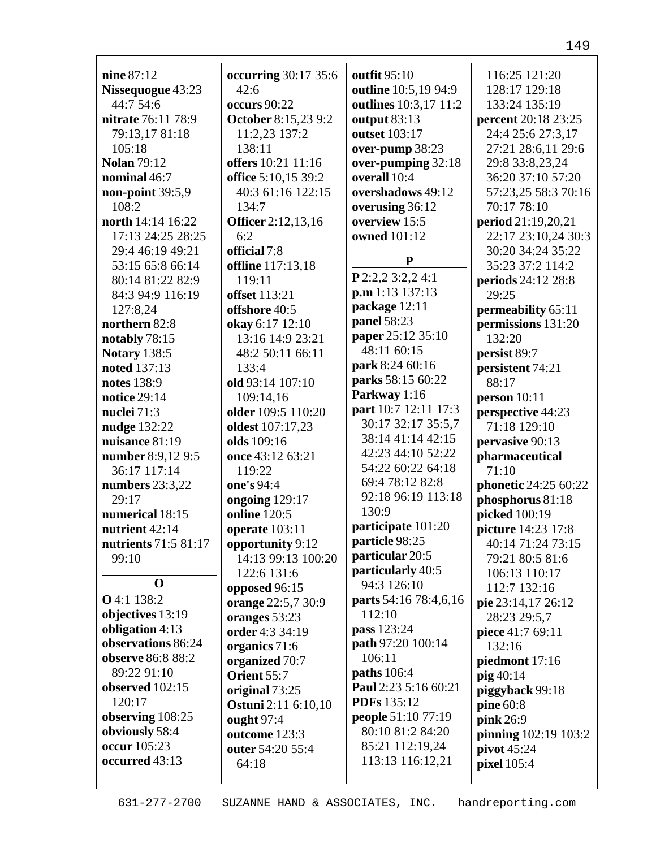| nine 87:12                     |                              | outfit 95:10                          | 116:25 121:20        |
|--------------------------------|------------------------------|---------------------------------------|----------------------|
|                                | occurring 30:17 35:6<br>42:6 | outline 10:5,19 94:9                  | 128:17 129:18        |
| Nissequogue 43:23<br>44:7 54:6 | <b>occurs</b> 90:22          |                                       | 133:24 135:19        |
| nitrate 76:11 78:9             | <b>October 8:15,23 9:2</b>   | outlines 10:3,17 11:2<br>output 83:13 | percent 20:18 23:25  |
| 79:13,17 81:18                 | 11:2,23 137:2                | outset 103:17                         | 24:4 25:6 27:3,17    |
| 105:18                         | 138:11                       | over-pump 38:23                       | 27:21 28:6,11 29:6   |
| <b>Nolan 79:12</b>             | offers 10:21 11:16           |                                       | 29:8 33:8,23,24      |
| nominal 46:7                   | office 5:10,15 39:2          | over-pumping 32:18<br>overall 10:4    | 36:20 37:10 57:20    |
| non-point 39:5,9               | 40:3 61:16 122:15            | overshadows 49:12                     | 57:23,25 58:3 70:16  |
| 108:2                          | 134:7                        | overusing 36:12                       | 70:17 78:10          |
| north 14:14 16:22              | <b>Officer</b> 2:12,13,16    | overview 15:5                         | period 21:19,20,21   |
| 17:13 24:25 28:25              | 6:2                          | owned 101:12                          | 22:17 23:10,24 30:3  |
| 29:4 46:19 49:21               | official 7:8                 |                                       | 30:20 34:24 35:22    |
| 53:15 65:8 66:14               | offline 117:13,18            | $\mathbf{P}$                          | 35:23 37:2 114:2     |
| 80:14 81:22 82:9               | 119:11                       | P 2:2,2 3:2,2 4:1                     | periods 24:12 28:8   |
| 84:3 94:9 116:19               | offset 113:21                | p.m 1:13 137:13                       | 29:25                |
| 127:8,24                       | offshore 40:5                | package 12:11                         | permeability 65:11   |
| northern 82:8                  | okay 6:17 12:10              | panel 58:23                           | permissions 131:20   |
| notably 78:15                  | 13:16 14:9 23:21             | paper 25:12 35:10                     | 132:20               |
| <b>Notary 138:5</b>            | 48:2 50:11 66:11             | 48:11 60:15                           | persist 89:7         |
| noted 137:13                   | 133:4                        | park 8:24 60:16                       | persistent 74:21     |
| notes 138:9                    | old 93:14 107:10             | parks 58:15 60:22                     | 88:17                |
| notice 29:14                   | 109:14,16                    | Parkway 1:16                          | person 10:11         |
| nuclei 71:3                    | older 109:5 110:20           | part 10:7 12:11 17:3                  | perspective 44:23    |
| nudge 132:22                   | oldest 107:17,23             | 30:17 32:17 35:5,7                    | 71:18 129:10         |
| nuisance 81:19                 | olds 109:16                  | 38:14 41:14 42:15                     | pervasive 90:13      |
| number 8:9,12 9:5              | once 43:12 63:21             | 42:23 44:10 52:22                     | pharmaceutical       |
| 36:17 117:14                   | 119:22                       | 54:22 60:22 64:18                     | 71:10                |
| numbers 23:3,22                | one's 94:4                   | 69:4 78:12 82:8                       | phonetic 24:25 60:22 |
| 29:17                          | ongoing 129:17               | 92:18 96:19 113:18                    | phosphorus 81:18     |
| numerical 18:15                | <b>online</b> 120:5          | 130:9                                 | picked 100:19        |
| nutrient 42:14                 | operate 103:11               | participate 101:20                    | picture 14:23 17:8   |
| nutrients 71:5 81:17           | opportunity 9:12             | particle 98:25                        | 40:14 71:24 73:15    |
| 99:10                          | 14:13 99:13 100:20           | particular 20:5                       | 79:21 80:5 81:6      |
|                                | 122:6 131:6                  | particularly 40:5                     | 106:13 110:17        |
| $\bf{0}$                       | opposed 96:15                | 94:3 126:10                           | 112:7 132:16         |
| O 4:1 138:2                    | orange 22:5,7 30:9           | parts 54:16 78:4,6,16                 | pie 23:14,17 26:12   |
| objectives 13:19               | oranges 53:23                | 112:10                                | 28:23 29:5,7         |
| obligation 4:13                | order 4:3 34:19              | pass 123:24                           | piece 41:7 69:11     |
| observations 86:24             | organics 71:6                | path 97:20 100:14                     | 132:16               |
| observe 86:8 88:2              | organized 70:7               | 106:11                                | piedmont 17:16       |
| 89:22 91:10                    | Orient 55:7                  | <b>paths</b> 106:4                    | pig 40:14            |
| observed 102:15                | original 73:25               | Paul 2:23 5:16 60:21                  | piggyback 99:18      |
| 120:17                         | <b>Ostuni</b> 2:11 6:10,10   | <b>PDFs</b> 135:12                    | pine 60:8            |
| observing 108:25               | ought 97:4                   | <b>people 51:10 77:19</b>             | pink 26:9            |
| obviously 58:4<br>occur 105:23 | outcome 123:3                | 80:10 81:2 84:20                      | pinning 102:19 103:2 |
| occurred 43:13                 | outer 54:20 55:4             | 85:21 112:19,24<br>113:13 116:12,21   | pivot 45:24          |
|                                | 64:18                        |                                       | <b>pixel</b> 105:4   |
|                                |                              |                                       |                      |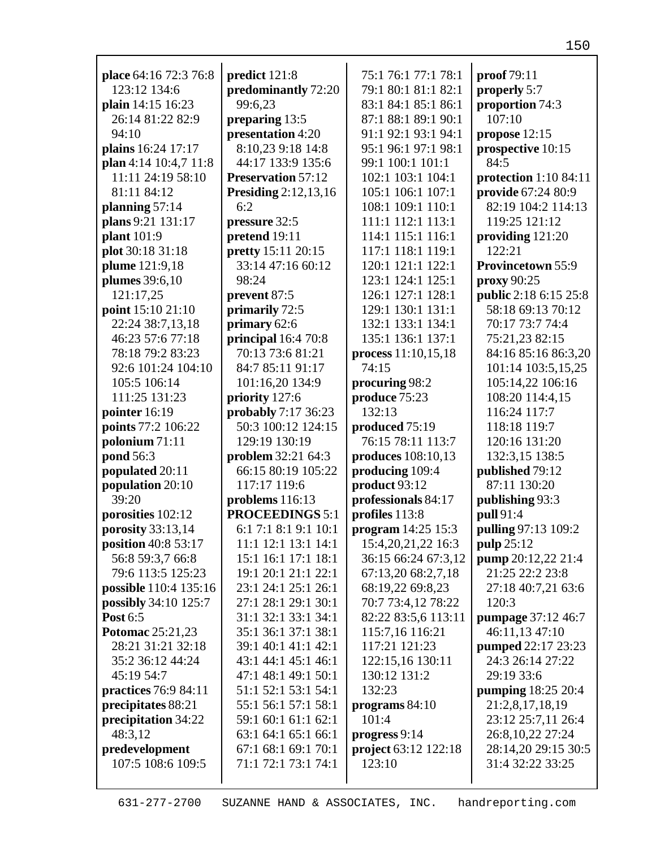| place 64:16 72:3 76:8        | predict 121:8               | 75:1 76:1 77:1 78:1  | proof 79:11              |
|------------------------------|-----------------------------|----------------------|--------------------------|
| 123:12 134:6                 | predominantly 72:20         | 79:1 80:1 81:1 82:1  | properly 5:7             |
| plain 14:15 16:23            | 99:6,23                     | 83:1 84:1 85:1 86:1  | proportion 74:3          |
| 26:14 81:22 82:9             | preparing 13:5              | 87:1 88:1 89:1 90:1  | 107:10                   |
| 94:10                        | presentation 4:20           | 91:1 92:1 93:1 94:1  | propose $12:15$          |
| plains 16:24 17:17           | 8:10,23 9:18 14:8           | 95:1 96:1 97:1 98:1  | prospective 10:15        |
| plan 4:14 10:4,7 11:8        | 44:17 133:9 135:6           | 99:1 100:1 101:1     | 84:5                     |
| 11:11 24:19 58:10            | <b>Preservation 57:12</b>   | 102:1 103:1 104:1    | protection 1:10 84:11    |
| 81:11 84:12                  | <b>Presiding</b> 2:12,13,16 | 105:1 106:1 107:1    | provide 67:24 80:9       |
| planning 57:14               | 6:2                         | 108:1 109:1 110:1    | 82:19 104:2 114:13       |
| plans 9:21 131:17            | pressure 32:5               | 111:1 112:1 113:1    | 119:25 121:12            |
| plant 101:9                  | pretend 19:11               | 114:1 115:1 116:1    | providing 121:20         |
| plot 30:18 31:18             | pretty 15:11 20:15          | 117:1 118:1 119:1    | 122:21                   |
| plume 121:9,18               | 33:14 47:16 60:12           | 120:1 121:1 122:1    | <b>Provincetown 55:9</b> |
| plumes 39:6,10               | 98:24                       | 123:1 124:1 125:1    | proxy 90:25              |
| 121:17,25                    | prevent 87:5                | 126:1 127:1 128:1    | public 2:18 6:15 25:8    |
| point 15:10 21:10            | primarily 72:5              | 129:1 130:1 131:1    | 58:18 69:13 70:12        |
| 22:24 38:7,13,18             | primary 62:6                | 132:1 133:1 134:1    | 70:17 73:7 74:4          |
| 46:23 57:6 77:18             | principal 16:4 70:8         | 135:1 136:1 137:1    | 75:21,23 82:15           |
| 78:18 79:2 83:23             | 70:13 73:6 81:21            | process 11:10,15,18  | 84:16 85:16 86:3,20      |
| 92:6 101:24 104:10           | 84:7 85:11 91:17            | 74:15                | 101:14 103:5,15,25       |
| 105:5 106:14                 | 101:16,20 134:9             | procuring 98:2       | 105:14,22 106:16         |
| 111:25 131:23                | priority 127:6              | produce 75:23        | 108:20 114:4,15          |
| pointer 16:19                | probably 7:17 36:23         | 132:13               | 116:24 117:7             |
| points 77:2 106:22           | 50:3 100:12 124:15          | produced 75:19       | 118:18 119:7             |
| polonium 71:11               | 129:19 130:19               | 76:15 78:11 113:7    | 120:16 131:20            |
| pond 56:3                    | problem 32:21 64:3          | produces 108:10,13   | 132:3,15 138:5           |
| populated 20:11              | 66:15 80:19 105:22          | producing 109:4      | published 79:12          |
| population 20:10             | 117:17 119:6                | product 93:12        | 87:11 130:20             |
| 39:20                        | problems 116:13             | professionals 84:17  | publishing 93:3          |
| porosities 102:12            | <b>PROCEEDINGS 5:1</b>      | profiles 113:8       | pull 91:4                |
| porosity 33:13,14            | 6:1 7:1 8:1 9:1 10:1        | program $14:25$ 15:3 | pulling 97:13 109:2      |
| position 40:8 53:17          | 11:1 12:1 13:1 14:1         | 15:4,20,21,22 16:3   | pulp 25:12               |
| 56:8 59:3,7 66:8             | 15:1 16:1 17:1 18:1         | 36:15 66:24 67:3,12  | pump 20:12,22 21:4       |
| 79:6 113:5 125:23            | 19:1 20:1 21:1 22:1         | 67:13,20 68:2,7,18   | 21:25 22:2 23:8          |
| <b>possible</b> 110:4 135:16 | 23:1 24:1 25:1 26:1         | 68:19,22 69:8,23     | 27:18 40:7,21 63:6       |
| <b>possibly</b> 34:10 125:7  | 27:1 28:1 29:1 30:1         | 70:7 73:4,12 78:22   | 120:3                    |
| Post 6:5                     | 31:1 32:1 33:1 34:1         | 82:22 83:5,6 113:11  | pumpage 37:12 46:7       |
| <b>Potomac</b> 25:21,23      | 35:1 36:1 37:1 38:1         | 115:7,16 116:21      | 46:11,13 47:10           |
| 28:21 31:21 32:18            | 39:1 40:1 41:1 42:1         | 117:21 121:23        | pumped 22:17 23:23       |
| 35:2 36:12 44:24             | 43:1 44:1 45:1 46:1         | 122:15,16 130:11     | 24:3 26:14 27:22         |
| 45:19 54:7                   | 47:1 48:1 49:1 50:1         | 130:12 131:2         | 29:19 33:6               |
| practices 76:9 84:11         | 51:1 52:1 53:1 54:1         | 132:23               | pumping 18:25 20:4       |
| precipitates 88:21           | 55:1 56:1 57:1 58:1         | programs $84:10$     | 21:2,8,17,18,19          |
| precipitation 34:22          | 59:1 60:1 61:1 62:1         | 101:4                | 23:12 25:7,11 26:4       |
| 48:3,12                      | 63:1 64:1 65:1 66:1         | progress 9:14        | 26:8,10,22 27:24         |
| predevelopment               | 67:1 68:1 69:1 70:1         | project 63:12 122:18 | 28:14,20 29:15 30:5      |
| 107:5 108:6 109:5            | 71:1 72:1 73:1 74:1         | 123:10               | 31:4 32:22 33:25         |
|                              |                             |                      |                          |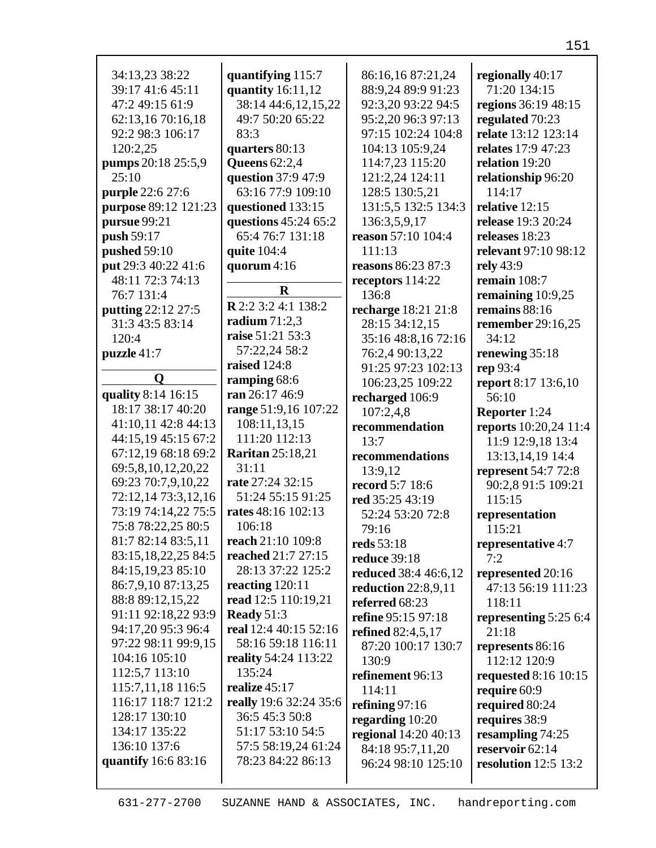| 34:13,23 38:22<br>39:17 41:6 45:11    | quantifying 115:7                       | 86:16,16 87:21,24                        | regionally 40:17<br>71:20 134:15       |
|---------------------------------------|-----------------------------------------|------------------------------------------|----------------------------------------|
|                                       | quantity 16:11,12                       | 88:9,24 89:9 91:23                       |                                        |
| 47:2 49:15 61:9                       | 38:14 44:6,12,15,22<br>49:7 50:20 65:22 | 92:3,20 93:22 94:5<br>95:2,20 96:3 97:13 | regions 36:19 48:15                    |
| 62:13,16 70:16,18<br>92:2 98:3 106:17 | 83:3                                    | 97:15 102:24 104:8                       | regulated 70:23<br>relate 13:12 123:14 |
|                                       |                                         |                                          |                                        |
| 120:2,25                              | quarters 80:13                          | 104:13 105:9,24                          | relates 17:9 47:23                     |
| pumps 20:18 25:5,9                    | <b>Queens</b> 62:2,4                    | 114:7,23 115:20                          | relation 19:20                         |
| 25:10                                 | question 37:9 47:9                      | 121:2,24 124:11                          | relationship 96:20                     |
| purple 22:6 27:6                      | 63:16 77:9 109:10                       | 128:5 130:5,21                           | 114:17                                 |
| purpose 89:12 121:23                  | questioned 133:15                       | 131:5,5 132:5 134:3                      | relative 12:15                         |
| pursue 99:21                          | questions 45:24 65:2                    | 136:3,5,9,17                             | release 19:3 20:24                     |
| push 59:17                            | 65:4 76:7 131:18                        | reason 57:10 104:4                       | releases 18:23                         |
| pushed 59:10                          | quite 104:4                             | 111:13                                   | relevant 97:10 98:12                   |
| put 29:3 40:22 41:6                   | quorum $4:16$                           | <b>reasons</b> 86:23 87:3                | rely 43:9                              |
| 48:11 72:3 74:13                      | $\bf{R}$                                | receptors 114:22                         | remain 108:7                           |
| 76:7 131:4                            | <b>R</b> 2:2 3:2 4:1 138:2              | 136:8                                    | remaining $10:9,25$                    |
| putting 22:12 27:5                    |                                         | recharge 18:21 21:8                      | remains $88:16$                        |
| 31:3 43:5 83:14                       | radium $71:2,3$                         | 28:15 34:12,15                           | remember 29:16,25                      |
| 120:4                                 | raise 51:21 53:3                        | 35:16 48:8,16 72:16                      | 34:12                                  |
| puzzle 41:7                           | 57:22,24 58:2                           | 76:2,4 90:13,22                          | renewing 35:18                         |
|                                       | raised 124:8                            | 91:25 97:23 102:13                       | rep 93:4                               |
| Q                                     | ramping 68:6                            | 106:23,25 109:22                         | report 8:17 13:6,10                    |
| quality 8:14 16:15                    | ran 26:17 46:9                          | recharged 106:9                          | 56:10                                  |
| 18:17 38:17 40:20                     | range 51:9,16 107:22                    | 107:2,4,8                                | Reporter 1:24                          |
| 41:10,11 42:8 44:13                   | 108:11,13,15                            | recommendation                           | <b>reports</b> 10:20,24 11:4           |
|                                       |                                         |                                          |                                        |
| 44:15,19 45:15 67:2                   | 111:20 112:13                           | 13:7                                     | 11:9 12:9,18 13:4                      |
| 67:12,19 68:18 69:2                   | <b>Raritan</b> 25:18,21                 | recommendations                          | 13:13,14,19 14:4                       |
| 69:5,8,10,12,20,22                    | 31:11                                   | 13:9,12                                  | <b>represent</b> 54:7 72:8             |
| 69:23 70:7,9,10,22                    | rate 27:24 32:15                        | record 5:7 18:6                          | 90:2,8 91:5 109:21                     |
| 72:12,14 73:3,12,16                   | 51:24 55:15 91:25                       | red 35:25 43:19                          | 115:15                                 |
| 73:19 74:14,22 75:5                   | rates 48:16 102:13                      | 52:24 53:20 72:8                         | representation                         |
| 75:8 78:22,25 80:5                    | 106:18                                  | 79:16                                    | 115:21                                 |
| 81:7 82:14 83:5,11                    | reach 21:10 109:8                       | reds 53:18                               | representative 4:7                     |
| 83:15, 18, 22, 25 84: 5               | reached 21:7 27:15                      | <b>reduce</b> 39:18                      | 7:2                                    |
| 84:15,19,23 85:10                     | 28:13 37:22 125:2                       | reduced 38:4 46:6,12                     | represented 20:16                      |
| 86:7,9,10 87:13,25                    | reacting $120:11$                       | reduction $22:8,9,11$                    | 47:13 56:19 111:23                     |
| 88:8 89:12,15,22                      | read 12:5 110:19,21                     | referred 68:23                           | 118:11                                 |
| 91:11 92:18,22 93:9                   | Ready $51:3$                            | refine 95:15 97:18                       | representing 5:25 6:4                  |
| 94:17,20 95:3 96:4                    | real 12:4 40:15 52:16                   | <b>refined</b> 82:4,5,17                 | 21:18                                  |
| 97:22 98:11 99:9,15                   | 58:16 59:18 116:11                      | 87:20 100:17 130:7                       | represents 86:16                       |
| 104:16 105:10                         | <b>reality</b> 54:24 113:22             | 130:9                                    | 112:12 120:9                           |
| 112:5,7 113:10                        | 135:24                                  | refinement 96:13                         | <b>requested</b> 8:16 10:15            |
| 115:7,11,18 116:5                     | realize 45:17                           | 114:11                                   | require 60:9                           |
| 116:17 118:7 121:2                    | really 19:6 32:24 35:6                  | refining $97:16$                         | required 80:24                         |
| 128:17 130:10                         | 36:5 45:3 50:8                          | regarding 10:20                          | requires 38:9                          |
| 134:17 135:22                         | 51:17 53:10 54:5                        | regional 14:20 40:13                     | resampling 74:25                       |
| 136:10 137:6                          | 57:5 58:19,24 61:24                     | 84:18 95:7,11,20                         | reservoir 62:14                        |
| quantify 16:6 83:16                   | 78:23 84:22 86:13                       | 96:24 98:10 125:10                       | resolution 12:5 13:2                   |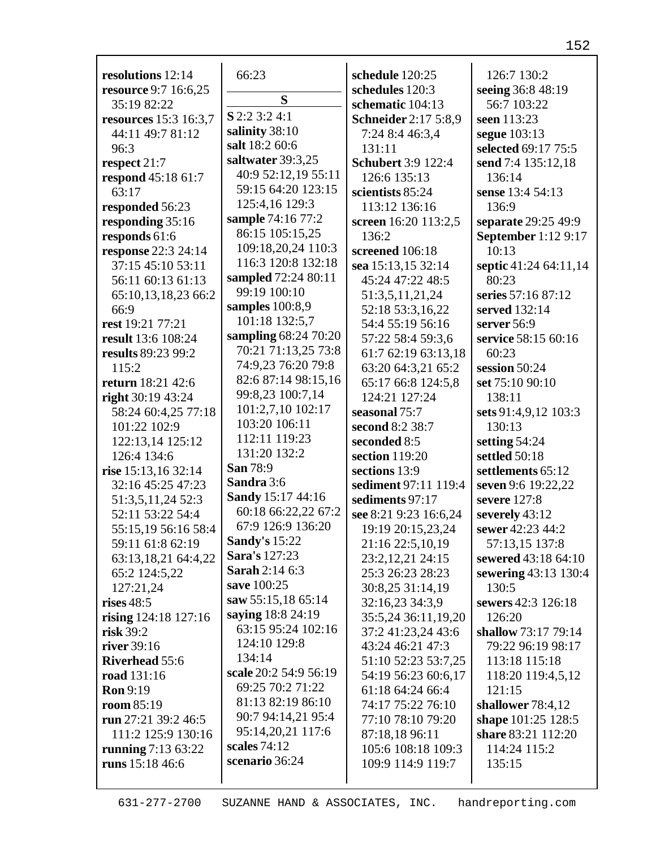| resolutions 12:14            | 66:23                                         | schedule 120:25             | 126:7 130:2                |
|------------------------------|-----------------------------------------------|-----------------------------|----------------------------|
| <b>resource</b> 9:7 16:6,25  |                                               | schedules 120:3             | seeing 36:8 48:19          |
| 35:19 82:22                  | S                                             | schematic 104:13            | 56:7 103:22                |
| <b>resources</b> 15:3 16:3,7 | S 2:2 3:2 4:1                                 | <b>Schneider</b> 2:17 5:8,9 | seen 113:23                |
| 44:11 49:7 81:12             | salinity 38:10                                | 7:24 8:4 46:3,4             | segue 103:13               |
| 96:3                         | salt 18:2 60:6                                | 131:11                      | selected 69:17 75:5        |
| respect 21:7                 | saltwater 39:3,25                             | <b>Schubert 3:9 122:4</b>   | send 7:4 135:12,18         |
| respond 45:18 61:7           | 40:9 52:12,19 55:11                           | 126:6 135:13                | 136:14                     |
| 63:17                        | 59:15 64:20 123:15                            | scientists 85:24            | sense 13:4 54:13           |
| responded 56:23              | 125:4,16 129:3                                | 113:12 136:16               | 136:9                      |
| responding 35:16             | sample 74:16 77:2                             | screen 16:20 113:2,5        | separate 29:25 49:9        |
| responds 61:6                | 86:15 105:15,25                               | 136:2                       | <b>September</b> 1:12 9:17 |
| <b>response</b> 22:3 24:14   | 109:18,20,24 110:3                            | screened 106:18             | 10:13                      |
| 37:15 45:10 53:11            | 116:3 120:8 132:18                            | sea 15:13,15 32:14          | septic 41:24 64:11,14      |
| 56:11 60:13 61:13            | sampled 72:24 80:11                           | 45:24 47:22 48:5            | 80:23                      |
| 65:10,13,18,23 66:2          | 99:19 100:10                                  | 51:3,5,11,21,24             | series 57:16 87:12         |
| 66:9                         | samples $100:8,9$                             | 52:18 53:3,16,22            | served 132:14              |
| rest 19:21 77:21             | 101:18 132:5,7                                | 54:4 55:19 56:16            | server 56:9                |
| result 13:6 108:24           | sampling 68:24 70:20                          | 57:22 58:4 59:3,6           | service 58:15 60:16        |
| results 89:23 99:2           | 70:21 71:13,25 73:8                           | 61:7 62:19 63:13,18         | 60:23                      |
| 115:2                        | 74:9,23 76:20 79:8                            | 63:20 64:3,21 65:2          | session 50:24              |
| return 18:21 42:6            | 82:6 87:14 98:15,16                           | 65:17 66:8 124:5,8          | set 75:10 90:10            |
|                              | 99:8,23 100:7,14                              | 124:21 127:24               | 138:11                     |
| right $30:1943:24$           | 101:2,7,10 102:17                             |                             |                            |
| 58:24 60:4,25 77:18          | 103:20 106:11                                 | seasonal 75:7               | sets 91:4,9,12 103:3       |
| 101:22 102:9                 | 112:11 119:23                                 | second 8:2 38:7             | 130:13                     |
| 122:13,14 125:12             | 131:20 132:2                                  | seconded 8:5                | setting 54:24              |
| 126:4 134:6                  | San 78:9                                      | section 119:20              | settled 50:18              |
| rise 15:13,16 32:14          | Sandra 3:6                                    | sections 13:9               | settlements 65:12          |
| 32:16 45:25 47:23            | Sandy 15:17 44:16                             | sediment 97:11 119:4        | seven 9:6 19:22,22         |
| 51:3,5,11,24 52:3            | 60:18 66:22,22 67:2                           | sediments 97:17             | severe 127:8               |
| 52:11 53:22 54:4             | 67:9 126:9 136:20                             | see 8:21 9:23 16:6,24       | severely 43:12             |
| 55:15,19 56:16 58:4          |                                               | 19:19 20:15,23,24           | sewer 42:23 44:2           |
| 59:11 61:8 62:19             | <b>Sandy's 15:22</b>                          | 21:16 22:5,10,19            | 57:13,15 137:8             |
| 63:13,18,21 64:4,22          | <b>Sara's</b> 127:23<br><b>Sarah 2:14 6:3</b> | 23:2,12,21 24:15            | sewered 43:18 64:10        |
| 65:2 124:5,22                |                                               | 25:3 26:23 28:23            | sewering 43:13 130:4       |
| 127:21,24                    | save 100:25                                   | 30:8,25 31:14,19            | 130:5                      |
| rises 48:5                   | saw 55:15,18 65:14                            | 32:16,23 34:3,9             | sewers 42:3 126:18         |
| rising $124:18$ $127:16$     | saying 18:8 24:19                             | 35:5,24 36:11,19,20         | 126:20                     |
| risk 39:2                    | 63:15 95:24 102:16                            | 37:2 41:23,24 43:6          | shallow 73:17 79:14        |
| river 39:16                  | 124:10 129:8                                  | 43:24 46:21 47:3            | 79:22 96:19 98:17          |
| <b>Riverhead 55:6</b>        | 134:14                                        | 51:10 52:23 53:7,25         | 113:18 115:18              |
| <b>road</b> 131:16           | scale 20:2 54:9 56:19                         | 54:19 56:23 60:6,17         | 118:20 119:4,5,12          |
| <b>Ron</b> 9:19              | 69:25 70:2 71:22                              | 61:18 64:24 66:4            | 121:15                     |
| <b>room</b> 85:19            | 81:13 82:19 86:10                             | 74:17 75:22 76:10           | shallower $78:4,12$        |
| run 27:21 39:2 46:5          | 90:7 94:14,21 95:4                            | 77:10 78:10 79:20           | shape 101:25 128:5         |
| 111:2 125:9 130:16           | 95:14,20,21 117:6                             | 87:18,18 96:11              | share 83:21 112:20         |
| running 7:13 63:22           | scales 74:12                                  | 105:6 108:18 109:3          | 114:24 115:2               |
| runs 15:18 46:6              | scenario 36:24                                | 109:9 114:9 119:7           | 135:15                     |
|                              |                                               |                             |                            |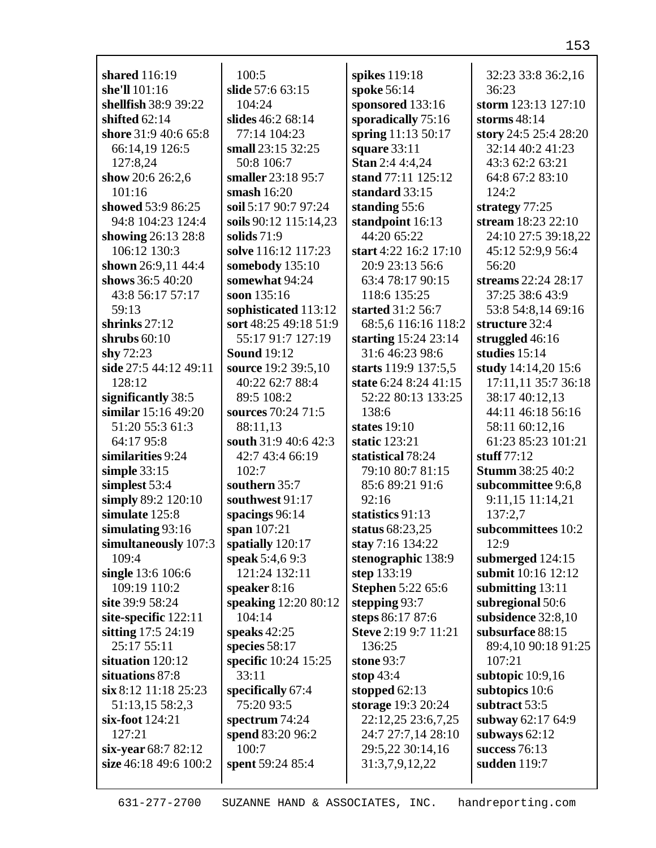| shared 116:19                             | 100:5                 | spikes 119:18            | 32:23 33:8 36:2,16      |
|-------------------------------------------|-----------------------|--------------------------|-------------------------|
| she'll 101:16                             | slide 57:6 63:15      | spoke 56:14              | 36:23                   |
| shellfish 38:9 39:22                      | 104:24                | sponsored 133:16         | storm 123:13 127:10     |
| shifted $62:14$                           | slides 46:2 68:14     | sporadically 75:16       | storms $48:14$          |
| shore 31:9 40:6 65:8                      | 77:14 104:23          | spring 11:13 50:17       | story 24:5 25:4 28:20   |
| 66:14,19 126:5                            | small 23:15 32:25     | square $33:11$           | 32:14 40:2 41:23        |
| 127:8,24                                  | 50:8 106:7            | <b>Stan</b> 2:4 4:4,24   | 43:3 62:2 63:21         |
| show 20:6 26:2,6                          | smaller 23:18 95:7    | stand 77:11 125:12       | 64:8 67:2 83:10         |
| 101:16                                    | smash $16:20$         | standard 33:15           | 124:2                   |
| showed 53:9 86:25                         | soil 5:17 90:7 97:24  | standing 55:6            | strategy 77:25          |
| 94:8 104:23 124:4                         | soils 90:12 115:14,23 | standpoint 16:13         | stream 18:23 22:10      |
| showing 26:13 28:8                        | solids $71:9$         | 44:20 65:22              | 24:10 27:5 39:18,22     |
| 106:12 130:3                              | solve 116:12 117:23   | start 4:22 16:2 17:10    | 45:12 52:9,9 56:4       |
| shown 26:9,11 44:4                        | somebody 135:10       | 20:9 23:13 56:6          | 56:20                   |
| shows 36:5 40:20                          | somewhat 94:24        | 63:4 78:17 90:15         | streams 22:24 28:17     |
| 43:8 56:17 57:17                          | soon 135:16           | 118:6 135:25             | 37:25 38:6 43:9         |
| 59:13                                     | sophisticated 113:12  | started 31:2 56:7        | 53:8 54:8,14 69:16      |
| shrinks $27:12$                           | sort 48:25 49:18 51:9 | 68:5,6 116:16 118:2      | structure 32:4          |
| shrubs $60:10$                            | 55:17 91:7 127:19     | starting 15:24 23:14     | struggled $46:16$       |
| shy $72:23$                               | <b>Sound 19:12</b>    | 31:6 46:23 98:6          | studies $15:14$         |
| side 27:5 44:12 49:11                     | source 19:2 39:5,10   | starts 119:9 137:5,5     | study 14:14,20 15:6     |
| 128:12                                    | 40:22 62:7 88:4       | state 6:24 8:24 41:15    | 17:11,11 35:7 36:18     |
|                                           | 89:5 108:2            | 52:22 80:13 133:25       | 38:17 40:12,13          |
| significantly 38:5<br>similar 15:16 49:20 | sources 70:24 71:5    |                          | 44:11 46:18 56:16       |
|                                           |                       | 138:6                    |                         |
| 51:20 55:3 61:3                           | 88:11,13              | states $19:10$           | 58:11 60:12,16          |
| 64:17 95:8                                | south 31:9 40:6 42:3  | static 123:21            | 61:23 85:23 101:21      |
| similarities 9:24                         | 42:7 43:4 66:19       | statistical 78:24        | stuff $77:12$           |
| simple $33:15$                            | 102:7                 | 79:10 80:7 81:15         | <b>Stumm</b> 38:25 40:2 |
| simplest 53:4                             | southern 35:7         | 85:6 89:21 91:6          | subcommittee 9:6,8      |
| simply 89:2 120:10                        | southwest 91:17       | 92:16                    | 9:11,15 11:14,21        |
| simulate 125:8                            | spacings $96:14$      | statistics 91:13         | 137:2,7                 |
| simulating $93:16$                        | span 107:21           | status 68:23,25          | subcommittees 10:2      |
| simultaneously 107:3                      | spatially 120:17      | stay 7:16 134:22         | 12:9                    |
| 109:4                                     | speak 5:4,6 9:3       | stenographic 138:9       | submerged 124:15        |
| single 13:6 106:6                         | 121:24 132:11         | step 133:19              | submit 10:16 12:12      |
| 109:19 110:2                              | speaker $8:16$        | <b>Stephen 5:22 65:6</b> | submitting 13:11        |
| site 39:9 58:24                           | speaking 12:20 80:12  | stepping 93:7            | subregional 50:6        |
| site-specific 122:11                      | 104:14                | steps 86:17 87:6         | subsidence 32:8,10      |
| sitting 17:5 24:19                        | speaks $42:25$        | Steve 2:19 9:7 11:21     | subsurface 88:15        |
| 25:17 55:11                               | species $58:17$       | 136:25                   | 89:4,10 90:18 91:25     |
| situation 120:12                          | specific 10:24 15:25  | stone 93:7               | 107:21                  |
| situations 87:8                           | 33:11                 | stop $43:4$              | subtopic $10:9,16$      |
| $\sin 8:12$ 11:18 25:23                   | specifically 67:4     | stopped $62:13$          | subtopics 10:6          |
| 51:13,15 58:2,3                           | 75:20 93:5            | storage 19:3 20:24       | subtract 53:5           |
| six-foot 124:21                           | spectrum $74:24$      | 22:12,25 23:6,7,25       | subway 62:17 64:9       |
| 127:21                                    | spend 83:20 96:2      | 24:7 27:7,14 28:10       | subways $62:12$         |
| $\sin$ -year 68:7 82:12                   | 100:7                 | 29:5,22 30:14,16         | success $76:13$         |
| size 46:18 49:6 100:2                     | spent 59:24 85:4      | 31:3,7,9,12,22           | sudden 119:7            |
|                                           |                       |                          |                         |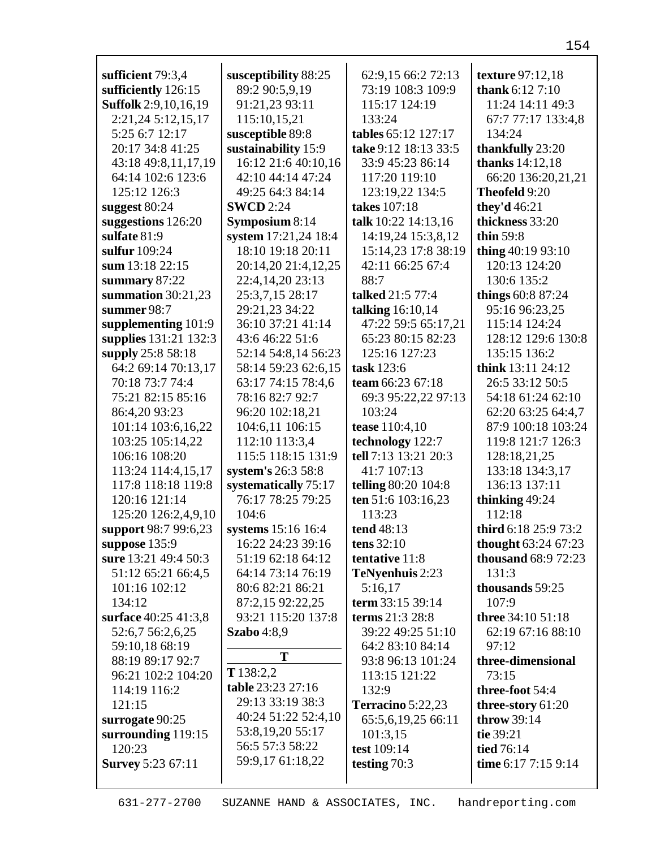| sufficient 79:3,4              | susceptibility 88:25 | 62:9,15 66:2 72:13   | texture 97:12,18       |
|--------------------------------|----------------------|----------------------|------------------------|
| sufficiently 126:15            | 89:2 90:5,9,19       | 73:19 108:3 109:9    | thank $6:127:10$       |
| <b>Suffolk</b> 2:9, 10, 16, 19 | 91:21,23 93:11       | 115:17 124:19        | 11:24 14:11 49:3       |
| 2:21,24 5:12,15,17             | 115:10,15,21         | 133:24               | 67:7 77:17 133:4,8     |
| 5:25 6:7 12:17                 | susceptible 89:8     | tables 65:12 127:17  | 134:24                 |
| 20:17 34:8 41:25               | sustainability 15:9  | take 9:12 18:13 33:5 | thankfully 23:20       |
| 43:18 49:8,11,17,19            | 16:12 21:6 40:10,16  | 33:9 45:23 86:14     | <b>thanks</b> 14:12,18 |
| 64:14 102:6 123:6              | 42:10 44:14 47:24    | 117:20 119:10        | 66:20 136:20,21,21     |
| 125:12 126:3                   | 49:25 64:3 84:14     | 123:19,22 134:5      | Theofeld 9:20          |
| suggest $80:24$                | <b>SWCD</b> 2:24     | takes 107:18         | they'd 46:21           |
| suggestions 126:20             | Symposium 8:14       | talk 10:22 14:13,16  | thickness 33:20        |
| sulfate 81:9                   | system 17:21,24 18:4 | 14:19,24 15:3,8,12   | thin 59:8              |
| sulfur 109:24                  | 18:10 19:18 20:11    | 15:14,23 17:8 38:19  | thing $40:1993:10$     |
| sum 13:18 22:15                | 20:14,20 21:4,12,25  | 42:11 66:25 67:4     | 120:13 124:20          |
| summary 87:22                  | 22:4,14,20 23:13     | 88:7                 | 130:6 135:2            |
| summation $30:21,23$           | 25:3,7,15 28:17      | talked 21:5 77:4     | things 60:8 87:24      |
| summer 98:7                    | 29:21,23 34:22       | talking 16:10,14     | 95:16 96:23,25         |
| supplementing 101:9            | 36:10 37:21 41:14    | 47:22 59:5 65:17,21  | 115:14 124:24          |
| supplies 131:21 132:3          | 43:6 46:22 51:6      | 65:23 80:15 82:23    | 128:12 129:6 130:8     |
| supply 25:8 58:18              | 52:14 54:8,14 56:23  | 125:16 127:23        | 135:15 136:2           |
| 64:2 69:14 70:13,17            | 58:14 59:23 62:6,15  | task 123:6           | think 13:11 24:12      |
| 70:18 73:7 74:4                | 63:17 74:15 78:4,6   | team 66:23 67:18     | 26:5 33:12 50:5        |
| 75:21 82:15 85:16              | 78:16 82:7 92:7      | 69:3 95:22,22 97:13  | 54:18 61:24 62:10      |
| 86:4,20 93:23                  | 96:20 102:18,21      | 103:24               | 62:20 63:25 64:4,7     |
| 101:14 103:6,16,22             | 104:6,11 106:15      | tease 110:4,10       | 87:9 100:18 103:24     |
| 103:25 105:14,22               | 112:10 113:3,4       | technology 122:7     | 119:8 121:7 126:3      |
| 106:16 108:20                  | 115:5 118:15 131:9   | tell 7:13 13:21 20:3 | 128:18,21,25           |
| 113:24 114:4,15,17             | system's 26:3 58:8   | 41:7 107:13          | 133:18 134:3,17        |
| 117:8 118:18 119:8             | systematically 75:17 | telling 80:20 104:8  | 136:13 137:11          |
| 120:16 121:14                  | 76:17 78:25 79:25    | ten 51:6 103:16,23   | thinking 49:24         |
| 125:20 126:2,4,9,10            | 104:6                | 113:23               | 112:18                 |
| support 98:7 99:6,23           | systems 15:16 16:4   | tend 48:13           | third 6:18 25:9 73:2   |
| suppose $135:9$                | 16:22 24:23 39:16    | tens $32:10$         | thought 63:24 67:23    |
| sure 13:21 49:4 50:3           | 51:19 62:18 64:12    | tentative 11:8       | thousand 68:9 72:23    |
| 51:12 65:21 66:4,5             | 64:14 73:14 76:19    | TeNyenhuis 2:23      | 131:3                  |
| 101:16 102:12                  | 80:6 82:21 86:21     | 5:16,17              | thousands 59:25        |
| 134:12                         | 87:2,15 92:22,25     | term 33:15 39:14     | 107:9                  |
| surface 40:25 41:3,8           | 93:21 115:20 137:8   | terms 21:3 28:8      | three 34:10 51:18      |
| 52:6,7 56:2,6,25               | <b>Szabo</b> 4:8,9   | 39:22 49:25 51:10    | 62:19 67:16 88:10      |
| 59:10,18 68:19                 | T                    | 64:2 83:10 84:14     | 97:12                  |
| 88:19 89:17 92:7               |                      | 93:8 96:13 101:24    | three-dimensional      |
| 96:21 102:2 104:20             | T138:2,2             | 113:15 121:22        | 73:15                  |
| 114:19 116:2                   | table 23:23 27:16    | 132:9                | three-foot 54:4        |
| 121:15                         | 29:13 33:19 38:3     | Terracino 5:22,23    | three-story 61:20      |
| surrogate 90:25                | 40:24 51:22 52:4,10  | 65:5,6,19,25 66:11   | <b>throw</b> 39:14     |
| surrounding 119:15             | 53:8, 19, 20 55: 17  | 101:3,15             | tie 39:21              |
| 120:23                         | 56:5 57:3 58:22      | test 109:14          | tied 76:14             |
| <b>Survey 5:23 67:11</b>       | 59:9,17 61:18,22     | testing $70:3$       | time 6:17 7:15 9:14    |
|                                |                      |                      |                        |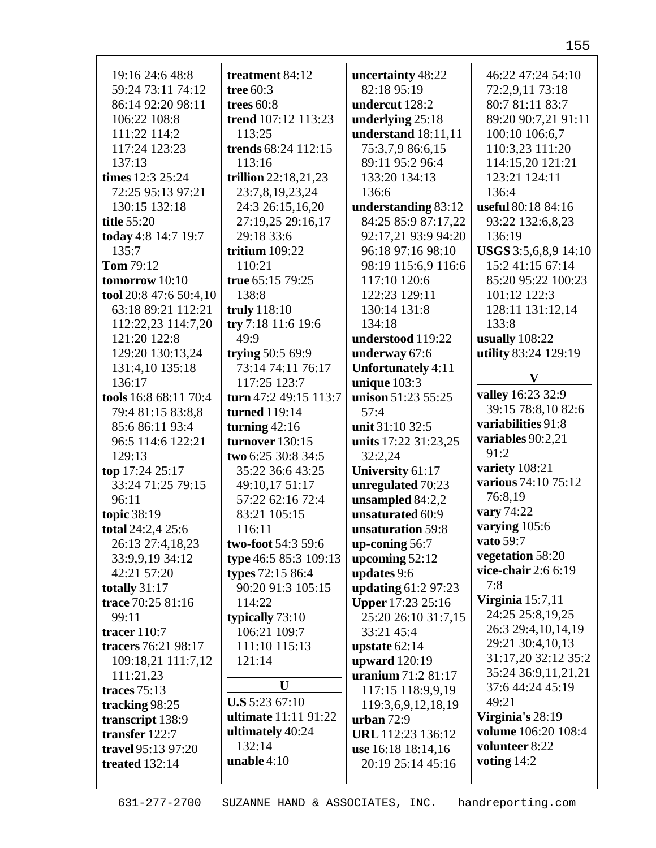| 19:16 24:6 48:8                    | treatment 84:12                       | uncertainty 48:22                       | 46:22 47:24 54:10    |
|------------------------------------|---------------------------------------|-----------------------------------------|----------------------|
| 59:24 73:11 74:12                  | tree $60:3$                           | 82:18 95:19                             | 72:2,9,11 73:18      |
| 86:14 92:20 98:11                  | trees $60:8$                          | undercut 128:2                          | 80:7 81:11 83:7      |
| 106:22 108:8                       | trend 107:12 113:23                   | underlying 25:18                        | 89:20 90:7,21 91:11  |
| 111:22 114:2                       | 113:25                                | understand 18:11,11                     | 100:10 106:6,7       |
| 117:24 123:23                      | trends 68:24 112:15                   | 75:3,7,9 86:6,15                        | 110:3,23 111:20      |
| 137:13                             | 113:16                                | 89:11 95:2 96:4                         | 114:15,20 121:21     |
| times 12:3 25:24                   | trillion 22:18,21,23                  | 133:20 134:13                           | 123:21 124:11        |
| 72:25 95:13 97:21                  | 23:7,8,19,23,24                       | 136:6                                   | 136:4                |
| 130:15 132:18                      | 24:3 26:15,16,20                      | understanding 83:12                     | useful 80:18 84:16   |
| title 55:20                        | 27:19,25 29:16,17                     | 84:25 85:9 87:17,22                     | 93:22 132:6,8,23     |
| today 4:8 14:7 19:7                | 29:18 33:6                            | 92:17,21 93:9 94:20                     | 136:19               |
| 135:7                              | tritium $109:22$                      | 96:18 97:16 98:10                       | USGS 3:5,6,8,9 14:10 |
| <b>Tom 79:12</b>                   | 110:21                                | 98:19 115:6,9 116:6                     | 15:2 41:15 67:14     |
| tomorrow 10:10                     | true 65:15 79:25                      | 117:10 120:6                            | 85:20 95:22 100:23   |
| tool 20:8 47:6 50:4,10             | 138:8                                 | 122:23 129:11                           | 101:12 122:3         |
| 63:18 89:21 112:21                 | truly 118:10                          | 130:14 131:8                            | 128:11 131:12,14     |
| 112:22,23 114:7,20                 | try 7:18 11:6 19:6                    | 134:18                                  | 133:8                |
| 121:20 122:8                       | 49:9                                  | understood 119:22                       | usually $108:22$     |
| 129:20 130:13,24                   | trying 50:5 69:9                      | underway 67:6                           | utility 83:24 129:19 |
| 131:4,10 135:18                    | 73:14 74:11 76:17                     | <b>Unfortunately 4:11</b>               | V                    |
| 136:17                             | 117:25 123:7                          | unique $103:3$                          | valley 16:23 32:9    |
| tools 16:8 68:11 70:4              | turn 47:2 49:15 113:7                 | unison 51:23 55:25                      | 39:15 78:8,10 82:6   |
| 79:4 81:15 83:8,8                  | turned 119:14                         | 57:4                                    | variabilities 91:8   |
| 85:6 86:11 93:4                    | turning $42:16$                       | unit 31:10 32:5                         | variables $90:2,21$  |
| 96:5 114:6 122:21                  | turnover 130:15                       | units 17:22 31:23,25                    | 91:2                 |
| 129:13                             | two 6:25 30:8 34:5                    | 32:2,24                                 | variety 108:21       |
| top 17:24 25:17                    | 35:22 36:6 43:25                      | University 61:17                        | various 74:10 75:12  |
| 33:24 71:25 79:15                  | 49:10,17 51:17                        | unregulated 70:23                       | 76:8,19              |
| 96:11                              | 57:22 62:16 72:4                      | unsampled 84:2,2<br>unsaturated 60:9    | vary 74:22           |
| topic 38:19                        | 83:21 105:15                          |                                         | varying 105:6        |
| total 24:2,4 25:6                  | 116:11                                | unsaturation 59:8                       | vato 59:7            |
| 26:13 27:4,18,23                   | two-foot 54:3 59:6                    | up-coning 56:7                          | vegetation 58:20     |
| 33:9,9,19 34:12<br>42:21 57:20     | type 46:5 85:3 109:13                 | upcoming $52:12$                        | vice-chair $2:66:19$ |
|                                    | types 72:15 86:4<br>90:20 91:3 105:15 | updates 9:6                             | 7:8                  |
| totally 31:17<br>trace 70:25 81:16 | 114:22                                | updating 61:2 97:23                     | Virginia $15:7,11$   |
| 99:11                              |                                       | <b>Upper 17:23 25:16</b>                | 24:25 25:8,19,25     |
| tracer $110:7$                     | typically $73:10$<br>106:21 109:7     | 25:20 26:10 31:7,15<br>33:21 45:4       | 26:3 29:4,10,14,19   |
|                                    | 111:10 115:13                         |                                         | 29:21 30:4,10,13     |
| tracers 76:21 98:17                | 121:14                                | upstate $62:14$                         | 31:17,20 32:12 35:2  |
| 109:18,21 111:7,12                 |                                       | upward $120:19$<br>uranium 71:2 81:17   | 35:24 36:9,11,21,21  |
| 111:21,23<br>traces $75:13$        | U                                     | 117:15 118:9,9,19                       | 37:6 44:24 45:19     |
|                                    | <b>U.S</b> 5:23 67:10                 |                                         | 49:21                |
| tracking 98:25                     | ultimate 11:11 91:22                  | 119:3,6,9,12,18,19                      | Virginia's 28:19     |
| transcript 138:9<br>transfer 122:7 | ultimately 40:24                      | urban $72:9$<br>URL 112:23 136:12       | volume 106:20 108:4  |
|                                    | 132:14                                |                                         | volunteer 8:22       |
| travel 95:13 97:20                 | unable $4:10$                         | use 16:18 18:14,16<br>20:19 25:14 45:16 | voting 14:2          |
| treated $132:14$                   |                                       |                                         |                      |
|                                    |                                       |                                         |                      |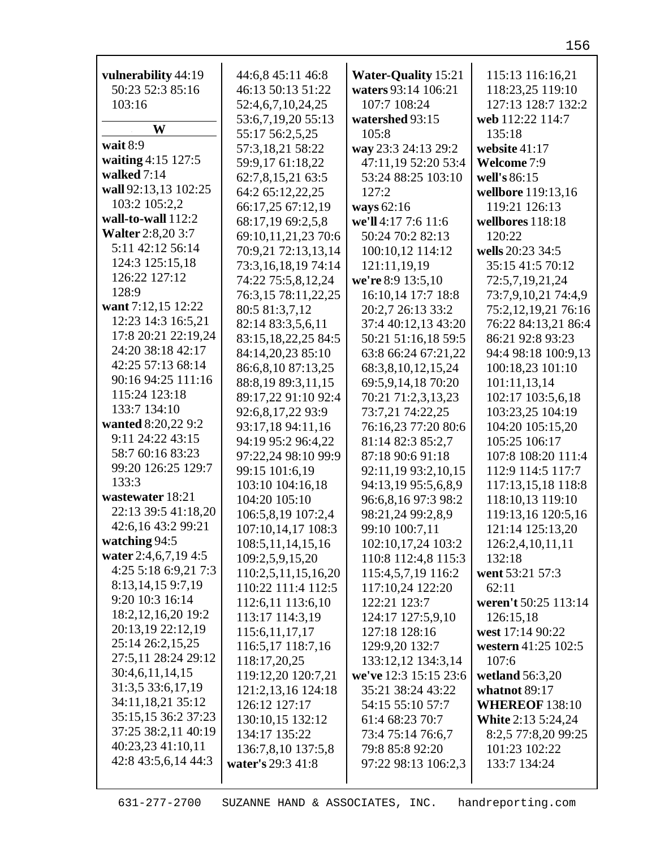| vulnerability 44:19      | 44:6,8 45:11 46:8                     | <b>Water-Quality 15:21</b>            | 115:13 116:16,21          |
|--------------------------|---------------------------------------|---------------------------------------|---------------------------|
| 50:23 52:3 85:16         | 46:13 50:13 51:22                     | waters 93:14 106:21                   | 118:23,25 119:10          |
| 103:16                   | 52:4,6,7,10,24,25                     | 107:7 108:24                          | 127:13 128:7 132:2        |
|                          | 53:6,7,19,20 55:13                    | watershed 93:15                       | web 112:22 114:7          |
| W                        | 55:17 56:2,5,25                       | 105:8                                 | 135:18                    |
| wait 8:9                 | 57:3,18,21 58:22                      | way 23:3 24:13 29:2                   | website 41:17             |
| waiting 4:15 127:5       |                                       | 47:11,19 52:20 53:4                   | Welcome 7:9               |
| walked 7:14              | 59:9,17 61:18,22<br>62:7,8,15,21 63:5 | 53:24 88:25 103:10                    | well's 86:15              |
| wall 92:13,13 102:25     | 64:2 65:12,22,25                      | 127:2                                 | wellbore 119:13,16        |
| 103:2 105:2,2            | 66:17,25 67:12,19                     |                                       | 119:21 126:13             |
| wall-to-wall 112:2       | 68:17,19 69:2,5,8                     | ways 62:16<br>we'll 4:17 7:6 11:6     | wellbores 118:18          |
| <b>Walter</b> 2:8,20 3:7 | 69:10,11,21,23 70:6                   | 50:24 70:2 82:13                      | 120:22                    |
| 5:11 42:12 56:14         | 70:9,21 72:13,13,14                   | 100:10,12 114:12                      | wells 20:23 34:5          |
| 124:3 125:15,18          | 73:3,16,18,19 74:14                   | 121:11,19,19                          | 35:15 41:5 70:12          |
| 126:22 127:12            | 74:22 75:5,8,12,24                    | we're 8:9 13:5,10                     | 72:5,7,19,21,24           |
| 128:9                    | 76:3,15 78:11,22,25                   | 16:10,14 17:7 18:8                    | 73:7,9,10,21 74:4,9       |
| want 7:12,15 12:22       | 80:5 81:3,7,12                        | 20:2,7 26:13 33:2                     | 75:2,12,19,21 76:16       |
| 12:23 14:3 16:5,21       | 82:14 83:3,5,6,11                     | 37:4 40:12,13 43:20                   | 76:22 84:13,21 86:4       |
| 17:8 20:21 22:19,24      | 83:15, 18, 22, 25 84: 5               | 50:21 51:16,18 59:5                   | 86:21 92:8 93:23          |
| 24:20 38:18 42:17        | 84:14,20,23 85:10                     | 63:8 66:24 67:21,22                   | 94:4 98:18 100:9,13       |
| 42:25 57:13 68:14        | 86:6,8,10 87:13,25                    | 68:3,8,10,12,15,24                    | 100:18,23 101:10          |
| 90:16 94:25 111:16       | 88:8,19 89:3,11,15                    | 69:5,9,14,18 70:20                    | 101:11,13,14              |
| 115:24 123:18            | 89:17,22 91:10 92:4                   | 70:21 71:2,3,13,23                    | 102:17 103:5,6,18         |
| 133:7 134:10             | 92:6,8,17,22 93:9                     | 73:7,21 74:22,25                      | 103:23,25 104:19          |
| wanted 8:20,22 9:2       | 93:17,18 94:11,16                     | 76:16,23 77:20 80:6                   | 104:20 105:15,20          |
| 9:11 24:22 43:15         | 94:19 95:2 96:4,22                    |                                       | 105:25 106:17             |
| 58:7 60:16 83:23         |                                       | 81:14 82:3 85:2,7<br>87:18 90:6 91:18 | 107:8 108:20 111:4        |
| 99:20 126:25 129:7       | 97:22,24 98:10 99:9<br>99:15 101:6,19 | 92:11,19 93:2,10,15                   | 112:9 114:5 117:7         |
| 133:3                    | 103:10 104:16,18                      | 94:13,19 95:5,6,8,9                   | 117:13,15,18 118:8        |
| wastewater 18:21         | 104:20 105:10                         | 96:6,8,16 97:3 98:2                   | 118:10,13 119:10          |
| 22:13 39:5 41:18,20      | 106:5,8,19 107:2,4                    | 98:21,24 99:2,8,9                     | 119:13,16 120:5,16        |
| 42:6,16 43:2 99:21       | 107:10,14,17 108:3                    | 99:10 100:7,11                        | 121:14 125:13,20          |
| watching 94:5            | 108:5, 11, 14, 15, 16                 | 102:10,17,24 103:2                    | 126:2,4,10,11,11          |
| water 2:4,6,7,19 4:5     | 109:2,5,9,15,20                       | 110:8 112:4,8 115:3                   | 132:18                    |
| 4:25 5:18 6:9,21 7:3     | 110:2,5,11,15,16,20                   | 115:4,5,7,19 116:2                    | went 53:21 57:3           |
| 8:13,14,15 9:7,19        | 110:22 111:4 112:5                    | 117:10,24 122:20                      | 62:11                     |
| 9:20 10:3 16:14          | 112:6,11 113:6,10                     | 122:21 123:7                          | weren't 50:25 113:14      |
| 18:2, 12, 16, 20 19:2    | 113:17 114:3,19                       | 124:17 127:5,9,10                     | 126:15.18                 |
| 20:13,19 22:12,19        | 115:6, 11, 17, 17                     | 127:18 128:16                         | west 17:14 90:22          |
| 25:14 26:2,15,25         | 116:5,17 118:7,16                     | 129:9,20 132:7                        | western 41:25 102:5       |
| 27:5,11 28:24 29:12      | 118:17,20,25                          | 133:12,12 134:3,14                    | 107:6                     |
| 30:4,6,11,14,15          | 119:12,20 120:7,21                    | we've 12:3 15:15 23:6                 | wetland $56:3,20$         |
| 31:3,5 33:6,17,19        | 121:2, 13, 16 124: 18                 | 35:21 38:24 43:22                     | whatnot 89:17             |
| 34:11,18,21 35:12        | 126:12 127:17                         | 54:15 55:10 57:7                      | <b>WHEREOF 138:10</b>     |
| 35:15,15 36:2 37:23      | 130:10,15 132:12                      | 61:4 68:23 70:7                       | <b>White 2:13 5:24,24</b> |
| 37:25 38:2,11 40:19      | 134:17 135:22                         | 73:4 75:14 76:6,7                     | 8:2,5 77:8,20 99:25       |
| 40:23,23 41:10,11        | 136:7,8,10 137:5,8                    | 79:8 85:8 92:20                       | 101:23 102:22             |
| 42:8 43:5,6,14 44:3      | water's 29:3 41:8                     | 97:22 98:13 106:2,3                   | 133:7 134:24              |
|                          |                                       |                                       |                           |
|                          |                                       |                                       |                           |

631-277-2700 SUZANNE HAND & ASSOCIATES, INC. handreporting.com